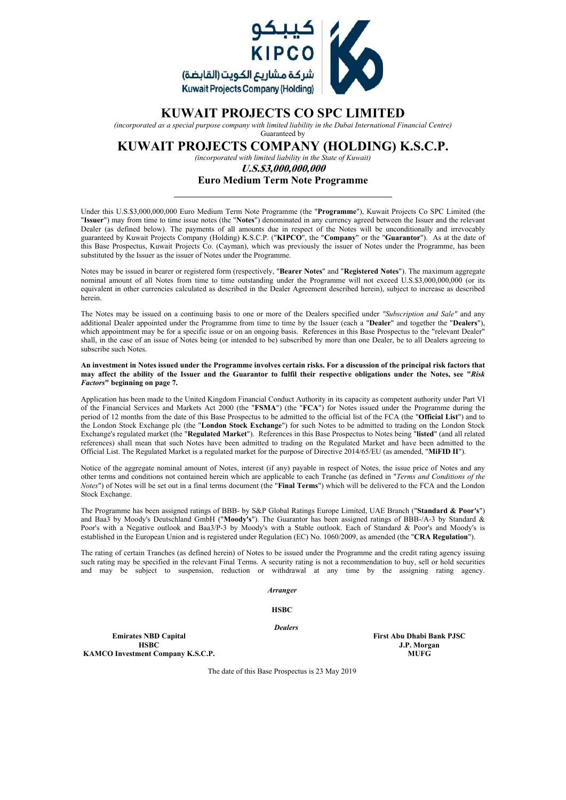

# **KUWAIT PROJECTS CO SPC LIMITED**

*(incorporated as a special purpose company with limited liability in the Dubai International Financial Centre)*

### Guaranteed by **KUWAIT PROJECTS COMPANY (HOLDING) K.S.C.P.**

*(incorporated with limited liability in the State of Kuwait)*

*U.S.\$3,000,000,000*

### **Euro Medium Term Note Programme**

Under this U.S.\$3,000,000,000 Euro Medium Term Note Programme (the "**Programme**"), Kuwait Projects Co SPC Limited (the "**Issuer**") may from time to time issue notes (the "**Notes**") denominated in any currency agreed between the Issuer and the relevant Dealer (as defined below). The payments of all amounts due in respect of the Notes will be unconditionally and irrevocably guaranteed by Kuwait Projects Company (Holding) K.S.C.P. ("**KIPCO**", the "**Company**" or the "**Guarantor**"). As at the date of this Base Prospectus, Kuwait Projects Co. (Cayman), which was previously the issuer of Notes under the Programme, has been substituted by the Issuer as the issuer of Notes under the Programme.

Notes may be issued in bearer or registered form (respectively, "**Bearer Notes**" and "**Registered Notes**"). The maximum aggregate nominal amount of all Notes from time to time outstanding under the Programme will not exceed U.S.\$3,000,000,000 (or its equivalent in other currencies calculated as described in the Dealer Agreement described herein), subject to increase as described herein.

The Notes may be issued on a continuing basis to one or more of the Dealers specified under *"Subscription and Sale"* and any additional Dealer appointed under the Programme from time to time by the Issuer (each a "**Dealer**" and together the "**Dealers**"), which appointment may be for a specific issue or on an ongoing basis. References in this Base Prospectus to the "relevant Dealer" shall, in the case of an issue of Notes being (or intended to be) subscribed by more than one Dealer, be to all Dealers agreeing to subscribe such Notes.

**An investment in Notes issued under the Programme involves certain risks. For a discussion of the principal risk factors that may affect the ability of the Issuer and the Guarantor to fulfil their respective obligations under the Notes, see "***Risk Factors***" beginning on page 7.**

Application has been made to the United Kingdom Financial Conduct Authority in its capacity as competent authority under Part VI of the Financial Services and Markets Act 2000 (the "**FSMA**") (the "**FCA**") for Notes issued under the Programme during the period of 12 months from the date of this Base Prospectus to be admitted to the official list of the FCA (the "**Official List**") and to the London Stock Exchange plc (the "**London Stock Exchange**") for such Notes to be admitted to trading on the London Stock Exchange's regulated market (the "**Regulated Market**"). References in this Base Prospectus to Notes being "**listed**" (and all related references) shall mean that such Notes have been admitted to trading on the Regulated Market and have been admitted to the Official List. The Regulated Market is a regulated market for the purpose of Directive 2014/65/EU (as amended, "**MiFID II**").

Notice of the aggregate nominal amount of Notes, interest (if any) payable in respect of Notes, the issue price of Notes and any other terms and conditions not contained herein which are applicable to each Tranche (as defined in "*Terms and Conditions of the Notes*") of Notes will be set out in a final terms document (the "**Final Terms**") which will be delivered to the FCA and the London Stock Exchange.

The Programme has been assigned ratings of BBB- by S&P Global Ratings Europe Limited, UAE Branch ("**Standard & Poor's**") and Baa3 by Moody's Deutschland GmbH ("**Moody's**"). The Guarantor has been assigned ratings of BBB-/A-3 by Standard & Poor's with a Negative outlook and Baa3/P-3 by Moody's with a Stable outlook. Each of Standard & Poor's and Moody's is established in the European Union and is registered under Regulation (EC) No. 1060/2009, as amended (the "**CRA Regulation**").

The rating of certain Tranches (as defined herein) of Notes to be issued under the Programme and the credit rating agency issuing such rating may be specified in the relevant Final Terms. A security rating is not a recommendation to buy, sell or hold securities and may be subject to suspension, reduction or withdrawal at any time by the assigning rating agency.

*Arranger*

**HSBC**

*Dealers*

**Emirates NBD Capital First Abu Dhabi Bank PJSC HSBC** J.P. Morgan J.P. Morgan J.P. Morgan J.P. Morgan J.P. Morgan J.P. Morgan J.P. Morgan J.P. Morgan J.P. Morgan J.P. Morgan J.P. Morgan J.P. Morgan J.P. Morgan J.P. Morgan J.P. Morgan J.P. Morgan J.P. Morgan J.P. Morgan **KAMCO Investment Company K.S.C.P.** 

The date of this Base Prospectus is 23 May 2019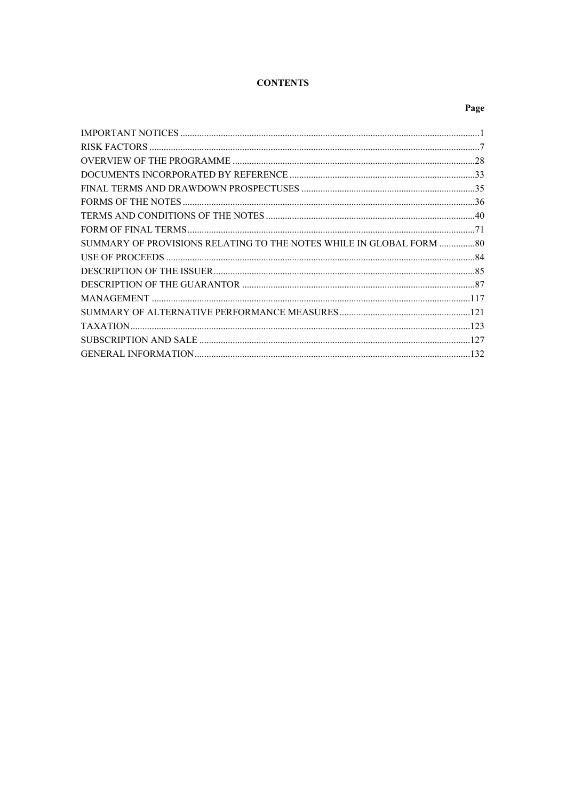# **CONTENTS**

# Page

| SUMMARY OF PROVISIONS RELATING TO THE NOTES WHILE IN GLOBAL FORM 80 |  |
|---------------------------------------------------------------------|--|
|                                                                     |  |
|                                                                     |  |
|                                                                     |  |
|                                                                     |  |
|                                                                     |  |
|                                                                     |  |
|                                                                     |  |
|                                                                     |  |
|                                                                     |  |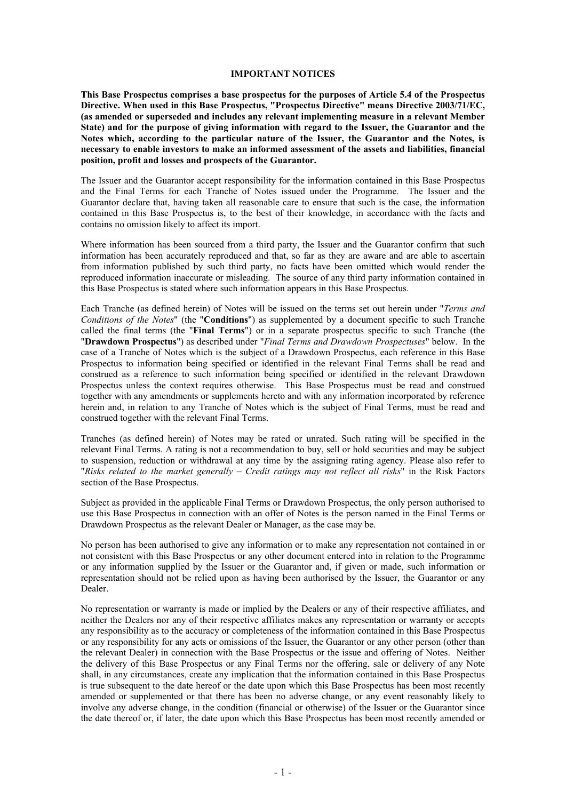### <span id="page-2-0"></span>**IMPORTANT NOTICES**

**This Base Prospectus comprises a base prospectus for the purposes of Article 5.4 of the Prospectus Directive. When used in this Base Prospectus, "Prospectus Directive" means Directive 2003/71/EC, (as amended or superseded and includes any relevant implementing measure in a relevant Member State) and for the purpose of giving information with regard to the Issuer, the Guarantor and the Notes which, according to the particular nature of the Issuer, the Guarantor and the Notes, is necessary to enable investors to make an informed assessment of the assets and liabilities, financial position, profit and losses and prospects of the Guarantor.**

The Issuer and the Guarantor accept responsibility for the information contained in this Base Prospectus and the Final Terms for each Tranche of Notes issued under the Programme. The Issuer and the Guarantor declare that, having taken all reasonable care to ensure that such is the case, the information contained in this Base Prospectus is, to the best of their knowledge, in accordance with the facts and contains no omission likely to affect its import.

Where information has been sourced from a third party, the Issuer and the Guarantor confirm that such information has been accurately reproduced and that, so far as they are aware and are able to ascertain from information published by such third party, no facts have been omitted which would render the reproduced information inaccurate or misleading. The source of any third party information contained in this Base Prospectus is stated where such information appears in this Base Prospectus.

Each Tranche (as defined herein) of Notes will be issued on the terms set out herein under "*Terms and Conditions of the Notes*" (the "**Conditions**") as supplemented by a document specific to such Tranche called the final terms (the "**Final Terms**") or in a separate prospectus specific to such Tranche (the "**Drawdown Prospectus**") as described under "*Final Terms and Drawdown Prospectuses*" below. In the case of a Tranche of Notes which is the subject of a Drawdown Prospectus, each reference in this Base Prospectus to information being specified or identified in the relevant Final Terms shall be read and construed as a reference to such information being specified or identified in the relevant Drawdown Prospectus unless the context requires otherwise. This Base Prospectus must be read and construed together with any amendments or supplements hereto and with any information incorporated by reference herein and, in relation to any Tranche of Notes which is the subject of Final Terms, must be read and construed together with the relevant Final Terms.

Tranches (as defined herein) of Notes may be rated or unrated. Such rating will be specified in the relevant Final Terms. A rating is not a recommendation to buy, sell or hold securities and may be subject to suspension, reduction or withdrawal at any time by the assigning rating agency. Please also refer to "*Risks related to the market generally – Credit ratings may not reflect all risks*" in the Risk Factors section of the Base Prospectus.

Subject as provided in the applicable Final Terms or Drawdown Prospectus, the only person authorised to use this Base Prospectus in connection with an offer of Notes is the person named in the Final Terms or Drawdown Prospectus as the relevant Dealer or Manager, as the case may be.

No person has been authorised to give any information or to make any representation not contained in or not consistent with this Base Prospectus or any other document entered into in relation to the Programme or any information supplied by the Issuer or the Guarantor and, if given or made, such information or representation should not be relied upon as having been authorised by the Issuer, the Guarantor or any Dealer.

No representation or warranty is made or implied by the Dealers or any of their respective affiliates, and neither the Dealers nor any of their respective affiliates makes any representation or warranty or accepts any responsibility as to the accuracy or completeness of the information contained in this Base Prospectus or any responsibility for any acts or omissions of the Issuer, the Guarantor or any other person (other than the relevant Dealer) in connection with the Base Prospectus or the issue and offering of Notes. Neither the delivery of this Base Prospectus or any Final Terms nor the offering, sale or delivery of any Note shall, in any circumstances, create any implication that the information contained in this Base Prospectus is true subsequent to the date hereof or the date upon which this Base Prospectus has been most recently amended or supplemented or that there has been no adverse change, or any event reasonably likely to involve any adverse change, in the condition (financial or otherwise) of the Issuer or the Guarantor since the date thereof or, if later, the date upon which this Base Prospectus has been most recently amended or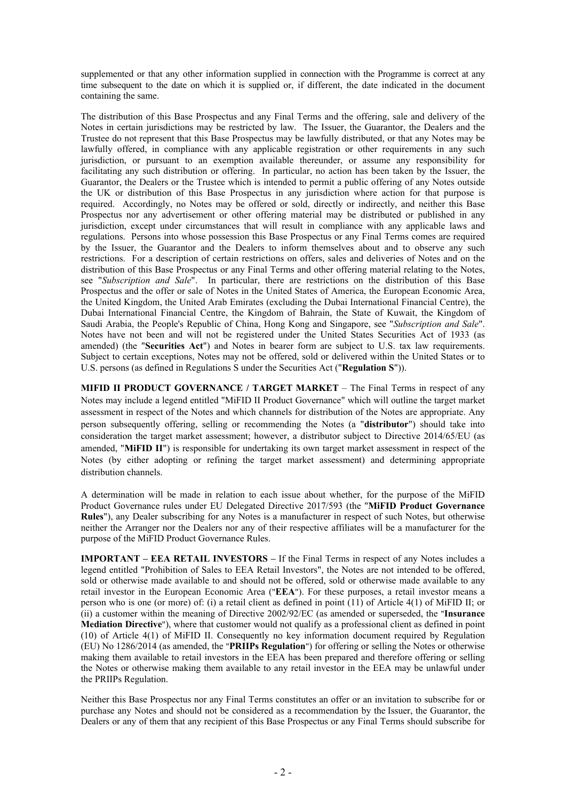supplemented or that any other information supplied in connection with the Programme is correct at any time subsequent to the date on which it is supplied or, if different, the date indicated in the document containing the same.

The distribution of this Base Prospectus and any Final Terms and the offering, sale and delivery of the Notes in certain jurisdictions may be restricted by law. The Issuer, the Guarantor, the Dealers and the Trustee do not represent that this Base Prospectus may be lawfully distributed, or that any Notes may be lawfully offered, in compliance with any applicable registration or other requirements in any such jurisdiction, or pursuant to an exemption available thereunder, or assume any responsibility for facilitating any such distribution or offering. In particular, no action has been taken by the Issuer, the Guarantor, the Dealers or the Trustee which is intended to permit a public offering of any Notes outside the UK or distribution of this Base Prospectus in any jurisdiction where action for that purpose is required. Accordingly, no Notes may be offered or sold, directly or indirectly, and neither this Base Prospectus nor any advertisement or other offering material may be distributed or published in any jurisdiction, except under circumstances that will result in compliance with any applicable laws and regulations. Persons into whose possession this Base Prospectus or any Final Terms comes are required by the Issuer, the Guarantor and the Dealers to inform themselves about and to observe any such restrictions. For a description of certain restrictions on offers, sales and deliveries of Notes and on the distribution of this Base Prospectus or any Final Terms and other offering material relating to the Notes, see "*Subscription and Sale*". In particular, there are restrictions on the distribution of this Base Prospectus and the offer or sale of Notes in the United States of America, the European Economic Area, the United Kingdom, the United Arab Emirates (excluding the Dubai International Financial Centre), the Dubai International Financial Centre, the Kingdom of Bahrain, the State of Kuwait, the Kingdom of Saudi Arabia, the People's Republic of China, Hong Kong and Singapore, see "*Subscription and Sale*". Notes have not been and will not be registered under the United States Securities Act of 1933 (as amended) (the "**Securities Act**") and Notes in bearer form are subject to U.S. tax law requirements. Subject to certain exceptions, Notes may not be offered, sold or delivered within the United States or to U.S. persons (as defined in Regulations S under the Securities Act ("**Regulation S**")).

**MIFID II PRODUCT GOVERNANCE / TARGET MARKET – The Final Terms in respect of any** Notes may include a legend entitled "MiFID II Product Governance" which will outline the target market assessment in respect of the Notes and which channels for distribution of the Notes are appropriate. Any person subsequently offering, selling or recommending the Notes (a "**distributor**") should take into consideration the target market assessment; however, a distributor subject to Directive 2014/65/EU (as amended, "**MiFID II**") is responsible for undertaking its own target market assessment in respect of the Notes (by either adopting or refining the target market assessment) and determining appropriate distribution channels.

A determination will be made in relation to each issue about whether, for the purpose of the MiFID Product Governance rules under EU Delegated Directive 2017/593 (the "**MiFID Product Governance Rules**"), any Dealer subscribing for any Notes is a manufacturer in respect of such Notes, but otherwise neither the Arranger nor the Dealers nor any of their respective affiliates will be a manufacturer for the purpose of the MiFID Product Governance Rules.

**IMPORTANT – EEA RETAIL INVESTORS –** If the Final Terms in respect of any Notes includes a legend entitled "Prohibition of Sales to EEA Retail Investors", the Notes are not intended to be offered, sold or otherwise made available to and should not be offered, sold or otherwise made available to any retail investor in the European Economic Area ("**EEA**"). For these purposes, a retail investor means a person who is one (or more) of: (i) a retail client as defined in point (11) of Article 4(1) of MiFID II; or (ii) a customer within the meaning of Directive 2002/92/EC (as amended or superseded, the "**Insurance Mediation Directive**"), where that customer would not qualify as a professional client as defined in point (10) of Article 4(1) of MiFID II. Consequently no key information document required by Regulation (EU) No 1286/2014 (as amended, the "**PRIIPs Regulation**") for offering or selling the Notes or otherwise making them available to retail investors in the EEA has been prepared and therefore offering or selling the Notes or otherwise making them available to any retail investor in the EEA may be unlawful under the PRIIPs Regulation.

Neither this Base Prospectus nor any Final Terms constitutes an offer or an invitation to subscribe for or purchase any Notes and should not be considered as a recommendation by the Issuer, the Guarantor, the Dealers or any of them that any recipient of this Base Prospectus or any Final Terms should subscribe for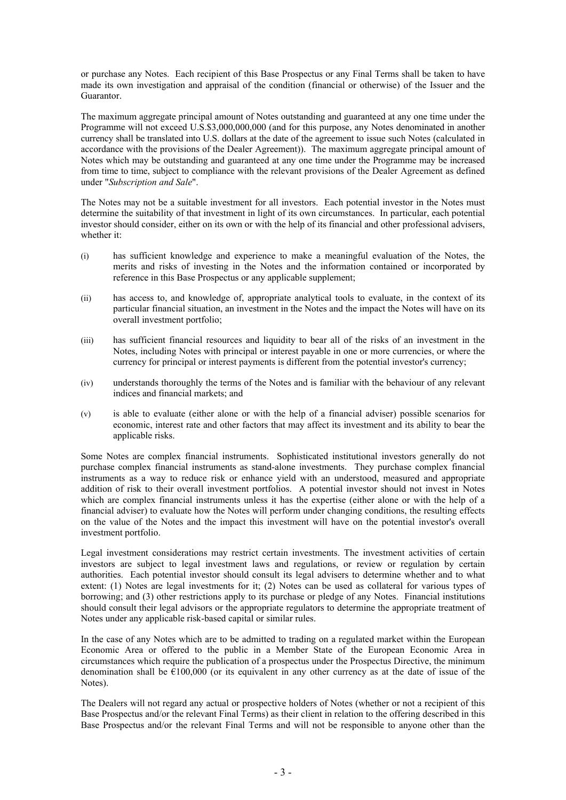or purchase any Notes. Each recipient of this Base Prospectus or any Final Terms shall be taken to have made its own investigation and appraisal of the condition (financial or otherwise) of the Issuer and the Guarantor.

The maximum aggregate principal amount of Notes outstanding and guaranteed at any one time under the Programme will not exceed U.S.\$3,000,000,000 (and for this purpose, any Notes denominated in another currency shall be translated into U.S. dollars at the date of the agreement to issue such Notes (calculated in accordance with the provisions of the Dealer Agreement)). The maximum aggregate principal amount of Notes which may be outstanding and guaranteed at any one time under the Programme may be increased from time to time, subject to compliance with the relevant provisions of the Dealer Agreement as defined under "*Subscription and Sale*".

The Notes may not be a suitable investment for all investors. Each potential investor in the Notes must determine the suitability of that investment in light of its own circumstances. In particular, each potential investor should consider, either on its own or with the help of its financial and other professional advisers, whether it:

- (i) has sufficient knowledge and experience to make a meaningful evaluation of the Notes, the merits and risks of investing in the Notes and the information contained or incorporated by reference in this Base Prospectus or any applicable supplement;
- (ii) has access to, and knowledge of, appropriate analytical tools to evaluate, in the context of its particular financial situation, an investment in the Notes and the impact the Notes will have on its overall investment portfolio;
- (iii) has sufficient financial resources and liquidity to bear all of the risks of an investment in the Notes, including Notes with principal or interest payable in one or more currencies, or where the currency for principal or interest payments is different from the potential investor's currency;
- (iv) understands thoroughly the terms of the Notes and is familiar with the behaviour of any relevant indices and financial markets; and
- (v) is able to evaluate (either alone or with the help of a financial adviser) possible scenarios for economic, interest rate and other factors that may affect its investment and its ability to bear the applicable risks.

Some Notes are complex financial instruments. Sophisticated institutional investors generally do not purchase complex financial instruments as stand-alone investments. They purchase complex financial instruments as a way to reduce risk or enhance yield with an understood, measured and appropriate addition of risk to their overall investment portfolios. A potential investor should not invest in Notes which are complex financial instruments unless it has the expertise (either alone or with the help of a financial adviser) to evaluate how the Notes will perform under changing conditions, the resulting effects on the value of the Notes and the impact this investment will have on the potential investor's overall investment portfolio.

Legal investment considerations may restrict certain investments. The investment activities of certain investors are subject to legal investment laws and regulations, or review or regulation by certain authorities. Each potential investor should consult its legal advisers to determine whether and to what extent: (1) Notes are legal investments for it; (2) Notes can be used as collateral for various types of borrowing; and (3) other restrictions apply to its purchase or pledge of any Notes. Financial institutions should consult their legal advisors or the appropriate regulators to determine the appropriate treatment of Notes under any applicable risk-based capital or similar rules.

In the case of any Notes which are to be admitted to trading on a regulated market within the European Economic Area or offered to the public in a Member State of the European Economic Area in circumstances which require the publication of a prospectus under the Prospectus Directive, the minimum denomination shall be  $\hat{\epsilon}100,000$  (or its equivalent in any other currency as at the date of issue of the Notes).

The Dealers will not regard any actual or prospective holders of Notes (whether or not a recipient of this Base Prospectus and/or the relevant Final Terms) as their client in relation to the offering described in this Base Prospectus and/or the relevant Final Terms and will not be responsible to anyone other than the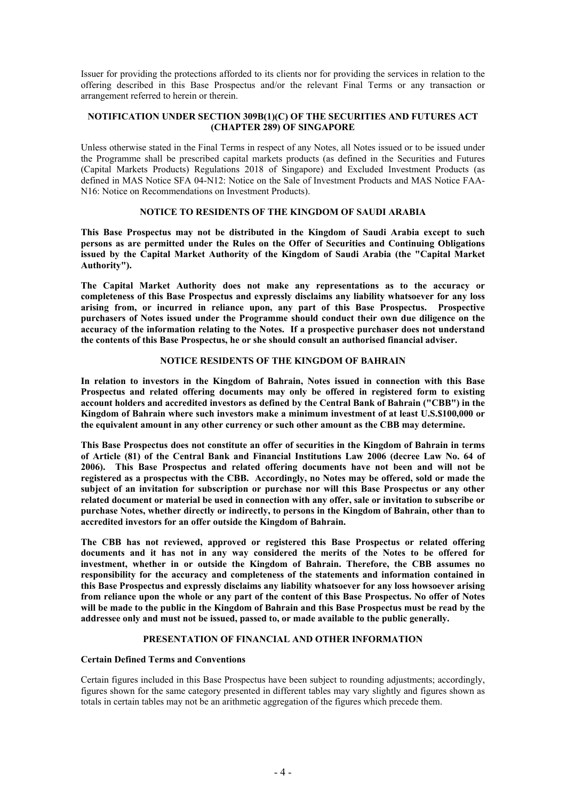Issuer for providing the protections afforded to its clients nor for providing the services in relation to the offering described in this Base Prospectus and/or the relevant Final Terms or any transaction or arrangement referred to herein or therein.

# **NOTIFICATION UNDER SECTION 309B(1)(C) OF THE SECURITIES AND FUTURES ACT (CHAPTER 289) OF SINGAPORE**

Unless otherwise stated in the Final Terms in respect of any Notes, all Notes issued or to be issued under the Programme shall be prescribed capital markets products (as defined in the Securities and Futures (Capital Markets Products) Regulations 2018 of Singapore) and Excluded Investment Products (as defined in MAS Notice SFA 04-N12: Notice on the Sale of Investment Products and MAS Notice FAA-N16: Notice on Recommendations on Investment Products).

# **NOTICE TO RESIDENTS OF THE KINGDOM OF SAUDI ARABIA**

**This Base Prospectus may not be distributed in the Kingdom of Saudi Arabia except to such persons as are permitted under the Rules on the Offer of Securities and Continuing Obligations issued by the Capital Market Authority of the Kingdom of Saudi Arabia (the "Capital Market Authority").**

**The Capital Market Authority does not make any representations as to the accuracy or completeness of this Base Prospectus and expressly disclaims any liability whatsoever for any loss arising from, or incurred in reliance upon, any part of this Base Prospectus. Prospective purchasers of Notes issued under the Programme should conduct their own due diligence on the accuracy of the information relating to the Notes. If a prospective purchaser does not understand the contents of this Base Prospectus, he or she should consult an authorised financial adviser.**

# **NOTICE RESIDENTS OF THE KINGDOM OF BAHRAIN**

**In relation to investors in the Kingdom of Bahrain, Notes issued in connection with this Base Prospectus and related offering documents may only be offered in registered form to existing account holders and accredited investors as defined by the Central Bank of Bahrain ("CBB") in the Kingdom of Bahrain where such investors make a minimum investment of at least U.S.\$100,000 or the equivalent amount in any other currency or such other amount as the CBB may determine.**

**This Base Prospectus does not constitute an offer of securities in the Kingdom of Bahrain in terms of Article (81) of the Central Bank and Financial Institutions Law 2006 (decree Law No. 64 of 2006). This Base Prospectus and related offering documents have not been and will not be registered as a prospectus with the CBB. Accordingly, no Notes may be offered, sold or made the subject of an invitation for subscription or purchase nor will this Base Prospectus or any other related document or material be used in connection with any offer, sale or invitation to subscribe or purchase Notes, whether directly or indirectly, to persons in the Kingdom of Bahrain, other than to accredited investors for an offer outside the Kingdom of Bahrain.**

**The CBB has not reviewed, approved or registered this Base Prospectus or related offering documents and it has not in any way considered the merits of the Notes to be offered for investment, whether in or outside the Kingdom of Bahrain. Therefore, the CBB assumes no responsibility for the accuracy and completeness of the statements and information contained in this Base Prospectus and expressly disclaims any liability whatsoever for any loss howsoever arising from reliance upon the whole or any part of the content of this Base Prospectus. No offer of Notes will be made to the public in the Kingdom of Bahrain and this Base Prospectus must be read by the addressee only and must not be issued, passed to, or made available to the public generally.**

# **PRESENTATION OF FINANCIAL AND OTHER INFORMATION**

# **Certain Defined Terms and Conventions**

Certain figures included in this Base Prospectus have been subject to rounding adjustments; accordingly, figures shown for the same category presented in different tables may vary slightly and figures shown as totals in certain tables may not be an arithmetic aggregation of the figures which precede them.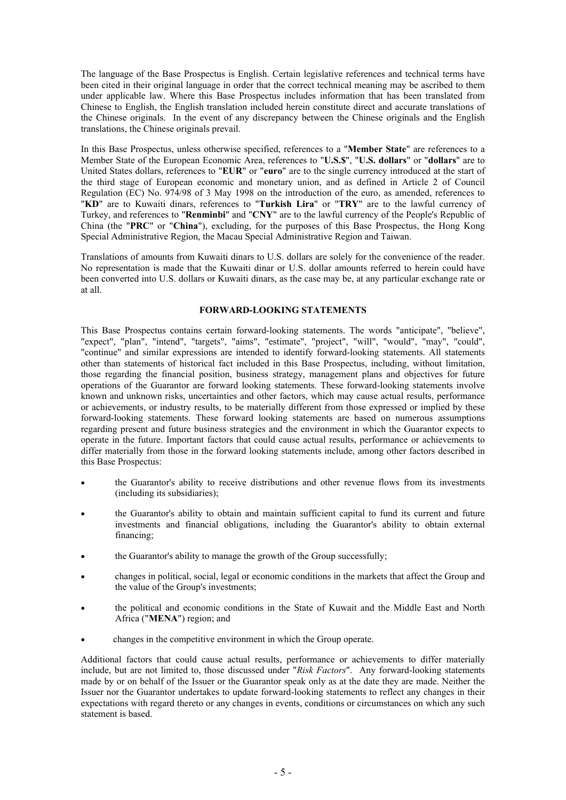The language of the Base Prospectus is English. Certain legislative references and technical terms have been cited in their original language in order that the correct technical meaning may be ascribed to them under applicable law. Where this Base Prospectus includes information that has been translated from Chinese to English, the English translation included herein constitute direct and accurate translations of the Chinese originals. In the event of any discrepancy between the Chinese originals and the English translations, the Chinese originals prevail.

In this Base Prospectus, unless otherwise specified, references to a "**Member State**" are references to a Member State of the European Economic Area, references to "**U.S.\$**", "**U.S. dollars**" or "**dollars**" are to United States dollars, references to "**EUR**" or "**euro**" are to the single currency introduced at the start of the third stage of European economic and monetary union, and as defined in Article 2 of Council Regulation (EC) No. 974/98 of 3 May 1998 on the introduction of the euro, as amended, references to "**KD**" are to Kuwaiti dinars, references to "**Turkish Lira**" or "**TRY**" are to the lawful currency of Turkey, and references to "**Renminbi**" and "**CNY**" are to the lawful currency of the People's Republic of China (the "**PRC**" or "**China**"), excluding, for the purposes of this Base Prospectus, the Hong Kong Special Administrative Region, the Macau Special Administrative Region and Taiwan.

Translations of amounts from Kuwaiti dinars to U.S. dollars are solely for the convenience of the reader. No representation is made that the Kuwaiti dinar or U.S. dollar amounts referred to herein could have been converted into U.S. dollars or Kuwaiti dinars, as the case may be, at any particular exchange rate or at all.

# **FORWARD-LOOKING STATEMENTS**

This Base Prospectus contains certain forward-looking statements. The words "anticipate", "believe", "expect", "plan", "intend", "targets", "aims", "estimate", "project", "will", "would", "may", "could", "continue" and similar expressions are intended to identify forward-looking statements. All statements other than statements of historical fact included in this Base Prospectus, including, without limitation, those regarding the financial position, business strategy, management plans and objectives for future operations of the Guarantor are forward looking statements. These forward-looking statements involve known and unknown risks, uncertainties and other factors, which may cause actual results, performance or achievements, or industry results, to be materially different from those expressed or implied by these forward-looking statements. These forward looking statements are based on numerous assumptions regarding present and future business strategies and the environment in which the Guarantor expects to operate in the future. Important factors that could cause actual results, performance or achievements to differ materially from those in the forward looking statements include, among other factors described in this Base Prospectus:

- the Guarantor's ability to receive distributions and other revenue flows from its investments (including its subsidiaries);
- the Guarantor's ability to obtain and maintain sufficient capital to fund its current and future investments and financial obligations, including the Guarantor's ability to obtain external financing;
- the Guarantor's ability to manage the growth of the Group successfully;
- changes in political, social, legal or economic conditions in the markets that affect the Group and the value of the Group's investments;
- the political and economic conditions in the State of Kuwait and the Middle East and North Africa ("**MENA**") region; and
- changes in the competitive environment in which the Group operate.

Additional factors that could cause actual results, performance or achievements to differ materially include, but are not limited to, those discussed under "*Risk Factors*". Any forward-looking statements made by or on behalf of the Issuer or the Guarantor speak only as at the date they are made. Neither the Issuer nor the Guarantor undertakes to update forward-looking statements to reflect any changes in their expectations with regard thereto or any changes in events, conditions or circumstances on which any such statement is based.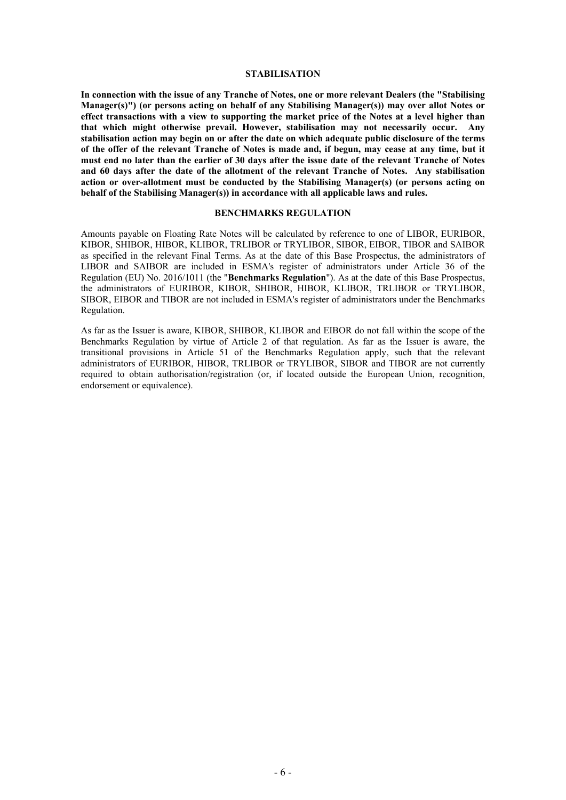### **STABILISATION**

**In connection with the issue of any Tranche of Notes, one or more relevant Dealers (the "Stabilising Manager(s)") (or persons acting on behalf of any Stabilising Manager(s)) may over allot Notes or effect transactions with a view to supporting the market price of the Notes at a level higher than that which might otherwise prevail. However, stabilisation may not necessarily occur. Any stabilisation action may begin on or after the date on which adequate public disclosure of the terms of the offer of the relevant Tranche of Notes is made and, if begun, may cease at any time, but it must end no later than the earlier of 30 days after the issue date of the relevant Tranche of Notes and 60 days after the date of the allotment of the relevant Tranche of Notes. Any stabilisation action or over-allotment must be conducted by the Stabilising Manager(s) (or persons acting on behalf of the Stabilising Manager(s)) in accordance with all applicable laws and rules.**

#### **BENCHMARKS REGULATION**

Amounts payable on Floating Rate Notes will be calculated by reference to one of LIBOR, EURIBOR, KIBOR, SHIBOR, HIBOR, KLIBOR, TRLIBOR or TRYLIBOR, SIBOR, EIBOR, TIBOR and SAIBOR as specified in the relevant Final Terms. As at the date of this Base Prospectus, the administrators of LIBOR and SAIBOR are included in ESMA's register of administrators under Article 36 of the Regulation (EU) No. 2016/1011 (the "**Benchmarks Regulation**"). As at the date of this Base Prospectus, the administrators of EURIBOR, KIBOR, SHIBOR, HIBOR, KLIBOR, TRLIBOR or TRYLIBOR, SIBOR, EIBOR and TIBOR are not included in ESMA's register of administrators under the Benchmarks Regulation.

As far as the Issuer is aware, KIBOR, SHIBOR, KLIBOR and EIBOR do not fall within the scope of the Benchmarks Regulation by virtue of Article 2 of that regulation. As far as the Issuer is aware, the transitional provisions in Article 51 of the Benchmarks Regulation apply, such that the relevant administrators of EURIBOR, HIBOR, TRLIBOR or TRYLIBOR, SIBOR and TIBOR are not currently required to obtain authorisation/registration (or, if located outside the European Union, recognition, endorsement or equivalence).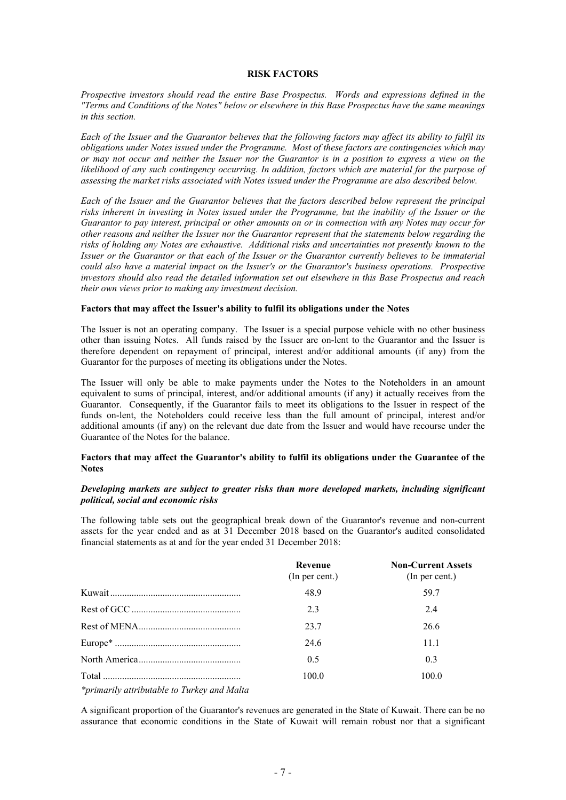### <span id="page-8-0"></span>**RISK FACTORS**

*Prospective investors should read the entire Base Prospectus. Words and expressions defined in the "Terms and Conditions of the Notes" below or elsewhere in this Base Prospectus have the same meanings in this section.*

*Each of the Issuer and the Guarantor believes that the following factors may affect its ability to fulfil its obligations under Notes issued under the Programme. Most of these factors are contingencies which may or may not occur and neither the Issuer nor the Guarantor is in a position to express a view on the likelihood of any such contingency occurring. In addition, factors which are material for the purpose of assessing the market risks associated with Notes issued under the Programme are also described below.*

*Each of the Issuer and the Guarantor believes that the factors described below represent the principal risks inherent in investing in Notes issued under the Programme, but the inability of the Issuer or the Guarantor to pay interest, principal or other amounts on or in connection with any Notes may occur for other reasons and neither the Issuer nor the Guarantor represent that the statements below regarding the risks of holding any Notes are exhaustive. Additional risks and uncertainties not presently known to the Issuer or the Guarantor or that each of the Issuer or the Guarantor currently believes to be immaterial could also have a material impact on the Issuer's or the Guarantor's business operations. Prospective investors should also read the detailed information set out elsewhere in this Base Prospectus and reach their own views prior to making any investment decision.*

### **Factors that may affect the Issuer's ability to fulfil its obligations under the Notes**

The Issuer is not an operating company. The Issuer is a special purpose vehicle with no other business other than issuing Notes. All funds raised by the Issuer are on-lent to the Guarantor and the Issuer is therefore dependent on repayment of principal, interest and/or additional amounts (if any) from the Guarantor for the purposes of meeting its obligations under the Notes.

The Issuer will only be able to make payments under the Notes to the Noteholders in an amount equivalent to sums of principal, interest, and/or additional amounts (if any) it actually receives from the Guarantor. Consequently, if the Guarantor fails to meet its obligations to the Issuer in respect of the funds on-lent, the Noteholders could receive less than the full amount of principal, interest and/or additional amounts (if any) on the relevant due date from the Issuer and would have recourse under the Guarantee of the Notes for the balance.

### **Factors that may affect the Guarantor's ability to fulfil its obligations under the Guarantee of the Notes**

# *Developing markets are subject to greater risks than more developed markets, including significant political, social and economic risks*

The following table sets out the geographical break down of the Guarantor's revenue and non-current assets for the year ended and as at 31 December 2018 based on the Guarantor's audited consolidated financial statements as at and for the year ended 31 December 2018:

|                                             | Revenue<br>(In per cent.) | <b>Non-Current Assets</b><br>(In per cent.) |
|---------------------------------------------|---------------------------|---------------------------------------------|
|                                             | 48.9                      | 59.7                                        |
|                                             | 2.3                       | 24                                          |
|                                             | 23.7                      | 26.6                                        |
|                                             | 24.6                      | 11.1                                        |
|                                             | 0.5                       | 0.3                                         |
|                                             | 100.0                     | 100.0                                       |
| *primarily attributable to Turkey and Malta |                           |                                             |

A significant proportion of the Guarantor's revenues are generated in the State of Kuwait. There can be no assurance that economic conditions in the State of Kuwait will remain robust nor that a significant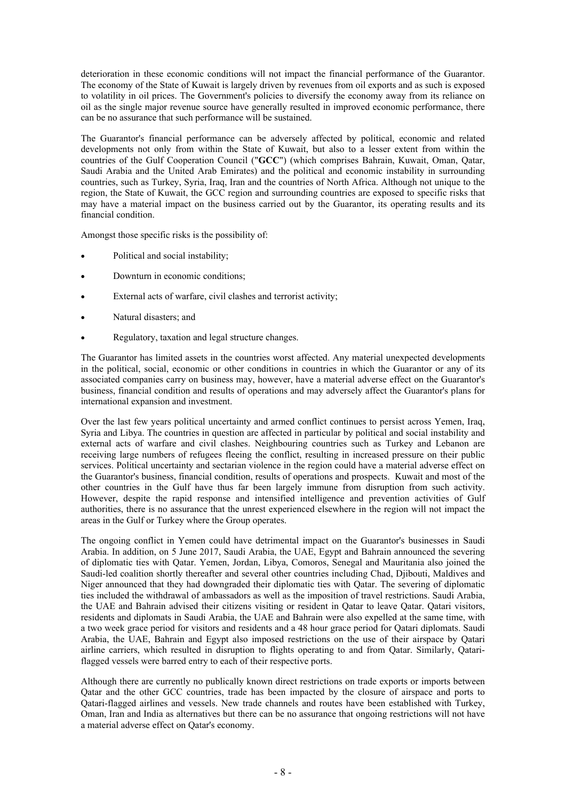deterioration in these economic conditions will not impact the financial performance of the Guarantor. The economy of the State of Kuwait is largely driven by revenues from oil exports and as such is exposed to volatility in oil prices. The Government's policies to diversify the economy away from its reliance on oil as the single major revenue source have generally resulted in improved economic performance, there can be no assurance that such performance will be sustained.

The Guarantor's financial performance can be adversely affected by political, economic and related developments not only from within the State of Kuwait, but also to a lesser extent from within the countries of the Gulf Cooperation Council ("**GCC**") (which comprises Bahrain, Kuwait, Oman, Qatar, Saudi Arabia and the United Arab Emirates) and the political and economic instability in surrounding countries, such as Turkey, Syria, Iraq, Iran and the countries of North Africa. Although not unique to the region, the State of Kuwait, the GCC region and surrounding countries are exposed to specific risks that may have a material impact on the business carried out by the Guarantor, its operating results and its financial condition.

Amongst those specific risks is the possibility of:

- Political and social instability;
- Downturn in economic conditions;
- External acts of warfare, civil clashes and terrorist activity;
- Natural disasters; and
- Regulatory, taxation and legal structure changes.

The Guarantor has limited assets in the countries worst affected. Any material unexpected developments in the political, social, economic or other conditions in countries in which the Guarantor or any of its associated companies carry on business may, however, have a material adverse effect on the Guarantor's business, financial condition and results of operations and may adversely affect the Guarantor's plans for international expansion and investment.

Over the last few years political uncertainty and armed conflict continues to persist across Yemen, Iraq, Syria and Libya. The countries in question are affected in particular by political and social instability and external acts of warfare and civil clashes. Neighbouring countries such as Turkey and Lebanon are receiving large numbers of refugees fleeing the conflict, resulting in increased pressure on their public services. Political uncertainty and sectarian violence in the region could have a material adverse effect on the Guarantor's business, financial condition, results of operations and prospects. Kuwait and most of the other countries in the Gulf have thus far been largely immune from disruption from such activity. However, despite the rapid response and intensified intelligence and prevention activities of Gulf authorities, there is no assurance that the unrest experienced elsewhere in the region will not impact the areas in the Gulf or Turkey where the Group operates.

The ongoing conflict in Yemen could have detrimental impact on the Guarantor's businesses in Saudi Arabia. In addition, on 5 June 2017, Saudi Arabia, the UAE, Egypt and Bahrain announced the severing of diplomatic ties with Qatar. Yemen, Jordan, Libya, Comoros, Senegal and Mauritania also joined the Saudi-led coalition shortly thereafter and several other countries including Chad, Djibouti, Maldives and Niger announced that they had downgraded their diplomatic ties with Qatar. The severing of diplomatic ties included the withdrawal of ambassadors as well as the imposition of travel restrictions. Saudi Arabia, the UAE and Bahrain advised their citizens visiting or resident in Qatar to leave Qatar. Qatari visitors, residents and diplomats in Saudi Arabia, the UAE and Bahrain were also expelled at the same time, with a two week grace period for visitors and residents and a 48 hour grace period for Qatari diplomats. Saudi Arabia, the UAE, Bahrain and Egypt also imposed restrictions on the use of their airspace by Qatari airline carriers, which resulted in disruption to flights operating to and from Qatar. Similarly, Qatariflagged vessels were barred entry to each of their respective ports.

Although there are currently no publically known direct restrictions on trade exports or imports between Qatar and the other GCC countries, trade has been impacted by the closure of airspace and ports to Qatari-flagged airlines and vessels. New trade channels and routes have been established with Turkey, Oman, Iran and India as alternatives but there can be no assurance that ongoing restrictions will not have a material adverse effect on Qatar's economy.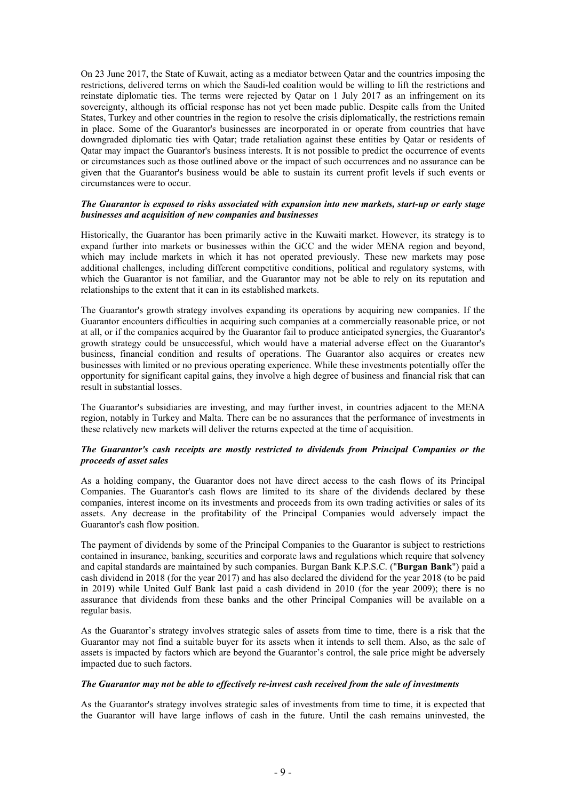On 23 June 2017, the State of Kuwait, acting as a mediator between Qatar and the countries imposing the restrictions, delivered terms on which the Saudi-led coalition would be willing to lift the restrictions and reinstate diplomatic ties. The terms were rejected by Qatar on 1 July 2017 as an infringement on its sovereignty, although its official response has not yet been made public. Despite calls from the United States, Turkey and other countries in the region to resolve the crisis diplomatically, the restrictions remain in place. Some of the Guarantor's businesses are incorporated in or operate from countries that have downgraded diplomatic ties with Qatar; trade retaliation against these entities by Qatar or residents of Qatar may impact the Guarantor's business interests. It is not possible to predict the occurrence of events or circumstances such as those outlined above or the impact of such occurrences and no assurance can be given that the Guarantor's business would be able to sustain its current profit levels if such events or circumstances were to occur.

### *The Guarantor is exposed to risks associated with expansion into new markets, start-up or early stage businesses and acquisition of new companies and businesses*

Historically, the Guarantor has been primarily active in the Kuwaiti market. However, its strategy is to expand further into markets or businesses within the GCC and the wider MENA region and beyond, which may include markets in which it has not operated previously. These new markets may pose additional challenges, including different competitive conditions, political and regulatory systems, with which the Guarantor is not familiar, and the Guarantor may not be able to rely on its reputation and relationships to the extent that it can in its established markets.

The Guarantor's growth strategy involves expanding its operations by acquiring new companies. If the Guarantor encounters difficulties in acquiring such companies at a commercially reasonable price, or not at all, or if the companies acquired by the Guarantor fail to produce anticipated synergies, the Guarantor's growth strategy could be unsuccessful, which would have a material adverse effect on the Guarantor's business, financial condition and results of operations. The Guarantor also acquires or creates new businesses with limited or no previous operating experience. While these investments potentially offer the opportunity for significant capital gains, they involve a high degree of business and financial risk that can result in substantial losses.

The Guarantor's subsidiaries are investing, and may further invest, in countries adjacent to the MENA region, notably in Turkey and Malta. There can be no assurances that the performance of investments in these relatively new markets will deliver the returns expected at the time of acquisition.

# *The Guarantor's cash receipts are mostly restricted to dividends from Principal Companies or the proceeds of asset sales*

As a holding company, the Guarantor does not have direct access to the cash flows of its Principal Companies. The Guarantor's cash flows are limited to its share of the dividends declared by these companies, interest income on its investments and proceeds from its own trading activities or sales of its assets. Any decrease in the profitability of the Principal Companies would adversely impact the Guarantor's cash flow position.

The payment of dividends by some of the Principal Companies to the Guarantor is subject to restrictions contained in insurance, banking, securities and corporate laws and regulations which require that solvency and capital standards are maintained by such companies. Burgan Bank K.P.S.C. ("**Burgan Bank**") paid a cash dividend in 2018 (for the year 2017) and has also declared the dividend for the year 2018 (to be paid in 2019) while United Gulf Bank last paid a cash dividend in 2010 (for the year 2009); there is no assurance that dividends from these banks and the other Principal Companies will be available on a regular basis.

As the Guarantor's strategy involves strategic sales of assets from time to time, there is a risk that the Guarantor may not find a suitable buyer for its assets when it intends to sell them. Also, as the sale of assets is impacted by factors which are beyond the Guarantor's control, the sale price might be adversely impacted due to such factors.

# *The Guarantor may not be able to effectively re-invest cash received from the sale of investments*

As the Guarantor's strategy involves strategic sales of investments from time to time, it is expected that the Guarantor will have large inflows of cash in the future. Until the cash remains uninvested, the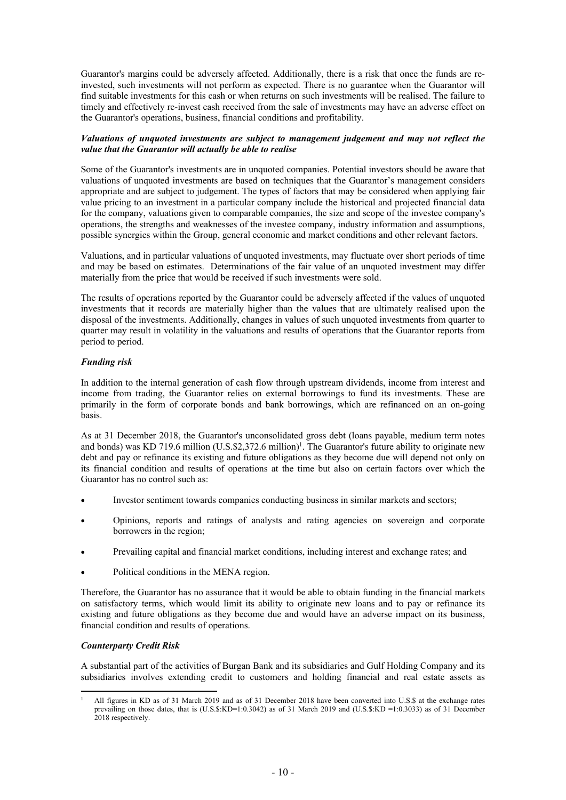Guarantor's margins could be adversely affected. Additionally, there is a risk that once the funds are reinvested, such investments will not perform as expected. There is no guarantee when the Guarantor will find suitable investments for this cash or when returns on such investments will be realised. The failure to timely and effectively re-invest cash received from the sale of investments may have an adverse effect on the Guarantor's operations, business, financial conditions and profitability.

# *Valuations of unquoted investments are subject to management judgement and may not reflect the value that the Guarantor will actually be able to realise*

Some of the Guarantor's investments are in unquoted companies. Potential investors should be aware that valuations of unquoted investments are based on techniques that the Guarantor's management considers appropriate and are subject to judgement. The types of factors that may be considered when applying fair value pricing to an investment in a particular company include the historical and projected financial data for the company, valuations given to comparable companies, the size and scope of the investee company's operations, the strengths and weaknesses of the investee company, industry information and assumptions, possible synergies within the Group, general economic and market conditions and other relevant factors.

Valuations, and in particular valuations of unquoted investments, may fluctuate over short periods of time and may be based on estimates. Determinations of the fair value of an unquoted investment may differ materially from the price that would be received if such investments were sold.

The results of operations reported by the Guarantor could be adversely affected if the values of unquoted investments that it records are materially higher than the values that are ultimately realised upon the disposal of the investments. Additionally, changes in values of such unquoted investments from quarter to quarter may result in volatility in the valuations and results of operations that the Guarantor reports from period to period.

# *Funding risk*

In addition to the internal generation of cash flow through upstream dividends, income from interest and income from trading, the Guarantor relies on external borrowings to fund its investments. These are primarily in the form of corporate bonds and bank borrowings, which are refinanced on an on-going basis.

As at 31 December 2018, the Guarantor's unconsolidated gross debt (loans payable, medium term notes and bonds) was KD 719.6 million (U.S.\$2,372.6 million)<sup>1</sup>. The Guarantor's future ability to originate new debt and pay or refinance its existing and future obligations as they become due will depend not only on its financial condition and results of operations at the time but also on certain factors over which the Guarantor has no control such as:

- Investor sentiment towards companies conducting business in similar markets and sectors;
- Opinions, reports and ratings of analysts and rating agencies on sovereign and corporate borrowers in the region;
- Prevailing capital and financial market conditions, including interest and exchange rates; and
- Political conditions in the MENA region.

Therefore, the Guarantor has no assurance that it would be able to obtain funding in the financial markets on satisfactory terms, which would limit its ability to originate new loans and to pay or refinance its existing and future obligations as they become due and would have an adverse impact on its business, financial condition and results of operations.

# *Counterparty Credit Risk*

A substantial part of the activities of Burgan Bank and its subsidiaries and Gulf Holding Company and its subsidiaries involves extending credit to customers and holding financial and real estate assets as

<sup>1</sup> All figures in KD as of 31 March 2019 and as of 31 December 2018 have been converted into U.S.\$ at the exchange rates prevailing on those dates, that is (U.S.\$:KD=1:0.3042) as of 31 March 2019 and (U.S.\$:KD =1:0.3033) as of 31 December 2018 respectively.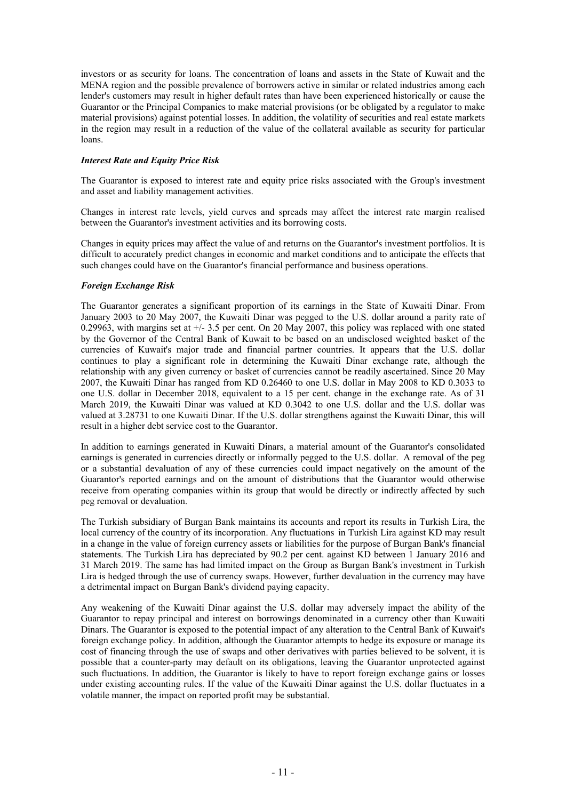investors or as security for loans. The concentration of loans and assets in the State of Kuwait and the MENA region and the possible prevalence of borrowers active in similar or related industries among each lender's customers may result in higher default rates than have been experienced historically or cause the Guarantor or the Principal Companies to make material provisions (or be obligated by a regulator to make material provisions) against potential losses. In addition, the volatility of securities and real estate markets in the region may result in a reduction of the value of the collateral available as security for particular loans.

# *Interest Rate and Equity Price Risk*

The Guarantor is exposed to interest rate and equity price risks associated with the Group's investment and asset and liability management activities.

Changes in interest rate levels, yield curves and spreads may affect the interest rate margin realised between the Guarantor's investment activities and its borrowing costs.

Changes in equity prices may affect the value of and returns on the Guarantor's investment portfolios. It is difficult to accurately predict changes in economic and market conditions and to anticipate the effects that such changes could have on the Guarantor's financial performance and business operations.

# *Foreign Exchange Risk*

The Guarantor generates a significant proportion of its earnings in the State of Kuwaiti Dinar. From January 2003 to 20 May 2007, the Kuwaiti Dinar was pegged to the U.S. dollar around a parity rate of 0.29963, with margins set at  $+/- 3.5$  per cent. On 20 May 2007, this policy was replaced with one stated by the Governor of the Central Bank of Kuwait to be based on an undisclosed weighted basket of the currencies of Kuwait's major trade and financial partner countries. It appears that the U.S. dollar continues to play a significant role in determining the Kuwaiti Dinar exchange rate, although the relationship with any given currency or basket of currencies cannot be readily ascertained. Since 20 May 2007, the Kuwaiti Dinar has ranged from KD 0.26460 to one U.S. dollar in May 2008 to KD 0.3033 to one U.S. dollar in December 2018, equivalent to a 15 per cent. change in the exchange rate. As of 31 March 2019, the Kuwaiti Dinar was valued at KD 0.3042 to one U.S. dollar and the U.S. dollar was valued at 3.28731 to one Kuwaiti Dinar. If the U.S. dollar strengthens against the Kuwaiti Dinar, this will result in a higher debt service cost to the Guarantor.

In addition to earnings generated in Kuwaiti Dinars, a material amount of the Guarantor's consolidated earnings is generated in currencies directly or informally pegged to the U.S. dollar. A removal of the peg or a substantial devaluation of any of these currencies could impact negatively on the amount of the Guarantor's reported earnings and on the amount of distributions that the Guarantor would otherwise receive from operating companies within its group that would be directly or indirectly affected by such peg removal or devaluation.

The Turkish subsidiary of Burgan Bank maintains its accounts and report its results in Turkish Lira, the local currency of the country of its incorporation. Any fluctuations in Turkish Lira against KD may result in a change in the value of foreign currency assets or liabilities for the purpose of Burgan Bank's financial statements. The Turkish Lira has depreciated by 90.2 per cent. against KD between 1 January 2016 and 31 March 2019. The same has had limited impact on the Group as Burgan Bank's investment in Turkish Lira is hedged through the use of currency swaps. However, further devaluation in the currency may have a detrimental impact on Burgan Bank's dividend paying capacity.

Any weakening of the Kuwaiti Dinar against the U.S. dollar may adversely impact the ability of the Guarantor to repay principal and interest on borrowings denominated in a currency other than Kuwaiti Dinars. The Guarantor is exposed to the potential impact of any alteration to the Central Bank of Kuwait's foreign exchange policy. In addition, although the Guarantor attempts to hedge its exposure or manage its cost of financing through the use of swaps and other derivatives with parties believed to be solvent, it is possible that a counter-party may default on its obligations, leaving the Guarantor unprotected against such fluctuations. In addition, the Guarantor is likely to have to report foreign exchange gains or losses under existing accounting rules. If the value of the Kuwaiti Dinar against the U.S. dollar fluctuates in a volatile manner, the impact on reported profit may be substantial.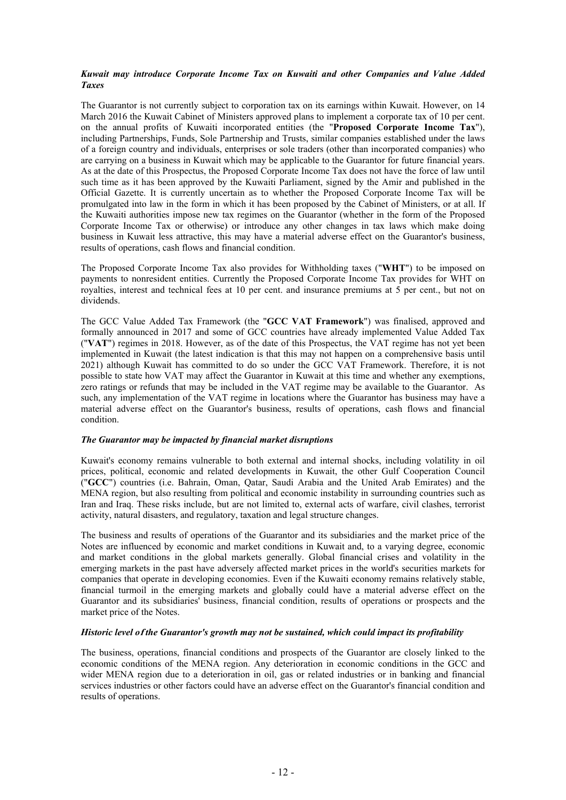# *Kuwait may introduce Corporate Income Tax on Kuwaiti and other Companies and Value Added Taxes*

The Guarantor is not currently subject to corporation tax on its earnings within Kuwait. However, on 14 March 2016 the Kuwait Cabinet of Ministers approved plans to implement a corporate tax of 10 per cent. on the annual profits of Kuwaiti incorporated entities (the "**Proposed Corporate Income Tax**"), including Partnerships, Funds, Sole Partnership and Trusts, similar companies established under the laws of a foreign country and individuals, enterprises or sole traders (other than incorporated companies) who are carrying on a business in Kuwait which may be applicable to the Guarantor for future financial years. As at the date of this Prospectus, the Proposed Corporate Income Tax does not have the force of law until such time as it has been approved by the Kuwaiti Parliament, signed by the Amir and published in the Official Gazette. It is currently uncertain as to whether the Proposed Corporate Income Tax will be promulgated into law in the form in which it has been proposed by the Cabinet of Ministers, or at all. If the Kuwaiti authorities impose new tax regimes on the Guarantor (whether in the form of the Proposed Corporate Income Tax or otherwise) or introduce any other changes in tax laws which make doing business in Kuwait less attractive, this may have a material adverse effect on the Guarantor's business, results of operations, cash flows and financial condition.

The Proposed Corporate Income Tax also provides for Withholding taxes ("**WHT**") to be imposed on payments to nonresident entities. Currently the Proposed Corporate Income Tax provides for WHT on royalties, interest and technical fees at 10 per cent. and insurance premiums at 5 per cent., but not on dividends.

The GCC Value Added Tax Framework (the "**GCC VAT Framework**") was finalised, approved and formally announced in 2017 and some of GCC countries have already implemented Value Added Tax ("**VAT**") regimes in 2018. However, as of the date of this Prospectus, the VAT regime has not yet been implemented in Kuwait (the latest indication is that this may not happen on a comprehensive basis until 2021) although Kuwait has committed to do so under the GCC VAT Framework. Therefore, it is not possible to state how VAT may affect the Guarantor in Kuwait at this time and whether any exemptions, zero ratings or refunds that may be included in the VAT regime may be available to the Guarantor. As such, any implementation of the VAT regime in locations where the Guarantor has business may have a material adverse effect on the Guarantor's business, results of operations, cash flows and financial condition.

# *The Guarantor may be impacted by financial market disruptions*

Kuwait's economy remains vulnerable to both external and internal shocks, including volatility in oil prices, political, economic and related developments in Kuwait, the other Gulf Cooperation Council ("**GCC**") countries (i.e. Bahrain, Oman, Qatar, Saudi Arabia and the United Arab Emirates) and the MENA region, but also resulting from political and economic instability in surrounding countries such as Iran and Iraq. These risks include, but are not limited to, external acts of warfare, civil clashes, terrorist activity, natural disasters, and regulatory, taxation and legal structure changes.

The business and results of operations of the Guarantor and its subsidiaries and the market price of the Notes are influenced by economic and market conditions in Kuwait and, to a varying degree, economic and market conditions in the global markets generally. Global financial crises and volatility in the emerging markets in the past have adversely affected market prices in the world's securities markets for companies that operate in developing economies. Even if the Kuwaiti economy remains relatively stable, financial turmoil in the emerging markets and globally could have a material adverse effect on the Guarantor and its subsidiaries' business, financial condition, results of operations or prospects and the market price of the Notes.

# *Historic level of the Guarantor's growth may not be sustained, which could impact its profitability*

The business, operations, financial conditions and prospects of the Guarantor are closely linked to the economic conditions of the MENA region. Any deterioration in economic conditions in the GCC and wider MENA region due to a deterioration in oil, gas or related industries or in banking and financial services industries or other factors could have an adverse effect on the Guarantor's financial condition and results of operations.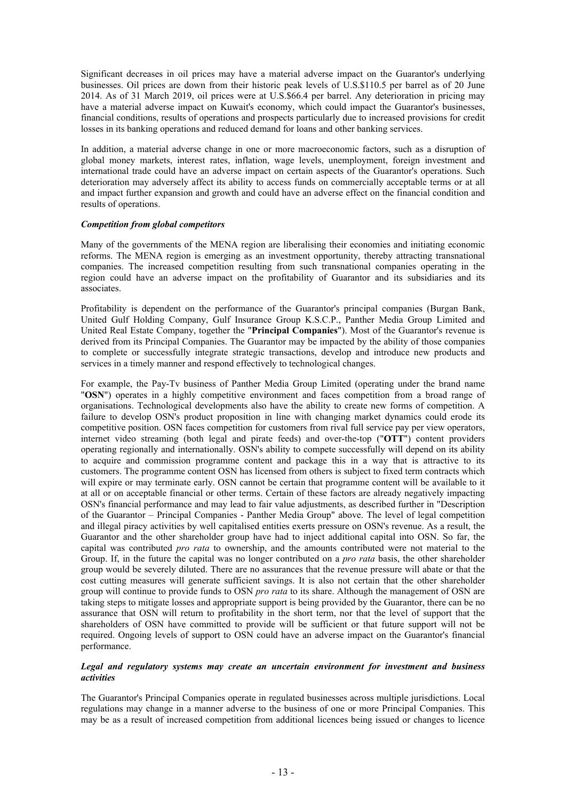Significant decreases in oil prices may have a material adverse impact on the Guarantor's underlying businesses. Oil prices are down from their historic peak levels of U.S.\$110.5 per barrel as of 20 June 2014. As of 31 March 2019, oil prices were at U.S.\$66.4 per barrel. Any deterioration in pricing may have a material adverse impact on Kuwait's economy, which could impact the Guarantor's businesses, financial conditions, results of operations and prospects particularly due to increased provisions for credit losses in its banking operations and reduced demand for loans and other banking services.

In addition, a material adverse change in one or more macroeconomic factors, such as a disruption of global money markets, interest rates, inflation, wage levels, unemployment, foreign investment and international trade could have an adverse impact on certain aspects of the Guarantor's operations. Such deterioration may adversely affect its ability to access funds on commercially acceptable terms or at all and impact further expansion and growth and could have an adverse effect on the financial condition and results of operations.

### *Competition from global competitors*

Many of the governments of the MENA region are liberalising their economies and initiating economic reforms. The MENA region is emerging as an investment opportunity, thereby attracting transnational companies. The increased competition resulting from such transnational companies operating in the region could have an adverse impact on the profitability of Guarantor and its subsidiaries and its associates.

Profitability is dependent on the performance of the Guarantor's principal companies (Burgan Bank, United Gulf Holding Company, Gulf Insurance Group K.S.C.P., Panther Media Group Limited and United Real Estate Company, together the "**Principal Companies**"). Most of the Guarantor's revenue is derived from its Principal Companies. The Guarantor may be impacted by the ability of those companies to complete or successfully integrate strategic transactions, develop and introduce new products and services in a timely manner and respond effectively to technological changes.

For example, the Pay-Tv business of Panther Media Group Limited (operating under the brand name "**OSN**") operates in a highly competitive environment and faces competition from a broad range of organisations. Technological developments also have the ability to create new forms of competition. A failure to develop OSN's product proposition in line with changing market dynamics could erode its competitive position. OSN faces competition for customers from rival full service pay per view operators, internet video streaming (both legal and pirate feeds) and over-the-top ("**OTT**") content providers operating regionally and internationally. OSN's ability to compete successfully will depend on its ability to acquire and commission programme content and package this in a way that is attractive to its customers. The programme content OSN has licensed from others is subject to fixed term contracts which will expire or may terminate early. OSN cannot be certain that programme content will be available to it at all or on acceptable financial or other terms. Certain of these factors are already negatively impacting OSN's financial performance and may lead to fair value adjustments, as described further in "Description of the Guarantor – Principal Companies - Panther Media Group" above. The level of legal competition and illegal piracy activities by well capitalised entities exerts pressure on OSN's revenue. As a result, the Guarantor and the other shareholder group have had to inject additional capital into OSN. So far, the capital was contributed *pro rata* to ownership, and the amounts contributed were not material to the Group. If, in the future the capital was no longer contributed on a *pro rata* basis, the other shareholder group would be severely diluted. There are no assurances that the revenue pressure will abate or that the cost cutting measures will generate sufficient savings. It is also not certain that the other shareholder group will continue to provide funds to OSN *pro rata* to its share. Although the management of OSN are taking steps to mitigate losses and appropriate support is being provided by the Guarantor, there can be no assurance that OSN will return to profitability in the short term, nor that the level of support that the shareholders of OSN have committed to provide will be sufficient or that future support will not be required. Ongoing levels of support to OSN could have an adverse impact on the Guarantor's financial performance.

### <span id="page-14-0"></span>*Legal and regulatory systems may create an uncertain environment for investment and business activities*

The Guarantor's Principal Companies operate in regulated businesses across multiple jurisdictions. Local regulations may change in a manner adverse to the business of one or more Principal Companies. This may be as a result of increased competition from additional licences being issued or changes to licence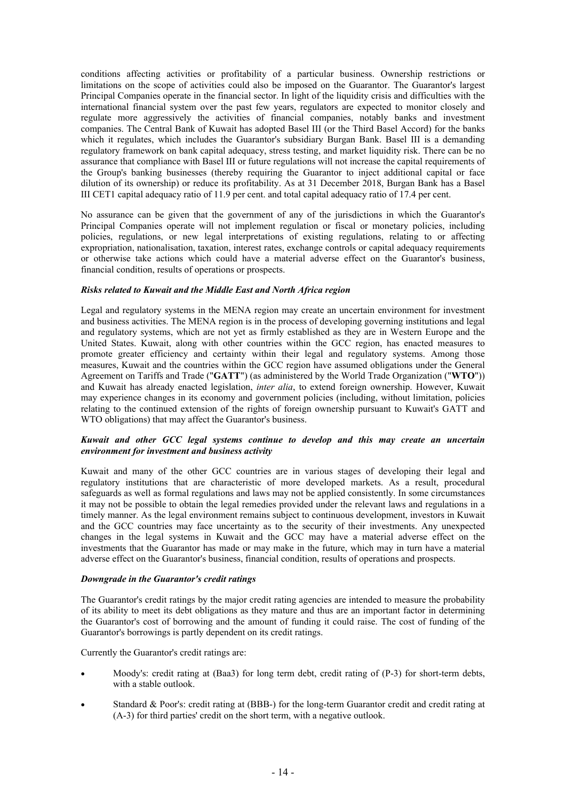conditions affecting activities or profitability of a particular business. Ownership restrictions or limitations on the scope of activities could also be imposed on the Guarantor. The Guarantor's largest Principal Companies operate in the financial sector. In light of the liquidity crisis and difficulties with the international financial system over the past few years, regulators are expected to monitor closely and regulate more aggressively the activities of financial companies, notably banks and investment companies. The Central Bank of Kuwait has adopted Basel III (or the Third Basel Accord) for the banks which it regulates, which includes the Guarantor's subsidiary Burgan Bank. Basel III is a demanding regulatory framework on bank capital adequacy, stress testing, and market liquidity risk. There can be no assurance that compliance with Basel III or future regulations will not increase the capital requirements of the Group's banking businesses (thereby requiring the Guarantor to inject additional capital or face dilution of its ownership) or reduce its profitability. As at 31 December 2018, Burgan Bank has a Basel III CET1 capital adequacy ratio of 11.9 per cent. and total capital adequacy ratio of 17.4 per cent.

No assurance can be given that the government of any of the jurisdictions in which the Guarantor's Principal Companies operate will not implement regulation or fiscal or monetary policies, including policies, regulations, or new legal interpretations of existing regulations, relating to or affecting expropriation, nationalisation, taxation, interest rates, exchange controls or capital adequacy requirements or otherwise take actions which could have a material adverse effect on the Guarantor's business, financial condition, results of operations or prospects.

# *Risks related to Kuwait and the Middle East and North Africa region*

Legal and regulatory systems in the MENA region may create an uncertain environment for investment and business activities. The MENA region is in the process of developing governing institutions and legal and regulatory systems, which are not yet as firmly established as they are in Western Europe and the United States. Kuwait, along with other countries within the GCC region, has enacted measures to promote greater efficiency and certainty within their legal and regulatory systems. Among those measures, Kuwait and the countries within the GCC region have assumed obligations under the General Agreement on Tariffs and Trade ("**GATT**") (as administered by the World Trade Organization ("**WTO**")) and Kuwait has already enacted legislation, *inter alia*, to extend foreign ownership. However, Kuwait may experience changes in its economy and government policies (including, without limitation, policies relating to the continued extension of the rights of foreign ownership pursuant to Kuwait's GATT and WTO obligations) that may affect the Guarantor's business.

### *Kuwait and other GCC legal systems continue to develop and this may create an uncertain environment for investment and business activity*

Kuwait and many of the other GCC countries are in various stages of developing their legal and regulatory institutions that are characteristic of more developed markets. As a result, procedural safeguards as well as formal regulations and laws may not be applied consistently. In some circumstances it may not be possible to obtain the legal remedies provided under the relevant laws and regulations in a timely manner. As the legal environment remains subject to continuous development, investors in Kuwait and the GCC countries may face uncertainty as to the security of their investments. Any unexpected changes in the legal systems in Kuwait and the GCC may have a material adverse effect on the investments that the Guarantor has made or may make in the future, which may in turn have a material adverse effect on the Guarantor's business, financial condition, results of operations and prospects.

### *Downgrade in the Guarantor's credit ratings*

The Guarantor's credit ratings by the major credit rating agencies are intended to measure the probability of its ability to meet its debt obligations as they mature and thus are an important factor in determining the Guarantor's cost of borrowing and the amount of funding it could raise. The cost of funding of the Guarantor's borrowings is partly dependent on its credit ratings.

Currently the Guarantor's credit ratings are:

- Moody's: credit rating at (Baa3) for long term debt, credit rating of (P-3) for short-term debts, with a stable outlook.
- Standard & Poor's: credit rating at (BBB-) for the long-term Guarantor credit and credit rating at (A-3) for third parties' credit on the short term, with a negative outlook.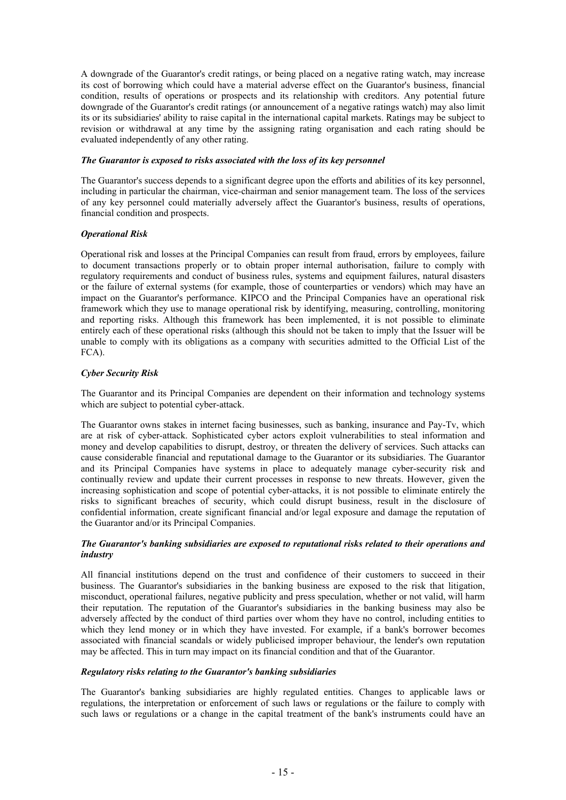A downgrade of the Guarantor's credit ratings, or being placed on a negative rating watch, may increase its cost of borrowing which could have a material adverse effect on the Guarantor's business, financial condition, results of operations or prospects and its relationship with creditors. Any potential future downgrade of the Guarantor's credit ratings (or announcement of a negative ratings watch) may also limit its or its subsidiaries' ability to raise capital in the international capital markets. Ratings may be subject to revision or withdrawal at any time by the assigning rating organisation and each rating should be evaluated independently of any other rating.

# *The Guarantor is exposed to risks associated with the loss of its key personnel*

The Guarantor's success depends to a significant degree upon the efforts and abilities of its key personnel, including in particular the chairman, vice-chairman and senior management team. The loss of the services of any key personnel could materially adversely affect the Guarantor's business, results of operations, financial condition and prospects.

# *Operational Risk*

Operational risk and losses at the Principal Companies can result from fraud, errors by employees, failure to document transactions properly or to obtain proper internal authorisation, failure to comply with regulatory requirements and conduct of business rules, systems and equipment failures, natural disasters or the failure of external systems (for example, those of counterparties or vendors) which may have an impact on the Guarantor's performance. KIPCO and the Principal Companies have an operational risk framework which they use to manage operational risk by identifying, measuring, controlling, monitoring and reporting risks. Although this framework has been implemented, it is not possible to eliminate entirely each of these operational risks (although this should not be taken to imply that the Issuer will be unable to comply with its obligations as a company with securities admitted to the Official List of the FCA).

# *Cyber Security Risk*

The Guarantor and its Principal Companies are dependent on their information and technology systems which are subject to potential cyber-attack.

The Guarantor owns stakes in internet facing businesses, such as banking, insurance and Pay-Tv, which are at risk of cyber-attack. Sophisticated cyber actors exploit vulnerabilities to steal information and money and develop capabilities to disrupt, destroy, or threaten the delivery of services. Such attacks can cause considerable financial and reputational damage to the Guarantor or its subsidiaries. The Guarantor and its Principal Companies have systems in place to adequately manage cyber-security risk and continually review and update their current processes in response to new threats. However, given the increasing sophistication and scope of potential cyber-attacks, it is not possible to eliminate entirely the risks to significant breaches of security, which could disrupt business, result in the disclosure of confidential information, create significant financial and/or legal exposure and damage the reputation of the Guarantor and/or its Principal Companies.

# *The Guarantor's banking subsidiaries are exposed to reputational risks related to their operations and industry*

All financial institutions depend on the trust and confidence of their customers to succeed in their business. The Guarantor's subsidiaries in the banking business are exposed to the risk that litigation, misconduct, operational failures, negative publicity and press speculation, whether or not valid, will harm their reputation. The reputation of the Guarantor's subsidiaries in the banking business may also be adversely affected by the conduct of third parties over whom they have no control, including entities to which they lend money or in which they have invested. For example, if a bank's borrower becomes associated with financial scandals or widely publicised improper behaviour, the lender's own reputation may be affected. This in turn may impact on its financial condition and that of the Guarantor.

# *Regulatory risks relating to the Guarantor's banking subsidiaries*

The Guarantor's banking subsidiaries are highly regulated entities. Changes to applicable laws or regulations, the interpretation or enforcement of such laws or regulations or the failure to comply with such laws or regulations or a change in the capital treatment of the bank's instruments could have an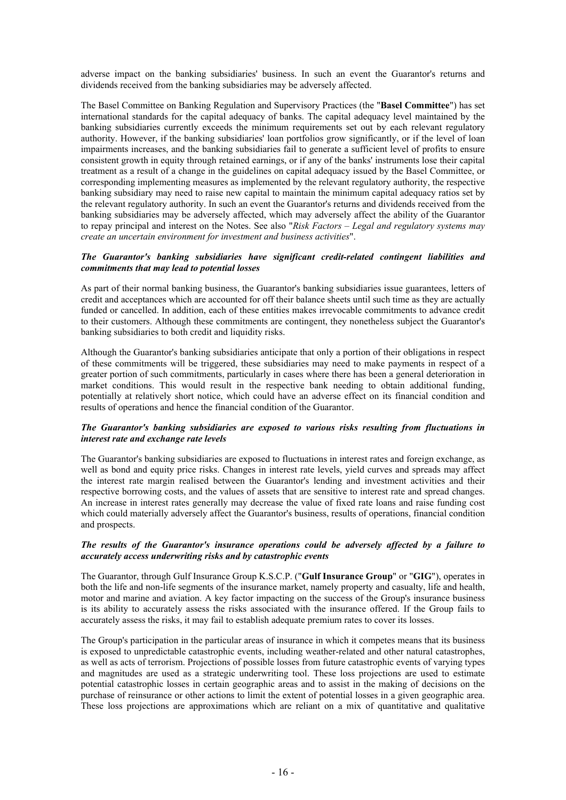adverse impact on the banking subsidiaries' business. In such an event the Guarantor's returns and dividends received from the banking subsidiaries may be adversely affected.

The Basel Committee on Banking Regulation and Supervisory Practices (the "**Basel Committee**") has set international standards for the capital adequacy of banks. The capital adequacy level maintained by the banking subsidiaries currently exceeds the minimum requirements set out by each relevant regulatory authority. However, if the banking subsidiaries' loan portfolios grow significantly, or if the level of loan impairments increases, and the banking subsidiaries fail to generate a sufficient level of profits to ensure consistent growth in equity through retained earnings, or if any of the banks' instruments lose their capital treatment as a result of a change in the guidelines on capital adequacy issued by the Basel Committee, or corresponding implementing measures as implemented by the relevant regulatory authority, the respective banking subsidiary may need to raise new capital to maintain the minimum capital adequacy ratios set by the relevant regulatory authority. In such an event the Guarantor's returns and dividends received from the banking subsidiaries may be adversely affected, which may adversely affect the ability of the Guarantor to repay principal and interest on the Notes. See also "*Risk Factors – [Legal and regulatory systems may](#page-14-0)  [create an uncertain environment for investment and business activities](#page-14-0)*".

# *The Guarantor's banking subsidiaries have significant credit-related contingent liabilities and commitments that may lead to potential losses*

As part of their normal banking business, the Guarantor's banking subsidiaries issue guarantees, letters of credit and acceptances which are accounted for off their balance sheets until such time as they are actually funded or cancelled. In addition, each of these entities makes irrevocable commitments to advance credit to their customers. Although these commitments are contingent, they nonetheless subject the Guarantor's banking subsidiaries to both credit and liquidity risks.

Although the Guarantor's banking subsidiaries anticipate that only a portion of their obligations in respect of these commitments will be triggered, these subsidiaries may need to make payments in respect of a greater portion of such commitments, particularly in cases where there has been a general deterioration in market conditions. This would result in the respective bank needing to obtain additional funding, potentially at relatively short notice, which could have an adverse effect on its financial condition and results of operations and hence the financial condition of the Guarantor.

# *The Guarantor's banking subsidiaries are exposed to various risks resulting from fluctuations in interest rate and exchange rate levels*

The Guarantor's banking subsidiaries are exposed to fluctuations in interest rates and foreign exchange, as well as bond and equity price risks. Changes in interest rate levels, yield curves and spreads may affect the interest rate margin realised between the Guarantor's lending and investment activities and their respective borrowing costs, and the values of assets that are sensitive to interest rate and spread changes. An increase in interest rates generally may decrease the value of fixed rate loans and raise funding cost which could materially adversely affect the Guarantor's business, results of operations, financial condition and prospects.

# *The results of the Guarantor's insurance operations could be adversely affected by a failure to accurately access underwriting risks and by catastrophic events*

The Guarantor, through Gulf Insurance Group K.S.C.P. ("**Gulf Insurance Group**" or "**GIG**"), operates in both the life and non-life segments of the insurance market, namely property and casualty, life and health, motor and marine and aviation. A key factor impacting on the success of the Group's insurance business is its ability to accurately assess the risks associated with the insurance offered. If the Group fails to accurately assess the risks, it may fail to establish adequate premium rates to cover its losses.

The Group's participation in the particular areas of insurance in which it competes means that its business is exposed to unpredictable catastrophic events, including weather-related and other natural catastrophes, as well as acts of terrorism. Projections of possible losses from future catastrophic events of varying types and magnitudes are used as a strategic underwriting tool. These loss projections are used to estimate potential catastrophic losses in certain geographic areas and to assist in the making of decisions on the purchase of reinsurance or other actions to limit the extent of potential losses in a given geographic area. These loss projections are approximations which are reliant on a mix of quantitative and qualitative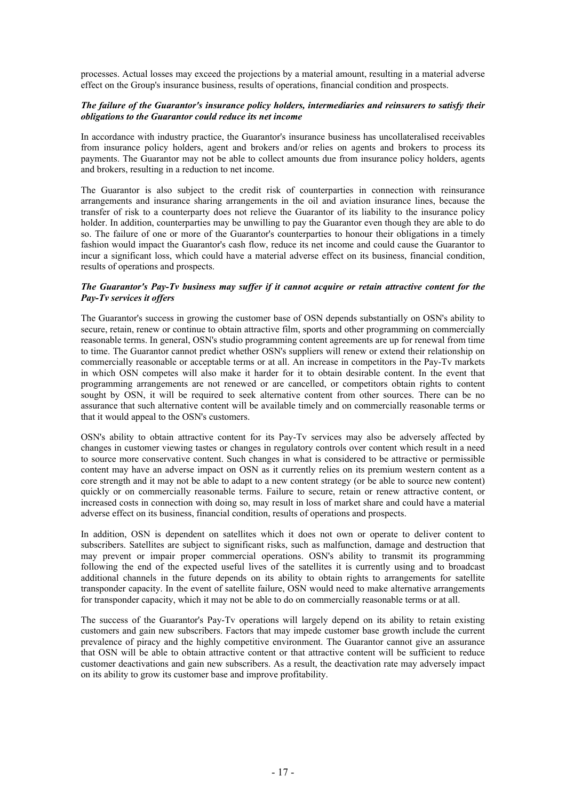processes. Actual losses may exceed the projections by a material amount, resulting in a material adverse effect on the Group's insurance business, results of operations, financial condition and prospects.

# *The failure of the Guarantor's insurance policy holders, intermediaries and reinsurers to satisfy their obligations to the Guarantor could reduce its net income*

In accordance with industry practice, the Guarantor's insurance business has uncollateralised receivables from insurance policy holders, agent and brokers and/or relies on agents and brokers to process its payments. The Guarantor may not be able to collect amounts due from insurance policy holders, agents and brokers, resulting in a reduction to net income.

The Guarantor is also subject to the credit risk of counterparties in connection with reinsurance arrangements and insurance sharing arrangements in the oil and aviation insurance lines, because the transfer of risk to a counterparty does not relieve the Guarantor of its liability to the insurance policy holder. In addition, counterparties may be unwilling to pay the Guarantor even though they are able to do so. The failure of one or more of the Guarantor's counterparties to honour their obligations in a timely fashion would impact the Guarantor's cash flow, reduce its net income and could cause the Guarantor to incur a significant loss, which could have a material adverse effect on its business, financial condition, results of operations and prospects.

# *The Guarantor's Pay-Tv business may suffer if it cannot acquire or retain attractive content for the Pay-Tv services it offers*

The Guarantor's success in growing the customer base of OSN depends substantially on OSN's ability to secure, retain, renew or continue to obtain attractive film, sports and other programming on commercially reasonable terms. In general, OSN's studio programming content agreements are up for renewal from time to time. The Guarantor cannot predict whether OSN's suppliers will renew or extend their relationship on commercially reasonable or acceptable terms or at all. An increase in competitors in the Pay-Tv markets in which OSN competes will also make it harder for it to obtain desirable content. In the event that programming arrangements are not renewed or are cancelled, or competitors obtain rights to content sought by OSN, it will be required to seek alternative content from other sources. There can be no assurance that such alternative content will be available timely and on commercially reasonable terms or that it would appeal to the OSN's customers.

OSN's ability to obtain attractive content for its Pay-Tv services may also be adversely affected by changes in customer viewing tastes or changes in regulatory controls over content which result in a need to source more conservative content. Such changes in what is considered to be attractive or permissible content may have an adverse impact on OSN as it currently relies on its premium western content as a core strength and it may not be able to adapt to a new content strategy (or be able to source new content) quickly or on commercially reasonable terms. Failure to secure, retain or renew attractive content, or increased costs in connection with doing so, may result in loss of market share and could have a material adverse effect on its business, financial condition, results of operations and prospects.

In addition, OSN is dependent on satellites which it does not own or operate to deliver content to subscribers. Satellites are subject to significant risks, such as malfunction, damage and destruction that may prevent or impair proper commercial operations. OSN's ability to transmit its programming following the end of the expected useful lives of the satellites it is currently using and to broadcast additional channels in the future depends on its ability to obtain rights to arrangements for satellite transponder capacity. In the event of satellite failure, OSN would need to make alternative arrangements for transponder capacity, which it may not be able to do on commercially reasonable terms or at all.

The success of the Guarantor's Pay-Tv operations will largely depend on its ability to retain existing customers and gain new subscribers. Factors that may impede customer base growth include the current prevalence of piracy and the highly competitive environment. The Guarantor cannot give an assurance that OSN will be able to obtain attractive content or that attractive content will be sufficient to reduce customer deactivations and gain new subscribers. As a result, the deactivation rate may adversely impact on its ability to grow its customer base and improve profitability.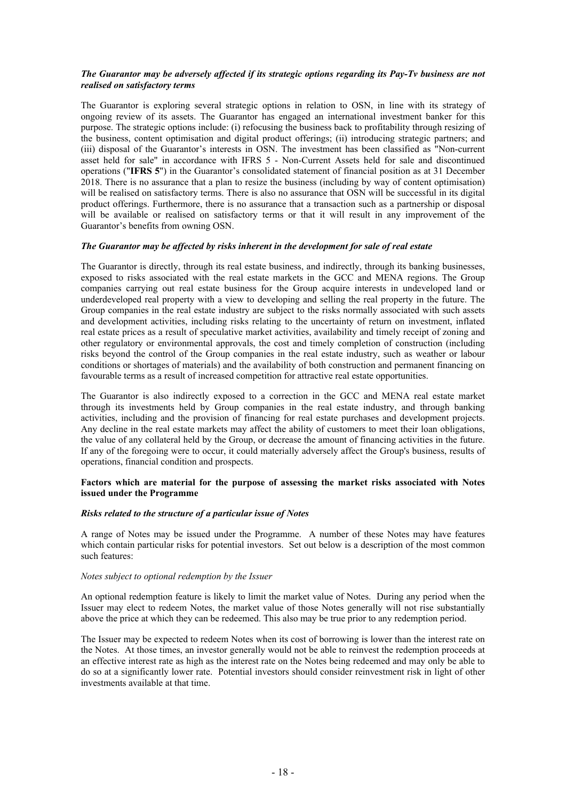# *The Guarantor may be adversely affected if its strategic options regarding its Pay-Tv business are not realised on satisfactory terms*

The Guarantor is exploring several strategic options in relation to OSN, in line with its strategy of ongoing review of its assets. The Guarantor has engaged an international investment banker for this purpose. The strategic options include: (i) refocusing the business back to profitability through resizing of the business, content optimisation and digital product offerings; (ii) introducing strategic partners; and (iii) disposal of the Guarantor's interests in OSN. The investment has been classified as "Non-current asset held for sale" in accordance with IFRS 5 - Non-Current Assets held for sale and discontinued operations ("**IFRS 5**") in the Guarantor's consolidated statement of financial position as at 31 December 2018. There is no assurance that a plan to resize the business (including by way of content optimisation) will be realised on satisfactory terms. There is also no assurance that OSN will be successful in its digital product offerings. Furthermore, there is no assurance that a transaction such as a partnership or disposal will be available or realised on satisfactory terms or that it will result in any improvement of the Guarantor's benefits from owning OSN.

# *The Guarantor may be affected by risks inherent in the development for sale of real estate*

The Guarantor is directly, through its real estate business, and indirectly, through its banking businesses, exposed to risks associated with the real estate markets in the GCC and MENA regions. The Group companies carrying out real estate business for the Group acquire interests in undeveloped land or underdeveloped real property with a view to developing and selling the real property in the future. The Group companies in the real estate industry are subject to the risks normally associated with such assets and development activities, including risks relating to the uncertainty of return on investment, inflated real estate prices as a result of speculative market activities, availability and timely receipt of zoning and other regulatory or environmental approvals, the cost and timely completion of construction (including risks beyond the control of the Group companies in the real estate industry, such as weather or labour conditions or shortages of materials) and the availability of both construction and permanent financing on favourable terms as a result of increased competition for attractive real estate opportunities.

The Guarantor is also indirectly exposed to a correction in the GCC and MENA real estate market through its investments held by Group companies in the real estate industry, and through banking activities, including and the provision of financing for real estate purchases and development projects. Any decline in the real estate markets may affect the ability of customers to meet their loan obligations, the value of any collateral held by the Group, or decrease the amount of financing activities in the future. If any of the foregoing were to occur, it could materially adversely affect the Group's business, results of operations, financial condition and prospects.

# **Factors which are material for the purpose of assessing the market risks associated with Notes issued under the Programme**

#### *Risks related to the structure of a particular issue of Notes*

A range of Notes may be issued under the Programme. A number of these Notes may have features which contain particular risks for potential investors. Set out below is a description of the most common such features:

### *Notes subject to optional redemption by the Issuer*

An optional redemption feature is likely to limit the market value of Notes. During any period when the Issuer may elect to redeem Notes, the market value of those Notes generally will not rise substantially above the price at which they can be redeemed. This also may be true prior to any redemption period.

The Issuer may be expected to redeem Notes when its cost of borrowing is lower than the interest rate on the Notes. At those times, an investor generally would not be able to reinvest the redemption proceeds at an effective interest rate as high as the interest rate on the Notes being redeemed and may only be able to do so at a significantly lower rate. Potential investors should consider reinvestment risk in light of other investments available at that time.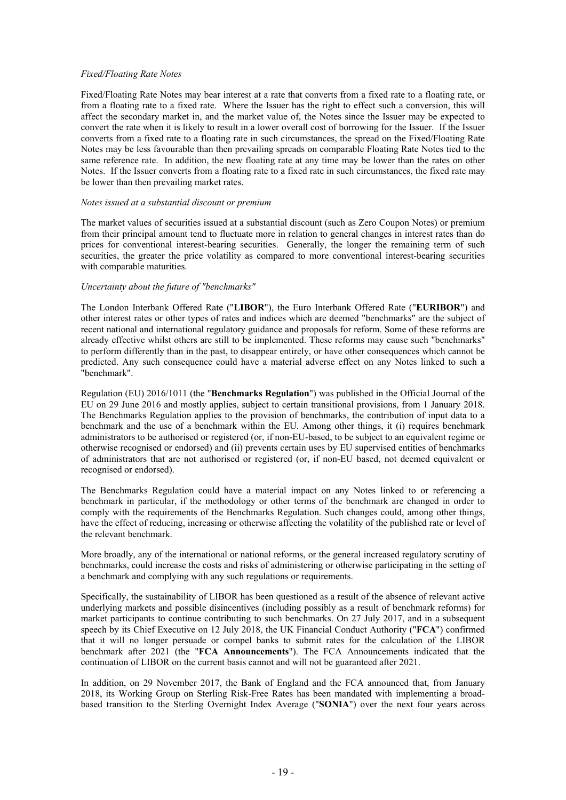### *Fixed/Floating Rate Notes*

Fixed/Floating Rate Notes may bear interest at a rate that converts from a fixed rate to a floating rate, or from a floating rate to a fixed rate. Where the Issuer has the right to effect such a conversion, this will affect the secondary market in, and the market value of, the Notes since the Issuer may be expected to convert the rate when it is likely to result in a lower overall cost of borrowing for the Issuer. If the Issuer converts from a fixed rate to a floating rate in such circumstances, the spread on the Fixed/Floating Rate Notes may be less favourable than then prevailing spreads on comparable Floating Rate Notes tied to the same reference rate. In addition, the new floating rate at any time may be lower than the rates on other Notes. If the Issuer converts from a floating rate to a fixed rate in such circumstances, the fixed rate may be lower than then prevailing market rates.

### *Notes issued at a substantial discount or premium*

The market values of securities issued at a substantial discount (such as Zero Coupon Notes) or premium from their principal amount tend to fluctuate more in relation to general changes in interest rates than do prices for conventional interest-bearing securities. Generally, the longer the remaining term of such securities, the greater the price volatility as compared to more conventional interest-bearing securities with comparable maturities.

### *Uncertainty about the future of "benchmarks"*

The London Interbank Offered Rate ("**LIBOR**"), the Euro Interbank Offered Rate ("**EURIBOR**") and other interest rates or other types of rates and indices which are deemed "benchmarks" are the subject of recent national and international regulatory guidance and proposals for reform. Some of these reforms are already effective whilst others are still to be implemented. These reforms may cause such "benchmarks" to perform differently than in the past, to disappear entirely, or have other consequences which cannot be predicted. Any such consequence could have a material adverse effect on any Notes linked to such a "benchmark".

Regulation (EU) 2016/1011 (the "**Benchmarks Regulation**") was published in the Official Journal of the EU on 29 June 2016 and mostly applies, subject to certain transitional provisions, from 1 January 2018. The Benchmarks Regulation applies to the provision of benchmarks, the contribution of input data to a benchmark and the use of a benchmark within the EU. Among other things, it (i) requires benchmark administrators to be authorised or registered (or, if non-EU-based, to be subject to an equivalent regime or otherwise recognised or endorsed) and (ii) prevents certain uses by EU supervised entities of benchmarks of administrators that are not authorised or registered (or, if non-EU based, not deemed equivalent or recognised or endorsed).

The Benchmarks Regulation could have a material impact on any Notes linked to or referencing a benchmark in particular, if the methodology or other terms of the benchmark are changed in order to comply with the requirements of the Benchmarks Regulation. Such changes could, among other things, have the effect of reducing, increasing or otherwise affecting the volatility of the published rate or level of the relevant benchmark.

More broadly, any of the international or national reforms, or the general increased regulatory scrutiny of benchmarks, could increase the costs and risks of administering or otherwise participating in the setting of a benchmark and complying with any such regulations or requirements.

Specifically, the sustainability of LIBOR has been questioned as a result of the absence of relevant active underlying markets and possible disincentives (including possibly as a result of benchmark reforms) for market participants to continue contributing to such benchmarks. On 27 July 2017, and in a subsequent speech by its Chief Executive on 12 July 2018, the UK Financial Conduct Authority ("**FCA**") confirmed that it will no longer persuade or compel banks to submit rates for the calculation of the LIBOR benchmark after 2021 (the "**FCA Announcements**"). The FCA Announcements indicated that the continuation of LIBOR on the current basis cannot and will not be guaranteed after 2021.

In addition, on 29 November 2017, the Bank of England and the FCA announced that, from January 2018, its Working Group on Sterling Risk-Free Rates has been mandated with implementing a broadbased transition to the Sterling Overnight Index Average ("**SONIA**") over the next four years across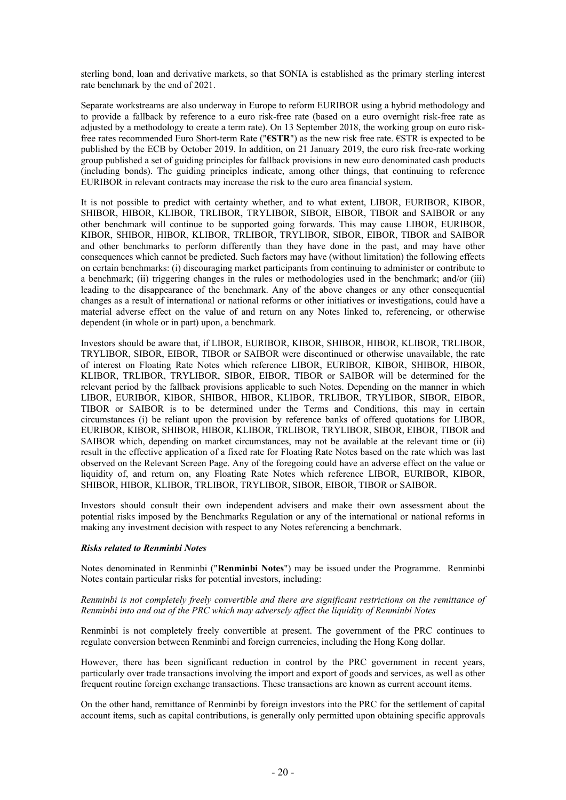sterling bond, loan and derivative markets, so that SONIA is established as the primary sterling interest rate benchmark by the end of 2021.

Separate workstreams are also underway in Europe to reform EURIBOR using a hybrid methodology and to provide a fallback by reference to a euro risk-free rate (based on a euro overnight risk-free rate as adjusted by a methodology to create a term rate). On 13 September 2018, the working group on euro riskfree rates recommended Euro Short-term Rate ("**€STR**") as the new risk free rate. €STR is expected to be published by the ECB by October 2019. In addition, on 21 January 2019, the euro risk free-rate working group published a set of guiding principles for fallback provisions in new euro denominated cash products (including bonds). The guiding principles indicate, among other things, that continuing to reference EURIBOR in relevant contracts may increase the risk to the euro area financial system.

It is not possible to predict with certainty whether, and to what extent, LIBOR, EURIBOR, KIBOR, SHIBOR, HIBOR, KLIBOR, TRLIBOR, TRYLIBOR, SIBOR, EIBOR, TIBOR and SAIBOR or any other benchmark will continue to be supported going forwards. This may cause LIBOR, EURIBOR, KIBOR, SHIBOR, HIBOR, KLIBOR, TRLIBOR, TRYLIBOR, SIBOR, EIBOR, TIBOR and SAIBOR and other benchmarks to perform differently than they have done in the past, and may have other consequences which cannot be predicted. Such factors may have (without limitation) the following effects on certain benchmarks: (i) discouraging market participants from continuing to administer or contribute to a benchmark; (ii) triggering changes in the rules or methodologies used in the benchmark; and/or (iii) leading to the disappearance of the benchmark. Any of the above changes or any other consequential changes as a result of international or national reforms or other initiatives or investigations, could have a material adverse effect on the value of and return on any Notes linked to, referencing, or otherwise dependent (in whole or in part) upon, a benchmark.

Investors should be aware that, if LIBOR, EURIBOR, KIBOR, SHIBOR, HIBOR, KLIBOR, TRLIBOR, TRYLIBOR, SIBOR, EIBOR, TIBOR or SAIBOR were discontinued or otherwise unavailable, the rate of interest on Floating Rate Notes which reference LIBOR, EURIBOR, KIBOR, SHIBOR, HIBOR, KLIBOR, TRLIBOR, TRYLIBOR, SIBOR, EIBOR, TIBOR or SAIBOR will be determined for the relevant period by the fallback provisions applicable to such Notes. Depending on the manner in which LIBOR, EURIBOR, KIBOR, SHIBOR, HIBOR, KLIBOR, TRLIBOR, TRYLIBOR, SIBOR, EIBOR, TIBOR or SAIBOR is to be determined under the Terms and Conditions, this may in certain circumstances (i) be reliant upon the provision by reference banks of offered quotations for LIBOR, EURIBOR, KIBOR, SHIBOR, HIBOR, KLIBOR, TRLIBOR, TRYLIBOR, SIBOR, EIBOR, TIBOR and SAIBOR which, depending on market circumstances, may not be available at the relevant time or (ii) result in the effective application of a fixed rate for Floating Rate Notes based on the rate which was last observed on the Relevant Screen Page. Any of the foregoing could have an adverse effect on the value or liquidity of, and return on, any Floating Rate Notes which reference LIBOR, EURIBOR, KIBOR, SHIBOR, HIBOR, KLIBOR, TRLIBOR, TRYLIBOR, SIBOR, EIBOR, TIBOR or SAIBOR.

Investors should consult their own independent advisers and make their own assessment about the potential risks imposed by the Benchmarks Regulation or any of the international or national reforms in making any investment decision with respect to any Notes referencing a benchmark.

# *Risks related to Renminbi Notes*

Notes denominated in Renminbi ("**Renminbi Notes**") may be issued under the Programme. Renminbi Notes contain particular risks for potential investors, including:

### *Renminbi is not completely freely convertible and there are significant restrictions on the remittance of Renminbi into and out of the PRC which may adversely affect the liquidity of Renminbi Notes*

Renminbi is not completely freely convertible at present. The government of the PRC continues to regulate conversion between Renminbi and foreign currencies, including the Hong Kong dollar.

However, there has been significant reduction in control by the PRC government in recent years, particularly over trade transactions involving the import and export of goods and services, as well as other frequent routine foreign exchange transactions. These transactions are known as current account items.

On the other hand, remittance of Renminbi by foreign investors into the PRC for the settlement of capital account items, such as capital contributions, is generally only permitted upon obtaining specific approvals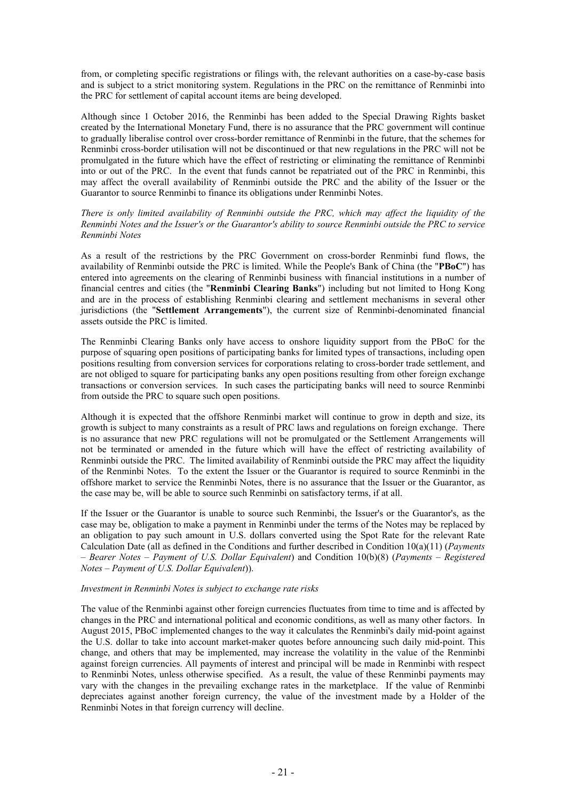from, or completing specific registrations or filings with, the relevant authorities on a case-by-case basis and is subject to a strict monitoring system. Regulations in the PRC on the remittance of Renminbi into the PRC for settlement of capital account items are being developed.

Although since 1 October 2016, the Renminbi has been added to the Special Drawing Rights basket created by the International Monetary Fund, there is no assurance that the PRC government will continue to gradually liberalise control over cross-border remittance of Renminbi in the future, that the schemes for Renminbi cross-border utilisation will not be discontinued or that new regulations in the PRC will not be promulgated in the future which have the effect of restricting or eliminating the remittance of Renminbi into or out of the PRC. In the event that funds cannot be repatriated out of the PRC in Renminbi, this may affect the overall availability of Renminbi outside the PRC and the ability of the Issuer or the Guarantor to source Renminbi to finance its obligations under Renminbi Notes.

### *There is only limited availability of Renminbi outside the PRC, which may affect the liquidity of the Renminbi Notes and the Issuer's or the Guarantor's ability to source Renminbi outside the PRC to service Renminbi Notes*

As a result of the restrictions by the PRC Government on cross-border Renminbi fund flows, the availability of Renminbi outside the PRC is limited. While the People's Bank of China (the "**PBoC**") has entered into agreements on the clearing of Renminbi business with financial institutions in a number of financial centres and cities (the "**Renminbi Clearing Banks**") including but not limited to Hong Kong and are in the process of establishing Renminbi clearing and settlement mechanisms in several other jurisdictions (the "**Settlement Arrangements**"), the current size of Renminbi-denominated financial assets outside the PRC is limited.

The Renminbi Clearing Banks only have access to onshore liquidity support from the PBoC for the purpose of squaring open positions of participating banks for limited types of transactions, including open positions resulting from conversion services for corporations relating to cross-border trade settlement, and are not obliged to square for participating banks any open positions resulting from other foreign exchange transactions or conversion services. In such cases the participating banks will need to source Renminbi from outside the PRC to square such open positions.

Although it is expected that the offshore Renminbi market will continue to grow in depth and size, its growth is subject to many constraints as a result of PRC laws and regulations on foreign exchange. There is no assurance that new PRC regulations will not be promulgated or the Settlement Arrangements will not be terminated or amended in the future which will have the effect of restricting availability of Renminbi outside the PRC. The limited availability of Renminbi outside the PRC may affect the liquidity of the Renminbi Notes. To the extent the Issuer or the Guarantor is required to source Renminbi in the offshore market to service the Renminbi Notes, there is no assurance that the Issuer or the Guarantor, as the case may be, will be able to source such Renminbi on satisfactory terms, if at all.

If the Issuer or the Guarantor is unable to source such Renminbi, the Issuer's or the Guarantor's, as the case may be, obligation to make a payment in Renminbi under the terms of the Notes may be replaced by an obligation to pay such amount in U.S. dollars converted using the Spot Rate for the relevant Rate Calculation Date (all as defined in the Conditions and further described in Condition 10(a)(11) (*Payments – Bearer Notes – Payment of U.S. Dollar Equivalent*) and Condition 10(b)(8) (*Payments – Registered Notes – Payment of U.S. Dollar Equivalent*)).

# *Investment in Renminbi Notes is subject to exchange rate risks*

The value of the Renminbi against other foreign currencies fluctuates from time to time and is affected by changes in the PRC and international political and economic conditions, as well as many other factors. In August 2015, PBoC implemented changes to the way it calculates the Renminbi's daily mid-point against the U.S. dollar to take into account market-maker quotes before announcing such daily mid-point. This change, and others that may be implemented, may increase the volatility in the value of the Renminbi against foreign currencies. All payments of interest and principal will be made in Renminbi with respect to Renminbi Notes, unless otherwise specified. As a result, the value of these Renminbi payments may vary with the changes in the prevailing exchange rates in the marketplace. If the value of Renminbi depreciates against another foreign currency, the value of the investment made by a Holder of the Renminbi Notes in that foreign currency will decline.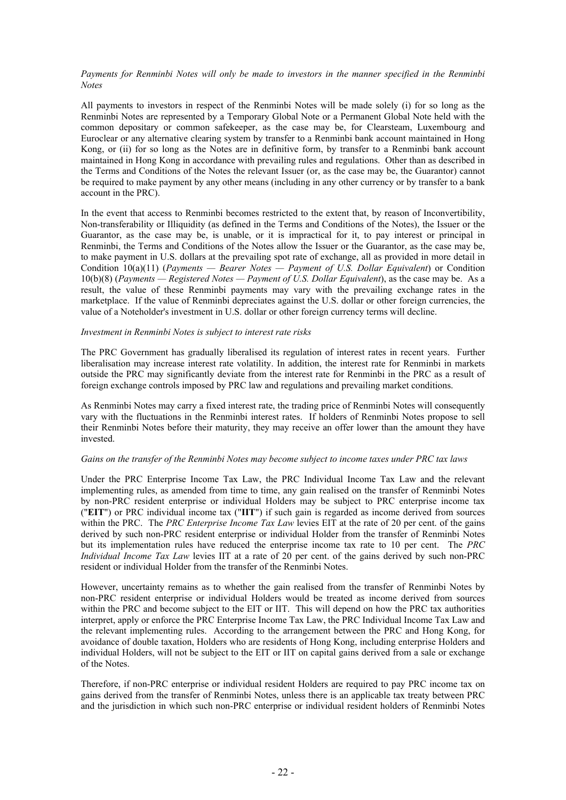# *Payments for Renminbi Notes will only be made to investors in the manner specified in the Renminbi Notes*

All payments to investors in respect of the Renminbi Notes will be made solely (i) for so long as the Renminbi Notes are represented by a Temporary Global Note or a Permanent Global Note held with the common depositary or common safekeeper, as the case may be, for Clearsteam, Luxembourg and Euroclear or any alternative clearing system by transfer to a Renminbi bank account maintained in Hong Kong, or (ii) for so long as the Notes are in definitive form, by transfer to a Renminbi bank account maintained in Hong Kong in accordance with prevailing rules and regulations. Other than as described in the Terms and Conditions of the Notes the relevant Issuer (or, as the case may be, the Guarantor) cannot be required to make payment by any other means (including in any other currency or by transfer to a bank account in the PRC).

In the event that access to Renminbi becomes restricted to the extent that, by reason of Inconvertibility, Non-transferability or Illiquidity (as defined in the Terms and Conditions of the Notes), the Issuer or the Guarantor, as the case may be, is unable, or it is impractical for it, to pay interest or principal in Renminbi, the Terms and Conditions of the Notes allow the Issuer or the Guarantor, as the case may be, to make payment in U.S. dollars at the prevailing spot rate of exchange, all as provided in more detail in Condition 10(a)(11) (*Payments — Bearer Notes — Payment of U.S. Dollar Equivalent*) or Condition 10(b)(8) (*Payments — Registered Notes — Payment of U.S. Dollar Equivalent*), as the case may be. As a result, the value of these Renminbi payments may vary with the prevailing exchange rates in the marketplace. If the value of Renminbi depreciates against the U.S. dollar or other foreign currencies, the value of a Noteholder's investment in U.S. dollar or other foreign currency terms will decline.

### *Investment in Renminbi Notes is subject to interest rate risks*

The PRC Government has gradually liberalised its regulation of interest rates in recent years. Further liberalisation may increase interest rate volatility. In addition, the interest rate for Renminbi in markets outside the PRC may significantly deviate from the interest rate for Renminbi in the PRC as a result of foreign exchange controls imposed by PRC law and regulations and prevailing market conditions.

As Renminbi Notes may carry a fixed interest rate, the trading price of Renminbi Notes will consequently vary with the fluctuations in the Renminbi interest rates. If holders of Renminbi Notes propose to sell their Renminbi Notes before their maturity, they may receive an offer lower than the amount they have invested.

### *Gains on the transfer of the Renminbi Notes may become subject to income taxes under PRC tax laws*

Under the PRC Enterprise Income Tax Law, the PRC Individual Income Tax Law and the relevant implementing rules, as amended from time to time, any gain realised on the transfer of Renminbi Notes by non-PRC resident enterprise or individual Holders may be subject to PRC enterprise income tax ("**EIT**") or PRC individual income tax ("**IIT**") if such gain is regarded as income derived from sources within the PRC. The *PRC Enterprise Income Tax Law* levies EIT at the rate of 20 per cent. of the gains derived by such non-PRC resident enterprise or individual Holder from the transfer of Renminbi Notes but its implementation rules have reduced the enterprise income tax rate to 10 per cent. The *PRC Individual Income Tax Law* levies IIT at a rate of 20 per cent. of the gains derived by such non-PRC resident or individual Holder from the transfer of the Renminbi Notes.

However, uncertainty remains as to whether the gain realised from the transfer of Renminbi Notes by non-PRC resident enterprise or individual Holders would be treated as income derived from sources within the PRC and become subject to the EIT or IIT. This will depend on how the PRC tax authorities interpret, apply or enforce the PRC Enterprise Income Tax Law, the PRC Individual Income Tax Law and the relevant implementing rules. According to the arrangement between the PRC and Hong Kong, for avoidance of double taxation, Holders who are residents of Hong Kong, including enterprise Holders and individual Holders, will not be subject to the EIT or IIT on capital gains derived from a sale or exchange of the Notes.

Therefore, if non-PRC enterprise or individual resident Holders are required to pay PRC income tax on gains derived from the transfer of Renminbi Notes, unless there is an applicable tax treaty between PRC and the jurisdiction in which such non-PRC enterprise or individual resident holders of Renminbi Notes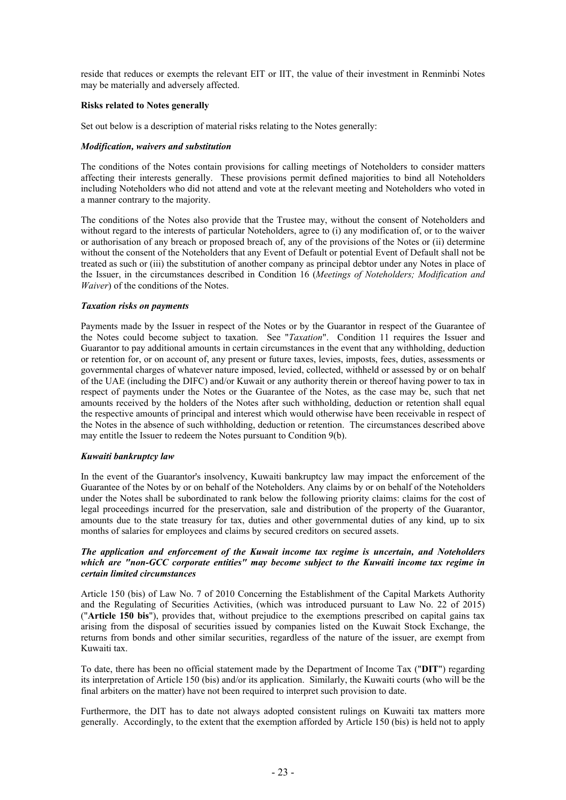reside that reduces or exempts the relevant EIT or IIT, the value of their investment in Renminbi Notes may be materially and adversely affected.

### **Risks related to Notes generally**

Set out below is a description of material risks relating to the Notes generally:

### *Modification, waivers and substitution*

The conditions of the Notes contain provisions for calling meetings of Noteholders to consider matters affecting their interests generally. These provisions permit defined majorities to bind all Noteholders including Noteholders who did not attend and vote at the relevant meeting and Noteholders who voted in a manner contrary to the majority.

The conditions of the Notes also provide that the Trustee may, without the consent of Noteholders and without regard to the interests of particular Noteholders, agree to (i) any modification of, or to the waiver or authorisation of any breach or proposed breach of, any of the provisions of the Notes or (ii) determine without the consent of the Noteholders that any Event of Default or potential Event of Default shall not be treated as such or (iii) the substitution of another company as principal debtor under any Notes in place of the Issuer, in the circumstances described in Condition 16 (*Meetings of Noteholders; Modification and Waiver*) of the conditions of the Notes.

### *Taxation risks on payments*

Payments made by the Issuer in respect of the Notes or by the Guarantor in respect of the Guarantee of the Notes could become subject to taxation. See "*Taxation*". Condition 11 requires the Issuer and Guarantor to pay additional amounts in certain circumstances in the event that any withholding, deduction or retention for, or on account of, any present or future taxes, levies, imposts, fees, duties, assessments or governmental charges of whatever nature imposed, levied, collected, withheld or assessed by or on behalf of the UAE (including the DIFC) and/or Kuwait or any authority therein or thereof having power to tax in respect of payments under the Notes or the Guarantee of the Notes, as the case may be, such that net amounts received by the holders of the Notes after such withholding, deduction or retention shall equal the respective amounts of principal and interest which would otherwise have been receivable in respect of the Notes in the absence of such withholding, deduction or retention. The circumstances described above may entitle the Issuer to redeem the Notes pursuant to Condition 9(b).

# *Kuwaiti bankruptcy law*

In the event of the Guarantor's insolvency, Kuwaiti bankruptcy law may impact the enforcement of the Guarantee of the Notes by or on behalf of the Noteholders. Any claims by or on behalf of the Noteholders under the Notes shall be subordinated to rank below the following priority claims: claims for the cost of legal proceedings incurred for the preservation, sale and distribution of the property of the Guarantor, amounts due to the state treasury for tax, duties and other governmental duties of any kind, up to six months of salaries for employees and claims by secured creditors on secured assets.

### *The application and enforcement of the Kuwait income tax regime is uncertain, and Noteholders which are "non-GCC corporate entities" may become subject to the Kuwaiti income tax regime in certain limited circumstances*

Article 150 (bis) of Law No. 7 of 2010 Concerning the Establishment of the Capital Markets Authority and the Regulating of Securities Activities, (which was introduced pursuant to Law No. 22 of 2015) ("**Article 150 bis**"), provides that, without prejudice to the exemptions prescribed on capital gains tax arising from the disposal of securities issued by companies listed on the Kuwait Stock Exchange, the returns from bonds and other similar securities, regardless of the nature of the issuer, are exempt from Kuwaiti tax.

To date, there has been no official statement made by the Department of Income Tax ("**DIT**") regarding its interpretation of Article 150 (bis) and/or its application. Similarly, the Kuwaiti courts (who will be the final arbiters on the matter) have not been required to interpret such provision to date.

Furthermore, the DIT has to date not always adopted consistent rulings on Kuwaiti tax matters more generally. Accordingly, to the extent that the exemption afforded by Article 150 (bis) is held not to apply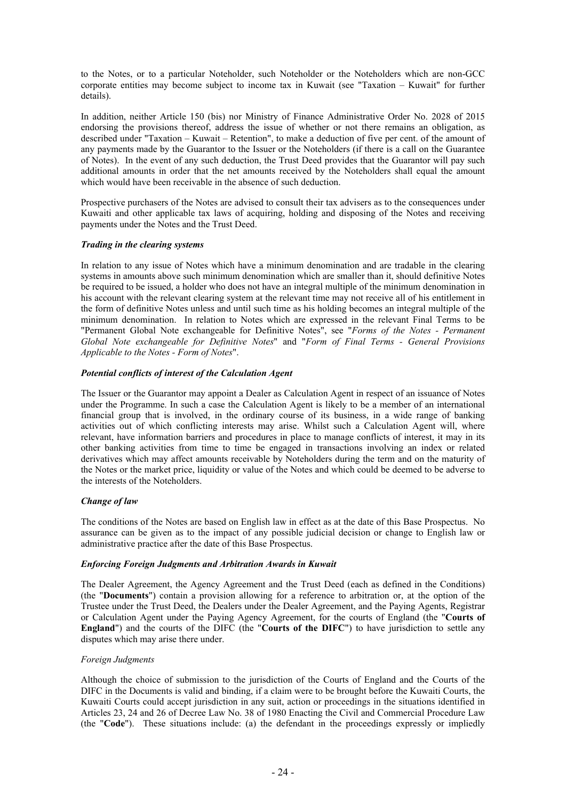to the Notes, or to a particular Noteholder, such Noteholder or the Noteholders which are non-GCC corporate entities may become subject to income tax in Kuwait (see "Taxation – Kuwait" for further details).

In addition, neither Article 150 (bis) nor Ministry of Finance Administrative Order No. 2028 of 2015 endorsing the provisions thereof, address the issue of whether or not there remains an obligation, as described under "Taxation – Kuwait – Retention", to make a deduction of five per cent. of the amount of any payments made by the Guarantor to the Issuer or the Noteholders (if there is a call on the Guarantee of Notes). In the event of any such deduction, the Trust Deed provides that the Guarantor will pay such additional amounts in order that the net amounts received by the Noteholders shall equal the amount which would have been receivable in the absence of such deduction.

Prospective purchasers of the Notes are advised to consult their tax advisers as to the consequences under Kuwaiti and other applicable tax laws of acquiring, holding and disposing of the Notes and receiving payments under the Notes and the Trust Deed.

# *Trading in the clearing systems*

In relation to any issue of Notes which have a minimum denomination and are tradable in the clearing systems in amounts above such minimum denomination which are smaller than it, should definitive Notes be required to be issued, a holder who does not have an integral multiple of the minimum denomination in his account with the relevant clearing system at the relevant time may not receive all of his entitlement in the form of definitive Notes unless and until such time as his holding becomes an integral multiple of the minimum denomination. In relation to Notes which are expressed in the relevant Final Terms to be "Permanent Global Note exchangeable for Definitive Notes", see "*Forms of the Notes - Permanent Global Note exchangeable for Definitive Notes*" and "*Form of Final Terms - General Provisions Applicable to the Notes - Form of Notes*".

# *Potential conflicts of interest of the Calculation Agent*

The Issuer or the Guarantor may appoint a Dealer as Calculation Agent in respect of an issuance of Notes under the Programme. In such a case the Calculation Agent is likely to be a member of an international financial group that is involved, in the ordinary course of its business, in a wide range of banking activities out of which conflicting interests may arise. Whilst such a Calculation Agent will, where relevant, have information barriers and procedures in place to manage conflicts of interest, it may in its other banking activities from time to time be engaged in transactions involving an index or related derivatives which may affect amounts receivable by Noteholders during the term and on the maturity of the Notes or the market price, liquidity or value of the Notes and which could be deemed to be adverse to the interests of the Noteholders.

# *Change of law*

The conditions of the Notes are based on English law in effect as at the date of this Base Prospectus. No assurance can be given as to the impact of any possible judicial decision or change to English law or administrative practice after the date of this Base Prospectus.

# *Enforcing Foreign Judgments and Arbitration Awards in Kuwait*

The Dealer Agreement, the Agency Agreement and the Trust Deed (each as defined in the Conditions) (the "**Documents**") contain a provision allowing for a reference to arbitration or, at the option of the Trustee under the Trust Deed, the Dealers under the Dealer Agreement, and the Paying Agents, Registrar or Calculation Agent under the Paying Agency Agreement, for the courts of England (the "**Courts of England**") and the courts of the DIFC (the "**Courts of the DIFC**") to have jurisdiction to settle any disputes which may arise there under.

# *Foreign Judgments*

Although the choice of submission to the jurisdiction of the Courts of England and the Courts of the DIFC in the Documents is valid and binding, if a claim were to be brought before the Kuwaiti Courts, the Kuwaiti Courts could accept jurisdiction in any suit, action or proceedings in the situations identified in Articles 23, 24 and 26 of Decree Law No. 38 of 1980 Enacting the Civil and Commercial Procedure Law (the "**Code**"). These situations include: (a) the defendant in the proceedings expressly or impliedly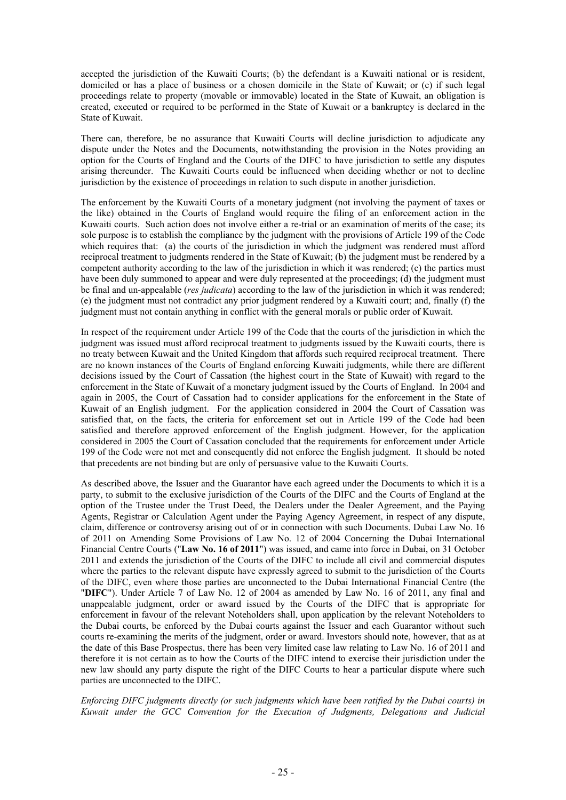accepted the jurisdiction of the Kuwaiti Courts; (b) the defendant is a Kuwaiti national or is resident, domiciled or has a place of business or a chosen domicile in the State of Kuwait; or (c) if such legal proceedings relate to property (movable or immovable) located in the State of Kuwait, an obligation is created, executed or required to be performed in the State of Kuwait or a bankruptcy is declared in the State of Kuwait.

There can, therefore, be no assurance that Kuwaiti Courts will decline jurisdiction to adjudicate any dispute under the Notes and the Documents, notwithstanding the provision in the Notes providing an option for the Courts of England and the Courts of the DIFC to have jurisdiction to settle any disputes arising thereunder. The Kuwaiti Courts could be influenced when deciding whether or not to decline jurisdiction by the existence of proceedings in relation to such dispute in another jurisdiction.

The enforcement by the Kuwaiti Courts of a monetary judgment (not involving the payment of taxes or the like) obtained in the Courts of England would require the filing of an enforcement action in the Kuwaiti courts. Such action does not involve either a re-trial or an examination of merits of the case; its sole purpose is to establish the compliance by the judgment with the provisions of Article 199 of the Code which requires that: (a) the courts of the jurisdiction in which the judgment was rendered must afford reciprocal treatment to judgments rendered in the State of Kuwait; (b) the judgment must be rendered by a competent authority according to the law of the jurisdiction in which it was rendered; (c) the parties must have been duly summoned to appear and were duly represented at the proceedings; (d) the judgment must be final and un-appealable (*res judicata*) according to the law of the jurisdiction in which it was rendered; (e) the judgment must not contradict any prior judgment rendered by a Kuwaiti court; and, finally (f) the judgment must not contain anything in conflict with the general morals or public order of Kuwait.

In respect of the requirement under Article 199 of the Code that the courts of the jurisdiction in which the judgment was issued must afford reciprocal treatment to judgments issued by the Kuwaiti courts, there is no treaty between Kuwait and the United Kingdom that affords such required reciprocal treatment. There are no known instances of the Courts of England enforcing Kuwaiti judgments, while there are different decisions issued by the Court of Cassation (the highest court in the State of Kuwait) with regard to the enforcement in the State of Kuwait of a monetary judgment issued by the Courts of England. In 2004 and again in 2005, the Court of Cassation had to consider applications for the enforcement in the State of Kuwait of an English judgment. For the application considered in 2004 the Court of Cassation was satisfied that, on the facts, the criteria for enforcement set out in Article 199 of the Code had been satisfied and therefore approved enforcement of the English judgment. However, for the application considered in 2005 the Court of Cassation concluded that the requirements for enforcement under Article 199 of the Code were not met and consequently did not enforce the English judgment. It should be noted that precedents are not binding but are only of persuasive value to the Kuwaiti Courts.

As described above, the Issuer and the Guarantor have each agreed under the Documents to which it is a party, to submit to the exclusive jurisdiction of the Courts of the DIFC and the Courts of England at the option of the Trustee under the Trust Deed, the Dealers under the Dealer Agreement, and the Paying Agents, Registrar or Calculation Agent under the Paying Agency Agreement, in respect of any dispute, claim, difference or controversy arising out of or in connection with such Documents. Dubai Law No. 16 of 2011 on Amending Some Provisions of Law No. 12 of 2004 Concerning the Dubai International Financial Centre Courts ("**Law No. 16 of 2011**") was issued, and came into force in Dubai, on 31 October 2011 and extends the jurisdiction of the Courts of the DIFC to include all civil and commercial disputes where the parties to the relevant dispute have expressly agreed to submit to the jurisdiction of the Courts of the DIFC, even where those parties are unconnected to the Dubai International Financial Centre (the "**DIFC**"). Under Article 7 of Law No. 12 of 2004 as amended by Law No. 16 of 2011, any final and unappealable judgment, order or award issued by the Courts of the DIFC that is appropriate for enforcement in favour of the relevant Noteholders shall, upon application by the relevant Noteholders to the Dubai courts, be enforced by the Dubai courts against the Issuer and each Guarantor without such courts re-examining the merits of the judgment, order or award. Investors should note, however, that as at the date of this Base Prospectus, there has been very limited case law relating to Law No. 16 of 2011 and therefore it is not certain as to how the Courts of the DIFC intend to exercise their jurisdiction under the new law should any party dispute the right of the DIFC Courts to hear a particular dispute where such parties are unconnected to the DIFC.

*Enforcing DIFC judgments directly (or such judgments which have been ratified by the Dubai courts) in Kuwait under the GCC Convention for the Execution of Judgments, Delegations and Judicial*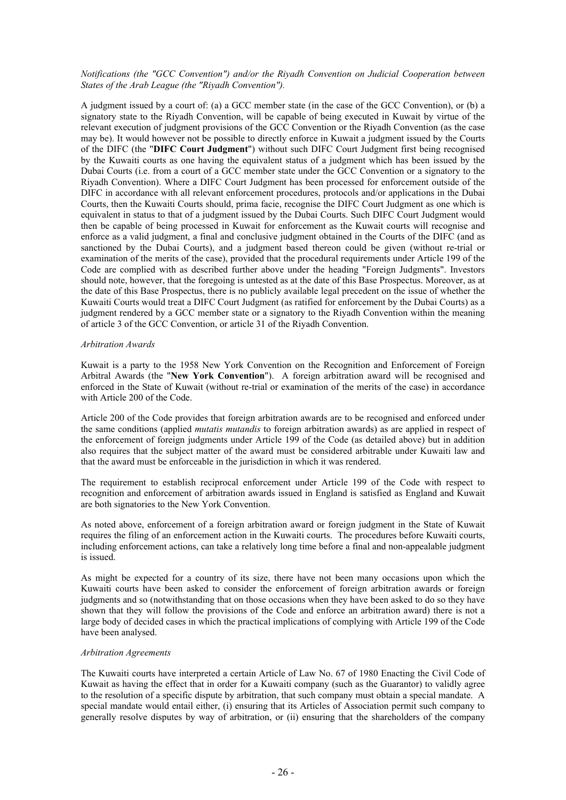# *Notifications (the "GCC Convention") and/or the Riyadh Convention on Judicial Cooperation between States of the Arab League (the "Riyadh Convention").*

A judgment issued by a court of: (a) a GCC member state (in the case of the GCC Convention), or (b) a signatory state to the Riyadh Convention, will be capable of being executed in Kuwait by virtue of the relevant execution of judgment provisions of the GCC Convention or the Riyadh Convention (as the case may be). It would however not be possible to directly enforce in Kuwait a judgment issued by the Courts of the DIFC (the "**DIFC Court Judgment**") without such DIFC Court Judgment first being recognised by the Kuwaiti courts as one having the equivalent status of a judgment which has been issued by the Dubai Courts (i.e. from a court of a GCC member state under the GCC Convention or a signatory to the Riyadh Convention). Where a DIFC Court Judgment has been processed for enforcement outside of the DIFC in accordance with all relevant enforcement procedures, protocols and/or applications in the Dubai Courts, then the Kuwaiti Courts should, prima facie, recognise the DIFC Court Judgment as one which is equivalent in status to that of a judgment issued by the Dubai Courts. Such DIFC Court Judgment would then be capable of being processed in Kuwait for enforcement as the Kuwait courts will recognise and enforce as a valid judgment, a final and conclusive judgment obtained in the Courts of the DIFC (and as sanctioned by the Dubai Courts), and a judgment based thereon could be given (without re-trial or examination of the merits of the case), provided that the procedural requirements under Article 199 of the Code are complied with as described further above under the heading "Foreign Judgments". Investors should note, however, that the foregoing is untested as at the date of this Base Prospectus. Moreover, as at the date of this Base Prospectus, there is no publicly available legal precedent on the issue of whether the Kuwaiti Courts would treat a DIFC Court Judgment (as ratified for enforcement by the Dubai Courts) as a judgment rendered by a GCC member state or a signatory to the Riyadh Convention within the meaning of article 3 of the GCC Convention, or article 31 of the Riyadh Convention.

# *Arbitration Awards*

Kuwait is a party to the 1958 New York Convention on the Recognition and Enforcement of Foreign Arbitral Awards (the "**New York Convention**"). A foreign arbitration award will be recognised and enforced in the State of Kuwait (without re-trial or examination of the merits of the case) in accordance with Article 200 of the Code.

Article 200 of the Code provides that foreign arbitration awards are to be recognised and enforced under the same conditions (applied *mutatis mutandis* to foreign arbitration awards) as are applied in respect of the enforcement of foreign judgments under Article 199 of the Code (as detailed above) but in addition also requires that the subject matter of the award must be considered arbitrable under Kuwaiti law and that the award must be enforceable in the jurisdiction in which it was rendered.

The requirement to establish reciprocal enforcement under Article 199 of the Code with respect to recognition and enforcement of arbitration awards issued in England is satisfied as England and Kuwait are both signatories to the New York Convention.

As noted above, enforcement of a foreign arbitration award or foreign judgment in the State of Kuwait requires the filing of an enforcement action in the Kuwaiti courts. The procedures before Kuwaiti courts, including enforcement actions, can take a relatively long time before a final and non-appealable judgment is issued.

As might be expected for a country of its size, there have not been many occasions upon which the Kuwaiti courts have been asked to consider the enforcement of foreign arbitration awards or foreign judgments and so (notwithstanding that on those occasions when they have been asked to do so they have shown that they will follow the provisions of the Code and enforce an arbitration award) there is not a large body of decided cases in which the practical implications of complying with Article 199 of the Code have been analysed.

#### *Arbitration Agreements*

The Kuwaiti courts have interpreted a certain Article of Law No. 67 of 1980 Enacting the Civil Code of Kuwait as having the effect that in order for a Kuwaiti company (such as the Guarantor) to validly agree to the resolution of a specific dispute by arbitration, that such company must obtain a special mandate. A special mandate would entail either, (i) ensuring that its Articles of Association permit such company to generally resolve disputes by way of arbitration, or (ii) ensuring that the shareholders of the company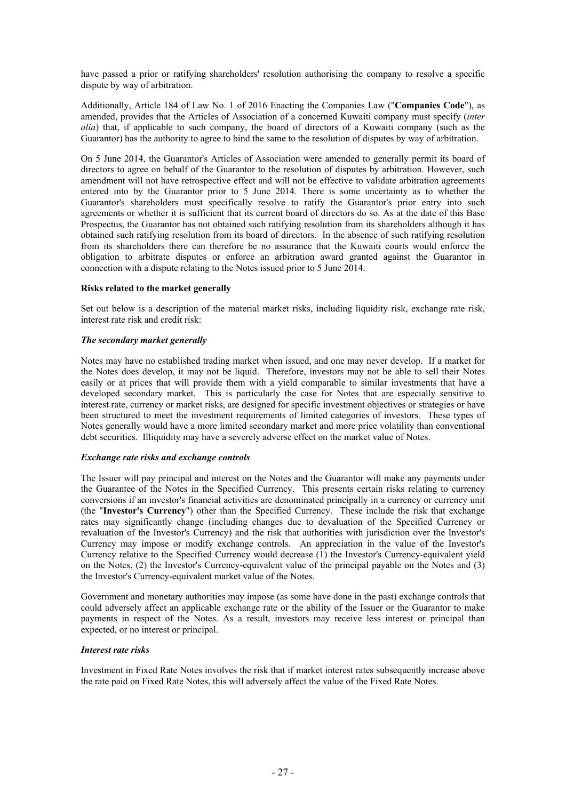have passed a prior or ratifying shareholders' resolution authorising the company to resolve a specific dispute by way of arbitration.

Additionally, Article 184 of Law No. 1 of 2016 Enacting the Companies Law ("**Companies Code**"), as amended, provides that the Articles of Association of a concerned Kuwaiti company must specify (*inter alia*) that, if applicable to such company, the board of directors of a Kuwaiti company (such as the Guarantor) has the authority to agree to bind the same to the resolution of disputes by way of arbitration.

On 5 June 2014, the Guarantor's Articles of Association were amended to generally permit its board of directors to agree on behalf of the Guarantor to the resolution of disputes by arbitration. However, such amendment will not have retrospective effect and will not be effective to validate arbitration agreements entered into by the Guarantor prior to 5 June 2014. There is some uncertainty as to whether the Guarantor's shareholders must specifically resolve to ratify the Guarantor's prior entry into such agreements or whether it is sufficient that its current board of directors do so. As at the date of this Base Prospectus, the Guarantor has not obtained such ratifying resolution from its shareholders although it has obtained such ratifying resolution from its board of directors. In the absence of such ratifying resolution from its shareholders there can therefore be no assurance that the Kuwaiti courts would enforce the obligation to arbitrate disputes or enforce an arbitration award granted against the Guarantor in connection with a dispute relating to the Notes issued prior to 5 June 2014.

# **Risks related to the market generally**

Set out below is a description of the material market risks, including liquidity risk, exchange rate risk, interest rate risk and credit risk:

### *The secondary market generally*

Notes may have no established trading market when issued, and one may never develop. If a market for the Notes does develop, it may not be liquid. Therefore, investors may not be able to sell their Notes easily or at prices that will provide them with a yield comparable to similar investments that have a developed secondary market. This is particularly the case for Notes that are especially sensitive to interest rate, currency or market risks, are designed for specific investment objectives or strategies or have been structured to meet the investment requirements of limited categories of investors. These types of Notes generally would have a more limited secondary market and more price volatility than conventional debt securities. Illiquidity may have a severely adverse effect on the market value of Notes.

#### *Exchange rate risks and exchange controls*

The Issuer will pay principal and interest on the Notes and the Guarantor will make any payments under the Guarantee of the Notes in the Specified Currency. This presents certain risks relating to currency conversions if an investor's financial activities are denominated principally in a currency or currency unit (the "**Investor's Currency**") other than the Specified Currency. These include the risk that exchange rates may significantly change (including changes due to devaluation of the Specified Currency or revaluation of the Investor's Currency) and the risk that authorities with jurisdiction over the Investor's Currency may impose or modify exchange controls. An appreciation in the value of the Investor's Currency relative to the Specified Currency would decrease (1) the Investor's Currency-equivalent yield on the Notes, (2) the Investor's Currency-equivalent value of the principal payable on the Notes and (3) the Investor's Currency-equivalent market value of the Notes.

Government and monetary authorities may impose (as some have done in the past) exchange controls that could adversely affect an applicable exchange rate or the ability of the Issuer or the Guarantor to make payments in respect of the Notes. As a result, investors may receive less interest or principal than expected, or no interest or principal.

#### *Interest rate risks*

Investment in Fixed Rate Notes involves the risk that if market interest rates subsequently increase above the rate paid on Fixed Rate Notes, this will adversely affect the value of the Fixed Rate Notes.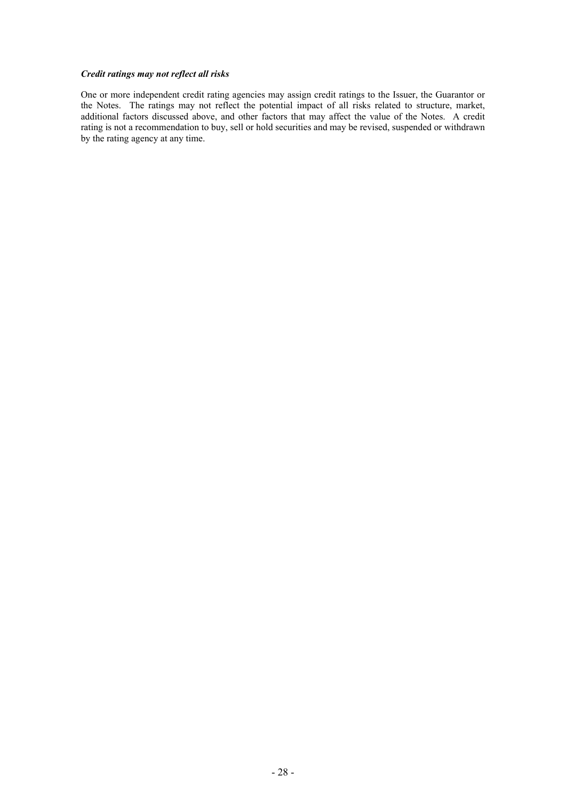# *Credit ratings may not reflect all risks*

One or more independent credit rating agencies may assign credit ratings to the Issuer, the Guarantor or the Notes. The ratings may not reflect the potential impact of all risks related to structure, market, additional factors discussed above, and other factors that may affect the value of the Notes. A credit rating is not a recommendation to buy, sell or hold securities and may be revised, suspended or withdrawn by the rating agency at any time.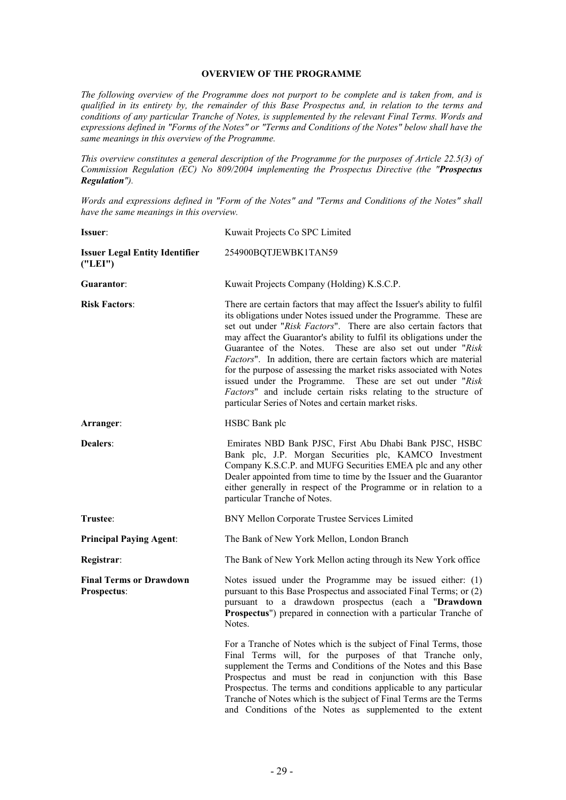# <span id="page-30-0"></span>**OVERVIEW OF THE PROGRAMME**

*The following overview of the Programme does not purport to be complete and is taken from, and is qualified in its entirety by, the remainder of this Base Prospectus and, in relation to the terms and conditions of any particular Tranche of Notes, is supplemented by the relevant Final Terms. Words and expressions defined in "Forms of the Notes" or "Terms and Conditions of the Notes" below shall have the same meanings in this overview of the Programme.*

*This overview constitutes a general description of the Programme for the purposes of Article 22.5(3) of Commission Regulation (EC) No 809/2004 implementing the Prospectus Directive (the "Prospectus Regulation").*

*Words and expressions defined in "Form of the Notes" and "Terms and Conditions of the Notes" shall have the same meanings in this overview.*

| Issuer:                                            | Kuwait Projects Co SPC Limited                                                                                                                                                                                                                                                                                                                                                                                                                                                                                                                                                                                                                                                                   |
|----------------------------------------------------|--------------------------------------------------------------------------------------------------------------------------------------------------------------------------------------------------------------------------------------------------------------------------------------------------------------------------------------------------------------------------------------------------------------------------------------------------------------------------------------------------------------------------------------------------------------------------------------------------------------------------------------------------------------------------------------------------|
| <b>Issuer Legal Entity Identifier</b><br>(''LEI'') | 254900BQTJEWBK1TAN59                                                                                                                                                                                                                                                                                                                                                                                                                                                                                                                                                                                                                                                                             |
| Guarantor:                                         | Kuwait Projects Company (Holding) K.S.C.P.                                                                                                                                                                                                                                                                                                                                                                                                                                                                                                                                                                                                                                                       |
| <b>Risk Factors:</b>                               | There are certain factors that may affect the Issuer's ability to fulfil<br>its obligations under Notes issued under the Programme. These are<br>set out under "Risk Factors". There are also certain factors that<br>may affect the Guarantor's ability to fulfil its obligations under the<br>Guarantee of the Notes. These are also set out under "Risk<br>Factors". In addition, there are certain factors which are material<br>for the purpose of assessing the market risks associated with Notes<br>issued under the Programme. These are set out under "Risk<br>Factors" and include certain risks relating to the structure of<br>particular Series of Notes and certain market risks. |
| Arranger:                                          | HSBC Bank plc                                                                                                                                                                                                                                                                                                                                                                                                                                                                                                                                                                                                                                                                                    |
| <b>Dealers:</b>                                    | Emirates NBD Bank PJSC, First Abu Dhabi Bank PJSC, HSBC<br>Bank plc, J.P. Morgan Securities plc, KAMCO Investment<br>Company K.S.C.P. and MUFG Securities EMEA plc and any other<br>Dealer appointed from time to time by the Issuer and the Guarantor<br>either generally in respect of the Programme or in relation to a<br>particular Tranche of Notes.                                                                                                                                                                                                                                                                                                                                       |
| Trustee:                                           | BNY Mellon Corporate Trustee Services Limited                                                                                                                                                                                                                                                                                                                                                                                                                                                                                                                                                                                                                                                    |
| <b>Principal Paying Agent:</b>                     | The Bank of New York Mellon, London Branch                                                                                                                                                                                                                                                                                                                                                                                                                                                                                                                                                                                                                                                       |
| Registrar:                                         | The Bank of New York Mellon acting through its New York office                                                                                                                                                                                                                                                                                                                                                                                                                                                                                                                                                                                                                                   |
| <b>Final Terms or Drawdown</b><br>Prospectus:      | Notes issued under the Programme may be issued either: (1)<br>pursuant to this Base Prospectus and associated Final Terms; or (2)<br>pursuant to a drawdown prospectus (each a "Drawdown<br>Prospectus") prepared in connection with a particular Tranche of<br>Notes.                                                                                                                                                                                                                                                                                                                                                                                                                           |
|                                                    | For a Tranche of Notes which is the subject of Final Terms, those<br>Final Terms will, for the purposes of that Tranche only,<br>supplement the Terms and Conditions of the Notes and this Base<br>Prospectus and must be read in conjunction with this Base<br>Prospectus. The terms and conditions applicable to any particular<br>Tranche of Notes which is the subject of Final Terms are the Terms<br>and Conditions of the Notes as supplemented to the extent                                                                                                                                                                                                                             |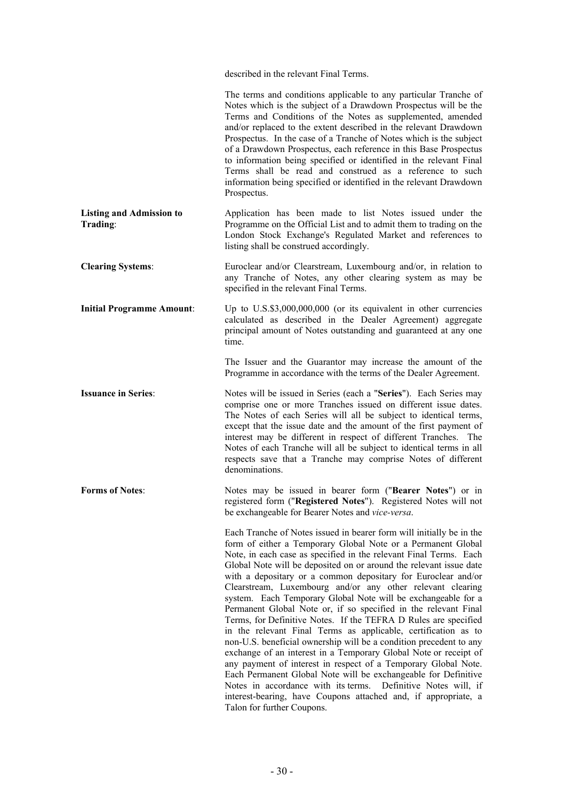described in the relevant Final Terms.

|                                             | The terms and conditions applicable to any particular Tranche of<br>Notes which is the subject of a Drawdown Prospectus will be the<br>Terms and Conditions of the Notes as supplemented, amended<br>and/or replaced to the extent described in the relevant Drawdown<br>Prospectus. In the case of a Tranche of Notes which is the subject<br>of a Drawdown Prospectus, each reference in this Base Prospectus<br>to information being specified or identified in the relevant Final<br>Terms shall be read and construed as a reference to such<br>information being specified or identified in the relevant Drawdown<br>Prospectus.                                                                                                                                                                                                                                                                                                                                                                                                                                                                                                    |
|---------------------------------------------|-------------------------------------------------------------------------------------------------------------------------------------------------------------------------------------------------------------------------------------------------------------------------------------------------------------------------------------------------------------------------------------------------------------------------------------------------------------------------------------------------------------------------------------------------------------------------------------------------------------------------------------------------------------------------------------------------------------------------------------------------------------------------------------------------------------------------------------------------------------------------------------------------------------------------------------------------------------------------------------------------------------------------------------------------------------------------------------------------------------------------------------------|
| <b>Listing and Admission to</b><br>Trading: | Application has been made to list Notes issued under the<br>Programme on the Official List and to admit them to trading on the<br>London Stock Exchange's Regulated Market and references to<br>listing shall be construed accordingly.                                                                                                                                                                                                                                                                                                                                                                                                                                                                                                                                                                                                                                                                                                                                                                                                                                                                                                   |
| <b>Clearing Systems:</b>                    | Euroclear and/or Clearstream, Luxembourg and/or, in relation to<br>any Tranche of Notes, any other clearing system as may be<br>specified in the relevant Final Terms.                                                                                                                                                                                                                                                                                                                                                                                                                                                                                                                                                                                                                                                                                                                                                                                                                                                                                                                                                                    |
| <b>Initial Programme Amount:</b>            | Up to $U.S.$ \$3,000,000,000 (or its equivalent in other currencies<br>calculated as described in the Dealer Agreement) aggregate<br>principal amount of Notes outstanding and guaranteed at any one<br>time.                                                                                                                                                                                                                                                                                                                                                                                                                                                                                                                                                                                                                                                                                                                                                                                                                                                                                                                             |
|                                             | The Issuer and the Guarantor may increase the amount of the<br>Programme in accordance with the terms of the Dealer Agreement.                                                                                                                                                                                                                                                                                                                                                                                                                                                                                                                                                                                                                                                                                                                                                                                                                                                                                                                                                                                                            |
| <b>Issuance in Series:</b>                  | Notes will be issued in Series (each a "Series"). Each Series may<br>comprise one or more Tranches issued on different issue dates.<br>The Notes of each Series will all be subject to identical terms,<br>except that the issue date and the amount of the first payment of<br>interest may be different in respect of different Tranches. The<br>Notes of each Tranche will all be subject to identical terms in all<br>respects save that a Tranche may comprise Notes of different<br>denominations.                                                                                                                                                                                                                                                                                                                                                                                                                                                                                                                                                                                                                                  |
| <b>Forms of Notes:</b>                      | Notes may be issued in bearer form ("Bearer Notes") or in<br>registered form ("Registered Notes"). Registered Notes will not<br>be exchangeable for Bearer Notes and vice-versa.                                                                                                                                                                                                                                                                                                                                                                                                                                                                                                                                                                                                                                                                                                                                                                                                                                                                                                                                                          |
|                                             | Each Tranche of Notes issued in bearer form will initially be in the<br>form of either a Temporary Global Note or a Permanent Global<br>Note, in each case as specified in the relevant Final Terms. Each<br>Global Note will be deposited on or around the relevant issue date<br>with a depositary or a common depositary for Euroclear and/or<br>Clearstream, Luxembourg and/or any other relevant clearing<br>system. Each Temporary Global Note will be exchangeable for a<br>Permanent Global Note or, if so specified in the relevant Final<br>Terms, for Definitive Notes. If the TEFRA D Rules are specified<br>in the relevant Final Terms as applicable, certification as to<br>non-U.S. beneficial ownership will be a condition precedent to any<br>exchange of an interest in a Temporary Global Note or receipt of<br>any payment of interest in respect of a Temporary Global Note.<br>Each Permanent Global Note will be exchangeable for Definitive<br>Notes in accordance with its terms.<br>Definitive Notes will, if<br>interest-bearing, have Coupons attached and, if appropriate, a<br>Talon for further Coupons. |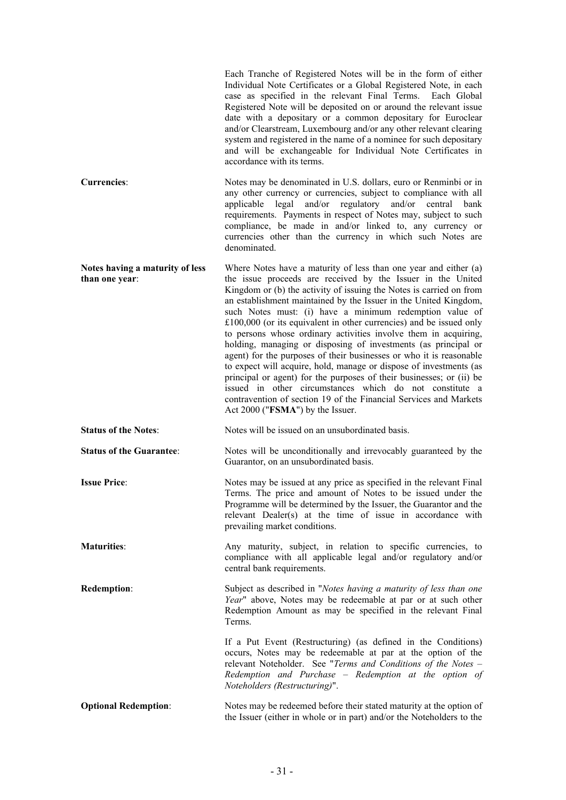|                                                   | Each Tranche of Registered Notes will be in the form of either<br>Individual Note Certificates or a Global Registered Note, in each<br>case as specified in the relevant Final Terms. Each Global<br>Registered Note will be deposited on or around the relevant issue<br>date with a depositary or a common depositary for Euroclear<br>and/or Clearstream, Luxembourg and/or any other relevant clearing<br>system and registered in the name of a nominee for such depositary<br>and will be exchangeable for Individual Note Certificates in<br>accordance with its terms.                                                                                                                                                                                                                                                                                                                                                               |
|---------------------------------------------------|----------------------------------------------------------------------------------------------------------------------------------------------------------------------------------------------------------------------------------------------------------------------------------------------------------------------------------------------------------------------------------------------------------------------------------------------------------------------------------------------------------------------------------------------------------------------------------------------------------------------------------------------------------------------------------------------------------------------------------------------------------------------------------------------------------------------------------------------------------------------------------------------------------------------------------------------|
| <b>Currencies:</b>                                | Notes may be denominated in U.S. dollars, euro or Renminbi or in<br>any other currency or currencies, subject to compliance with all<br>and/or<br>applicable legal<br>regulatory and/or central<br>bank<br>requirements. Payments in respect of Notes may, subject to such<br>compliance, be made in and/or linked to, any currency or<br>currencies other than the currency in which such Notes are<br>denominated.                                                                                                                                                                                                                                                                                                                                                                                                                                                                                                                         |
| Notes having a maturity of less<br>than one year: | Where Notes have a maturity of less than one year and either (a)<br>the issue proceeds are received by the Issuer in the United<br>Kingdom or (b) the activity of issuing the Notes is carried on from<br>an establishment maintained by the Issuer in the United Kingdom,<br>such Notes must: (i) have a minimum redemption value of<br>$£100,000$ (or its equivalent in other currencies) and be issued only<br>to persons whose ordinary activities involve them in acquiring,<br>holding, managing or disposing of investments (as principal or<br>agent) for the purposes of their businesses or who it is reasonable<br>to expect will acquire, hold, manage or dispose of investments (as<br>principal or agent) for the purposes of their businesses; or (ii) be<br>issued in other circumstances which do not constitute a<br>contravention of section 19 of the Financial Services and Markets<br>Act 2000 ("FSMA") by the Issuer. |
| <b>Status of the Notes:</b>                       | Notes will be issued on an unsubordinated basis.                                                                                                                                                                                                                                                                                                                                                                                                                                                                                                                                                                                                                                                                                                                                                                                                                                                                                             |
| <b>Status of the Guarantee:</b>                   | Notes will be unconditionally and irrevocably guaranteed by the<br>Guarantor, on an unsubordinated basis.                                                                                                                                                                                                                                                                                                                                                                                                                                                                                                                                                                                                                                                                                                                                                                                                                                    |
| <b>Issue Price:</b>                               | Notes may be issued at any price as specified in the relevant Final<br>Terms. The price and amount of Notes to be issued under the<br>Programme will be determined by the Issuer, the Guarantor and the<br>relevant Dealer(s) at the time of issue in accordance with<br>prevailing market conditions.                                                                                                                                                                                                                                                                                                                                                                                                                                                                                                                                                                                                                                       |
| <b>Maturities:</b>                                | Any maturity, subject, in relation to specific currencies, to<br>compliance with all applicable legal and/or regulatory and/or<br>central bank requirements.                                                                                                                                                                                                                                                                                                                                                                                                                                                                                                                                                                                                                                                                                                                                                                                 |
| <b>Redemption:</b>                                | Subject as described in "Notes having a maturity of less than one<br>Year" above, Notes may be redeemable at par or at such other<br>Redemption Amount as may be specified in the relevant Final<br>Terms.                                                                                                                                                                                                                                                                                                                                                                                                                                                                                                                                                                                                                                                                                                                                   |
|                                                   | If a Put Event (Restructuring) (as defined in the Conditions)<br>occurs, Notes may be redeemable at par at the option of the<br>relevant Noteholder. See "Terms and Conditions of the Notes -<br>Redemption and Purchase - Redemption at the option of<br>Noteholders (Restructuring)".                                                                                                                                                                                                                                                                                                                                                                                                                                                                                                                                                                                                                                                      |
| <b>Optional Redemption:</b>                       | Notes may be redeemed before their stated maturity at the option of<br>the Issuer (either in whole or in part) and/or the Noteholders to the                                                                                                                                                                                                                                                                                                                                                                                                                                                                                                                                                                                                                                                                                                                                                                                                 |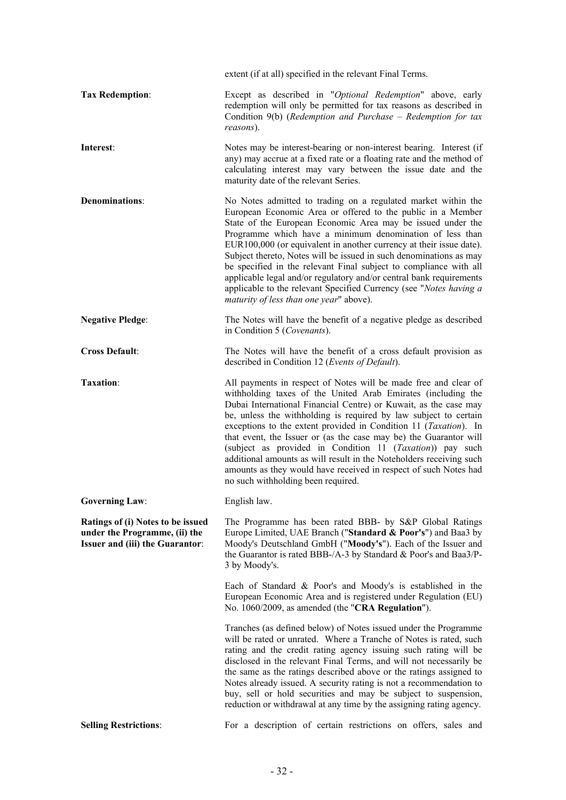|                                                                                                              | extent (if at all) specified in the relevant Final Terms.                                                                                                                                                                                                                                                                                                                                                                                                                                                                                                                                                                                                               |
|--------------------------------------------------------------------------------------------------------------|-------------------------------------------------------------------------------------------------------------------------------------------------------------------------------------------------------------------------------------------------------------------------------------------------------------------------------------------------------------------------------------------------------------------------------------------------------------------------------------------------------------------------------------------------------------------------------------------------------------------------------------------------------------------------|
| <b>Tax Redemption:</b>                                                                                       | Except as described in "Optional Redemption" above, early<br>redemption will only be permitted for tax reasons as described in<br>Condition $9(b)$ (Redemption and Purchase – Redemption for tax<br>reasons).                                                                                                                                                                                                                                                                                                                                                                                                                                                           |
| Interest:                                                                                                    | Notes may be interest-bearing or non-interest bearing. Interest (if<br>any) may accrue at a fixed rate or a floating rate and the method of<br>calculating interest may vary between the issue date and the<br>maturity date of the relevant Series.                                                                                                                                                                                                                                                                                                                                                                                                                    |
| <b>Denominations:</b>                                                                                        | No Notes admitted to trading on a regulated market within the<br>European Economic Area or offered to the public in a Member<br>State of the European Economic Area may be issued under the<br>Programme which have a minimum denomination of less than<br>EUR100,000 (or equivalent in another currency at their issue date).<br>Subject thereto, Notes will be issued in such denominations as may<br>be specified in the relevant Final subject to compliance with all<br>applicable legal and/or regulatory and/or central bank requirements<br>applicable to the relevant Specified Currency (see "Notes having a<br>maturity of less than one year" above).       |
| <b>Negative Pledge:</b>                                                                                      | The Notes will have the benefit of a negative pledge as described<br>in Condition 5 (Covenants).                                                                                                                                                                                                                                                                                                                                                                                                                                                                                                                                                                        |
| <b>Cross Default:</b>                                                                                        | The Notes will have the benefit of a cross default provision as<br>described in Condition 12 (Events of Default).                                                                                                                                                                                                                                                                                                                                                                                                                                                                                                                                                       |
| Taxation:                                                                                                    | All payments in respect of Notes will be made free and clear of<br>withholding taxes of the United Arab Emirates (including the<br>Dubai International Financial Centre) or Kuwait, as the case may<br>be, unless the withholding is required by law subject to certain<br>exceptions to the extent provided in Condition 11 ( <i>Taxation</i> ). In<br>that event, the Issuer or (as the case may be) the Guarantor will<br>(subject as provided in Condition 11 (Taxation)) pay such<br>additional amounts as will result in the Noteholders receiving such<br>amounts as they would have received in respect of such Notes had<br>no such withholding been required. |
| <b>Governing Law:</b>                                                                                        | English law.                                                                                                                                                                                                                                                                                                                                                                                                                                                                                                                                                                                                                                                            |
| Ratings of (i) Notes to be issued<br>under the Programme, (ii) the<br><b>Issuer and (iii) the Guarantor:</b> | The Programme has been rated BBB- by S&P Global Ratings<br>Europe Limited, UAE Branch ("Standard & Poor's") and Baa3 by<br>Moody's Deutschland GmbH ("Moody's"). Each of the Issuer and<br>the Guarantor is rated BBB-/A-3 by Standard & Poor's and Baa3/P-<br>3 by Moody's.                                                                                                                                                                                                                                                                                                                                                                                            |
|                                                                                                              | Each of Standard & Poor's and Moody's is established in the<br>European Economic Area and is registered under Regulation (EU)<br>No. 1060/2009, as amended (the "CRA Regulation").                                                                                                                                                                                                                                                                                                                                                                                                                                                                                      |
|                                                                                                              | Tranches (as defined below) of Notes issued under the Programme<br>will be rated or unrated. Where a Tranche of Notes is rated, such<br>rating and the credit rating agency issuing such rating will be<br>disclosed in the relevant Final Terms, and will not necessarily be<br>the same as the ratings described above or the ratings assigned to<br>Notes already issued. A security rating is not a recommendation to<br>buy, sell or hold securities and may be subject to suspension,<br>reduction or withdrawal at any time by the assigning rating agency.                                                                                                      |
| <b>Selling Restrictions:</b>                                                                                 | For a description of certain restrictions on offers, sales and                                                                                                                                                                                                                                                                                                                                                                                                                                                                                                                                                                                                          |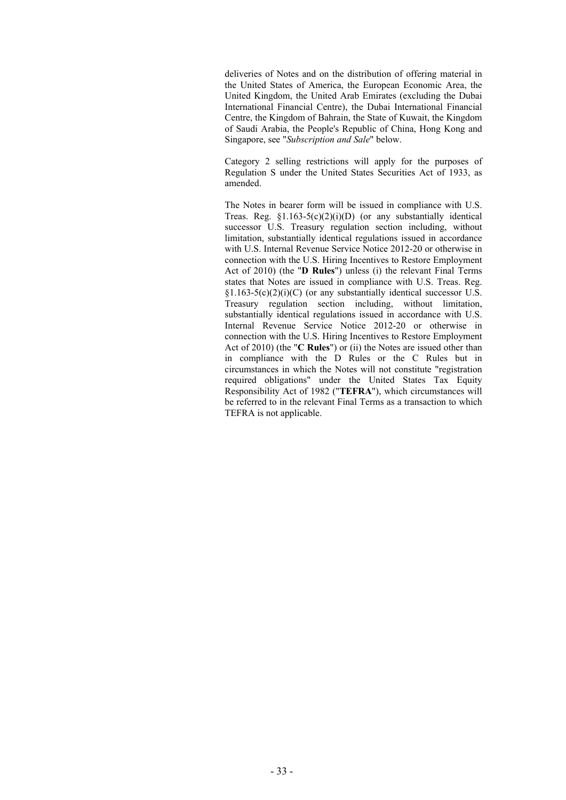deliveries of Notes and on the distribution of offering material in the United States of America, the European Economic Area, the United Kingdom, the United Arab Emirates (excluding the Dubai International Financial Centre), the Dubai International Financial Centre, the Kingdom of Bahrain, the State of Kuwait, the Kingdom of Saudi Arabia, the People's Republic of China, Hong Kong and Singapore, see "*Subscription and Sale*" below.

Category 2 selling restrictions will apply for the purposes of Regulation S under the United States Securities Act of 1933, as amended.

The Notes in bearer form will be issued in compliance with U.S. Treas. Reg.  $$1.163-5(c)(2)(i)(D)$  (or any substantially identical successor U.S. Treasury regulation section including, without limitation, substantially identical regulations issued in accordance with U.S. Internal Revenue Service Notice 2012-20 or otherwise in connection with the U.S. Hiring Incentives to Restore Employment Act of 2010) (the "**D Rules**") unless (i) the relevant Final Terms states that Notes are issued in compliance with U.S. Treas. Reg.  $§1.163-5(c)(2)(i)(C)$  (or any substantially identical successor U.S. Treasury regulation section including, without limitation, substantially identical regulations issued in accordance with U.S. Internal Revenue Service Notice 2012-20 or otherwise in connection with the U.S. Hiring Incentives to Restore Employment Act of 2010) (the "**C Rules**") or (ii) the Notes are issued other than in compliance with the D Rules or the C Rules but in circumstances in which the Notes will not constitute "registration required obligations" under the United States Tax Equity Responsibility Act of 1982 ("**TEFRA**"), which circumstances will be referred to in the relevant Final Terms as a transaction to which TEFRA is not applicable.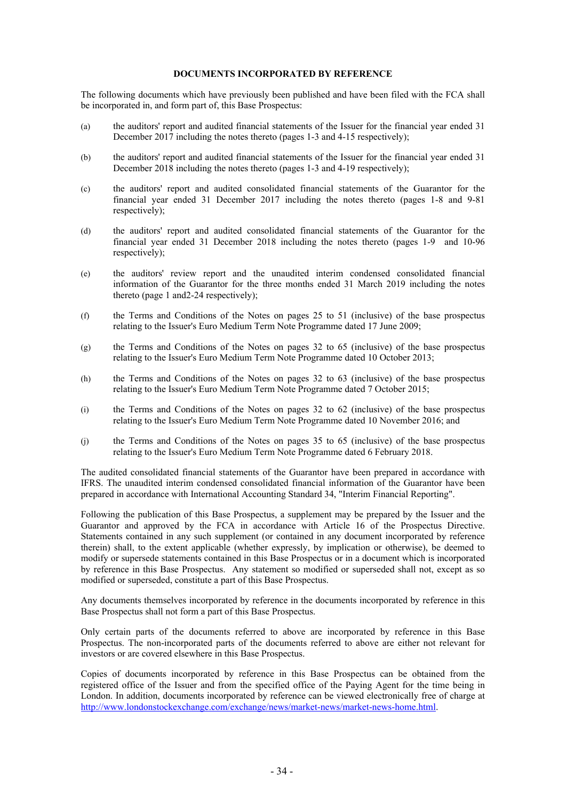### <span id="page-35-0"></span>**DOCUMENTS INCORPORATED BY REFERENCE**

The following documents which have previously been published and have been filed with the FCA shall be incorporated in, and form part of, this Base Prospectus:

- (a) the auditors' report and audited financial statements of the Issuer for the financial year ended 31 December 2017 including the notes thereto (pages 1-3 and 4-15 respectively);
- (b) the auditors' report and audited financial statements of the Issuer for the financial year ended 31 December 2018 including the notes thereto (pages 1-3 and 4-19 respectively);
- (c) the auditors' report and audited consolidated financial statements of the Guarantor for the financial year ended 31 December 2017 including the notes thereto (pages 1-8 and 9-81 respectively);
- (d) the auditors' report and audited consolidated financial statements of the Guarantor for the financial year ended 31 December 2018 including the notes thereto (pages 1-9 and 10-96 respectively);
- (e) the auditors' review report and the unaudited interim condensed consolidated financial information of the Guarantor for the three months ended 31 March 2019 including the notes thereto (page 1 and2-24 respectively);
- (f) the Terms and Conditions of the Notes on pages 25 to 51 (inclusive) of the base prospectus relating to the Issuer's Euro Medium Term Note Programme dated 17 June 2009;
- (g) the Terms and Conditions of the Notes on pages 32 to 65 (inclusive) of the base prospectus relating to the Issuer's Euro Medium Term Note Programme dated 10 October 2013;
- (h) the Terms and Conditions of the Notes on pages 32 to 63 (inclusive) of the base prospectus relating to the Issuer's Euro Medium Term Note Programme dated 7 October 2015;
- (i) the Terms and Conditions of the Notes on pages 32 to 62 (inclusive) of the base prospectus relating to the Issuer's Euro Medium Term Note Programme dated 10 November 2016; and
- (j) the Terms and Conditions of the Notes on pages 35 to 65 (inclusive) of the base prospectus relating to the Issuer's Euro Medium Term Note Programme dated 6 February 2018.

The audited consolidated financial statements of the Guarantor have been prepared in accordance with IFRS. The unaudited interim condensed consolidated financial information of the Guarantor have been prepared in accordance with International Accounting Standard 34, "Interim Financial Reporting".

Following the publication of this Base Prospectus, a supplement may be prepared by the Issuer and the Guarantor and approved by the FCA in accordance with Article 16 of the Prospectus Directive. Statements contained in any such supplement (or contained in any document incorporated by reference therein) shall, to the extent applicable (whether expressly, by implication or otherwise), be deemed to modify or supersede statements contained in this Base Prospectus or in a document which is incorporated by reference in this Base Prospectus. Any statement so modified or superseded shall not, except as so modified or superseded, constitute a part of this Base Prospectus.

Any documents themselves incorporated by reference in the documents incorporated by reference in this Base Prospectus shall not form a part of this Base Prospectus.

Only certain parts of the documents referred to above are incorporated by reference in this Base Prospectus. The non-incorporated parts of the documents referred to above are either not relevant for investors or are covered elsewhere in this Base Prospectus.

Copies of documents incorporated by reference in this Base Prospectus can be obtained from the registered office of the Issuer and from the specified office of the Paying Agent for the time being in London. In addition, documents incorporated by reference can be viewed electronically free of charge at [http://www.londonstockexchange.com/exchange/news/market-news/market-news-home.html.](http://www.londonstockexchange.com/exchange/news/marketnews/marketnewshome.html)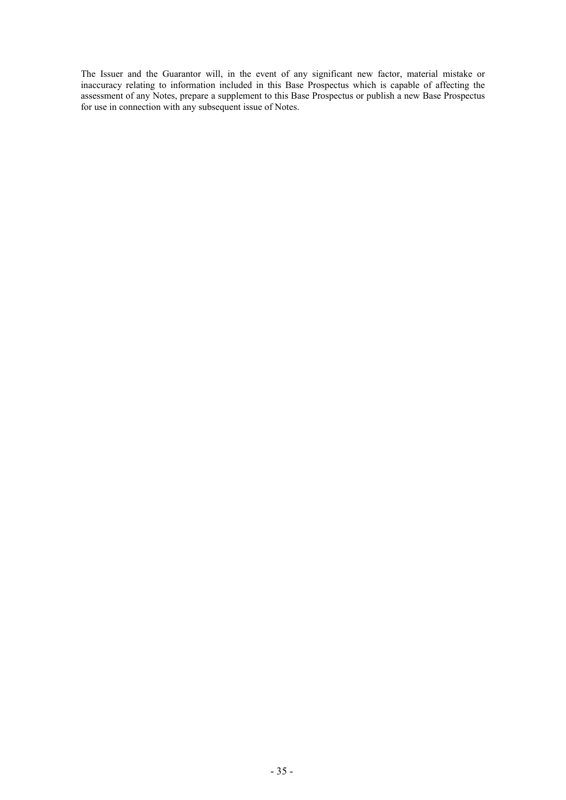The Issuer and the Guarantor will, in the event of any significant new factor, material mistake or inaccuracy relating to information included in this Base Prospectus which is capable of affecting the assessment of any Notes, prepare a supplement to this Base Prospectus or publish a new Base Prospectus for use in connection with any subsequent issue of Notes.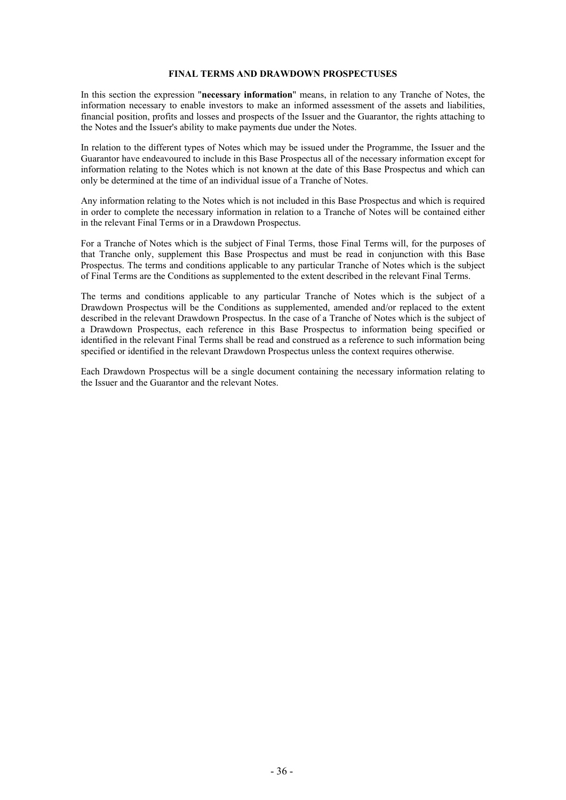### **FINAL TERMS AND DRAWDOWN PROSPECTUSES**

In this section the expression "**necessary information**" means, in relation to any Tranche of Notes, the information necessary to enable investors to make an informed assessment of the assets and liabilities, financial position, profits and losses and prospects of the Issuer and the Guarantor, the rights attaching to the Notes and the Issuer's ability to make payments due under the Notes.

In relation to the different types of Notes which may be issued under the Programme, the Issuer and the Guarantor have endeavoured to include in this Base Prospectus all of the necessary information except for information relating to the Notes which is not known at the date of this Base Prospectus and which can only be determined at the time of an individual issue of a Tranche of Notes.

Any information relating to the Notes which is not included in this Base Prospectus and which is required in order to complete the necessary information in relation to a Tranche of Notes will be contained either in the relevant Final Terms or in a Drawdown Prospectus.

For a Tranche of Notes which is the subject of Final Terms, those Final Terms will, for the purposes of that Tranche only, supplement this Base Prospectus and must be read in conjunction with this Base Prospectus. The terms and conditions applicable to any particular Tranche of Notes which is the subject of Final Terms are the Conditions as supplemented to the extent described in the relevant Final Terms.

The terms and conditions applicable to any particular Tranche of Notes which is the subject of a Drawdown Prospectus will be the Conditions as supplemented, amended and/or replaced to the extent described in the relevant Drawdown Prospectus. In the case of a Tranche of Notes which is the subject of a Drawdown Prospectus, each reference in this Base Prospectus to information being specified or identified in the relevant Final Terms shall be read and construed as a reference to such information being specified or identified in the relevant Drawdown Prospectus unless the context requires otherwise.

Each Drawdown Prospectus will be a single document containing the necessary information relating to the Issuer and the Guarantor and the relevant Notes.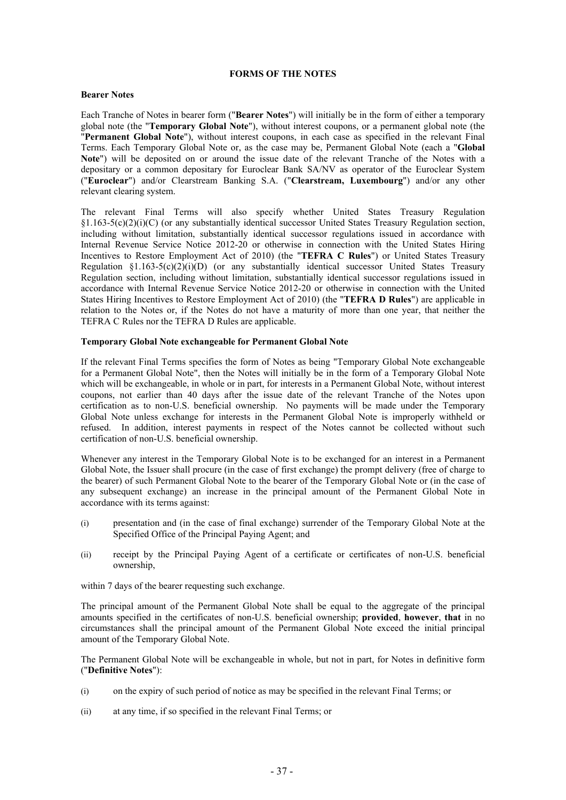### **FORMS OF THE NOTES**

### **Bearer Notes**

Each Tranche of Notes in bearer form ("**Bearer Notes**") will initially be in the form of either a temporary global note (the "**Temporary Global Note**"), without interest coupons, or a permanent global note (the "**Permanent Global Note**"), without interest coupons, in each case as specified in the relevant Final Terms. Each Temporary Global Note or, as the case may be, Permanent Global Note (each a "**Global Note**") will be deposited on or around the issue date of the relevant Tranche of the Notes with a depositary or a common depositary for Euroclear Bank SA/NV as operator of the Euroclear System ("**Euroclear**") and/or Clearstream Banking S.A. ("**Clearstream, Luxembourg**") and/or any other relevant clearing system.

The relevant Final Terms will also specify whether United States Treasury Regulation  $§1.163-5(c)(2)(i)(C)$  (or any substantially identical successor United States Treasury Regulation section, including without limitation, substantially identical successor regulations issued in accordance with Internal Revenue Service Notice 2012-20 or otherwise in connection with the United States Hiring Incentives to Restore Employment Act of 2010) (the "**TEFRA C Rules**") or United States Treasury Regulation  $\S1.163-5(c)(2)(i)(D)$  (or any substantially identical successor United States Treasury Regulation section, including without limitation, substantially identical successor regulations issued in accordance with Internal Revenue Service Notice 2012-20 or otherwise in connection with the United States Hiring Incentives to Restore Employment Act of 2010) (the "**TEFRA D Rules**") are applicable in relation to the Notes or, if the Notes do not have a maturity of more than one year, that neither the TEFRA C Rules nor the TEFRA D Rules are applicable.

### **Temporary Global Note exchangeable for Permanent Global Note**

If the relevant Final Terms specifies the form of Notes as being "Temporary Global Note exchangeable for a Permanent Global Note", then the Notes will initially be in the form of a Temporary Global Note which will be exchangeable, in whole or in part, for interests in a Permanent Global Note, without interest coupons, not earlier than 40 days after the issue date of the relevant Tranche of the Notes upon certification as to non-U.S. beneficial ownership. No payments will be made under the Temporary Global Note unless exchange for interests in the Permanent Global Note is improperly withheld or refused. In addition, interest payments in respect of the Notes cannot be collected without such certification of non-U.S. beneficial ownership.

Whenever any interest in the Temporary Global Note is to be exchanged for an interest in a Permanent Global Note, the Issuer shall procure (in the case of first exchange) the prompt delivery (free of charge to the bearer) of such Permanent Global Note to the bearer of the Temporary Global Note or (in the case of any subsequent exchange) an increase in the principal amount of the Permanent Global Note in accordance with its terms against:

- (i) presentation and (in the case of final exchange) surrender of the Temporary Global Note at the Specified Office of the Principal Paying Agent; and
- (ii) receipt by the Principal Paying Agent of a certificate or certificates of non-U.S. beneficial ownership,

within 7 days of the bearer requesting such exchange.

The principal amount of the Permanent Global Note shall be equal to the aggregate of the principal amounts specified in the certificates of non-U.S. beneficial ownership; **provided**, **however**, **that** in no circumstances shall the principal amount of the Permanent Global Note exceed the initial principal amount of the Temporary Global Note.

The Permanent Global Note will be exchangeable in whole, but not in part, for Notes in definitive form ("**Definitive Notes**"):

- (i) on the expiry of such period of notice as may be specified in the relevant Final Terms; or
- (ii) at any time, if so specified in the relevant Final Terms; or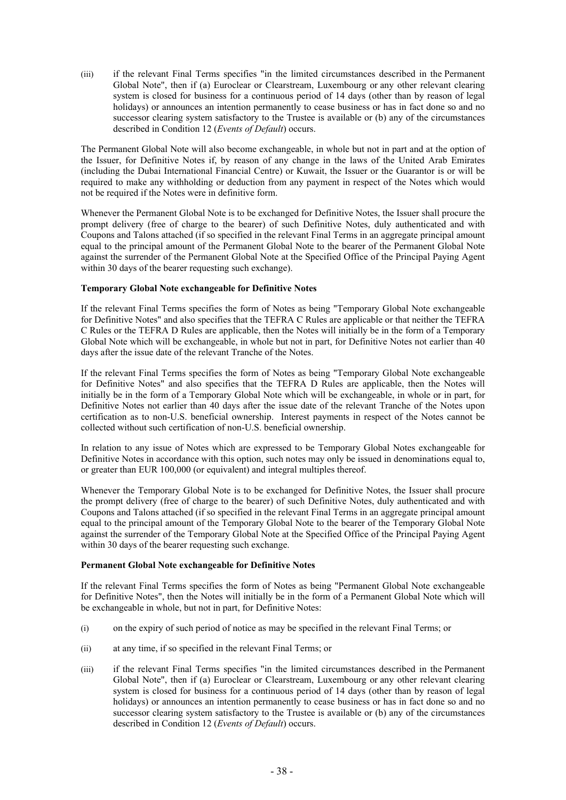(iii) if the relevant Final Terms specifies "in the limited circumstances described in the Permanent Global Note", then if (a) Euroclear or Clearstream, Luxembourg or any other relevant clearing system is closed for business for a continuous period of 14 days (other than by reason of legal holidays) or announces an intention permanently to cease business or has in fact done so and no successor clearing system satisfactory to the Trustee is available or (b) any of the circumstances described in Condition 12 (*Events of Default*) occurs.

The Permanent Global Note will also become exchangeable, in whole but not in part and at the option of the Issuer, for Definitive Notes if, by reason of any change in the laws of the United Arab Emirates (including the Dubai International Financial Centre) or Kuwait, the Issuer or the Guarantor is or will be required to make any withholding or deduction from any payment in respect of the Notes which would not be required if the Notes were in definitive form.

Whenever the Permanent Global Note is to be exchanged for Definitive Notes, the Issuer shall procure the prompt delivery (free of charge to the bearer) of such Definitive Notes, duly authenticated and with Coupons and Talons attached (if so specified in the relevant Final Terms in an aggregate principal amount equal to the principal amount of the Permanent Global Note to the bearer of the Permanent Global Note against the surrender of the Permanent Global Note at the Specified Office of the Principal Paying Agent within 30 days of the bearer requesting such exchange).

# **Temporary Global Note exchangeable for Definitive Notes**

If the relevant Final Terms specifies the form of Notes as being "Temporary Global Note exchangeable for Definitive Notes" and also specifies that the TEFRA C Rules are applicable or that neither the TEFRA C Rules or the TEFRA D Rules are applicable, then the Notes will initially be in the form of a Temporary Global Note which will be exchangeable, in whole but not in part, for Definitive Notes not earlier than 40 days after the issue date of the relevant Tranche of the Notes.

If the relevant Final Terms specifies the form of Notes as being "Temporary Global Note exchangeable for Definitive Notes" and also specifies that the TEFRA D Rules are applicable, then the Notes will initially be in the form of a Temporary Global Note which will be exchangeable, in whole or in part, for Definitive Notes not earlier than 40 days after the issue date of the relevant Tranche of the Notes upon certification as to non-U.S. beneficial ownership. Interest payments in respect of the Notes cannot be collected without such certification of non-U.S. beneficial ownership.

In relation to any issue of Notes which are expressed to be Temporary Global Notes exchangeable for Definitive Notes in accordance with this option, such notes may only be issued in denominations equal to, or greater than EUR 100,000 (or equivalent) and integral multiples thereof.

Whenever the Temporary Global Note is to be exchanged for Definitive Notes, the Issuer shall procure the prompt delivery (free of charge to the bearer) of such Definitive Notes, duly authenticated and with Coupons and Talons attached (if so specified in the relevant Final Terms in an aggregate principal amount equal to the principal amount of the Temporary Global Note to the bearer of the Temporary Global Note against the surrender of the Temporary Global Note at the Specified Office of the Principal Paying Agent within 30 days of the bearer requesting such exchange.

# **Permanent Global Note exchangeable for Definitive Notes**

If the relevant Final Terms specifies the form of Notes as being "Permanent Global Note exchangeable for Definitive Notes", then the Notes will initially be in the form of a Permanent Global Note which will be exchangeable in whole, but not in part, for Definitive Notes:

- (i) on the expiry of such period of notice as may be specified in the relevant Final Terms; or
- (ii) at any time, if so specified in the relevant Final Terms; or
- (iii) if the relevant Final Terms specifies "in the limited circumstances described in the Permanent Global Note", then if (a) Euroclear or Clearstream, Luxembourg or any other relevant clearing system is closed for business for a continuous period of 14 days (other than by reason of legal holidays) or announces an intention permanently to cease business or has in fact done so and no successor clearing system satisfactory to the Trustee is available or (b) any of the circumstances described in Condition 12 (*Events of Default*) occurs.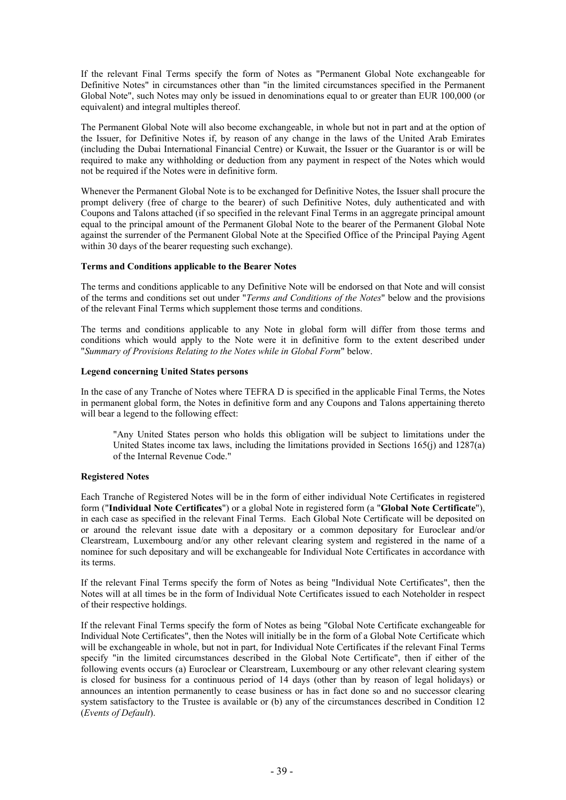If the relevant Final Terms specify the form of Notes as "Permanent Global Note exchangeable for Definitive Notes" in circumstances other than "in the limited circumstances specified in the Permanent Global Note", such Notes may only be issued in denominations equal to or greater than EUR 100,000 (or equivalent) and integral multiples thereof.

The Permanent Global Note will also become exchangeable, in whole but not in part and at the option of the Issuer, for Definitive Notes if, by reason of any change in the laws of the United Arab Emirates (including the Dubai International Financial Centre) or Kuwait, the Issuer or the Guarantor is or will be required to make any withholding or deduction from any payment in respect of the Notes which would not be required if the Notes were in definitive form.

Whenever the Permanent Global Note is to be exchanged for Definitive Notes, the Issuer shall procure the prompt delivery (free of charge to the bearer) of such Definitive Notes, duly authenticated and with Coupons and Talons attached (if so specified in the relevant Final Terms in an aggregate principal amount equal to the principal amount of the Permanent Global Note to the bearer of the Permanent Global Note against the surrender of the Permanent Global Note at the Specified Office of the Principal Paying Agent within 30 days of the bearer requesting such exchange).

### **Terms and Conditions applicable to the Bearer Notes**

The terms and conditions applicable to any Definitive Note will be endorsed on that Note and will consist of the terms and conditions set out under "*Terms and Conditions of the Notes*" below and the provisions of the relevant Final Terms which supplement those terms and conditions.

The terms and conditions applicable to any Note in global form will differ from those terms and conditions which would apply to the Note were it in definitive form to the extent described under "*Summary of Provisions Relating to the Notes while in Global Form*" below.

# **Legend concerning United States persons**

In the case of any Tranche of Notes where TEFRA D is specified in the applicable Final Terms, the Notes in permanent global form, the Notes in definitive form and any Coupons and Talons appertaining thereto will bear a legend to the following effect:

"Any United States person who holds this obligation will be subject to limitations under the United States income tax laws, including the limitations provided in Sections 165(j) and 1287(a) of the Internal Revenue Code."

# **Registered Notes**

Each Tranche of Registered Notes will be in the form of either individual Note Certificates in registered form ("**Individual Note Certificates**") or a global Note in registered form (a "**Global Note Certificate**"), in each case as specified in the relevant Final Terms. Each Global Note Certificate will be deposited on or around the relevant issue date with a depositary or a common depositary for Euroclear and/or Clearstream, Luxembourg and/or any other relevant clearing system and registered in the name of a nominee for such depositary and will be exchangeable for Individual Note Certificates in accordance with its terms.

If the relevant Final Terms specify the form of Notes as being "Individual Note Certificates", then the Notes will at all times be in the form of Individual Note Certificates issued to each Noteholder in respect of their respective holdings.

If the relevant Final Terms specify the form of Notes as being "Global Note Certificate exchangeable for Individual Note Certificates", then the Notes will initially be in the form of a Global Note Certificate which will be exchangeable in whole, but not in part, for Individual Note Certificates if the relevant Final Terms specify "in the limited circumstances described in the Global Note Certificate", then if either of the following events occurs (a) Euroclear or Clearstream, Luxembourg or any other relevant clearing system is closed for business for a continuous period of 14 days (other than by reason of legal holidays) or announces an intention permanently to cease business or has in fact done so and no successor clearing system satisfactory to the Trustee is available or (b) any of the circumstances described in Condition 12 (*Events of Default*).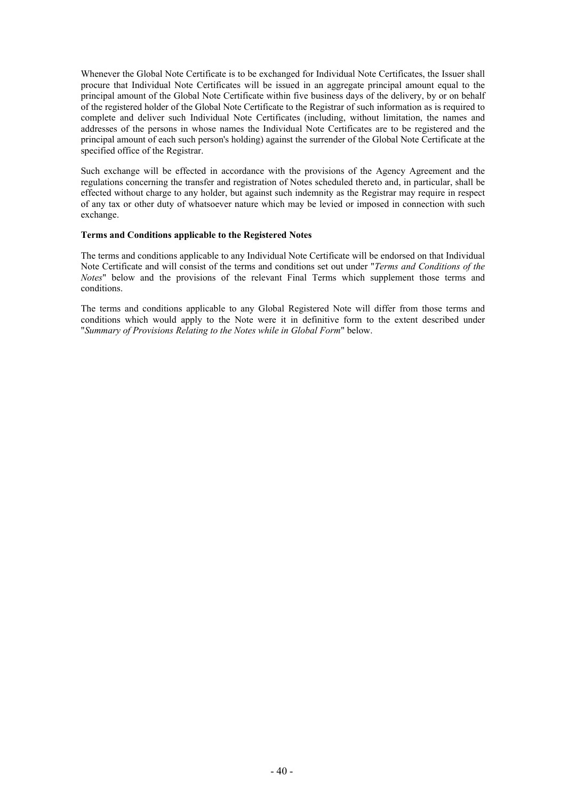Whenever the Global Note Certificate is to be exchanged for Individual Note Certificates, the Issuer shall procure that Individual Note Certificates will be issued in an aggregate principal amount equal to the principal amount of the Global Note Certificate within five business days of the delivery, by or on behalf of the registered holder of the Global Note Certificate to the Registrar of such information as is required to complete and deliver such Individual Note Certificates (including, without limitation, the names and addresses of the persons in whose names the Individual Note Certificates are to be registered and the principal amount of each such person's holding) against the surrender of the Global Note Certificate at the specified office of the Registrar.

Such exchange will be effected in accordance with the provisions of the Agency Agreement and the regulations concerning the transfer and registration of Notes scheduled thereto and, in particular, shall be effected without charge to any holder, but against such indemnity as the Registrar may require in respect of any tax or other duty of whatsoever nature which may be levied or imposed in connection with such exchange.

### **Terms and Conditions applicable to the Registered Notes**

The terms and conditions applicable to any Individual Note Certificate will be endorsed on that Individual Note Certificate and will consist of the terms and conditions set out under "*Terms and Conditions of the Notes*" below and the provisions of the relevant Final Terms which supplement those terms and conditions.

The terms and conditions applicable to any Global Registered Note will differ from those terms and conditions which would apply to the Note were it in definitive form to the extent described under "*Summary of Provisions Relating to the Notes while in Global Form*" below.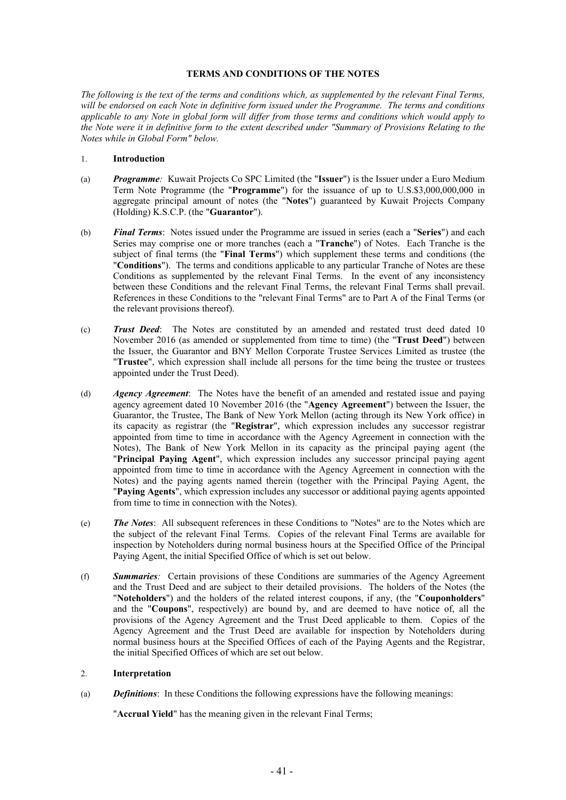## **TERMS AND CONDITIONS OF THE NOTES**

*The following is the text of the terms and conditions which, as supplemented by the relevant Final Terms, will be endorsed on each Note in definitive form issued under the Programme. The terms and conditions applicable to any Note in global form will differ from those terms and conditions which would apply to the Note were it in definitive form to the extent described under "Summary of Provisions Relating to the Notes while in Global Form" below.*

### 1. **Introduction**

- (a) *Programme:* Kuwait Projects Co SPC Limited (the "**Issuer**") is the Issuer under a Euro Medium Term Note Programme (the "**Programme**") for the issuance of up to U.S.\$3,000,000,000 in aggregate principal amount of notes (the "**Notes**") guaranteed by Kuwait Projects Company (Holding) K.S.C.P. (the "**Guarantor**").
- (b) *Final Terms*: Notes issued under the Programme are issued in series (each a "**Series**") and each Series may comprise one or more tranches (each a "**Tranche**") of Notes. Each Tranche is the subject of final terms (the "**Final Terms**") which supplement these terms and conditions (the "**Conditions**"). The terms and conditions applicable to any particular Tranche of Notes are these Conditions as supplemented by the relevant Final Terms. In the event of any inconsistency between these Conditions and the relevant Final Terms, the relevant Final Terms shall prevail. References in these Conditions to the "relevant Final Terms" are to Part A of the Final Terms (or the relevant provisions thereof).
- (c) *Trust Deed*: The Notes are constituted by an amended and restated trust deed dated 10 November 2016 (as amended or supplemented from time to time) (the "**Trust Deed**") between the Issuer, the Guarantor and BNY Mellon Corporate Trustee Services Limited as trustee (the "**Trustee**", which expression shall include all persons for the time being the trustee or trustees appointed under the Trust Deed).
- (d) *Agency Agreement*: The Notes have the benefit of an amended and restated issue and paying agency agreement dated 10 November 2016 (the "**Agency Agreement**") between the Issuer, the Guarantor, the Trustee, The Bank of New York Mellon (acting through its New York office) in its capacity as registrar (the "**Registrar**", which expression includes any successor registrar appointed from time to time in accordance with the Agency Agreement in connection with the Notes), The Bank of New York Mellon in its capacity as the principal paying agent (the "**Principal Paying Agent**", which expression includes any successor principal paying agent appointed from time to time in accordance with the Agency Agreement in connection with the Notes) and the paying agents named therein (together with the Principal Paying Agent, the "**Paying Agents**", which expression includes any successor or additional paying agents appointed from time to time in connection with the Notes).
- (e) *The Notes*: All subsequent references in these Conditions to "Notes" are to the Notes which are the subject of the relevant Final Terms. Copies of the relevant Final Terms are available for inspection by Noteholders during normal business hours at the Specified Office of the Principal Paying Agent, the initial Specified Office of which is set out below.
- (f) *Summaries:* Certain provisions of these Conditions are summaries of the Agency Agreement and the Trust Deed and are subject to their detailed provisions. The holders of the Notes (the "**Noteholders**") and the holders of the related interest coupons, if any, (the "**Couponholders**" and the "**Coupons**", respectively) are bound by, and are deemed to have notice of, all the provisions of the Agency Agreement and the Trust Deed applicable to them. Copies of the Agency Agreement and the Trust Deed are available for inspection by Noteholders during normal business hours at the Specified Offices of each of the Paying Agents and the Registrar, the initial Specified Offices of which are set out below.

#### 2. **Interpretation**

(a) *Definitions*: In these Conditions the following expressions have the following meanings:

"**Accrual Yield**" has the meaning given in the relevant Final Terms;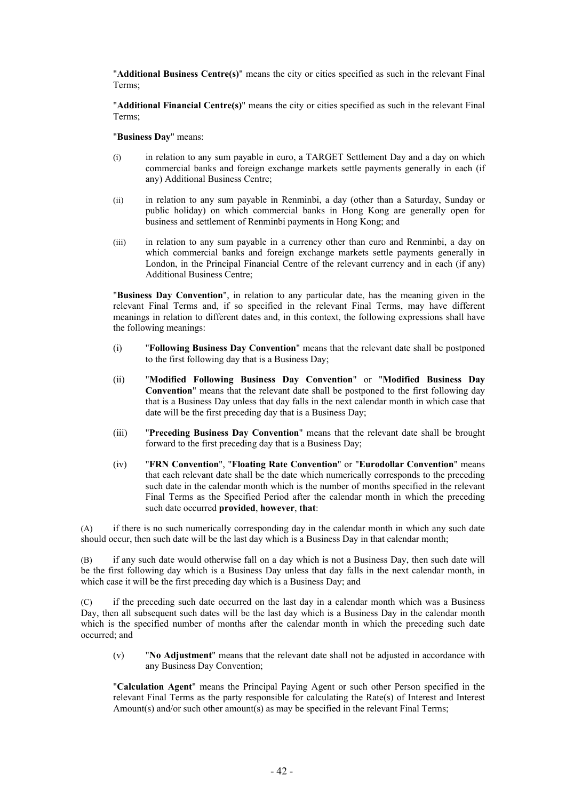"**Additional Business Centre(s)**" means the city or cities specified as such in the relevant Final Terms;

"**Additional Financial Centre(s)**" means the city or cities specified as such in the relevant Final Terms;

"**Business Day**" means:

- (i) in relation to any sum payable in euro, a TARGET Settlement Day and a day on which commercial banks and foreign exchange markets settle payments generally in each (if any) Additional Business Centre;
- (ii) in relation to any sum payable in Renminbi, a day (other than a Saturday, Sunday or public holiday) on which commercial banks in Hong Kong are generally open for business and settlement of Renminbi payments in Hong Kong; and
- (iii) in relation to any sum payable in a currency other than euro and Renminbi, a day on which commercial banks and foreign exchange markets settle payments generally in London, in the Principal Financial Centre of the relevant currency and in each (if any) Additional Business Centre;

"**Business Day Convention**", in relation to any particular date, has the meaning given in the relevant Final Terms and, if so specified in the relevant Final Terms, may have different meanings in relation to different dates and, in this context, the following expressions shall have the following meanings:

- (i) "**Following Business Day Convention**" means that the relevant date shall be postponed to the first following day that is a Business Day;
- (ii) "**Modified Following Business Day Convention**" or "**Modified Business Day Convention**" means that the relevant date shall be postponed to the first following day that is a Business Day unless that day falls in the next calendar month in which case that date will be the first preceding day that is a Business Day;
- (iii) "**Preceding Business Day Convention**" means that the relevant date shall be brought forward to the first preceding day that is a Business Day;
- (iv) "**FRN Convention**", "**Floating Rate Convention**" or "**Eurodollar Convention**" means that each relevant date shall be the date which numerically corresponds to the preceding such date in the calendar month which is the number of months specified in the relevant Final Terms as the Specified Period after the calendar month in which the preceding such date occurred **provided**, **however**, **that**:

(A) if there is no such numerically corresponding day in the calendar month in which any such date should occur, then such date will be the last day which is a Business Day in that calendar month;

(B) if any such date would otherwise fall on a day which is not a Business Day, then such date will be the first following day which is a Business Day unless that day falls in the next calendar month, in which case it will be the first preceding day which is a Business Day; and

(C) if the preceding such date occurred on the last day in a calendar month which was a Business Day, then all subsequent such dates will be the last day which is a Business Day in the calendar month which is the specified number of months after the calendar month in which the preceding such date occurred; and

(v) "**No Adjustment**" means that the relevant date shall not be adjusted in accordance with any Business Day Convention;

"**Calculation Agent**" means the Principal Paying Agent or such other Person specified in the relevant Final Terms as the party responsible for calculating the Rate(s) of Interest and Interest Amount(s) and/or such other amount(s) as may be specified in the relevant Final Terms;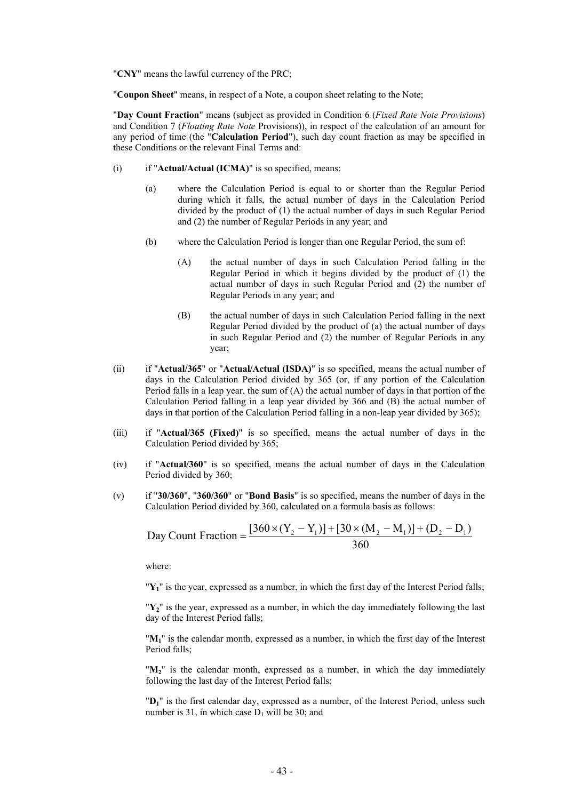"**CNY**" means the lawful currency of the PRC;

"**Coupon Sheet**" means, in respect of a Note, a coupon sheet relating to the Note;

"**Day Count Fraction**" means (subject as provided in Condition 6 (*Fixed Rate Note Provisions*) and Condition 7 (*Floating Rate Note* Provisions)), in respect of the calculation of an amount for any period of time (the "**Calculation Period**"), such day count fraction as may be specified in these Conditions or the relevant Final Terms and:

- (i) if "**Actual/Actual (ICMA)**" is so specified, means:
	- (a) where the Calculation Period is equal to or shorter than the Regular Period during which it falls, the actual number of days in the Calculation Period divided by the product of (1) the actual number of days in such Regular Period and (2) the number of Regular Periods in any year; and
	- (b) where the Calculation Period is longer than one Regular Period, the sum of:
		- (A) the actual number of days in such Calculation Period falling in the Regular Period in which it begins divided by the product of (1) the actual number of days in such Regular Period and (2) the number of Regular Periods in any year; and
		- (B) the actual number of days in such Calculation Period falling in the next Regular Period divided by the product of (a) the actual number of days in such Regular Period and (2) the number of Regular Periods in any year;
- (ii) if "**Actual/365**" or "**Actual/Actual (ISDA)**" is so specified, means the actual number of days in the Calculation Period divided by 365 (or, if any portion of the Calculation Period falls in a leap year, the sum of  $(A)$  the actual number of days in that portion of the Calculation Period falling in a leap year divided by 366 and (B) the actual number of days in that portion of the Calculation Period falling in a non-leap year divided by 365);
- (iii) if "**Actual/365 (Fixed)**" is so specified, means the actual number of days in the Calculation Period divided by 365;
- (iv) if "**Actual/360**" is so specified, means the actual number of days in the Calculation Period divided by 360;
- (v) if "**30/360**", "**360/360**" or "**Bond Basis**" is so specified, means the number of days in the Calculation Period divided by 360, calculated on a formula basis as follows:

Day Count Fraction = 
$$
\frac{[360 \times (Y_2 - Y_1)] + [30 \times (M_2 - M_1)] + (D_2 - D_1)}{360}
$$

where:

"**Y1**" is the year, expressed as a number, in which the first day of the Interest Period falls;

"**Y2**" is the year, expressed as a number, in which the day immediately following the last day of the Interest Period falls;

"**M1**" is the calendar month, expressed as a number, in which the first day of the Interest Period falls;

" $M_2$ " is the calendar month, expressed as a number, in which the day immediately following the last day of the Interest Period falls;

"**D1**" is the first calendar day, expressed as a number, of the Interest Period, unless such number is 31, in which case  $D_1$  will be 30; and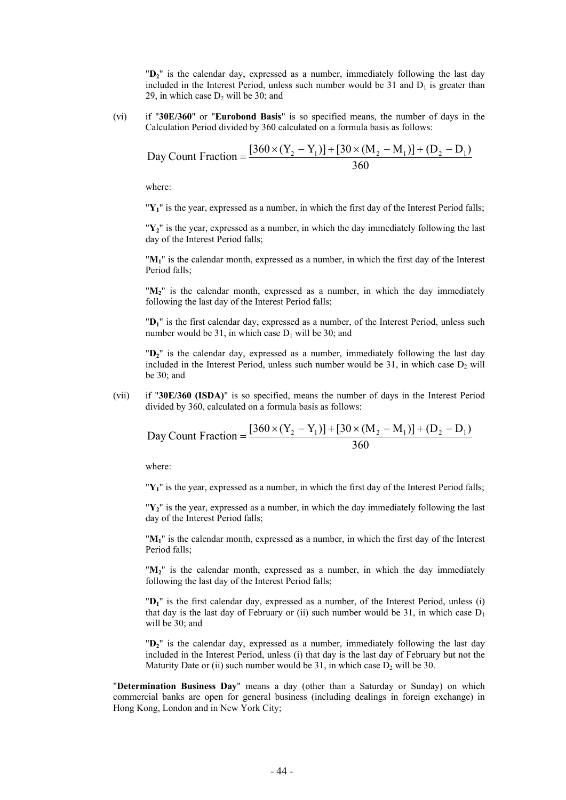"**D2**" is the calendar day, expressed as a number, immediately following the last day included in the Interest Period, unless such number would be 31 and  $D_1$  is greater than 29, in which case  $D_2$  will be 30; and

(vi) if "**30E/360**" or "**Eurobond Basis**" is so specified means, the number of days in the Calculation Period divided by 360 calculated on a formula basis as follows:

Day Count Fraction = 
$$
\frac{[360 \times (Y_2 - Y_1)] + [30 \times (M_2 - M_1)] + (D_2 - D_1)}{360}
$$

where:

"**Y1**" is the year, expressed as a number, in which the first day of the Interest Period falls;

"**Y2**" is the year, expressed as a number, in which the day immediately following the last day of the Interest Period falls;

"**M1**" is the calendar month, expressed as a number, in which the first day of the Interest Period falls;

" $M_2$ " is the calendar month, expressed as a number, in which the day immediately following the last day of the Interest Period falls;

"**D1**" is the first calendar day, expressed as a number, of the Interest Period, unless such number would be 31, in which case  $D_1$  will be 30; and

"**D2**" is the calendar day, expressed as a number, immediately following the last day included in the Interest Period, unless such number would be  $31$ , in which case  $D_2$  will be 30; and

(vii) if "**30E/360 (ISDA)**" is so specified, means the number of days in the Interest Period divided by 360, calculated on a formula basis as follows:

Day Count Fraction = 
$$
\frac{[360 \times (Y_2 - Y_1)] + [30 \times (M_2 - M_1)] + (D_2 - D_1)}{360}
$$

where:

"**Y1**" is the year, expressed as a number, in which the first day of the Interest Period falls;

"**Y2**" is the year, expressed as a number, in which the day immediately following the last day of the Interest Period falls;

"**M1**" is the calendar month, expressed as a number, in which the first day of the Interest Period falls;

"**M2**" is the calendar month, expressed as a number, in which the day immediately following the last day of the Interest Period falls;

"**D1**" is the first calendar day, expressed as a number, of the Interest Period, unless (i) that day is the last day of February or (ii) such number would be 31, in which case  $D_1$ will be 30; and

"**D2**" is the calendar day, expressed as a number, immediately following the last day included in the Interest Period, unless (i) that day is the last day of February but not the Maturity Date or (ii) such number would be 31, in which case  $D_2$  will be 30.

"**Determination Business Day**" means a day (other than a Saturday or Sunday) on which commercial banks are open for general business (including dealings in foreign exchange) in Hong Kong, London and in New York City;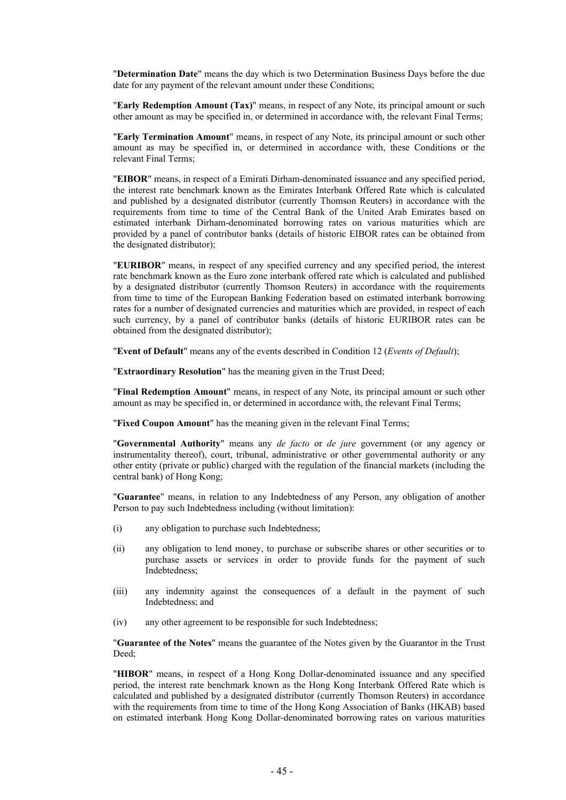"**Determination Date**" means the day which is two Determination Business Days before the due date for any payment of the relevant amount under these Conditions;

"**Early Redemption Amount (Tax)**" means, in respect of any Note, its principal amount or such other amount as may be specified in, or determined in accordance with, the relevant Final Terms;

"**Early Termination Amount**" means, in respect of any Note, its principal amount or such other amount as may be specified in, or determined in accordance with, these Conditions or the relevant Final Terms;

"**EIBOR**" means, in respect of a Emirati Dirham-denominated issuance and any specified period, the interest rate benchmark known as the Emirates Interbank Offered Rate which is calculated and published by a designated distributor (currently Thomson Reuters) in accordance with the requirements from time to time of the Central Bank of the United Arab Emirates based on estimated interbank Dirham-denominated borrowing rates on various maturities which are provided by a panel of contributor banks (details of historic EIBOR rates can be obtained from the designated distributor);

"**EURIBOR**" means, in respect of any specified currency and any specified period, the interest rate benchmark known as the Euro zone interbank offered rate which is calculated and published by a designated distributor (currently Thomson Reuters) in accordance with the requirements from time to time of the European Banking Federation based on estimated interbank borrowing rates for a number of designated currencies and maturities which are provided, in respect of each such currency, by a panel of contributor banks (details of historic EURIBOR rates can be obtained from the designated distributor);

"**Event of Default**" means any of the events described in Condition 12 (*Events of Default*);

"**Extraordinary Resolution**" has the meaning given in the Trust Deed;

"**Final Redemption Amount**" means, in respect of any Note, its principal amount or such other amount as may be specified in, or determined in accordance with, the relevant Final Terms;

"**Fixed Coupon Amount**" has the meaning given in the relevant Final Terms;

"**Governmental Authority**" means any *de facto* or *de jure* government (or any agency or instrumentality thereof), court, tribunal, administrative or other governmental authority or any other entity (private or public) charged with the regulation of the financial markets (including the central bank) of Hong Kong;

"**Guarantee**" means, in relation to any Indebtedness of any Person, any obligation of another Person to pay such Indebtedness including (without limitation):

- (i) any obligation to purchase such Indebtedness;
- (ii) any obligation to lend money, to purchase or subscribe shares or other securities or to purchase assets or services in order to provide funds for the payment of such Indebtedness;
- (iii) any indemnity against the consequences of a default in the payment of such Indebtedness; and
- (iv) any other agreement to be responsible for such Indebtedness;

"**Guarantee of the Notes**" means the guarantee of the Notes given by the Guarantor in the Trust Deed;

"**HIBOR**" means, in respect of a Hong Kong Dollar-denominated issuance and any specified period, the interest rate benchmark known as the Hong Kong Interbank Offered Rate which is calculated and published by a designated distributor (currently Thomson Reuters) in accordance with the requirements from time to time of the Hong Kong Association of Banks (HKAB) based on estimated interbank Hong Kong Dollar-denominated borrowing rates on various maturities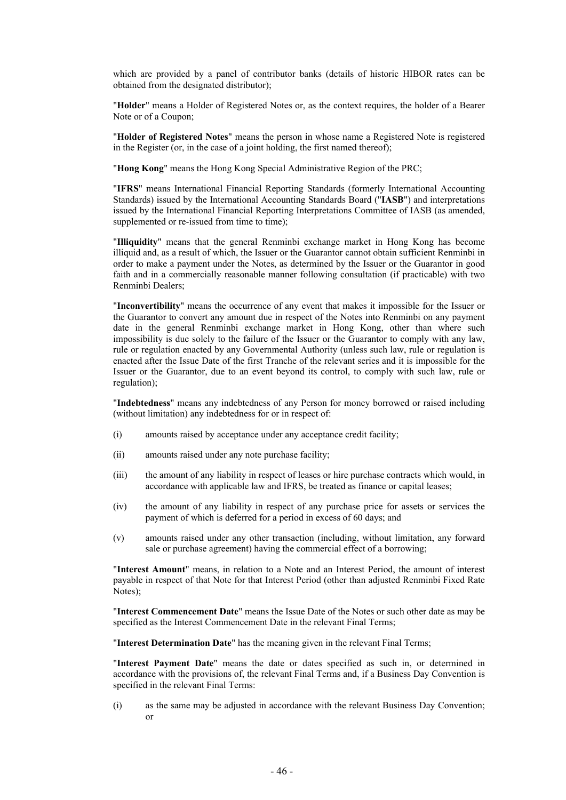which are provided by a panel of contributor banks (details of historic HIBOR rates can be obtained from the designated distributor);

"**Holder**" means a Holder of Registered Notes or, as the context requires, the holder of a Bearer Note or of a Coupon;

"**Holder of Registered Notes**" means the person in whose name a Registered Note is registered in the Register (or, in the case of a joint holding, the first named thereof);

"**Hong Kong**" means the Hong Kong Special Administrative Region of the PRC;

"**IFRS**" means International Financial Reporting Standards (formerly International Accounting Standards) issued by the International Accounting Standards Board ("**IASB**") and interpretations issued by the International Financial Reporting Interpretations Committee of IASB (as amended, supplemented or re-issued from time to time);

"**Illiquidity**" means that the general Renminbi exchange market in Hong Kong has become illiquid and, as a result of which, the Issuer or the Guarantor cannot obtain sufficient Renminbi in order to make a payment under the Notes, as determined by the Issuer or the Guarantor in good faith and in a commercially reasonable manner following consultation (if practicable) with two Renminbi Dealers;

"**Inconvertibility**" means the occurrence of any event that makes it impossible for the Issuer or the Guarantor to convert any amount due in respect of the Notes into Renminbi on any payment date in the general Renminbi exchange market in Hong Kong, other than where such impossibility is due solely to the failure of the Issuer or the Guarantor to comply with any law, rule or regulation enacted by any Governmental Authority (unless such law, rule or regulation is enacted after the Issue Date of the first Tranche of the relevant series and it is impossible for the Issuer or the Guarantor, due to an event beyond its control, to comply with such law, rule or regulation);

"**Indebtedness**" means any indebtedness of any Person for money borrowed or raised including (without limitation) any indebtedness for or in respect of:

- (i) amounts raised by acceptance under any acceptance credit facility;
- (ii) amounts raised under any note purchase facility;
- (iii) the amount of any liability in respect of leases or hire purchase contracts which would, in accordance with applicable law and IFRS, be treated as finance or capital leases;
- (iv) the amount of any liability in respect of any purchase price for assets or services the payment of which is deferred for a period in excess of 60 days; and
- (v) amounts raised under any other transaction (including, without limitation, any forward sale or purchase agreement) having the commercial effect of a borrowing;

"**Interest Amount**" means, in relation to a Note and an Interest Period, the amount of interest payable in respect of that Note for that Interest Period (other than adjusted Renminbi Fixed Rate Notes);

"**Interest Commencement Date**" means the Issue Date of the Notes or such other date as may be specified as the Interest Commencement Date in the relevant Final Terms;

"**Interest Determination Date**" has the meaning given in the relevant Final Terms;

"**Interest Payment Date**" means the date or dates specified as such in, or determined in accordance with the provisions of, the relevant Final Terms and, if a Business Day Convention is specified in the relevant Final Terms:

(i) as the same may be adjusted in accordance with the relevant Business Day Convention; or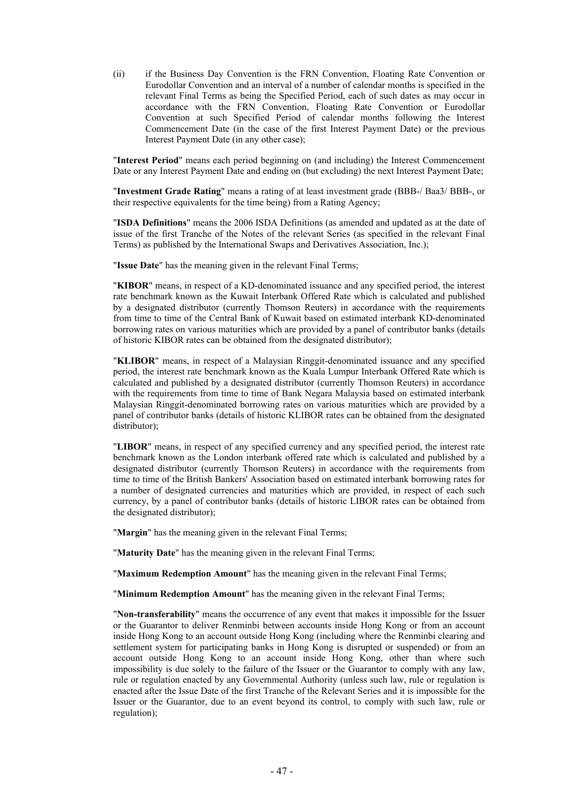(ii) if the Business Day Convention is the FRN Convention, Floating Rate Convention or Eurodollar Convention and an interval of a number of calendar months is specified in the relevant Final Terms as being the Specified Period, each of such dates as may occur in accordance with the FRN Convention, Floating Rate Convention or Eurodollar Convention at such Specified Period of calendar months following the Interest Commencement Date (in the case of the first Interest Payment Date) or the previous Interest Payment Date (in any other case);

"**Interest Period**" means each period beginning on (and including) the Interest Commencement Date or any Interest Payment Date and ending on (but excluding) the next Interest Payment Date;

"**Investment Grade Rating**" means a rating of at least investment grade (BBB-/ Baa3/ BBB-, or their respective equivalents for the time being) from a Rating Agency;

"**ISDA Definitions**" means the 2006 ISDA Definitions (as amended and updated as at the date of issue of the first Tranche of the Notes of the relevant Series (as specified in the relevant Final Terms) as published by the International Swaps and Derivatives Association, Inc.);

"**Issue Date**" has the meaning given in the relevant Final Terms;

"**KIBOR**" means, in respect of a KD-denominated issuance and any specified period, the interest rate benchmark known as the Kuwait Interbank Offered Rate which is calculated and published by a designated distributor (currently Thomson Reuters) in accordance with the requirements from time to time of the Central Bank of Kuwait based on estimated interbank KD-denominated borrowing rates on various maturities which are provided by a panel of contributor banks (details of historic KIBOR rates can be obtained from the designated distributor);

"**KLIBOR**" means, in respect of a Malaysian Ringgit-denominated issuance and any specified period, the interest rate benchmark known as the Kuala Lumpur Interbank Offered Rate which is calculated and published by a designated distributor (currently Thomson Reuters) in accordance with the requirements from time to time of Bank Negara Malaysia based on estimated interbank Malaysian Ringgit-denominated borrowing rates on various maturities which are provided by a panel of contributor banks (details of historic KLIBOR rates can be obtained from the designated distributor);

"**LIBOR**" means, in respect of any specified currency and any specified period, the interest rate benchmark known as the London interbank offered rate which is calculated and published by a designated distributor (currently Thomson Reuters) in accordance with the requirements from time to time of the British Bankers' Association based on estimated interbank borrowing rates for a number of designated currencies and maturities which are provided, in respect of each such currency, by a panel of contributor banks (details of historic LIBOR rates can be obtained from the designated distributor);

"**Margin**" has the meaning given in the relevant Final Terms;

"**Maturity Date**" has the meaning given in the relevant Final Terms;

"**Maximum Redemption Amount**" has the meaning given in the relevant Final Terms;

"**Minimum Redemption Amount**" has the meaning given in the relevant Final Terms;

"**Non-transferability**" means the occurrence of any event that makes it impossible for the Issuer or the Guarantor to deliver Renminbi between accounts inside Hong Kong or from an account inside Hong Kong to an account outside Hong Kong (including where the Renminbi clearing and settlement system for participating banks in Hong Kong is disrupted or suspended) or from an account outside Hong Kong to an account inside Hong Kong, other than where such impossibility is due solely to the failure of the Issuer or the Guarantor to comply with any law, rule or regulation enacted by any Governmental Authority (unless such law, rule or regulation is enacted after the Issue Date of the first Tranche of the Relevant Series and it is impossible for the Issuer or the Guarantor, due to an event beyond its control, to comply with such law, rule or regulation);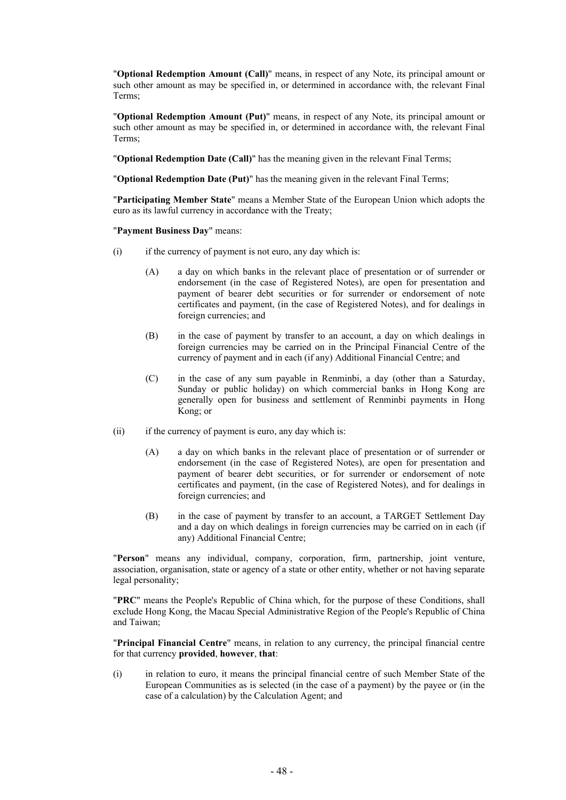"**Optional Redemption Amount (Call)**" means, in respect of any Note, its principal amount or such other amount as may be specified in, or determined in accordance with, the relevant Final Terms;

"**Optional Redemption Amount (Put)**" means, in respect of any Note, its principal amount or such other amount as may be specified in, or determined in accordance with, the relevant Final Terms;

"**Optional Redemption Date (Call)**" has the meaning given in the relevant Final Terms;

"**Optional Redemption Date (Put)**" has the meaning given in the relevant Final Terms;

"**Participating Member State**" means a Member State of the European Union which adopts the euro as its lawful currency in accordance with the Treaty;

### "**Payment Business Day**" means:

- (i) if the currency of payment is not euro, any day which is:
	- (A) a day on which banks in the relevant place of presentation or of surrender or endorsement (in the case of Registered Notes), are open for presentation and payment of bearer debt securities or for surrender or endorsement of note certificates and payment, (in the case of Registered Notes), and for dealings in foreign currencies; and
	- (B) in the case of payment by transfer to an account, a day on which dealings in foreign currencies may be carried on in the Principal Financial Centre of the currency of payment and in each (if any) Additional Financial Centre; and
	- (C) in the case of any sum payable in Renminbi, a day (other than a Saturday, Sunday or public holiday) on which commercial banks in Hong Kong are generally open for business and settlement of Renminbi payments in Hong Kong; or
- (ii) if the currency of payment is euro, any day which is:
	- (A) a day on which banks in the relevant place of presentation or of surrender or endorsement (in the case of Registered Notes), are open for presentation and payment of bearer debt securities, or for surrender or endorsement of note certificates and payment, (in the case of Registered Notes), and for dealings in foreign currencies; and
	- (B) in the case of payment by transfer to an account, a TARGET Settlement Day and a day on which dealings in foreign currencies may be carried on in each (if any) Additional Financial Centre;

"**Person**" means any individual, company, corporation, firm, partnership, joint venture, association, organisation, state or agency of a state or other entity, whether or not having separate legal personality;

"**PRC**" means the People's Republic of China which, for the purpose of these Conditions, shall exclude Hong Kong, the Macau Special Administrative Region of the People's Republic of China and Taiwan;

"**Principal Financial Centre**" means, in relation to any currency, the principal financial centre for that currency **provided**, **however**, **that**:

(i) in relation to euro, it means the principal financial centre of such Member State of the European Communities as is selected (in the case of a payment) by the payee or (in the case of a calculation) by the Calculation Agent; and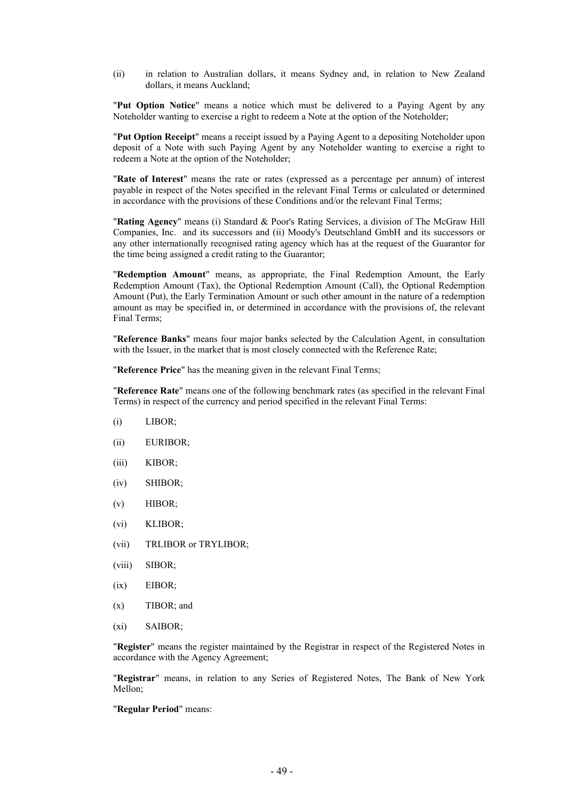(ii) in relation to Australian dollars, it means Sydney and, in relation to New Zealand dollars, it means Auckland;

"**Put Option Notice**" means a notice which must be delivered to a Paying Agent by any Noteholder wanting to exercise a right to redeem a Note at the option of the Noteholder;

"**Put Option Receipt**" means a receipt issued by a Paying Agent to a depositing Noteholder upon deposit of a Note with such Paying Agent by any Noteholder wanting to exercise a right to redeem a Note at the option of the Noteholder;

"**Rate of Interest**" means the rate or rates (expressed as a percentage per annum) of interest payable in respect of the Notes specified in the relevant Final Terms or calculated or determined in accordance with the provisions of these Conditions and/or the relevant Final Terms;

"**Rating Agency**" means (i) Standard & Poor's Rating Services, a division of The McGraw Hill Companies, Inc. and its successors and (ii) Moody's Deutschland GmbH and its successors or any other internationally recognised rating agency which has at the request of the Guarantor for the time being assigned a credit rating to the Guarantor;

"**Redemption Amount**" means, as appropriate, the Final Redemption Amount, the Early Redemption Amount (Tax), the Optional Redemption Amount (Call), the Optional Redemption Amount (Put), the Early Termination Amount or such other amount in the nature of a redemption amount as may be specified in, or determined in accordance with the provisions of, the relevant Final Terms;

"**Reference Banks**" means four major banks selected by the Calculation Agent, in consultation with the Issuer, in the market that is most closely connected with the Reference Rate;

"**Reference Price**" has the meaning given in the relevant Final Terms;

"**Reference Rate**" means one of the following benchmark rates (as specified in the relevant Final Terms) in respect of the currency and period specified in the relevant Final Terms:

- (i) LIBOR;
- (ii) EURIBOR;
- (iii) KIBOR;
- (iv) SHIBOR;
- (v) HIBOR;
- (vi) KLIBOR;
- (vii) TRLIBOR or TRYLIBOR;
- (viii) SIBOR;
- (ix) EIBOR;
- (x) TIBOR; and
- (xi) SAIBOR;

"**Register**" means the register maintained by the Registrar in respect of the Registered Notes in accordance with the Agency Agreement;

"**Registrar**" means, in relation to any Series of Registered Notes, The Bank of New York Mellon;

"**Regular Period**" means: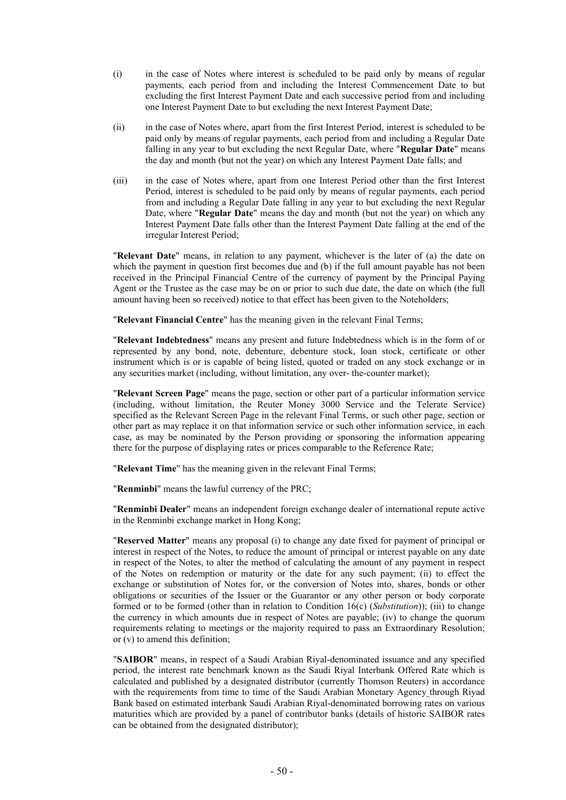- (i) in the case of Notes where interest is scheduled to be paid only by means of regular payments, each period from and including the Interest Commencement Date to but excluding the first Interest Payment Date and each successive period from and including one Interest Payment Date to but excluding the next Interest Payment Date;
- (ii) in the case of Notes where, apart from the first Interest Period, interest is scheduled to be paid only by means of regular payments, each period from and including a Regular Date falling in any year to but excluding the next Regular Date, where "**Regular Date**" means the day and month (but not the year) on which any Interest Payment Date falls; and
- (iii) in the case of Notes where, apart from one Interest Period other than the first Interest Period, interest is scheduled to be paid only by means of regular payments, each period from and including a Regular Date falling in any year to but excluding the next Regular Date, where "**Regular Date**" means the day and month (but not the year) on which any Interest Payment Date falls other than the Interest Payment Date falling at the end of the irregular Interest Period;

"**Relevant Date**" means, in relation to any payment, whichever is the later of (a) the date on which the payment in question first becomes due and (b) if the full amount payable has not been received in the Principal Financial Centre of the currency of payment by the Principal Paying Agent or the Trustee as the case may be on or prior to such due date, the date on which (the full amount having been so received) notice to that effect has been given to the Noteholders;

"**Relevant Financial Centre**" has the meaning given in the relevant Final Terms;

"**Relevant Indebtedness**" means any present and future Indebtedness which is in the form of or represented by any bond, note, debenture, debenture stock, loan stock, certificate or other instrument which is or is capable of being listed, quoted or traded on any stock exchange or in any securities market (including, without limitation, any over- the-counter market);

"**Relevant Screen Page**" means the page, section or other part of a particular information service (including, without limitation, the Reuter Money 3000 Service and the Telerate Service) specified as the Relevant Screen Page in the relevant Final Terms, or such other page, section or other part as may replace it on that information service or such other information service, in each case, as may be nominated by the Person providing or sponsoring the information appearing there for the purpose of displaying rates or prices comparable to the Reference Rate;

"**Relevant Time**" has the meaning given in the relevant Final Terms;

"**Renminbi**" means the lawful currency of the PRC;

"**Renminbi Dealer**" means an independent foreign exchange dealer of international repute active in the Renminbi exchange market in Hong Kong;

"**Reserved Matter**" means any proposal (i) to change any date fixed for payment of principal or interest in respect of the Notes, to reduce the amount of principal or interest payable on any date in respect of the Notes, to alter the method of calculating the amount of any payment in respect of the Notes on redemption or maturity or the date for any such payment; (ii) to effect the exchange or substitution of Notes for, or the conversion of Notes into, shares, bonds or other obligations or securities of the Issuer or the Guarantor or any other person or body corporate formed or to be formed (other than in relation to Condition 16(c) (*Substitution*)); (iii) to change the currency in which amounts due in respect of Notes are payable; (iv) to change the quorum requirements relating to meetings or the majority required to pass an Extraordinary Resolution; or (v) to amend this definition;

"**SAIBOR**" means, in respect of a Saudi Arabian Riyal-denominated issuance and any specified period, the interest rate benchmark known as the Saudi Riyal Interbank Offered Rate which is calculated and published by a designated distributor (currently Thomson Reuters) in accordance with the requirements from time to time of the Saudi Arabian Monetary Agency through Riyad Bank based on estimated interbank Saudi Arabian Riyal-denominated borrowing rates on various maturities which are provided by a panel of contributor banks (details of historic SAIBOR rates can be obtained from the designated distributor);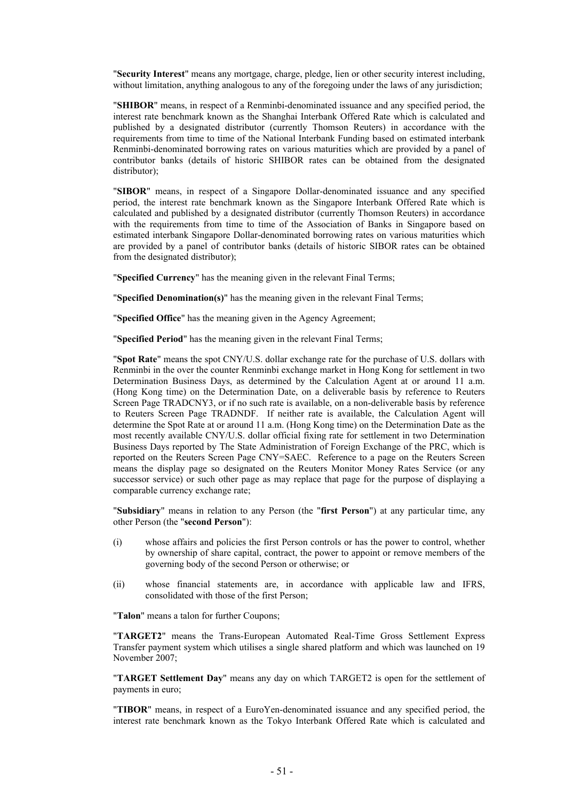"**Security Interest**" means any mortgage, charge, pledge, lien or other security interest including, without limitation, anything analogous to any of the foregoing under the laws of any jurisdiction;

"**SHIBOR**" means, in respect of a Renminbi-denominated issuance and any specified period, the interest rate benchmark known as the Shanghai Interbank Offered Rate which is calculated and published by a designated distributor (currently Thomson Reuters) in accordance with the requirements from time to time of the National Interbank Funding based on estimated interbank Renminbi-denominated borrowing rates on various maturities which are provided by a panel of contributor banks (details of historic SHIBOR rates can be obtained from the designated distributor);

"**SIBOR**" means, in respect of a Singapore Dollar-denominated issuance and any specified period, the interest rate benchmark known as the Singapore Interbank Offered Rate which is calculated and published by a designated distributor (currently Thomson Reuters) in accordance with the requirements from time to time of the Association of Banks in Singapore based on estimated interbank Singapore Dollar-denominated borrowing rates on various maturities which are provided by a panel of contributor banks (details of historic SIBOR rates can be obtained from the designated distributor);

"**Specified Currency**" has the meaning given in the relevant Final Terms;

"**Specified Denomination(s)**" has the meaning given in the relevant Final Terms;

"**Specified Office**" has the meaning given in the Agency Agreement;

"**Specified Period**" has the meaning given in the relevant Final Terms;

"**Spot Rate**" means the spot CNY/U.S. dollar exchange rate for the purchase of U.S. dollars with Renminbi in the over the counter Renminbi exchange market in Hong Kong for settlement in two Determination Business Days, as determined by the Calculation Agent at or around 11 a.m. (Hong Kong time) on the Determination Date, on a deliverable basis by reference to Reuters Screen Page TRADCNY3, or if no such rate is available, on a non-deliverable basis by reference to Reuters Screen Page TRADNDF. If neither rate is available, the Calculation Agent will determine the Spot Rate at or around 11 a.m. (Hong Kong time) on the Determination Date as the most recently available CNY/U.S. dollar official fixing rate for settlement in two Determination Business Days reported by The State Administration of Foreign Exchange of the PRC, which is reported on the Reuters Screen Page CNY=SAEC. Reference to a page on the Reuters Screen means the display page so designated on the Reuters Monitor Money Rates Service (or any successor service) or such other page as may replace that page for the purpose of displaying a comparable currency exchange rate;

"**Subsidiary**" means in relation to any Person (the "**first Person**") at any particular time, any other Person (the "**second Person**"):

- (i) whose affairs and policies the first Person controls or has the power to control, whether by ownership of share capital, contract, the power to appoint or remove members of the governing body of the second Person or otherwise; or
- (ii) whose financial statements are, in accordance with applicable law and IFRS, consolidated with those of the first Person;

"**Talon**" means a talon for further Coupons;

"**TARGET2**" means the Trans-European Automated Real-Time Gross Settlement Express Transfer payment system which utilises a single shared platform and which was launched on 19 November 2007;

"**TARGET Settlement Day**" means any day on which TARGET2 is open for the settlement of payments in euro;

"**TIBOR**" means, in respect of a EuroYen-denominated issuance and any specified period, the interest rate benchmark known as the Tokyo Interbank Offered Rate which is calculated and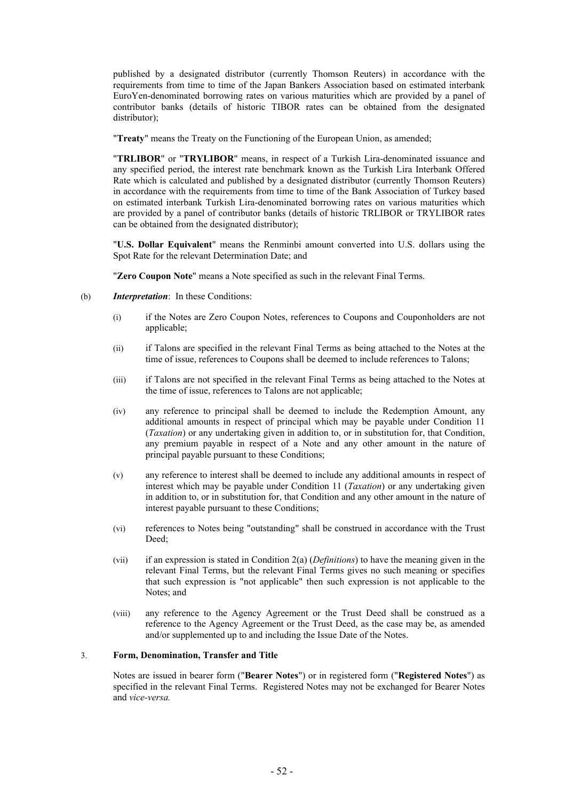published by a designated distributor (currently Thomson Reuters) in accordance with the requirements from time to time of the Japan Bankers Association based on estimated interbank EuroYen-denominated borrowing rates on various maturities which are provided by a panel of contributor banks (details of historic TIBOR rates can be obtained from the designated distributor);

"**Treaty**" means the Treaty on the Functioning of the European Union, as amended;

"**TRLIBOR**" or "**TRYLIBOR**" means, in respect of a Turkish Lira-denominated issuance and any specified period, the interest rate benchmark known as the Turkish Lira Interbank Offered Rate which is calculated and published by a designated distributor (currently Thomson Reuters) in accordance with the requirements from time to time of the Bank Association of Turkey based on estimated interbank Turkish Lira-denominated borrowing rates on various maturities which are provided by a panel of contributor banks (details of historic TRLIBOR or TRYLIBOR rates can be obtained from the designated distributor);

"**U.S. Dollar Equivalent**" means the Renminbi amount converted into U.S. dollars using the Spot Rate for the relevant Determination Date; and

"**Zero Coupon Note**" means a Note specified as such in the relevant Final Terms.

- (b) *Interpretation*: In these Conditions:
	- (i) if the Notes are Zero Coupon Notes, references to Coupons and Couponholders are not applicable;
	- (ii) if Talons are specified in the relevant Final Terms as being attached to the Notes at the time of issue, references to Coupons shall be deemed to include references to Talons;
	- (iii) if Talons are not specified in the relevant Final Terms as being attached to the Notes at the time of issue, references to Talons are not applicable;
	- (iv) any reference to principal shall be deemed to include the Redemption Amount, any additional amounts in respect of principal which may be payable under Condition 11 (*Taxation*) or any undertaking given in addition to, or in substitution for, that Condition, any premium payable in respect of a Note and any other amount in the nature of principal payable pursuant to these Conditions;
	- (v) any reference to interest shall be deemed to include any additional amounts in respect of interest which may be payable under Condition 11 (*Taxation*) or any undertaking given in addition to, or in substitution for, that Condition and any other amount in the nature of interest payable pursuant to these Conditions;
	- (vi) references to Notes being "outstanding" shall be construed in accordance with the Trust Deed<sup>-</sup>
	- (vii) if an expression is stated in Condition 2(a) (*Definitions*) to have the meaning given in the relevant Final Terms, but the relevant Final Terms gives no such meaning or specifies that such expression is "not applicable" then such expression is not applicable to the Notes; and
	- (viii) any reference to the Agency Agreement or the Trust Deed shall be construed as a reference to the Agency Agreement or the Trust Deed, as the case may be, as amended and/or supplemented up to and including the Issue Date of the Notes.

# 3. **Form, Denomination, Transfer and Title**

Notes are issued in bearer form ("**Bearer Notes**") or in registered form ("**Registered Notes**") as specified in the relevant Final Terms. Registered Notes may not be exchanged for Bearer Notes and *vice-versa.*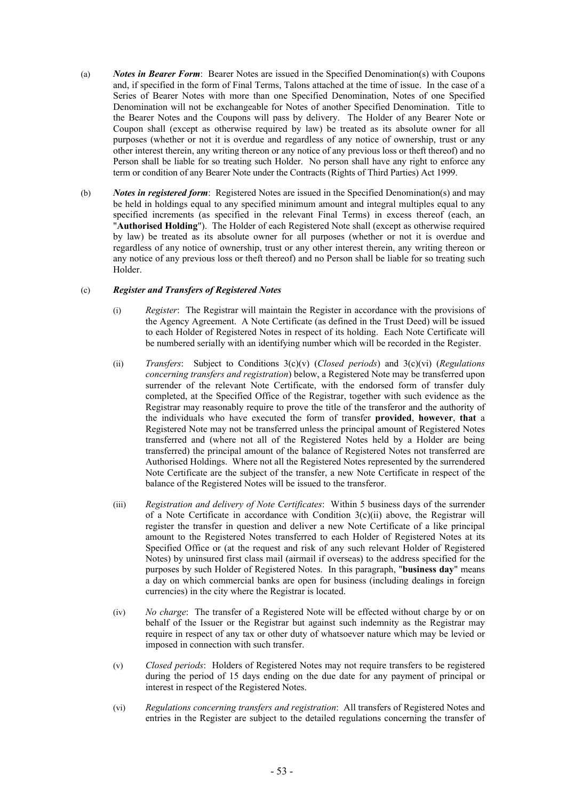- (a) *Notes in Bearer Form*: Bearer Notes are issued in the Specified Denomination(s) with Coupons and, if specified in the form of Final Terms, Talons attached at the time of issue. In the case of a Series of Bearer Notes with more than one Specified Denomination, Notes of one Specified Denomination will not be exchangeable for Notes of another Specified Denomination. Title to the Bearer Notes and the Coupons will pass by delivery. The Holder of any Bearer Note or Coupon shall (except as otherwise required by law) be treated as its absolute owner for all purposes (whether or not it is overdue and regardless of any notice of ownership, trust or any other interest therein, any writing thereon or any notice of any previous loss or theft thereof) and no Person shall be liable for so treating such Holder. No person shall have any right to enforce any term or condition of any Bearer Note under the Contracts (Rights of Third Parties) Act 1999.
- (b) *Notes in registered form*: Registered Notes are issued in the Specified Denomination(s) and may be held in holdings equal to any specified minimum amount and integral multiples equal to any specified increments (as specified in the relevant Final Terms) in excess thereof (each, an "**Authorised Holding**"). The Holder of each Registered Note shall (except as otherwise required by law) be treated as its absolute owner for all purposes (whether or not it is overdue and regardless of any notice of ownership, trust or any other interest therein, any writing thereon or any notice of any previous loss or theft thereof) and no Person shall be liable for so treating such Holder.

# (c) *Register and Transfers of Registered Notes*

- (i) *Register*: The Registrar will maintain the Register in accordance with the provisions of the Agency Agreement. A Note Certificate (as defined in the Trust Deed) will be issued to each Holder of Registered Notes in respect of its holding. Each Note Certificate will be numbered serially with an identifying number which will be recorded in the Register.
- (ii) *Transfers*: Subject to Conditions 3(c)(v) (*Closed periods*) and 3(c)(vi) (*Regulations concerning transfers and registration*) below, a Registered Note may be transferred upon surrender of the relevant Note Certificate, with the endorsed form of transfer duly completed, at the Specified Office of the Registrar, together with such evidence as the Registrar may reasonably require to prove the title of the transferor and the authority of the individuals who have executed the form of transfer **provided**, **however**, **that** a Registered Note may not be transferred unless the principal amount of Registered Notes transferred and (where not all of the Registered Notes held by a Holder are being transferred) the principal amount of the balance of Registered Notes not transferred are Authorised Holdings. Where not all the Registered Notes represented by the surrendered Note Certificate are the subject of the transfer, a new Note Certificate in respect of the balance of the Registered Notes will be issued to the transferor.
- (iii) *Registration and delivery of Note Certificates*: Within 5 business days of the surrender of a Note Certificate in accordance with Condition  $3(c)(ii)$  above, the Registrar will register the transfer in question and deliver a new Note Certificate of a like principal amount to the Registered Notes transferred to each Holder of Registered Notes at its Specified Office or (at the request and risk of any such relevant Holder of Registered Notes) by uninsured first class mail (airmail if overseas) to the address specified for the purposes by such Holder of Registered Notes. In this paragraph, "**business day**" means a day on which commercial banks are open for business (including dealings in foreign currencies) in the city where the Registrar is located.
- (iv) *No charge*: The transfer of a Registered Note will be effected without charge by or on behalf of the Issuer or the Registrar but against such indemnity as the Registrar may require in respect of any tax or other duty of whatsoever nature which may be levied or imposed in connection with such transfer.
- (v) *Closed periods*: Holders of Registered Notes may not require transfers to be registered during the period of 15 days ending on the due date for any payment of principal or interest in respect of the Registered Notes.
- (vi) *Regulations concerning transfers and registration*: All transfers of Registered Notes and entries in the Register are subject to the detailed regulations concerning the transfer of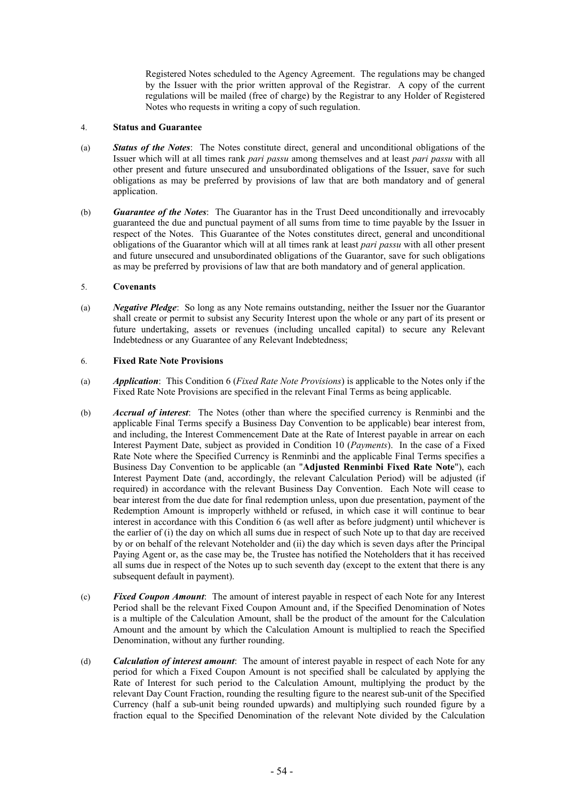Registered Notes scheduled to the Agency Agreement. The regulations may be changed by the Issuer with the prior written approval of the Registrar. A copy of the current regulations will be mailed (free of charge) by the Registrar to any Holder of Registered Notes who requests in writing a copy of such regulation.

# 4. **Status and Guarantee**

- (a) *Status of the Notes*: The Notes constitute direct, general and unconditional obligations of the Issuer which will at all times rank *pari passu* among themselves and at least *pari passu* with all other present and future unsecured and unsubordinated obligations of the Issuer, save for such obligations as may be preferred by provisions of law that are both mandatory and of general application.
- (b) *Guarantee of the Notes*: The Guarantor has in the Trust Deed unconditionally and irrevocably guaranteed the due and punctual payment of all sums from time to time payable by the Issuer in respect of the Notes. This Guarantee of the Notes constitutes direct, general and unconditional obligations of the Guarantor which will at all times rank at least *pari passu* with all other present and future unsecured and unsubordinated obligations of the Guarantor, save for such obligations as may be preferred by provisions of law that are both mandatory and of general application.

### 5. **Covenants**

(a) *Negative Pledge*: So long as any Note remains outstanding, neither the Issuer nor the Guarantor shall create or permit to subsist any Security Interest upon the whole or any part of its present or future undertaking, assets or revenues (including uncalled capital) to secure any Relevant Indebtedness or any Guarantee of any Relevant Indebtedness;

# 6. **Fixed Rate Note Provisions**

- (a) *Application*: This Condition 6 (*Fixed Rate Note Provisions*) is applicable to the Notes only if the Fixed Rate Note Provisions are specified in the relevant Final Terms as being applicable.
- (b) *Accrual of interest*: The Notes (other than where the specified currency is Renminbi and the applicable Final Terms specify a Business Day Convention to be applicable) bear interest from, and including, the Interest Commencement Date at the Rate of Interest payable in arrear on each Interest Payment Date, subject as provided in Condition 10 (*Payments*). In the case of a Fixed Rate Note where the Specified Currency is Renminbi and the applicable Final Terms specifies a Business Day Convention to be applicable (an "**Adjusted Renminbi Fixed Rate Note**"), each Interest Payment Date (and, accordingly, the relevant Calculation Period) will be adjusted (if required) in accordance with the relevant Business Day Convention. Each Note will cease to bear interest from the due date for final redemption unless, upon due presentation, payment of the Redemption Amount is improperly withheld or refused, in which case it will continue to bear interest in accordance with this Condition 6 (as well after as before judgment) until whichever is the earlier of (i) the day on which all sums due in respect of such Note up to that day are received by or on behalf of the relevant Noteholder and (ii) the day which is seven days after the Principal Paying Agent or, as the case may be, the Trustee has notified the Noteholders that it has received all sums due in respect of the Notes up to such seventh day (except to the extent that there is any subsequent default in payment).
- (c) *Fixed Coupon Amount*: The amount of interest payable in respect of each Note for any Interest Period shall be the relevant Fixed Coupon Amount and, if the Specified Denomination of Notes is a multiple of the Calculation Amount, shall be the product of the amount for the Calculation Amount and the amount by which the Calculation Amount is multiplied to reach the Specified Denomination, without any further rounding.
- (d) *Calculation of interest amount*: The amount of interest payable in respect of each Note for any period for which a Fixed Coupon Amount is not specified shall be calculated by applying the Rate of Interest for such period to the Calculation Amount, multiplying the product by the relevant Day Count Fraction, rounding the resulting figure to the nearest sub-unit of the Specified Currency (half a sub-unit being rounded upwards) and multiplying such rounded figure by a fraction equal to the Specified Denomination of the relevant Note divided by the Calculation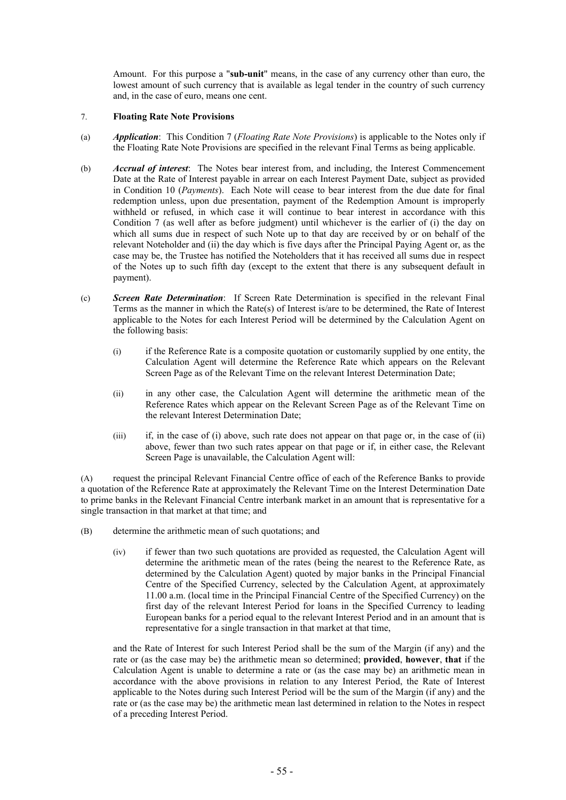Amount. For this purpose a "**sub-unit**" means, in the case of any currency other than euro, the lowest amount of such currency that is available as legal tender in the country of such currency and, in the case of euro, means one cent.

# 7. **Floating Rate Note Provisions**

- (a) *Application*: This Condition 7 (*Floating Rate Note Provisions*) is applicable to the Notes only if the Floating Rate Note Provisions are specified in the relevant Final Terms as being applicable.
- (b) *Accrual of interest*: The Notes bear interest from, and including, the Interest Commencement Date at the Rate of Interest payable in arrear on each Interest Payment Date, subject as provided in Condition 10 (*Payments*). Each Note will cease to bear interest from the due date for final redemption unless, upon due presentation, payment of the Redemption Amount is improperly withheld or refused, in which case it will continue to bear interest in accordance with this Condition 7 (as well after as before judgment) until whichever is the earlier of (i) the day on which all sums due in respect of such Note up to that day are received by or on behalf of the relevant Noteholder and (ii) the day which is five days after the Principal Paying Agent or, as the case may be, the Trustee has notified the Noteholders that it has received all sums due in respect of the Notes up to such fifth day (except to the extent that there is any subsequent default in payment).
- (c) *Screen Rate Determination*: If Screen Rate Determination is specified in the relevant Final Terms as the manner in which the Rate(s) of Interest is/are to be determined, the Rate of Interest applicable to the Notes for each Interest Period will be determined by the Calculation Agent on the following basis:
	- (i) if the Reference Rate is a composite quotation or customarily supplied by one entity, the Calculation Agent will determine the Reference Rate which appears on the Relevant Screen Page as of the Relevant Time on the relevant Interest Determination Date;
	- (ii) in any other case, the Calculation Agent will determine the arithmetic mean of the Reference Rates which appear on the Relevant Screen Page as of the Relevant Time on the relevant Interest Determination Date;
	- (iii) if, in the case of (i) above, such rate does not appear on that page or, in the case of (ii) above, fewer than two such rates appear on that page or if, in either case, the Relevant Screen Page is unavailable, the Calculation Agent will:

(A) request the principal Relevant Financial Centre office of each of the Reference Banks to provide a quotation of the Reference Rate at approximately the Relevant Time on the Interest Determination Date to prime banks in the Relevant Financial Centre interbank market in an amount that is representative for a single transaction in that market at that time; and

- (B) determine the arithmetic mean of such quotations; and
	- (iv) if fewer than two such quotations are provided as requested, the Calculation Agent will determine the arithmetic mean of the rates (being the nearest to the Reference Rate, as determined by the Calculation Agent) quoted by major banks in the Principal Financial Centre of the Specified Currency, selected by the Calculation Agent, at approximately 11.00 a.m. (local time in the Principal Financial Centre of the Specified Currency) on the first day of the relevant Interest Period for loans in the Specified Currency to leading European banks for a period equal to the relevant Interest Period and in an amount that is representative for a single transaction in that market at that time,

and the Rate of Interest for such Interest Period shall be the sum of the Margin (if any) and the rate or (as the case may be) the arithmetic mean so determined; **provided**, **however**, **that** if the Calculation Agent is unable to determine a rate or (as the case may be) an arithmetic mean in accordance with the above provisions in relation to any Interest Period, the Rate of Interest applicable to the Notes during such Interest Period will be the sum of the Margin (if any) and the rate or (as the case may be) the arithmetic mean last determined in relation to the Notes in respect of a preceding Interest Period.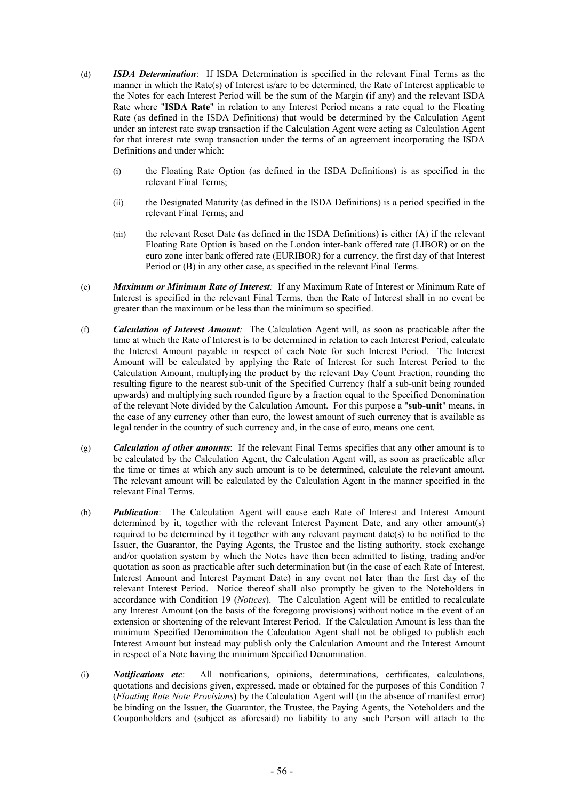- (d) *ISDA Determination*: If ISDA Determination is specified in the relevant Final Terms as the manner in which the Rate(s) of Interest is/are to be determined, the Rate of Interest applicable to the Notes for each Interest Period will be the sum of the Margin (if any) and the relevant ISDA Rate where "**ISDA Rate**" in relation to any Interest Period means a rate equal to the Floating Rate (as defined in the ISDA Definitions) that would be determined by the Calculation Agent under an interest rate swap transaction if the Calculation Agent were acting as Calculation Agent for that interest rate swap transaction under the terms of an agreement incorporating the ISDA Definitions and under which:
	- (i) the Floating Rate Option (as defined in the ISDA Definitions) is as specified in the relevant Final Terms;
	- (ii) the Designated Maturity (as defined in the ISDA Definitions) is a period specified in the relevant Final Terms; and
	- (iii) the relevant Reset Date (as defined in the ISDA Definitions) is either (A) if the relevant Floating Rate Option is based on the London inter-bank offered rate (LIBOR) or on the euro zone inter bank offered rate (EURIBOR) for a currency, the first day of that Interest Period or (B) in any other case, as specified in the relevant Final Terms.
- (e) *Maximum or Minimum Rate of Interest:* If any Maximum Rate of Interest or Minimum Rate of Interest is specified in the relevant Final Terms, then the Rate of Interest shall in no event be greater than the maximum or be less than the minimum so specified.
- (f) *Calculation of Interest Amount:* The Calculation Agent will, as soon as practicable after the time at which the Rate of Interest is to be determined in relation to each Interest Period, calculate the Interest Amount payable in respect of each Note for such Interest Period. The Interest Amount will be calculated by applying the Rate of Interest for such Interest Period to the Calculation Amount, multiplying the product by the relevant Day Count Fraction, rounding the resulting figure to the nearest sub-unit of the Specified Currency (half a sub-unit being rounded upwards) and multiplying such rounded figure by a fraction equal to the Specified Denomination of the relevant Note divided by the Calculation Amount. For this purpose a "**sub-unit**" means, in the case of any currency other than euro, the lowest amount of such currency that is available as legal tender in the country of such currency and, in the case of euro, means one cent.
- (g) *Calculation of other amounts*: If the relevant Final Terms specifies that any other amount is to be calculated by the Calculation Agent, the Calculation Agent will, as soon as practicable after the time or times at which any such amount is to be determined, calculate the relevant amount. The relevant amount will be calculated by the Calculation Agent in the manner specified in the relevant Final Terms.
- (h) *Publication*: The Calculation Agent will cause each Rate of Interest and Interest Amount determined by it, together with the relevant Interest Payment Date, and any other amount(s) required to be determined by it together with any relevant payment date(s) to be notified to the Issuer, the Guarantor, the Paying Agents, the Trustee and the listing authority, stock exchange and/or quotation system by which the Notes have then been admitted to listing, trading and/or quotation as soon as practicable after such determination but (in the case of each Rate of Interest, Interest Amount and Interest Payment Date) in any event not later than the first day of the relevant Interest Period. Notice thereof shall also promptly be given to the Noteholders in accordance with Condition 19 (*Notices*). The Calculation Agent will be entitled to recalculate any Interest Amount (on the basis of the foregoing provisions) without notice in the event of an extension or shortening of the relevant Interest Period. If the Calculation Amount is less than the minimum Specified Denomination the Calculation Agent shall not be obliged to publish each Interest Amount but instead may publish only the Calculation Amount and the Interest Amount in respect of a Note having the minimum Specified Denomination.
- (i) *Notifications etc*: All notifications, opinions, determinations, certificates, calculations, quotations and decisions given, expressed, made or obtained for the purposes of this Condition 7 (*Floating Rate Note Provisions*) by the Calculation Agent will (in the absence of manifest error) be binding on the Issuer, the Guarantor, the Trustee, the Paying Agents, the Noteholders and the Couponholders and (subject as aforesaid) no liability to any such Person will attach to the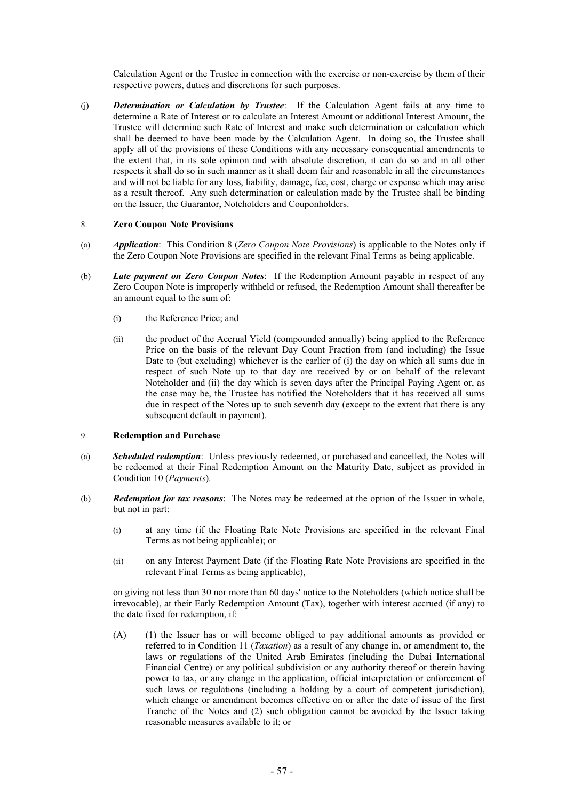Calculation Agent or the Trustee in connection with the exercise or non-exercise by them of their respective powers, duties and discretions for such purposes.

(j) *Determination or Calculation by Trustee*: If the Calculation Agent fails at any time to determine a Rate of Interest or to calculate an Interest Amount or additional Interest Amount, the Trustee will determine such Rate of Interest and make such determination or calculation which shall be deemed to have been made by the Calculation Agent. In doing so, the Trustee shall apply all of the provisions of these Conditions with any necessary consequential amendments to the extent that, in its sole opinion and with absolute discretion, it can do so and in all other respects it shall do so in such manner as it shall deem fair and reasonable in all the circumstances and will not be liable for any loss, liability, damage, fee, cost, charge or expense which may arise as a result thereof. Any such determination or calculation made by the Trustee shall be binding on the Issuer, the Guarantor, Noteholders and Couponholders.

# 8. **Zero Coupon Note Provisions**

- (a) *Application*: This Condition 8 (*Zero Coupon Note Provisions*) is applicable to the Notes only if the Zero Coupon Note Provisions are specified in the relevant Final Terms as being applicable.
- (b) *Late payment on Zero Coupon Notes*: If the Redemption Amount payable in respect of any Zero Coupon Note is improperly withheld or refused, the Redemption Amount shall thereafter be an amount equal to the sum of:
	- (i) the Reference Price; and
	- (ii) the product of the Accrual Yield (compounded annually) being applied to the Reference Price on the basis of the relevant Day Count Fraction from (and including) the Issue Date to (but excluding) whichever is the earlier of (i) the day on which all sums due in respect of such Note up to that day are received by or on behalf of the relevant Noteholder and (ii) the day which is seven days after the Principal Paying Agent or, as the case may be, the Trustee has notified the Noteholders that it has received all sums due in respect of the Notes up to such seventh day (except to the extent that there is any subsequent default in payment).

#### 9. **Redemption and Purchase**

- (a) *Scheduled redemption*: Unless previously redeemed, or purchased and cancelled, the Notes will be redeemed at their Final Redemption Amount on the Maturity Date, subject as provided in Condition 10 (*Payments*).
- (b) *Redemption for tax reasons*: The Notes may be redeemed at the option of the Issuer in whole, but not in part:
	- (i) at any time (if the Floating Rate Note Provisions are specified in the relevant Final Terms as not being applicable); or
	- (ii) on any Interest Payment Date (if the Floating Rate Note Provisions are specified in the relevant Final Terms as being applicable),

on giving not less than 30 nor more than 60 days' notice to the Noteholders (which notice shall be irrevocable), at their Early Redemption Amount (Tax), together with interest accrued (if any) to the date fixed for redemption, if:

(A) (1) the Issuer has or will become obliged to pay additional amounts as provided or referred to in Condition 11 (*Taxation*) as a result of any change in, or amendment to, the laws or regulations of the United Arab Emirates (including the Dubai International Financial Centre) or any political subdivision or any authority thereof or therein having power to tax, or any change in the application, official interpretation or enforcement of such laws or regulations (including a holding by a court of competent jurisdiction), which change or amendment becomes effective on or after the date of issue of the first Tranche of the Notes and (2) such obligation cannot be avoided by the Issuer taking reasonable measures available to it; or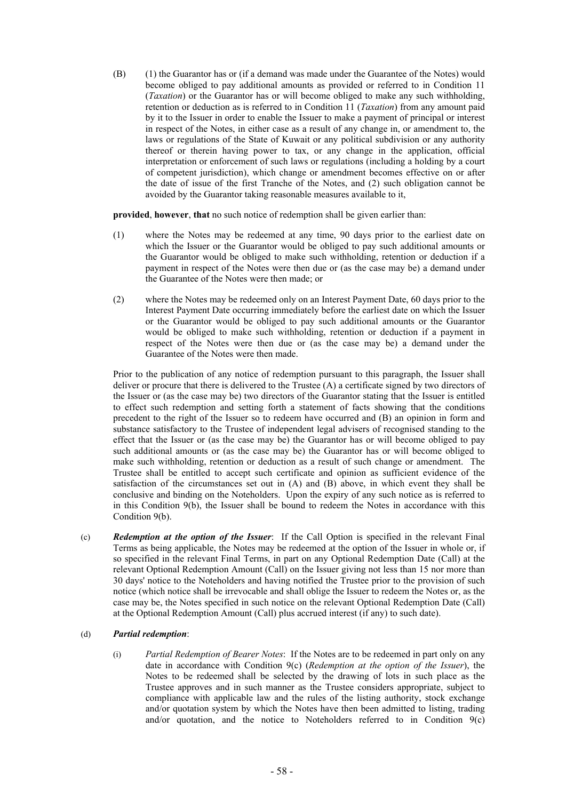(B) (1) the Guarantor has or (if a demand was made under the Guarantee of the Notes) would become obliged to pay additional amounts as provided or referred to in Condition 11 (*Taxation*) or the Guarantor has or will become obliged to make any such withholding, retention or deduction as is referred to in Condition 11 (*Taxation*) from any amount paid by it to the Issuer in order to enable the Issuer to make a payment of principal or interest in respect of the Notes, in either case as a result of any change in, or amendment to, the laws or regulations of the State of Kuwait or any political subdivision or any authority thereof or therein having power to tax, or any change in the application, official interpretation or enforcement of such laws or regulations (including a holding by a court of competent jurisdiction), which change or amendment becomes effective on or after the date of issue of the first Tranche of the Notes, and (2) such obligation cannot be avoided by the Guarantor taking reasonable measures available to it,

**provided**, **however**, **that** no such notice of redemption shall be given earlier than:

- (1) where the Notes may be redeemed at any time, 90 days prior to the earliest date on which the Issuer or the Guarantor would be obliged to pay such additional amounts or the Guarantor would be obliged to make such withholding, retention or deduction if a payment in respect of the Notes were then due or (as the case may be) a demand under the Guarantee of the Notes were then made; or
- (2) where the Notes may be redeemed only on an Interest Payment Date, 60 days prior to the Interest Payment Date occurring immediately before the earliest date on which the Issuer or the Guarantor would be obliged to pay such additional amounts or the Guarantor would be obliged to make such withholding, retention or deduction if a payment in respect of the Notes were then due or (as the case may be) a demand under the Guarantee of the Notes were then made.

Prior to the publication of any notice of redemption pursuant to this paragraph, the Issuer shall deliver or procure that there is delivered to the Trustee (A) a certificate signed by two directors of the Issuer or (as the case may be) two directors of the Guarantor stating that the Issuer is entitled to effect such redemption and setting forth a statement of facts showing that the conditions precedent to the right of the Issuer so to redeem have occurred and (B) an opinion in form and substance satisfactory to the Trustee of independent legal advisers of recognised standing to the effect that the Issuer or (as the case may be) the Guarantor has or will become obliged to pay such additional amounts or (as the case may be) the Guarantor has or will become obliged to make such withholding, retention or deduction as a result of such change or amendment. The Trustee shall be entitled to accept such certificate and opinion as sufficient evidence of the satisfaction of the circumstances set out in  $(A)$  and  $(B)$  above, in which event they shall be conclusive and binding on the Noteholders. Upon the expiry of any such notice as is referred to in this Condition 9(b), the Issuer shall be bound to redeem the Notes in accordance with this Condition 9(b).

(c) *Redemption at the option of the Issuer*: If the Call Option is specified in the relevant Final Terms as being applicable, the Notes may be redeemed at the option of the Issuer in whole or, if so specified in the relevant Final Terms, in part on any Optional Redemption Date (Call) at the relevant Optional Redemption Amount (Call) on the Issuer giving not less than 15 nor more than 30 days' notice to the Noteholders and having notified the Trustee prior to the provision of such notice (which notice shall be irrevocable and shall oblige the Issuer to redeem the Notes or, as the case may be, the Notes specified in such notice on the relevant Optional Redemption Date (Call) at the Optional Redemption Amount (Call) plus accrued interest (if any) to such date).

# (d) *Partial redemption*:

(i) *Partial Redemption of Bearer Notes*: If the Notes are to be redeemed in part only on any date in accordance with Condition 9(c) (*Redemption at the option of the Issuer*), the Notes to be redeemed shall be selected by the drawing of lots in such place as the Trustee approves and in such manner as the Trustee considers appropriate, subject to compliance with applicable law and the rules of the listing authority, stock exchange and/or quotation system by which the Notes have then been admitted to listing, trading and/or quotation, and the notice to Noteholders referred to in Condition  $9(c)$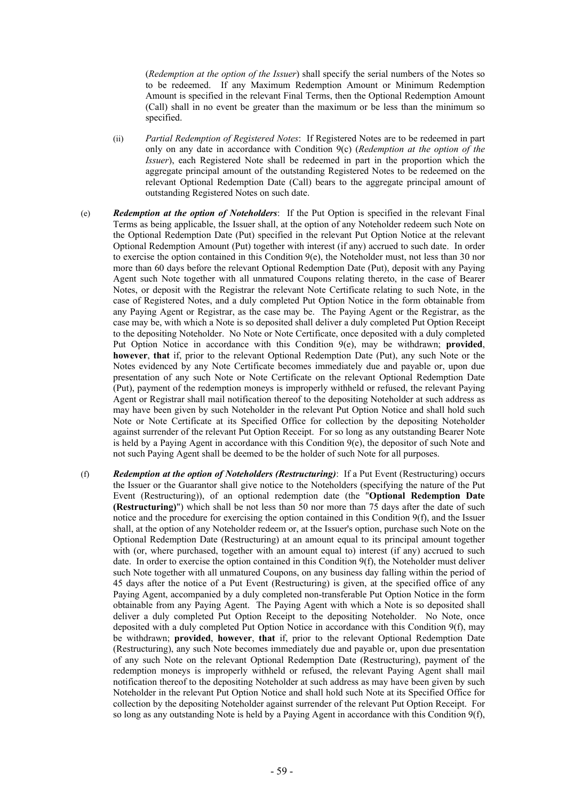(*Redemption at the option of the Issuer*) shall specify the serial numbers of the Notes so to be redeemed. If any Maximum Redemption Amount or Minimum Redemption Amount is specified in the relevant Final Terms, then the Optional Redemption Amount (Call) shall in no event be greater than the maximum or be less than the minimum so specified.

- (ii) *Partial Redemption of Registered Notes*: If Registered Notes are to be redeemed in part only on any date in accordance with Condition 9(c) (*Redemption at the option of the Issuer*), each Registered Note shall be redeemed in part in the proportion which the aggregate principal amount of the outstanding Registered Notes to be redeemed on the relevant Optional Redemption Date (Call) bears to the aggregate principal amount of outstanding Registered Notes on such date.
- (e) *Redemption at the option of Noteholders*: If the Put Option is specified in the relevant Final Terms as being applicable, the Issuer shall, at the option of any Noteholder redeem such Note on the Optional Redemption Date (Put) specified in the relevant Put Option Notice at the relevant Optional Redemption Amount (Put) together with interest (if any) accrued to such date. In order to exercise the option contained in this Condition 9(e), the Noteholder must, not less than 30 nor more than 60 days before the relevant Optional Redemption Date (Put), deposit with any Paying Agent such Note together with all unmatured Coupons relating thereto, in the case of Bearer Notes, or deposit with the Registrar the relevant Note Certificate relating to such Note, in the case of Registered Notes, and a duly completed Put Option Notice in the form obtainable from any Paying Agent or Registrar, as the case may be. The Paying Agent or the Registrar, as the case may be, with which a Note is so deposited shall deliver a duly completed Put Option Receipt to the depositing Noteholder. No Note or Note Certificate, once deposited with a duly completed Put Option Notice in accordance with this Condition 9(e), may be withdrawn; **provided**, **however**, **that** if, prior to the relevant Optional Redemption Date (Put), any such Note or the Notes evidenced by any Note Certificate becomes immediately due and payable or, upon due presentation of any such Note or Note Certificate on the relevant Optional Redemption Date (Put), payment of the redemption moneys is improperly withheld or refused, the relevant Paying Agent or Registrar shall mail notification thereof to the depositing Noteholder at such address as may have been given by such Noteholder in the relevant Put Option Notice and shall hold such Note or Note Certificate at its Specified Office for collection by the depositing Noteholder against surrender of the relevant Put Option Receipt. For so long as any outstanding Bearer Note is held by a Paying Agent in accordance with this Condition 9(e), the depositor of such Note and not such Paying Agent shall be deemed to be the holder of such Note for all purposes.
- (f) *Redemption at the option of Noteholders (Restructuring)*: If a Put Event (Restructuring) occurs the Issuer or the Guarantor shall give notice to the Noteholders (specifying the nature of the Put Event (Restructuring)), of an optional redemption date (the "**Optional Redemption Date (Restructuring)**") which shall be not less than 50 nor more than 75 days after the date of such notice and the procedure for exercising the option contained in this Condition 9(f), and the Issuer shall, at the option of any Noteholder redeem or, at the Issuer's option, purchase such Note on the Optional Redemption Date (Restructuring) at an amount equal to its principal amount together with (or, where purchased, together with an amount equal to) interest (if any) accrued to such date. In order to exercise the option contained in this Condition 9(f), the Noteholder must deliver such Note together with all unmatured Coupons, on any business day falling within the period of 45 days after the notice of a Put Event (Restructuring) is given, at the specified office of any Paying Agent, accompanied by a duly completed non-transferable Put Option Notice in the form obtainable from any Paying Agent. The Paying Agent with which a Note is so deposited shall deliver a duly completed Put Option Receipt to the depositing Noteholder. No Note, once deposited with a duly completed Put Option Notice in accordance with this Condition 9(f), may be withdrawn; **provided**, **however**, **that** if, prior to the relevant Optional Redemption Date (Restructuring), any such Note becomes immediately due and payable or, upon due presentation of any such Note on the relevant Optional Redemption Date (Restructuring), payment of the redemption moneys is improperly withheld or refused, the relevant Paying Agent shall mail notification thereof to the depositing Noteholder at such address as may have been given by such Noteholder in the relevant Put Option Notice and shall hold such Note at its Specified Office for collection by the depositing Noteholder against surrender of the relevant Put Option Receipt. For so long as any outstanding Note is held by a Paying Agent in accordance with this Condition 9(f).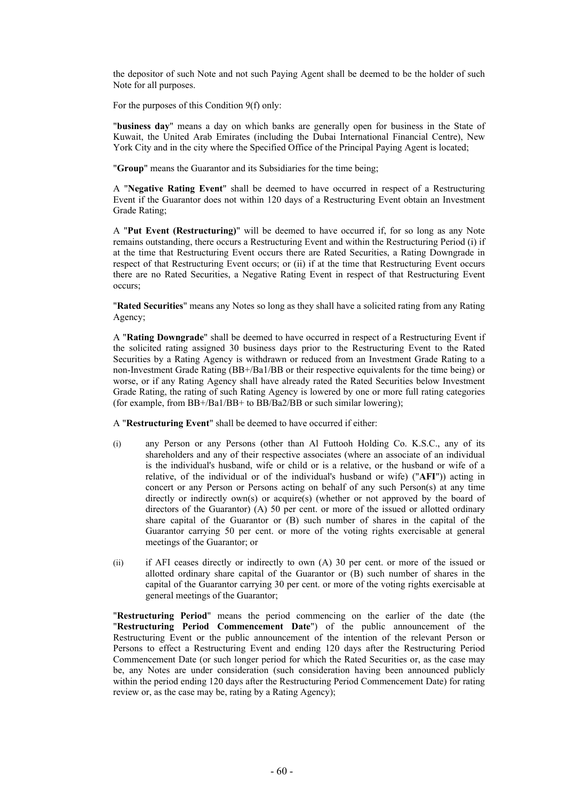the depositor of such Note and not such Paying Agent shall be deemed to be the holder of such Note for all purposes.

For the purposes of this Condition 9(f) only:

"**business day**" means a day on which banks are generally open for business in the State of Kuwait, the United Arab Emirates (including the Dubai International Financial Centre), New York City and in the city where the Specified Office of the Principal Paying Agent is located;

"**Group**" means the Guarantor and its Subsidiaries for the time being;

A "**Negative Rating Event**" shall be deemed to have occurred in respect of a Restructuring Event if the Guarantor does not within 120 days of a Restructuring Event obtain an Investment Grade Rating;

A "**Put Event (Restructuring)**" will be deemed to have occurred if, for so long as any Note remains outstanding, there occurs a Restructuring Event and within the Restructuring Period (i) if at the time that Restructuring Event occurs there are Rated Securities, a Rating Downgrade in respect of that Restructuring Event occurs; or (ii) if at the time that Restructuring Event occurs there are no Rated Securities, a Negative Rating Event in respect of that Restructuring Event occurs;

"**Rated Securities**" means any Notes so long as they shall have a solicited rating from any Rating Agency;

A "**Rating Downgrade**" shall be deemed to have occurred in respect of a Restructuring Event if the solicited rating assigned 30 business days prior to the Restructuring Event to the Rated Securities by a Rating Agency is withdrawn or reduced from an Investment Grade Rating to a non-Investment Grade Rating (BB+/Ba1/BB or their respective equivalents for the time being) or worse, or if any Rating Agency shall have already rated the Rated Securities below Investment Grade Rating, the rating of such Rating Agency is lowered by one or more full rating categories (for example, from BB+/Ba1/BB+ to BB/Ba2/BB or such similar lowering);

A "**Restructuring Event**" shall be deemed to have occurred if either:

- (i) any Person or any Persons (other than Al Futtooh Holding Co. K.S.C., any of its shareholders and any of their respective associates (where an associate of an individual is the individual's husband, wife or child or is a relative, or the husband or wife of a relative, of the individual or of the individual's husband or wife) ("**AFI**")) acting in concert or any Person or Persons acting on behalf of any such Person(s) at any time directly or indirectly own(s) or acquire(s) (whether or not approved by the board of directors of the Guarantor) (A) 50 per cent. or more of the issued or allotted ordinary share capital of the Guarantor or (B) such number of shares in the capital of the Guarantor carrying 50 per cent. or more of the voting rights exercisable at general meetings of the Guarantor; or
- (ii) if AFI ceases directly or indirectly to own (A) 30 per cent. or more of the issued or allotted ordinary share capital of the Guarantor or (B) such number of shares in the capital of the Guarantor carrying 30 per cent. or more of the voting rights exercisable at general meetings of the Guarantor;

"**Restructuring Period**" means the period commencing on the earlier of the date (the "**Restructuring Period Commencement Date**") of the public announcement of the Restructuring Event or the public announcement of the intention of the relevant Person or Persons to effect a Restructuring Event and ending 120 days after the Restructuring Period Commencement Date (or such longer period for which the Rated Securities or, as the case may be, any Notes are under consideration (such consideration having been announced publicly within the period ending 120 days after the Restructuring Period Commencement Date) for rating review or, as the case may be, rating by a Rating Agency);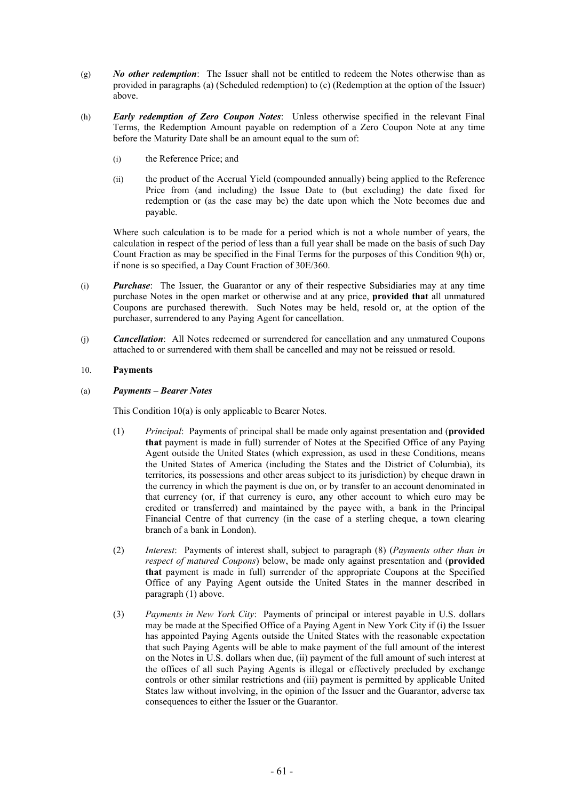- (g) *No other redemption*: The Issuer shall not be entitled to redeem the Notes otherwise than as provided in paragraphs (a) (Scheduled redemption) to (c) (Redemption at the option of the Issuer) above.
- (h) *Early redemption of Zero Coupon Notes*: Unless otherwise specified in the relevant Final Terms, the Redemption Amount payable on redemption of a Zero Coupon Note at any time before the Maturity Date shall be an amount equal to the sum of:
	- (i) the Reference Price; and
	- (ii) the product of the Accrual Yield (compounded annually) being applied to the Reference Price from (and including) the Issue Date to (but excluding) the date fixed for redemption or (as the case may be) the date upon which the Note becomes due and payable.

Where such calculation is to be made for a period which is not a whole number of years, the calculation in respect of the period of less than a full year shall be made on the basis of such Day Count Fraction as may be specified in the Final Terms for the purposes of this Condition 9(h) or, if none is so specified, a Day Count Fraction of 30E/360.

- (i) *Purchase*: The Issuer, the Guarantor or any of their respective Subsidiaries may at any time purchase Notes in the open market or otherwise and at any price, **provided that** all unmatured Coupons are purchased therewith. Such Notes may be held, resold or, at the option of the purchaser, surrendered to any Paying Agent for cancellation.
- (j) *Cancellation*: All Notes redeemed or surrendered for cancellation and any unmatured Coupons attached to or surrendered with them shall be cancelled and may not be reissued or resold.

# 10. **Payments**

# (a) *Payments – Bearer Notes*

This Condition 10(a) is only applicable to Bearer Notes.

- (1) *Principal*: Payments of principal shall be made only against presentation and (**provided that** payment is made in full) surrender of Notes at the Specified Office of any Paying Agent outside the United States (which expression, as used in these Conditions, means the United States of America (including the States and the District of Columbia), its territories, its possessions and other areas subject to its jurisdiction) by cheque drawn in the currency in which the payment is due on, or by transfer to an account denominated in that currency (or, if that currency is euro, any other account to which euro may be credited or transferred) and maintained by the payee with, a bank in the Principal Financial Centre of that currency (in the case of a sterling cheque, a town clearing branch of a bank in London).
- (2) *Interest*: Payments of interest shall, subject to paragraph (8) (*Payments other than in respect of matured Coupons*) below, be made only against presentation and (**provided that** payment is made in full) surrender of the appropriate Coupons at the Specified Office of any Paying Agent outside the United States in the manner described in paragraph (1) above.
- (3) *Payments in New York City*: Payments of principal or interest payable in U.S. dollars may be made at the Specified Office of a Paying Agent in New York City if (i) the Issuer has appointed Paying Agents outside the United States with the reasonable expectation that such Paying Agents will be able to make payment of the full amount of the interest on the Notes in U.S. dollars when due, (ii) payment of the full amount of such interest at the offices of all such Paying Agents is illegal or effectively precluded by exchange controls or other similar restrictions and (iii) payment is permitted by applicable United States law without involving, in the opinion of the Issuer and the Guarantor, adverse tax consequences to either the Issuer or the Guarantor.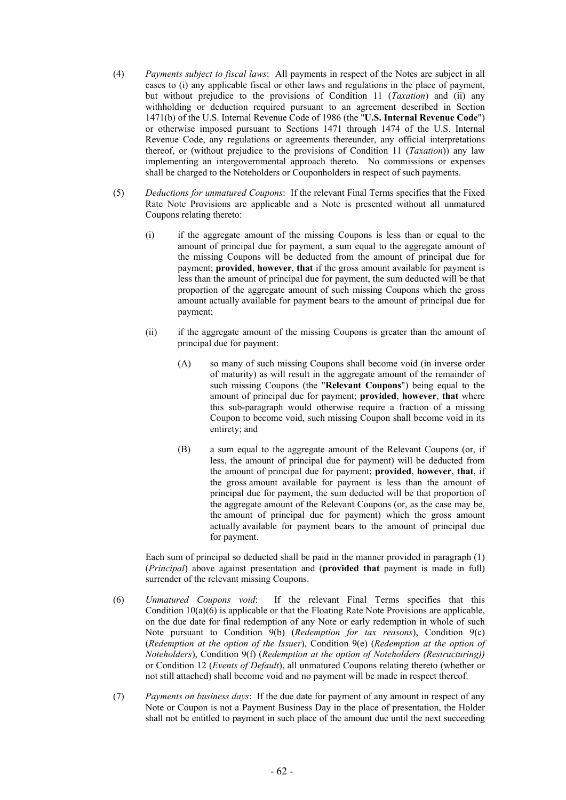- (4) *Payments subject to fiscal laws*: All payments in respect of the Notes are subject in all cases to (i) any applicable fiscal or other laws and regulations in the place of payment, but without prejudice to the provisions of Condition 11 (*Taxation*) and (ii) any withholding or deduction required pursuant to an agreement described in Section 1471(b) of the U.S. Internal Revenue Code of 1986 (the "**U.S. Internal Revenue Code**") or otherwise imposed pursuant to Sections 1471 through 1474 of the U.S. Internal Revenue Code, any regulations or agreements thereunder, any official interpretations thereof, or (without prejudice to the provisions of Condition 11 (*Taxation*)) any law implementing an intergovernmental approach thereto. No commissions or expenses shall be charged to the Noteholders or Couponholders in respect of such payments.
- (5) *Deductions for unmatured Coupons*: If the relevant Final Terms specifies that the Fixed Rate Note Provisions are applicable and a Note is presented without all unmatured Coupons relating thereto:
	- (i) if the aggregate amount of the missing Coupons is less than or equal to the amount of principal due for payment, a sum equal to the aggregate amount of the missing Coupons will be deducted from the amount of principal due for payment; **provided**, **however**, **that** if the gross amount available for payment is less than the amount of principal due for payment, the sum deducted will be that proportion of the aggregate amount of such missing Coupons which the gross amount actually available for payment bears to the amount of principal due for payment;
	- (ii) if the aggregate amount of the missing Coupons is greater than the amount of principal due for payment:
		- (A) so many of such missing Coupons shall become void (in inverse order of maturity) as will result in the aggregate amount of the remainder of such missing Coupons (the "**Relevant Coupons**") being equal to the amount of principal due for payment; **provided**, **however**, **that** where this sub-paragraph would otherwise require a fraction of a missing Coupon to become void, such missing Coupon shall become void in its entirety; and
		- (B) a sum equal to the aggregate amount of the Relevant Coupons (or, if less, the amount of principal due for payment) will be deducted from the amount of principal due for payment; **provided**, **however**, **that**, if the gross amount available for payment is less than the amount of principal due for payment, the sum deducted will be that proportion of the aggregate amount of the Relevant Coupons (or, as the case may be, the amount of principal due for payment) which the gross amount actually available for payment bears to the amount of principal due for payment.

Each sum of principal so deducted shall be paid in the manner provided in paragraph (1) (*Principal*) above against presentation and (**provided that** payment is made in full) surrender of the relevant missing Coupons.

- (6) *Unmatured Coupons void*: If the relevant Final Terms specifies that this Condition  $10(a)(6)$  is applicable or that the Floating Rate Note Provisions are applicable. on the due date for final redemption of any Note or early redemption in whole of such Note pursuant to Condition 9(b) (*Redemption for tax reasons*), Condition 9(c) (*Redemption at the option of the Issuer*), Condition 9(e) (*Redemption at the option of Noteholders*), Condition 9(f) (*Redemption at the option of Noteholders (Restructuring))*  or Condition 12 (*Events of Default*), all unmatured Coupons relating thereto (whether or not still attached) shall become void and no payment will be made in respect thereof.
- (7) *Payments on business days*: If the due date for payment of any amount in respect of any Note or Coupon is not a Payment Business Day in the place of presentation, the Holder shall not be entitled to payment in such place of the amount due until the next succeeding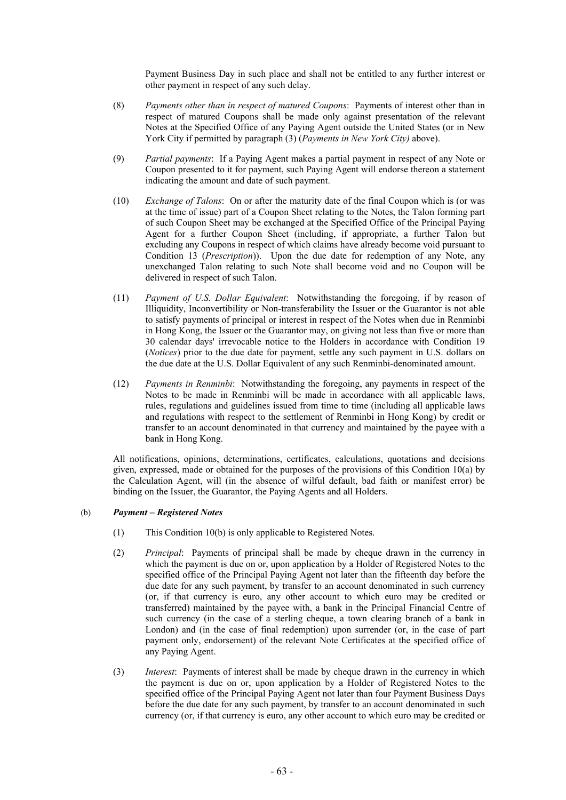Payment Business Day in such place and shall not be entitled to any further interest or other payment in respect of any such delay.

- (8) *Payments other than in respect of matured Coupons*: Payments of interest other than in respect of matured Coupons shall be made only against presentation of the relevant Notes at the Specified Office of any Paying Agent outside the United States (or in New York City if permitted by paragraph (3) (*Payments in New York City)* above).
- (9) *Partial payments*: If a Paying Agent makes a partial payment in respect of any Note or Coupon presented to it for payment, such Paying Agent will endorse thereon a statement indicating the amount and date of such payment.
- (10) *Exchange of Talons*: On or after the maturity date of the final Coupon which is (or was at the time of issue) part of a Coupon Sheet relating to the Notes, the Talon forming part of such Coupon Sheet may be exchanged at the Specified Office of the Principal Paying Agent for a further Coupon Sheet (including, if appropriate, a further Talon but excluding any Coupons in respect of which claims have already become void pursuant to Condition 13 (*Prescription*)). Upon the due date for redemption of any Note, any unexchanged Talon relating to such Note shall become void and no Coupon will be delivered in respect of such Talon.
- (11) *Payment of U.S. Dollar Equivalent*: Notwithstanding the foregoing, if by reason of Illiquidity, Inconvertibility or Non-transferability the Issuer or the Guarantor is not able to satisfy payments of principal or interest in respect of the Notes when due in Renminbi in Hong Kong, the Issuer or the Guarantor may, on giving not less than five or more than 30 calendar days' irrevocable notice to the Holders in accordance with Condition 19 (*Notices*) prior to the due date for payment, settle any such payment in U.S. dollars on the due date at the U.S. Dollar Equivalent of any such Renminbi-denominated amount.
- (12) *Payments in Renminbi*: Notwithstanding the foregoing, any payments in respect of the Notes to be made in Renminbi will be made in accordance with all applicable laws, rules, regulations and guidelines issued from time to time (including all applicable laws and regulations with respect to the settlement of Renminbi in Hong Kong) by credit or transfer to an account denominated in that currency and maintained by the payee with a bank in Hong Kong.

All notifications, opinions, determinations, certificates, calculations, quotations and decisions given, expressed, made or obtained for the purposes of the provisions of this Condition 10(a) by the Calculation Agent, will (in the absence of wilful default, bad faith or manifest error) be binding on the Issuer, the Guarantor, the Paying Agents and all Holders.

# (b) *Payment – Registered Notes*

- (1) This Condition 10(b) is only applicable to Registered Notes.
- (2) *Principal*: Payments of principal shall be made by cheque drawn in the currency in which the payment is due on or, upon application by a Holder of Registered Notes to the specified office of the Principal Paying Agent not later than the fifteenth day before the due date for any such payment, by transfer to an account denominated in such currency (or, if that currency is euro, any other account to which euro may be credited or transferred) maintained by the payee with, a bank in the Principal Financial Centre of such currency (in the case of a sterling cheque, a town clearing branch of a bank in London) and (in the case of final redemption) upon surrender (or, in the case of part payment only, endorsement) of the relevant Note Certificates at the specified office of any Paying Agent.
- (3) *Interest*: Payments of interest shall be made by cheque drawn in the currency in which the payment is due on or, upon application by a Holder of Registered Notes to the specified office of the Principal Paying Agent not later than four Payment Business Days before the due date for any such payment, by transfer to an account denominated in such currency (or, if that currency is euro, any other account to which euro may be credited or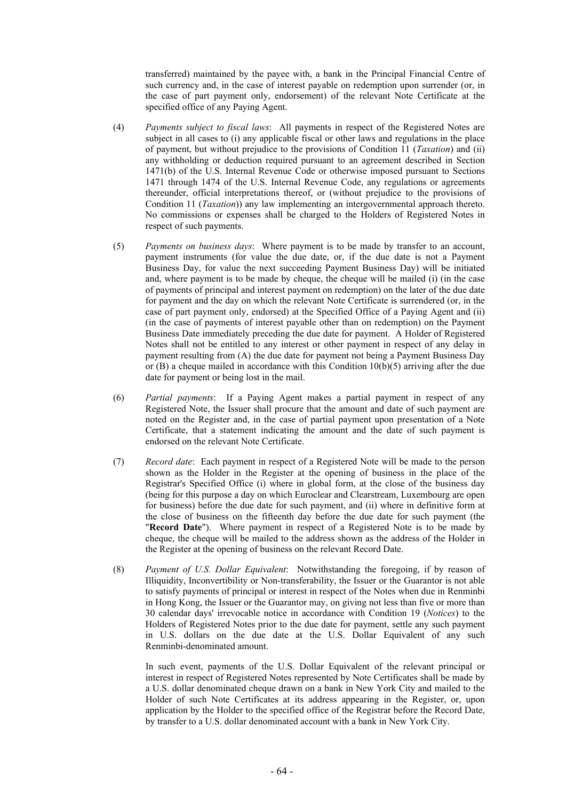transferred) maintained by the payee with, a bank in the Principal Financial Centre of such currency and, in the case of interest payable on redemption upon surrender (or, in the case of part payment only, endorsement) of the relevant Note Certificate at the specified office of any Paying Agent.

- (4) *Payments subject to fiscal laws*: All payments in respect of the Registered Notes are subject in all cases to (i) any applicable fiscal or other laws and regulations in the place of payment, but without prejudice to the provisions of Condition 11 (*Taxation*) and (ii) any withholding or deduction required pursuant to an agreement described in Section 1471(b) of the U.S. Internal Revenue Code or otherwise imposed pursuant to Sections 1471 through 1474 of the U.S. Internal Revenue Code, any regulations or agreements thereunder, official interpretations thereof, or (without prejudice to the provisions of Condition 11 (*Taxation*)) any law implementing an intergovernmental approach thereto. No commissions or expenses shall be charged to the Holders of Registered Notes in respect of such payments.
- (5) *Payments on business days*: Where payment is to be made by transfer to an account, payment instruments (for value the due date, or, if the due date is not a Payment Business Day, for value the next succeeding Payment Business Day) will be initiated and, where payment is to be made by cheque, the cheque will be mailed (i) (in the case of payments of principal and interest payment on redemption) on the later of the due date for payment and the day on which the relevant Note Certificate is surrendered (or, in the case of part payment only, endorsed) at the Specified Office of a Paying Agent and (ii) (in the case of payments of interest payable other than on redemption) on the Payment Business Date immediately preceding the due date for payment. A Holder of Registered Notes shall not be entitled to any interest or other payment in respect of any delay in payment resulting from (A) the due date for payment not being a Payment Business Day or (B) a cheque mailed in accordance with this Condition  $10(b)(5)$  arriving after the due date for payment or being lost in the mail.
- (6) *Partial payments*: If a Paying Agent makes a partial payment in respect of any Registered Note, the Issuer shall procure that the amount and date of such payment are noted on the Register and, in the case of partial payment upon presentation of a Note Certificate, that a statement indicating the amount and the date of such payment is endorsed on the relevant Note Certificate.
- (7) *Record date*: Each payment in respect of a Registered Note will be made to the person shown as the Holder in the Register at the opening of business in the place of the Registrar's Specified Office (i) where in global form, at the close of the business day (being for this purpose a day on which Euroclear and Clearstream, Luxembourg are open for business) before the due date for such payment, and (ii) where in definitive form at the close of business on the fifteenth day before the due date for such payment (the "**Record Date**"). Where payment in respect of a Registered Note is to be made by cheque, the cheque will be mailed to the address shown as the address of the Holder in the Register at the opening of business on the relevant Record Date.
- (8) *Payment of U.S. Dollar Equivalent*: Notwithstanding the foregoing, if by reason of Illiquidity, Inconvertibility or Non-transferability, the Issuer or the Guarantor is not able to satisfy payments of principal or interest in respect of the Notes when due in Renminbi in Hong Kong, the Issuer or the Guarantor may, on giving not less than five or more than 30 calendar days' irrevocable notice in accordance with Condition 19 (*Notices*) to the Holders of Registered Notes prior to the due date for payment, settle any such payment in U.S. dollars on the due date at the U.S. Dollar Equivalent of any such Renminbi-denominated amount.

In such event, payments of the U.S. Dollar Equivalent of the relevant principal or interest in respect of Registered Notes represented by Note Certificates shall be made by a U.S. dollar denominated cheque drawn on a bank in New York City and mailed to the Holder of such Note Certificates at its address appearing in the Register, or, upon application by the Holder to the specified office of the Registrar before the Record Date, by transfer to a U.S. dollar denominated account with a bank in New York City.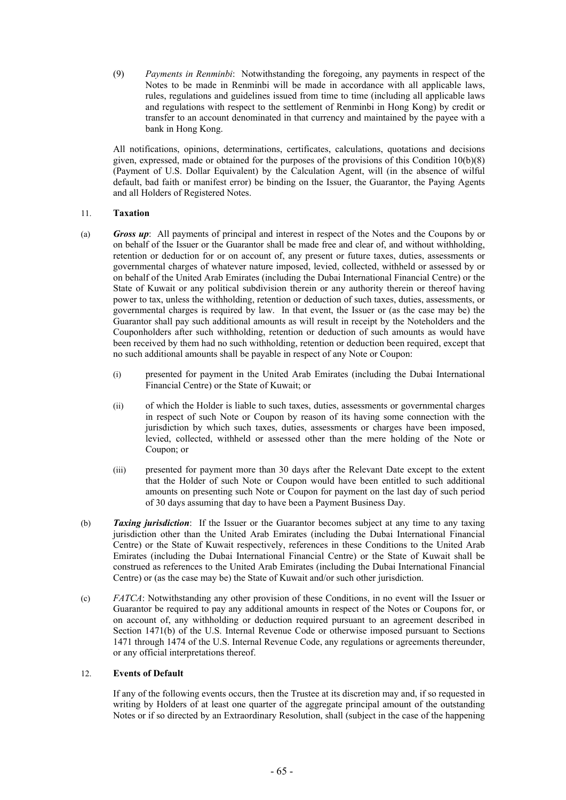(9) *Payments in Renminbi*: Notwithstanding the foregoing, any payments in respect of the Notes to be made in Renminbi will be made in accordance with all applicable laws, rules, regulations and guidelines issued from time to time (including all applicable laws and regulations with respect to the settlement of Renminbi in Hong Kong) by credit or transfer to an account denominated in that currency and maintained by the payee with a bank in Hong Kong.

All notifications, opinions, determinations, certificates, calculations, quotations and decisions given, expressed, made or obtained for the purposes of the provisions of this Condition 10(b)(8) (Payment of U.S. Dollar Equivalent) by the Calculation Agent, will (in the absence of wilful default, bad faith or manifest error) be binding on the Issuer, the Guarantor, the Paying Agents and all Holders of Registered Notes.

# 11. **Taxation**

- (a) *Gross up*: All payments of principal and interest in respect of the Notes and the Coupons by or on behalf of the Issuer or the Guarantor shall be made free and clear of, and without withholding, retention or deduction for or on account of, any present or future taxes, duties, assessments or governmental charges of whatever nature imposed, levied, collected, withheld or assessed by or on behalf of the United Arab Emirates (including the Dubai International Financial Centre) or the State of Kuwait or any political subdivision therein or any authority therein or thereof having power to tax, unless the withholding, retention or deduction of such taxes, duties, assessments, or governmental charges is required by law. In that event, the Issuer or (as the case may be) the Guarantor shall pay such additional amounts as will result in receipt by the Noteholders and the Couponholders after such withholding, retention or deduction of such amounts as would have been received by them had no such withholding, retention or deduction been required, except that no such additional amounts shall be payable in respect of any Note or Coupon:
	- (i) presented for payment in the United Arab Emirates (including the Dubai International Financial Centre) or the State of Kuwait; or
	- (ii) of which the Holder is liable to such taxes, duties, assessments or governmental charges in respect of such Note or Coupon by reason of its having some connection with the jurisdiction by which such taxes, duties, assessments or charges have been imposed, levied, collected, withheld or assessed other than the mere holding of the Note or Coupon; or
	- (iii) presented for payment more than 30 days after the Relevant Date except to the extent that the Holder of such Note or Coupon would have been entitled to such additional amounts on presenting such Note or Coupon for payment on the last day of such period of 30 days assuming that day to have been a Payment Business Day.
- (b) *Taxing jurisdiction*: If the Issuer or the Guarantor becomes subject at any time to any taxing jurisdiction other than the United Arab Emirates (including the Dubai International Financial Centre) or the State of Kuwait respectively, references in these Conditions to the United Arab Emirates (including the Dubai International Financial Centre) or the State of Kuwait shall be construed as references to the United Arab Emirates (including the Dubai International Financial Centre) or (as the case may be) the State of Kuwait and/or such other jurisdiction.
- (c) *FATCA*: Notwithstanding any other provision of these Conditions, in no event will the Issuer or Guarantor be required to pay any additional amounts in respect of the Notes or Coupons for, or on account of, any withholding or deduction required pursuant to an agreement described in Section 1471(b) of the U.S. Internal Revenue Code or otherwise imposed pursuant to Sections 1471 through 1474 of the U.S. Internal Revenue Code, any regulations or agreements thereunder, or any official interpretations thereof.

# 12. **Events of Default**

If any of the following events occurs, then the Trustee at its discretion may and, if so requested in writing by Holders of at least one quarter of the aggregate principal amount of the outstanding Notes or if so directed by an Extraordinary Resolution, shall (subject in the case of the happening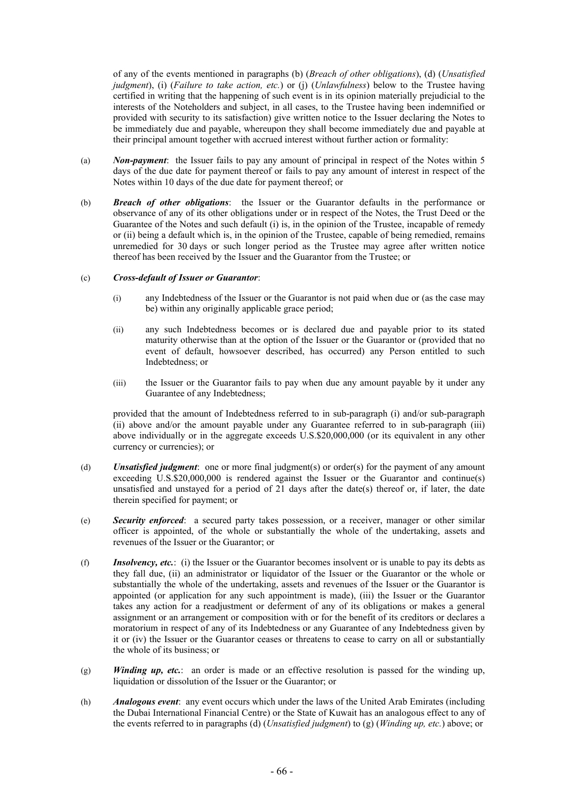of any of the events mentioned in paragraphs (b) (*Breach of other obligations*), (d) (*Unsatisfied judgment*), (i) (*Failure to take action, etc.*) or (j) (*Unlawfulness*) below to the Trustee having certified in writing that the happening of such event is in its opinion materially prejudicial to the interests of the Noteholders and subject, in all cases, to the Trustee having been indemnified or provided with security to its satisfaction) give written notice to the Issuer declaring the Notes to be immediately due and payable, whereupon they shall become immediately due and payable at their principal amount together with accrued interest without further action or formality:

- (a) *Non-payment*: the Issuer fails to pay any amount of principal in respect of the Notes within 5 days of the due date for payment thereof or fails to pay any amount of interest in respect of the Notes within 10 days of the due date for payment thereof; or
- (b) *Breach of other obligations*: the Issuer or the Guarantor defaults in the performance or observance of any of its other obligations under or in respect of the Notes, the Trust Deed or the Guarantee of the Notes and such default (i) is, in the opinion of the Trustee, incapable of remedy or (ii) being a default which is, in the opinion of the Trustee, capable of being remedied, remains unremedied for 30 days or such longer period as the Trustee may agree after written notice thereof has been received by the Issuer and the Guarantor from the Trustee; or

# (c) *Cross-default of Issuer or Guarantor*:

- (i) any Indebtedness of the Issuer or the Guarantor is not paid when due or (as the case may be) within any originally applicable grace period;
- (ii) any such Indebtedness becomes or is declared due and payable prior to its stated maturity otherwise than at the option of the Issuer or the Guarantor or (provided that no event of default, howsoever described, has occurred) any Person entitled to such Indebtedness; or
- (iii) the Issuer or the Guarantor fails to pay when due any amount payable by it under any Guarantee of any Indebtedness;

provided that the amount of Indebtedness referred to in sub-paragraph (i) and/or sub-paragraph (ii) above and/or the amount payable under any Guarantee referred to in sub-paragraph (iii) above individually or in the aggregate exceeds U.S.\$20,000,000 (or its equivalent in any other currency or currencies); or

- (d) *Unsatisfied judgment*: one or more final judgment(s) or order(s) for the payment of any amount exceeding U.S.\$20,000,000 is rendered against the Issuer or the Guarantor and continue(s) unsatisfied and unstayed for a period of  $2\overline{1}$  days after the date(s) thereof or, if later, the date therein specified for payment; or
- (e) *Security enforced*: a secured party takes possession, or a receiver, manager or other similar officer is appointed, of the whole or substantially the whole of the undertaking, assets and revenues of the Issuer or the Guarantor; or
- (f) *Insolvency, etc.*: (i) the Issuer or the Guarantor becomes insolvent or is unable to pay its debts as they fall due, (ii) an administrator or liquidator of the Issuer or the Guarantor or the whole or substantially the whole of the undertaking, assets and revenues of the Issuer or the Guarantor is appointed (or application for any such appointment is made), (iii) the Issuer or the Guarantor takes any action for a readjustment or deferment of any of its obligations or makes a general assignment or an arrangement or composition with or for the benefit of its creditors or declares a moratorium in respect of any of its Indebtedness or any Guarantee of any Indebtedness given by it or (iv) the Issuer or the Guarantor ceases or threatens to cease to carry on all or substantially the whole of its business; or
- (g) *Winding up, etc.*: an order is made or an effective resolution is passed for the winding up, liquidation or dissolution of the Issuer or the Guarantor; or
- (h) *Analogous event*: any event occurs which under the laws of the United Arab Emirates (including the Dubai International Financial Centre) or the State of Kuwait has an analogous effect to any of the events referred to in paragraphs (d) (*Unsatisfied judgment*) to (g) (*Winding up, etc.*) above; or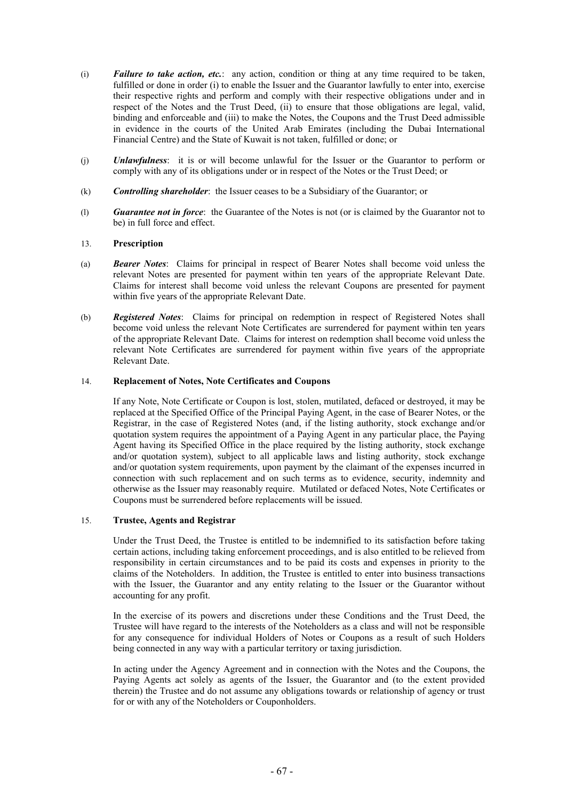- (i) *Failure to take action, etc.*: any action, condition or thing at any time required to be taken, fulfilled or done in order (i) to enable the Issuer and the Guarantor lawfully to enter into, exercise their respective rights and perform and comply with their respective obligations under and in respect of the Notes and the Trust Deed, (ii) to ensure that those obligations are legal, valid, binding and enforceable and (iii) to make the Notes, the Coupons and the Trust Deed admissible in evidence in the courts of the United Arab Emirates (including the Dubai International Financial Centre) and the State of Kuwait is not taken, fulfilled or done; or
- (j) *Unlawfulness*: it is or will become unlawful for the Issuer or the Guarantor to perform or comply with any of its obligations under or in respect of the Notes or the Trust Deed; or
- (k) *Controlling shareholder*: the Issuer ceases to be a Subsidiary of the Guarantor; or
- (l) *Guarantee not in force*: the Guarantee of the Notes is not (or is claimed by the Guarantor not to be) in full force and effect.

# 13. **Prescription**

- (a) *Bearer Notes*: Claims for principal in respect of Bearer Notes shall become void unless the relevant Notes are presented for payment within ten years of the appropriate Relevant Date. Claims for interest shall become void unless the relevant Coupons are presented for payment within five years of the appropriate Relevant Date.
- (b) *Registered Notes*: Claims for principal on redemption in respect of Registered Notes shall become void unless the relevant Note Certificates are surrendered for payment within ten years of the appropriate Relevant Date. Claims for interest on redemption shall become void unless the relevant Note Certificates are surrendered for payment within five years of the appropriate Relevant Date.

# 14. **Replacement of Notes, Note Certificates and Coupons**

If any Note, Note Certificate or Coupon is lost, stolen, mutilated, defaced or destroyed, it may be replaced at the Specified Office of the Principal Paying Agent, in the case of Bearer Notes, or the Registrar, in the case of Registered Notes (and, if the listing authority, stock exchange and/or quotation system requires the appointment of a Paying Agent in any particular place, the Paying Agent having its Specified Office in the place required by the listing authority, stock exchange and/or quotation system), subject to all applicable laws and listing authority, stock exchange and/or quotation system requirements, upon payment by the claimant of the expenses incurred in connection with such replacement and on such terms as to evidence, security, indemnity and otherwise as the Issuer may reasonably require. Mutilated or defaced Notes, Note Certificates or Coupons must be surrendered before replacements will be issued.

# 15. **Trustee, Agents and Registrar**

Under the Trust Deed, the Trustee is entitled to be indemnified to its satisfaction before taking certain actions, including taking enforcement proceedings, and is also entitled to be relieved from responsibility in certain circumstances and to be paid its costs and expenses in priority to the claims of the Noteholders. In addition, the Trustee is entitled to enter into business transactions with the Issuer, the Guarantor and any entity relating to the Issuer or the Guarantor without accounting for any profit.

In the exercise of its powers and discretions under these Conditions and the Trust Deed, the Trustee will have regard to the interests of the Noteholders as a class and will not be responsible for any consequence for individual Holders of Notes or Coupons as a result of such Holders being connected in any way with a particular territory or taxing jurisdiction.

In acting under the Agency Agreement and in connection with the Notes and the Coupons, the Paying Agents act solely as agents of the Issuer, the Guarantor and (to the extent provided therein) the Trustee and do not assume any obligations towards or relationship of agency or trust for or with any of the Noteholders or Couponholders.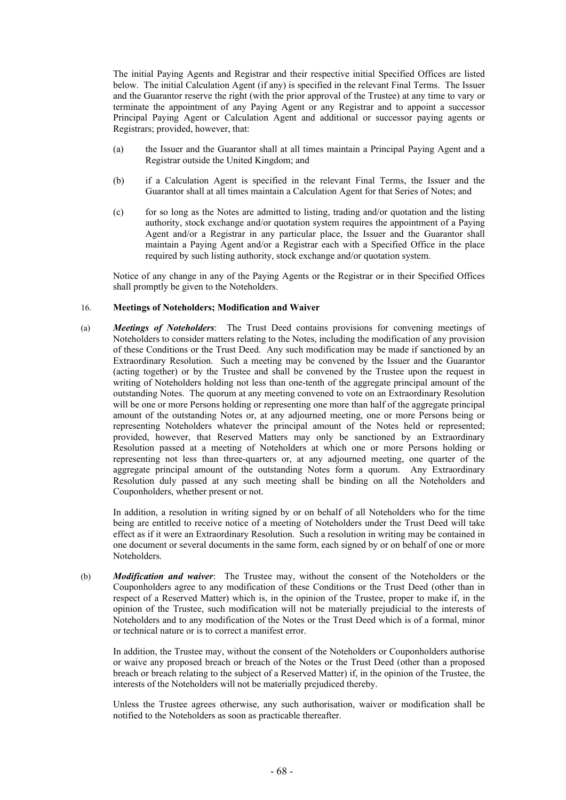The initial Paying Agents and Registrar and their respective initial Specified Offices are listed below. The initial Calculation Agent (if any) is specified in the relevant Final Terms. The Issuer and the Guarantor reserve the right (with the prior approval of the Trustee) at any time to vary or terminate the appointment of any Paying Agent or any Registrar and to appoint a successor Principal Paying Agent or Calculation Agent and additional or successor paying agents or Registrars; provided, however, that:

- (a) the Issuer and the Guarantor shall at all times maintain a Principal Paying Agent and a Registrar outside the United Kingdom; and
- (b) if a Calculation Agent is specified in the relevant Final Terms, the Issuer and the Guarantor shall at all times maintain a Calculation Agent for that Series of Notes; and
- (c) for so long as the Notes are admitted to listing, trading and/or quotation and the listing authority, stock exchange and/or quotation system requires the appointment of a Paying Agent and/or a Registrar in any particular place, the Issuer and the Guarantor shall maintain a Paying Agent and/or a Registrar each with a Specified Office in the place required by such listing authority, stock exchange and/or quotation system.

Notice of any change in any of the Paying Agents or the Registrar or in their Specified Offices shall promptly be given to the Noteholders.

### 16. **Meetings of Noteholders; Modification and Waiver**

(a) *Meetings of Noteholders*: The Trust Deed contains provisions for convening meetings of Noteholders to consider matters relating to the Notes, including the modification of any provision of these Conditions or the Trust Deed. Any such modification may be made if sanctioned by an Extraordinary Resolution. Such a meeting may be convened by the Issuer and the Guarantor (acting together) or by the Trustee and shall be convened by the Trustee upon the request in writing of Noteholders holding not less than one-tenth of the aggregate principal amount of the outstanding Notes. The quorum at any meeting convened to vote on an Extraordinary Resolution will be one or more Persons holding or representing one more than half of the aggregate principal amount of the outstanding Notes or, at any adjourned meeting, one or more Persons being or representing Noteholders whatever the principal amount of the Notes held or represented; provided, however, that Reserved Matters may only be sanctioned by an Extraordinary Resolution passed at a meeting of Noteholders at which one or more Persons holding or representing not less than three-quarters or, at any adjourned meeting, one quarter of the aggregate principal amount of the outstanding Notes form a quorum. Any Extraordinary Resolution duly passed at any such meeting shall be binding on all the Noteholders and Couponholders, whether present or not.

In addition, a resolution in writing signed by or on behalf of all Noteholders who for the time being are entitled to receive notice of a meeting of Noteholders under the Trust Deed will take effect as if it were an Extraordinary Resolution. Such a resolution in writing may be contained in one document or several documents in the same form, each signed by or on behalf of one or more Noteholders.

(b) *Modification and waiver*: The Trustee may, without the consent of the Noteholders or the Couponholders agree to any modification of these Conditions or the Trust Deed (other than in respect of a Reserved Matter) which is, in the opinion of the Trustee, proper to make if, in the opinion of the Trustee, such modification will not be materially prejudicial to the interests of Noteholders and to any modification of the Notes or the Trust Deed which is of a formal, minor or technical nature or is to correct a manifest error.

In addition, the Trustee may, without the consent of the Noteholders or Couponholders authorise or waive any proposed breach or breach of the Notes or the Trust Deed (other than a proposed breach or breach relating to the subject of a Reserved Matter) if, in the opinion of the Trustee, the interests of the Noteholders will not be materially prejudiced thereby.

Unless the Trustee agrees otherwise, any such authorisation, waiver or modification shall be notified to the Noteholders as soon as practicable thereafter.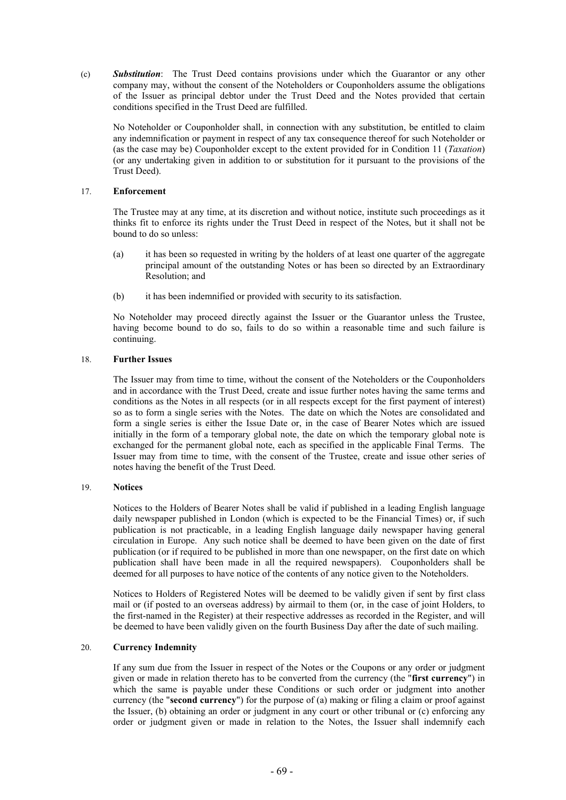(c) *Substitution*: The Trust Deed contains provisions under which the Guarantor or any other company may, without the consent of the Noteholders or Couponholders assume the obligations of the Issuer as principal debtor under the Trust Deed and the Notes provided that certain conditions specified in the Trust Deed are fulfilled.

No Noteholder or Couponholder shall, in connection with any substitution, be entitled to claim any indemnification or payment in respect of any tax consequence thereof for such Noteholder or (as the case may be) Couponholder except to the extent provided for in Condition 11 (*Taxation*) (or any undertaking given in addition to or substitution for it pursuant to the provisions of the Trust Deed).

# 17. **Enforcement**

The Trustee may at any time, at its discretion and without notice, institute such proceedings as it thinks fit to enforce its rights under the Trust Deed in respect of the Notes, but it shall not be bound to do so unless:

- (a) it has been so requested in writing by the holders of at least one quarter of the aggregate principal amount of the outstanding Notes or has been so directed by an Extraordinary Resolution; and
- (b) it has been indemnified or provided with security to its satisfaction.

No Noteholder may proceed directly against the Issuer or the Guarantor unless the Trustee, having become bound to do so, fails to do so within a reasonable time and such failure is continuing.

# 18. **Further Issues**

The Issuer may from time to time, without the consent of the Noteholders or the Couponholders and in accordance with the Trust Deed, create and issue further notes having the same terms and conditions as the Notes in all respects (or in all respects except for the first payment of interest) so as to form a single series with the Notes. The date on which the Notes are consolidated and form a single series is either the Issue Date or, in the case of Bearer Notes which are issued initially in the form of a temporary global note, the date on which the temporary global note is exchanged for the permanent global note, each as specified in the applicable Final Terms. The Issuer may from time to time, with the consent of the Trustee, create and issue other series of notes having the benefit of the Trust Deed.

# 19. **Notices**

Notices to the Holders of Bearer Notes shall be valid if published in a leading English language daily newspaper published in London (which is expected to be the Financial Times) or, if such publication is not practicable, in a leading English language daily newspaper having general circulation in Europe. Any such notice shall be deemed to have been given on the date of first publication (or if required to be published in more than one newspaper, on the first date on which publication shall have been made in all the required newspapers). Couponholders shall be deemed for all purposes to have notice of the contents of any notice given to the Noteholders.

Notices to Holders of Registered Notes will be deemed to be validly given if sent by first class mail or (if posted to an overseas address) by airmail to them (or, in the case of joint Holders, to the first-named in the Register) at their respective addresses as recorded in the Register, and will be deemed to have been validly given on the fourth Business Day after the date of such mailing.

# 20. **Currency Indemnity**

If any sum due from the Issuer in respect of the Notes or the Coupons or any order or judgment given or made in relation thereto has to be converted from the currency (the "**first currency**") in which the same is payable under these Conditions or such order or judgment into another currency (the "**second currency**") for the purpose of (a) making or filing a claim or proof against the Issuer, (b) obtaining an order or judgment in any court or other tribunal or (c) enforcing any order or judgment given or made in relation to the Notes, the Issuer shall indemnify each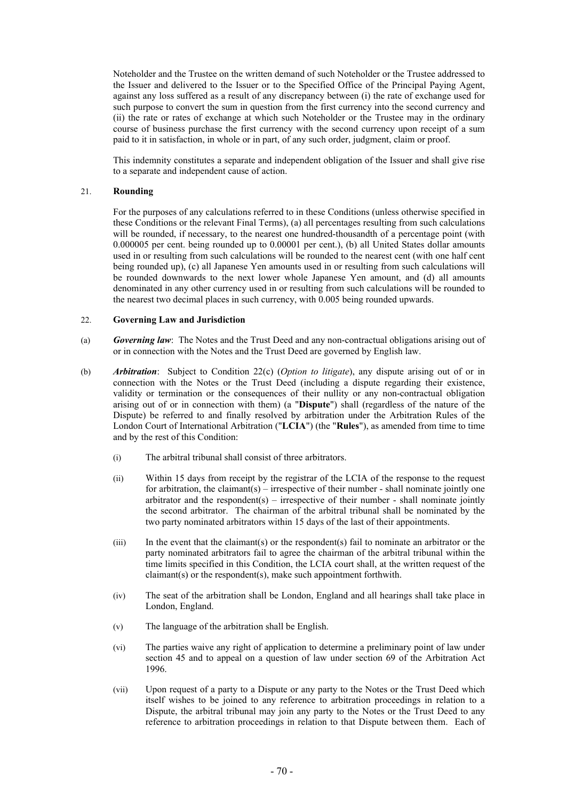Noteholder and the Trustee on the written demand of such Noteholder or the Trustee addressed to the Issuer and delivered to the Issuer or to the Specified Office of the Principal Paying Agent, against any loss suffered as a result of any discrepancy between (i) the rate of exchange used for such purpose to convert the sum in question from the first currency into the second currency and (ii) the rate or rates of exchange at which such Noteholder or the Trustee may in the ordinary course of business purchase the first currency with the second currency upon receipt of a sum paid to it in satisfaction, in whole or in part, of any such order, judgment, claim or proof.

This indemnity constitutes a separate and independent obligation of the Issuer and shall give rise to a separate and independent cause of action.

# 21. **Rounding**

For the purposes of any calculations referred to in these Conditions (unless otherwise specified in these Conditions or the relevant Final Terms), (a) all percentages resulting from such calculations will be rounded, if necessary, to the nearest one hundred-thousandth of a percentage point (with 0.000005 per cent. being rounded up to 0.00001 per cent.), (b) all United States dollar amounts used in or resulting from such calculations will be rounded to the nearest cent (with one half cent being rounded up), (c) all Japanese Yen amounts used in or resulting from such calculations will be rounded downwards to the next lower whole Japanese Yen amount, and (d) all amounts denominated in any other currency used in or resulting from such calculations will be rounded to the nearest two decimal places in such currency, with 0.005 being rounded upwards.

#### 22. **Governing Law and Jurisdiction**

- (a) *Governing law*: The Notes and the Trust Deed and any non-contractual obligations arising out of or in connection with the Notes and the Trust Deed are governed by English law.
- (b) *Arbitration*: Subject to Condition 22(c) (*Option to litigate*), any dispute arising out of or in connection with the Notes or the Trust Deed (including a dispute regarding their existence, validity or termination or the consequences of their nullity or any non-contractual obligation arising out of or in connection with them) (a "**Dispute**") shall (regardless of the nature of the Dispute) be referred to and finally resolved by arbitration under the Arbitration Rules of the London Court of International Arbitration ("**LCIA**") (the "**Rules**"), as amended from time to time and by the rest of this Condition:
	- (i) The arbitral tribunal shall consist of three arbitrators.
	- (ii) Within 15 days from receipt by the registrar of the LCIA of the response to the request for arbitration, the claimant(s) – irrespective of their number - shall nominate jointly one arbitrator and the respondent(s) – irrespective of their number - shall nominate jointly the second arbitrator. The chairman of the arbitral tribunal shall be nominated by the two party nominated arbitrators within 15 days of the last of their appointments.
	- (iii) In the event that the claimant(s) or the respondent(s) fail to nominate an arbitrator or the party nominated arbitrators fail to agree the chairman of the arbitral tribunal within the time limits specified in this Condition, the LCIA court shall, at the written request of the claimant(s) or the respondent(s), make such appointment forthwith.
	- (iv) The seat of the arbitration shall be London, England and all hearings shall take place in London, England.
	- (v) The language of the arbitration shall be English.
	- (vi) The parties waive any right of application to determine a preliminary point of law under section 45 and to appeal on a question of law under section 69 of the Arbitration Act 1996.
	- (vii) Upon request of a party to a Dispute or any party to the Notes or the Trust Deed which itself wishes to be joined to any reference to arbitration proceedings in relation to a Dispute, the arbitral tribunal may join any party to the Notes or the Trust Deed to any reference to arbitration proceedings in relation to that Dispute between them. Each of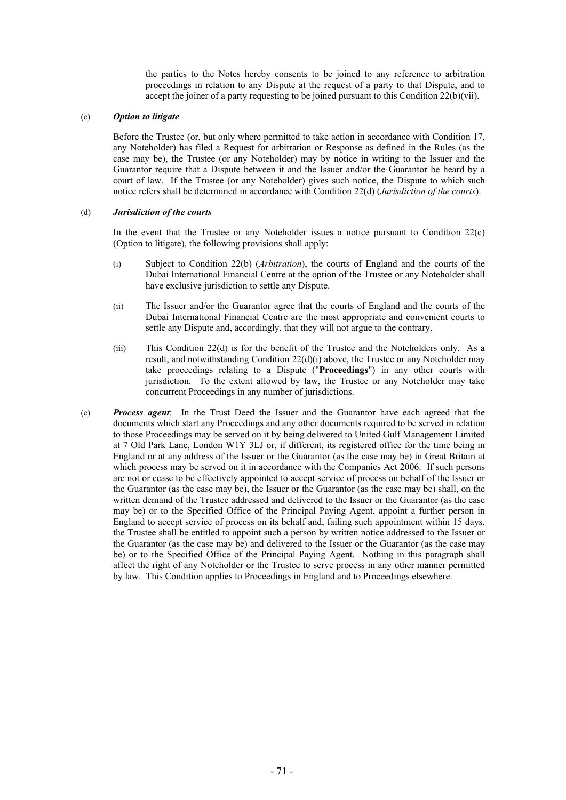the parties to the Notes hereby consents to be joined to any reference to arbitration proceedings in relation to any Dispute at the request of a party to that Dispute, and to accept the joiner of a party requesting to be joined pursuant to this Condition  $22(b)(vii)$ .

# (c) *Option to litigate*

Before the Trustee (or, but only where permitted to take action in accordance with Condition 17, any Noteholder) has filed a Request for arbitration or Response as defined in the Rules (as the case may be), the Trustee (or any Noteholder) may by notice in writing to the Issuer and the Guarantor require that a Dispute between it and the Issuer and/or the Guarantor be heard by a court of law. If the Trustee (or any Noteholder) gives such notice, the Dispute to which such notice refers shall be determined in accordance with Condition 22(d) (*Jurisdiction of the courts*).

# (d) *Jurisdiction of the courts*

In the event that the Trustee or any Noteholder issues a notice pursuant to Condition 22(c) (Option to litigate), the following provisions shall apply:

- (i) Subject to Condition 22(b) (*Arbitration*), the courts of England and the courts of the Dubai International Financial Centre at the option of the Trustee or any Noteholder shall have exclusive jurisdiction to settle any Dispute.
- (ii) The Issuer and/or the Guarantor agree that the courts of England and the courts of the Dubai International Financial Centre are the most appropriate and convenient courts to settle any Dispute and, accordingly, that they will not argue to the contrary.
- (iii) This Condition 22(d) is for the benefit of the Trustee and the Noteholders only. As a result, and notwithstanding Condition 22(d)(i) above, the Trustee or any Noteholder may take proceedings relating to a Dispute ("**Proceedings**") in any other courts with jurisdiction. To the extent allowed by law, the Trustee or any Noteholder may take concurrent Proceedings in any number of jurisdictions.
- (e) *Process agent*: In the Trust Deed the Issuer and the Guarantor have each agreed that the documents which start any Proceedings and any other documents required to be served in relation to those Proceedings may be served on it by being delivered to United Gulf Management Limited at 7 Old Park Lane, London W1Y 3LJ or, if different, its registered office for the time being in England or at any address of the Issuer or the Guarantor (as the case may be) in Great Britain at which process may be served on it in accordance with the Companies Act 2006. If such persons are not or cease to be effectively appointed to accept service of process on behalf of the Issuer or the Guarantor (as the case may be), the Issuer or the Guarantor (as the case may be) shall, on the written demand of the Trustee addressed and delivered to the Issuer or the Guarantor (as the case may be) or to the Specified Office of the Principal Paying Agent, appoint a further person in England to accept service of process on its behalf and, failing such appointment within 15 days, the Trustee shall be entitled to appoint such a person by written notice addressed to the Issuer or the Guarantor (as the case may be) and delivered to the Issuer or the Guarantor (as the case may be) or to the Specified Office of the Principal Paying Agent. Nothing in this paragraph shall affect the right of any Noteholder or the Trustee to serve process in any other manner permitted by law. This Condition applies to Proceedings in England and to Proceedings elsewhere.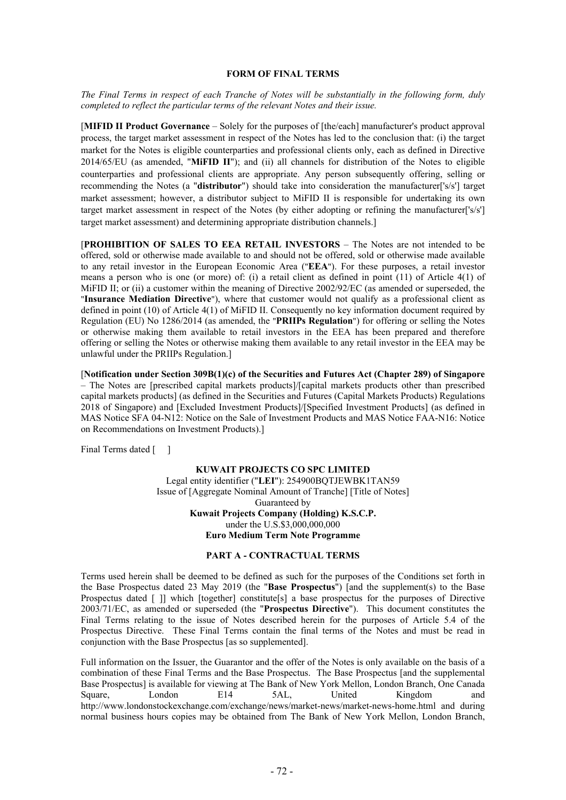#### **FORM OF FINAL TERMS**

*The Final Terms in respect of each Tranche of Notes will be substantially in the following form, duly completed to reflect the particular terms of the relevant Notes and their issue.*

[**MIFID II Product Governance** – Solely for the purposes of [the/each] manufacturer's product approval process, the target market assessment in respect of the Notes has led to the conclusion that: (i) the target market for the Notes is eligible counterparties and professional clients only, each as defined in Directive 2014/65/EU (as amended, "**MiFID II**"); and (ii) all channels for distribution of the Notes to eligible counterparties and professional clients are appropriate. Any person subsequently offering, selling or recommending the Notes (a "**distributor**") should take into consideration the manufacturer['s/s'] target market assessment; however, a distributor subject to MiFID II is responsible for undertaking its own target market assessment in respect of the Notes (by either adopting or refining the manufacturer['s/s'] target market assessment) and determining appropriate distribution channels.]

[**PROHIBITION OF SALES TO EEA RETAIL INVESTORS** – The Notes are not intended to be offered, sold or otherwise made available to and should not be offered, sold or otherwise made available to any retail investor in the European Economic Area ("**EEA**"). For these purposes, a retail investor means a person who is one (or more) of: (i) a retail client as defined in point (11) of Article 4(1) of MiFID II; or (ii) a customer within the meaning of Directive 2002/92/EC (as amended or superseded, the "**Insurance Mediation Directive**"), where that customer would not qualify as a professional client as defined in point (10) of Article 4(1) of MiFID II. Consequently no key information document required by Regulation (EU) No 1286/2014 (as amended, the "**PRIIPs Regulation**") for offering or selling the Notes or otherwise making them available to retail investors in the EEA has been prepared and therefore offering or selling the Notes or otherwise making them available to any retail investor in the EEA may be unlawful under the PRIIPs Regulation.]

[**Notification under Section 309B(1)(c) of the Securities and Futures Act (Chapter 289) of Singapore** – The Notes are [prescribed capital markets products]/[capital markets products other than prescribed capital markets products] (as defined in the Securities and Futures (Capital Markets Products) Regulations 2018 of Singapore) and [Excluded Investment Products]/[Specified Investment Products] (as defined in MAS Notice SFA 04-N12: Notice on the Sale of Investment Products and MAS Notice FAA-N16: Notice on Recommendations on Investment Products).]

Final Terms dated [ ]

**KUWAIT PROJECTS CO SPC LIMITED** Legal entity identifier ("**LEI**"): 254900BQTJEWBK1TAN59 Issue of [Aggregate Nominal Amount of Tranche] [Title of Notes] Guaranteed by **Kuwait Projects Company (Holding) K.S.C.P.** under the U.S.\$3,000,000,000 **Euro Medium Term Note Programme**

# **PART A - CONTRACTUAL TERMS**

Terms used herein shall be deemed to be defined as such for the purposes of the Conditions set forth in the Base Prospectus dated 23 May 2019 (the "**Base Prospectus**") [and the supplement(s) to the Base Prospectus dated [ ]] which [together] constitute[s] a base prospectus for the purposes of Directive 2003/71/EC, as amended or superseded (the "**Prospectus Directive**"). This document constitutes the Final Terms relating to the issue of Notes described herein for the purposes of Article 5.4 of the Prospectus Directive. These Final Terms contain the final terms of the Notes and must be read in conjunction with the Base Prospectus [as so supplemented].

Full information on the Issuer, the Guarantor and the offer of the Notes is only available on the basis of a combination of these Final Terms and the Base Prospectus. The Base Prospectus [and the supplemental Base Prospectus] is available for viewing at The Bank of New York Mellon, London Branch, One Canada Square, London E14 5AL, United Kingdom and http://www.londonstockexchange.com/exchange/news/market-news/market-news-home.html and during normal business hours copies may be obtained from The Bank of New York Mellon, London Branch,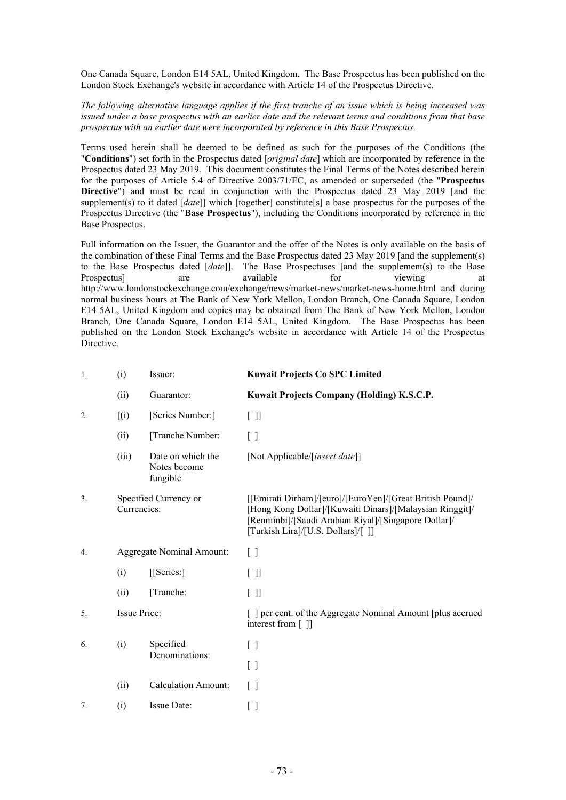One Canada Square, London E14 5AL, United Kingdom. The Base Prospectus has been published on the London Stock Exchange's website in accordance with Article 14 of the Prospectus Directive.

*The following alternative language applies if the first tranche of an issue which is being increased was issued under a base prospectus with an earlier date and the relevant terms and conditions from that base prospectus with an earlier date were incorporated by reference in this Base Prospectus.*

Terms used herein shall be deemed to be defined as such for the purposes of the Conditions (the "**Conditions**") set forth in the Prospectus dated [*original date*] which are incorporated by reference in the Prospectus dated 23 May 2019. This document constitutes the Final Terms of the Notes described herein for the purposes of Article 5.4 of Directive 2003/71/EC, as amended or superseded (the "**Prospectus Directive**") and must be read in conjunction with the Prospectus dated 23 May 2019 [and the supplement(s) to it dated [*date*]] which [together] constitute[s] a base prospectus for the purposes of the Prospectus Directive (the "**Base Prospectus**"), including the Conditions incorporated by reference in the Base Prospectus.

Full information on the Issuer, the Guarantor and the offer of the Notes is only available on the basis of the combination of these Final Terms and the Base Prospectus dated 23 May 2019 [and the supplement(s) to the Base Prospectus dated [*date*]]. The Base Prospectuses [and the supplement(s) to the Base Prospectus] are available for viewing at http://www.londonstockexchange.com/exchange/news/market-news/market-news-home.html and during normal business hours at The Bank of New York Mellon, London Branch, One Canada Square, London E14 5AL, United Kingdom and copies may be obtained from The Bank of New York Mellon, London Branch, One Canada Square, London E14 5AL, United Kingdom. The Base Prospectus has been published on the London Stock Exchange's website in accordance with Article 14 of the Prospectus Directive.

| 1. | (i)                                  | Issuer:                                       | <b>Kuwait Projects Co SPC Limited</b>                                                                                                                                                                              |
|----|--------------------------------------|-----------------------------------------------|--------------------------------------------------------------------------------------------------------------------------------------------------------------------------------------------------------------------|
|    | (ii)                                 | Guarantor:                                    | Kuwait Projects Company (Holding) K.S.C.P.                                                                                                                                                                         |
| 2. | (i)                                  | [Series Number:]                              | [ ] ]                                                                                                                                                                                                              |
|    | (ii)                                 | [Tranche Number:                              | $\left[ \begin{array}{c} \end{array} \right]$                                                                                                                                                                      |
|    | (iii)                                | Date on which the<br>Notes become<br>fungible | [Not Applicable/[insert date]]                                                                                                                                                                                     |
| 3. | Specified Currency or<br>Currencies: |                                               | [[Emirati Dirham]/[euro]/[EuroYen]/[Great British Pound]/<br>[Hong Kong Dollar]/[Kuwaiti Dinars]/[Malaysian Ringgit]/<br>[Renminbi]/[Saudi Arabian Riyal]/[Singapore Dollar]/<br>[Turkish Lira]/[U.S. Dollars]/[]] |
| 4. |                                      | <b>Aggregate Nominal Amount:</b>              | $\left[ \begin{array}{c} \end{array} \right]$                                                                                                                                                                      |
|    | (i)                                  | [[Series:]                                    | [ ] ]                                                                                                                                                                                                              |
|    | (ii)                                 | [Tranche:                                     | [ ]                                                                                                                                                                                                                |
| 5. | Issue Price:                         |                                               | [ ] per cent. of the Aggregate Nominal Amount [plus accrued]<br>interest from $\lceil \; \rceil$                                                                                                                   |
| 6. | (i)                                  | Specified                                     | $[\ ]$                                                                                                                                                                                                             |
|    |                                      | Denominations:                                | $[\ ]$                                                                                                                                                                                                             |
|    | (ii)                                 | <b>Calculation Amount:</b>                    | Γl                                                                                                                                                                                                                 |
| 7. | (i)                                  | Issue Date:                                   | [ ]                                                                                                                                                                                                                |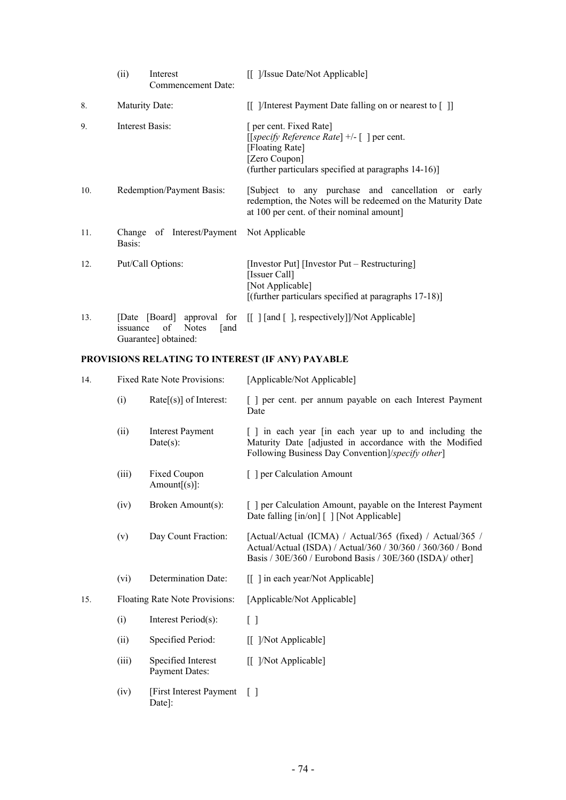|     | (ii)               | Interest<br>Commencement Date:     | [[ ]/Issue Date/Not Applicable]                                                                                                                                   |  |  |
|-----|--------------------|------------------------------------|-------------------------------------------------------------------------------------------------------------------------------------------------------------------|--|--|
| 8.  |                    | Maturity Date:                     | [[ ]/Interest Payment Date falling on or nearest to [ ]]                                                                                                          |  |  |
| 9.  | Interest Basis:    |                                    | [ per cent. Fixed Rate]<br>[[specify Reference Rate] +/- [] per cent.<br>[Floating Rate]<br>[Zero Coupon]<br>(further particulars specified at paragraphs 14-16)] |  |  |
| 10. |                    | Redemption/Payment Basis:          | [Subject to any purchase and cancellation or early<br>redemption, the Notes will be redeemed on the Maturity Date<br>at 100 per cent. of their nominal amount]    |  |  |
| 11. | Change<br>Basis:   | of Interest/Payment Not Applicable |                                                                                                                                                                   |  |  |
| 12. |                    | Put/Call Options:                  | [Investor Put] [Investor Put – Restructuring]<br>[Issuer Call]<br>[Not Applicable]<br>[(further particulars specified at paragraphs $17-18$ )]                    |  |  |
| 13. | [Date]<br>issuance | <b>Notes</b><br>of<br>and          | [Board] approval for [[ ][and [ ], respectively]]/Not Applicable]                                                                                                 |  |  |

### Guarantee] obtained:

# **PROVISIONS RELATING TO INTEREST (IF ANY) PAYABLE**

| 14. | Fixed Rate Note Provisions: |                                             | [Applicable/Not Applicable]                                                                                                                                                           |  |  |
|-----|-----------------------------|---------------------------------------------|---------------------------------------------------------------------------------------------------------------------------------------------------------------------------------------|--|--|
|     | (i)                         | $Rate[s]$ of Interest:                      | [ ] per cent. per annum payable on each Interest Payment<br>Date                                                                                                                      |  |  |
|     | (ii)                        | <b>Interest Payment</b><br>$Date(s)$ :      | [] in each year [in each year up to and including the<br>Maturity Date [adjusted in accordance with the Modified<br>Following Business Day Convention]/specify other]                 |  |  |
|     | (iii)                       | Fixed Coupon<br>$Amount[s]$ :               | [ ] per Calculation Amount                                                                                                                                                            |  |  |
|     | (iv)                        | Broken Amount(s):                           | [ ] per Calculation Amount, payable on the Interest Payment<br>Date falling [in/on] [ ] [Not Applicable]                                                                              |  |  |
|     | (v)                         | Day Count Fraction:                         | [Actual/Actual (ICMA) / Actual/365 (fixed) / Actual/365 /<br>Actual/Actual (ISDA) / Actual/360 / 30/360 / 360/360 / Bond<br>Basis / 30E/360 / Eurobond Basis / 30E/360 (ISDA)/ other] |  |  |
|     | (vi)                        | Determination Date:                         | [[] in each year/Not Applicable]                                                                                                                                                      |  |  |
| 15. |                             | Floating Rate Note Provisions:              | [Applicable/Not Applicable]                                                                                                                                                           |  |  |
|     | (i)                         | Interest Period(s):                         | $[ \ ]$                                                                                                                                                                               |  |  |
|     | (ii)                        | Specified Period:                           | [[ ]/Not Applicable]                                                                                                                                                                  |  |  |
|     | (iii)                       | Specified Interest<br><b>Payment Dates:</b> | [[ ]/Not Applicable]                                                                                                                                                                  |  |  |
|     | (iv)                        | [First Interest Payment]<br>Date]:          | Γl                                                                                                                                                                                    |  |  |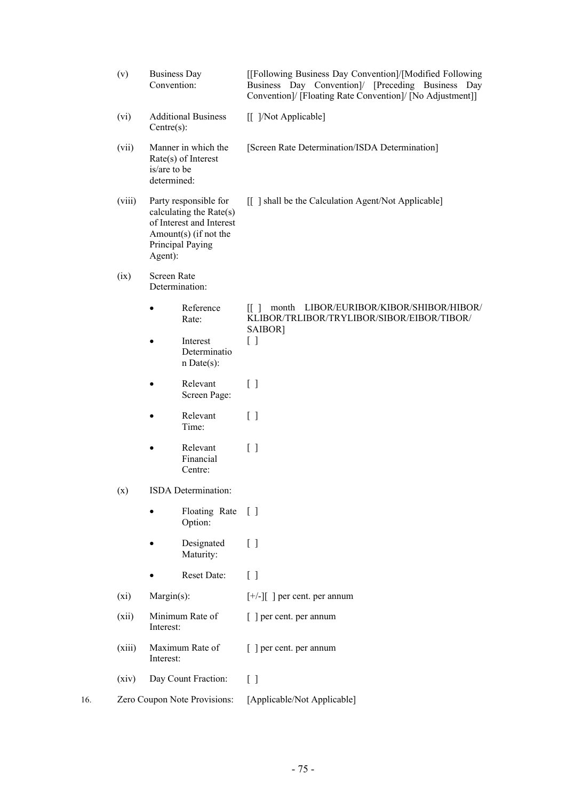|     | (v)                   | <b>Business Day</b><br>Convention:                                            |                                                     | [[Following Business Day Convention]/[Modified Following]<br>Business Day Convention]/ [Preceding Business Day<br>Convention]/ [Floating Rate Convention]/ [No Adjustment]] |  |  |  |
|-----|-----------------------|-------------------------------------------------------------------------------|-----------------------------------------------------|-----------------------------------------------------------------------------------------------------------------------------------------------------------------------------|--|--|--|
|     | (vi)                  | <b>Additional Business</b><br>$Centre(s)$ :                                   |                                                     | [[ ]/Not Applicable]                                                                                                                                                        |  |  |  |
|     | (vii)                 | Manner in which the<br>$Rate(s)$ of Interest<br>is/are to be<br>determined:   |                                                     | [Screen Rate Determination/ISDA Determination]                                                                                                                              |  |  |  |
|     | (viii)                | Party responsible for<br>Amount(s) (if not the<br>Principal Paying<br>Agent): | calculating the Rate(s)<br>of Interest and Interest | [[ ] shall be the Calculation Agent/Not Applicable]                                                                                                                         |  |  |  |
|     | (ix)                  | <b>Screen Rate</b><br>Determination:                                          |                                                     |                                                                                                                                                                             |  |  |  |
|     |                       |                                                                               | Reference<br>Rate:                                  | LIBOR/EURIBOR/KIBOR/SHIBOR/HIBOR/<br>[1]<br>month<br>KLIBOR/TRLIBOR/TRYLIBOR/SIBOR/EIBOR/TIBOR/<br>SAIBOR]                                                                  |  |  |  |
|     |                       |                                                                               | Interest<br>Determinatio<br>$n$ Date(s):            | $[\ ]$                                                                                                                                                                      |  |  |  |
|     |                       |                                                                               | Relevant<br>Screen Page:                            | $[\ ]$                                                                                                                                                                      |  |  |  |
|     |                       |                                                                               | Relevant<br>Time:                                   | $[\ ]$                                                                                                                                                                      |  |  |  |
|     |                       | $\bullet$                                                                     | Relevant<br>Financial<br>Centre:                    | $\left[ \ \right]$                                                                                                                                                          |  |  |  |
|     | (x)                   | ISDA Determination:                                                           |                                                     |                                                                                                                                                                             |  |  |  |
|     |                       |                                                                               | Floating Rate<br>Option:                            | $\lceil$ $\rceil$                                                                                                                                                           |  |  |  |
|     |                       |                                                                               | Designated<br>Maturity:                             | $\left[ \begin{array}{c} \end{array} \right]$                                                                                                                               |  |  |  |
|     |                       |                                                                               | Reset Date:                                         | $[\ ]$                                                                                                                                                                      |  |  |  |
|     | $Margin(s)$ :<br>(xi) |                                                                               |                                                     | $[+/$ -][] per cent. per annum                                                                                                                                              |  |  |  |
|     | (xii)                 | Minimum Rate of<br>Interest:                                                  |                                                     | [ ] per cent. per annum                                                                                                                                                     |  |  |  |
|     | (xiii)                | Maximum Rate of<br>Interest:                                                  |                                                     | [ ] per cent. per annum                                                                                                                                                     |  |  |  |
|     | (xiv)                 | Day Count Fraction:                                                           |                                                     | $[ \ ]$                                                                                                                                                                     |  |  |  |
| 16. |                       | Zero Coupon Note Provisions:                                                  |                                                     | [Applicable/Not Applicable]                                                                                                                                                 |  |  |  |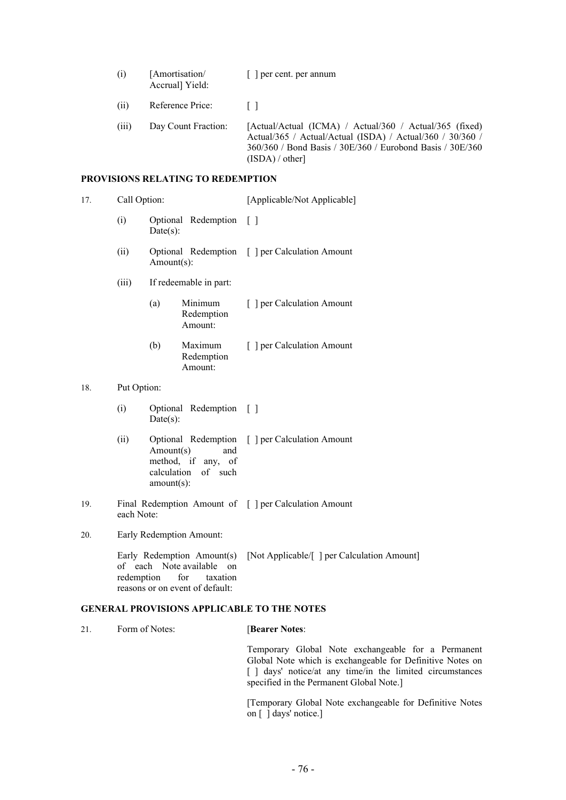| (i)   | [Amortisation/<br>Accrual] Yield: | [ ] per cent. per annum                                                                                                                                                                             |
|-------|-----------------------------------|-----------------------------------------------------------------------------------------------------------------------------------------------------------------------------------------------------|
| (ii)  | Reference Price:                  |                                                                                                                                                                                                     |
| (iii) | Day Count Fraction:               | [Actual/Actual (ICMA) / Actual/360 / Actual/365 (fixed)<br>Actual/365 / Actual/Actual (ISDA) / Actual/360 / 30/360 /<br>360/360 / Bond Basis / 30E/360 / Eurobond Basis / 30E/360<br>(ISDA) / other |

# **PROVISIONS RELATING TO REDEMPTION**

| 17. | Call Option:                                                                                                                      |                         |                                                                         | [Applicable/Not Applicable]                           |  |  |
|-----|-----------------------------------------------------------------------------------------------------------------------------------|-------------------------|-------------------------------------------------------------------------|-------------------------------------------------------|--|--|
|     | (i)                                                                                                                               | $Date(s)$ :             | Optional Redemption                                                     | $\lceil$ $\rceil$                                     |  |  |
|     | (ii)                                                                                                                              | Amount(s):              |                                                                         | Optional Redemption [ ] per Calculation Amount        |  |  |
|     | (iii)                                                                                                                             |                         | If redeemable in part:                                                  |                                                       |  |  |
|     |                                                                                                                                   | (a)                     | Minimum<br>Redemption<br>Amount:                                        | [ ] per Calculation Amount                            |  |  |
|     |                                                                                                                                   | (b)                     | Maximum<br>Redemption<br>Amount:                                        | [ ] per Calculation Amount                            |  |  |
| 18. | Put Option:                                                                                                                       |                         |                                                                         |                                                       |  |  |
|     | (i)                                                                                                                               | $Date(s)$ :             | Optional Redemption                                                     | $\lceil$ $\rceil$                                     |  |  |
|     | (ii)                                                                                                                              | Amount(s)<br>amount(s): | Optional Redemption<br>and<br>method, if any, of<br>calculation of such | [ ] per Calculation Amount                            |  |  |
| 19. | each Note:                                                                                                                        |                         |                                                                         | Final Redemption Amount of [ ] per Calculation Amount |  |  |
| 20. | Early Redemption Amount:                                                                                                          |                         |                                                                         |                                                       |  |  |
|     | Early Redemption Amount(s)<br>of each<br>Note available<br>on<br>for<br>redemption<br>taxation<br>reasons or on event of default: |                         |                                                                         | [Not Applicable/[ ] per Calculation Amount]           |  |  |
|     |                                                                                                                                   |                         |                                                                         | <b>GENERAL PROVISIONS APPLICABLE TO THE NOTES</b>     |  |  |

| 21. | Form of Notes: | <b>[Bearer Notes:</b>                                                                                                                                                                                                    |
|-----|----------------|--------------------------------------------------------------------------------------------------------------------------------------------------------------------------------------------------------------------------|
|     |                | Temporary Global Note exchangeable for a Permanent<br>Global Note which is exchangeable for Definitive Notes on<br>[ ] days' notice/at any time/in the limited circumstances<br>specified in the Permanent Global Note.] |
|     |                | Temporary Global Note exchangeable for Definitive Notes<br>on $\lceil$ $\rceil$ days' notice.                                                                                                                            |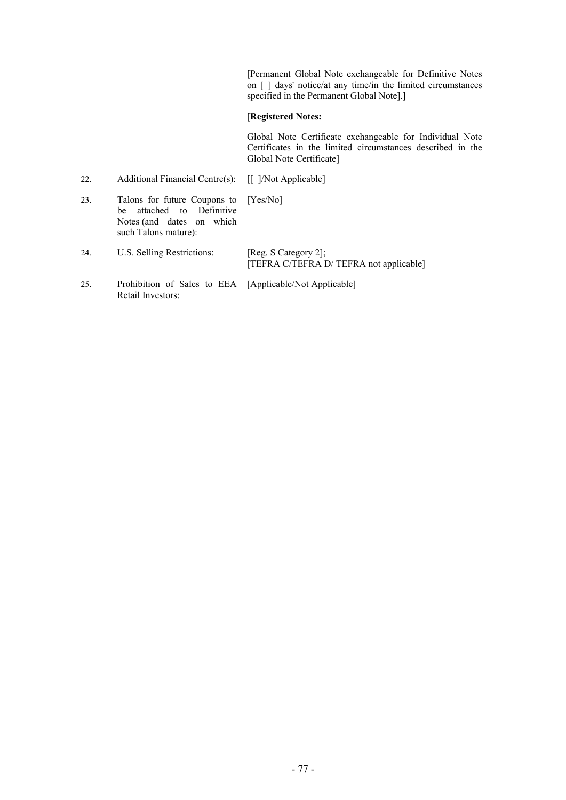[Permanent Global Note exchangeable for Definitive Notes on [ ] days' notice/at any time/in the limited circumstances specified in the Permanent Global Note].]

# [**Registered Notes:**

Global Note Certificate exchangeable for Individual Note Certificates in the limited circumstances described in the Global Note Certificate]

| 22. | Additional Financial Centre(s): [[ ]/Not Applicable]                                                                    |                                                                 |
|-----|-------------------------------------------------------------------------------------------------------------------------|-----------------------------------------------------------------|
| 23. | Talons for future Coupons to [Yes/No]<br>be attached to Definitive<br>Notes (and dates on which<br>such Talons mature): |                                                                 |
| 24. | U.S. Selling Restrictions:                                                                                              | [Reg. S Category 2];<br>[TEFRA C/TEFRA D/ TEFRA not applicable] |
| 25. | Prohibition of Sales to EEA [Applicable/Not Applicable]<br>Retail Investors:                                            |                                                                 |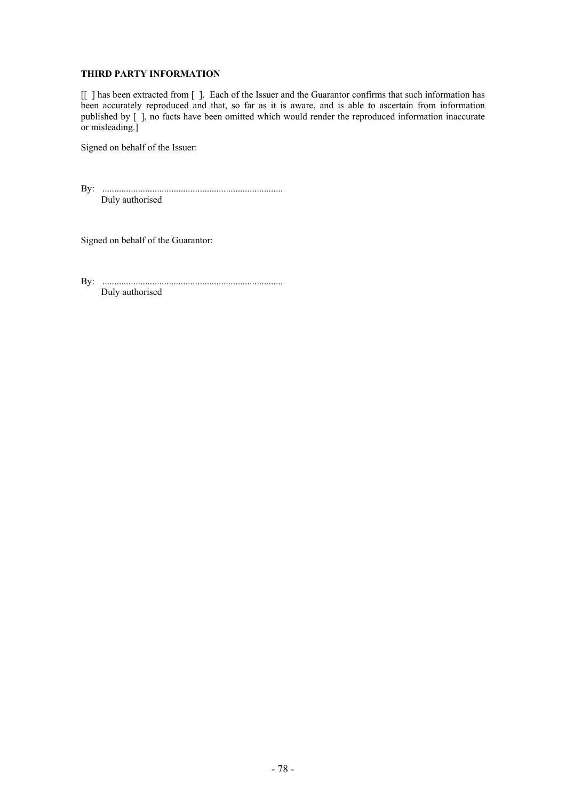# **THIRD PARTY INFORMATION**

[[ ] has been extracted from [ ]. Each of the Issuer and the Guarantor confirms that such information has been accurately reproduced and that, so far as it is aware, and is able to ascertain from information published by [ ], no facts have been omitted which would render the reproduced information inaccurate or misleading.]

Signed on behalf of the Issuer:

By: ............................................................................ Duly authorised

Signed on behalf of the Guarantor:

By: ............................................................................ Duly authorised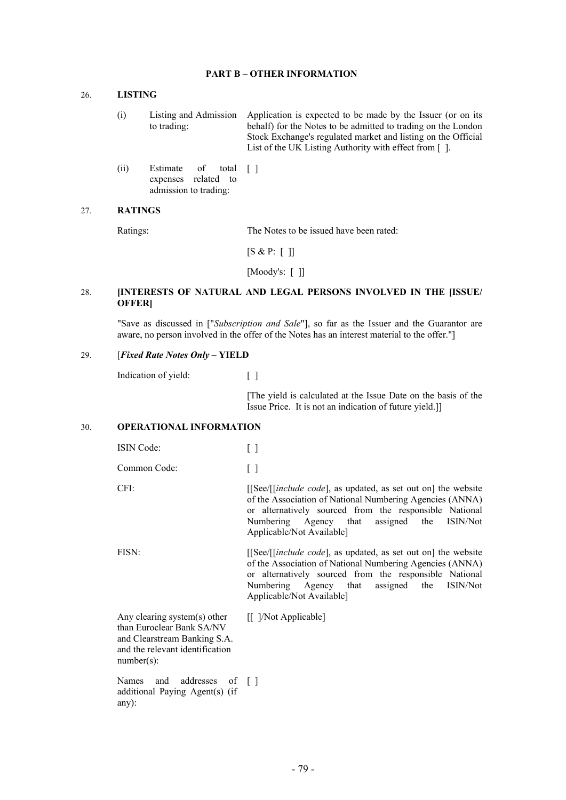# **PART B – OTHER INFORMATION**

# 26. **LISTING**

- (i) Listing and Admission to trading: Application is expected to be made by the Issuer (or on its behalf) for the Notes to be admitted to trading on the London Stock Exchange's regulated market and listing on the Official List of the UK Listing Authority with effect from [ ].
- (ii) Estimate of total expenses related to admission to trading: [ ]

#### 27. **RATINGS**

Ratings: The Notes to be issued have been rated:

 $[S & P: [ ]]$ 

[Moody's: [ ]]

# 28. **[INTERESTS OF NATURAL AND LEGAL PERSONS INVOLVED IN THE [ISSUE/ OFFER]**

"Save as discussed in ["*Subscription and Sale*"], so far as the Issuer and the Guarantor are aware, no person involved in the offer of the Notes has an interest material to the offer."]

#### 29. [*Fixed Rate Notes Only* **– YIELD**

Indication of yield: [ ]

[The yield is calculated at the Issue Date on the basis of the Issue Price. It is not an indication of future yield.]]

#### 30. **OPERATIONAL INFORMATION**

| <b>ISIN</b> Code:                                                                                                                             |                                                                                                                                                                                                                                                                          |
|-----------------------------------------------------------------------------------------------------------------------------------------------|--------------------------------------------------------------------------------------------------------------------------------------------------------------------------------------------------------------------------------------------------------------------------|
| Common Code:                                                                                                                                  | []                                                                                                                                                                                                                                                                       |
| CFI:                                                                                                                                          | [[See/[ <i>[include code</i> ], as updated, as set out on] the website<br>of the Association of National Numbering Agencies (ANNA)<br>or alternatively sourced from the responsible National<br>Numbering Agency that assigned the ISIN/Not<br>Applicable/Not Available] |
| FISN:                                                                                                                                         | [[See/[ <i>[include code</i> ], as updated, as set out on] the website<br>of the Association of National Numbering Agencies (ANNA)<br>or alternatively sourced from the responsible National<br>Numbering Agency that assigned the ISIN/Not<br>Applicable/Not Available] |
| Any clearing system(s) other<br>than Euroclear Bank SA/NV<br>and Clearstream Banking S.A.<br>and the relevant identification<br>$number(s)$ : | [[ ]/Not Applicable]                                                                                                                                                                                                                                                     |
| and addresses of []<br>Names<br>additional Paying Agent(s) (if<br>any):                                                                       |                                                                                                                                                                                                                                                                          |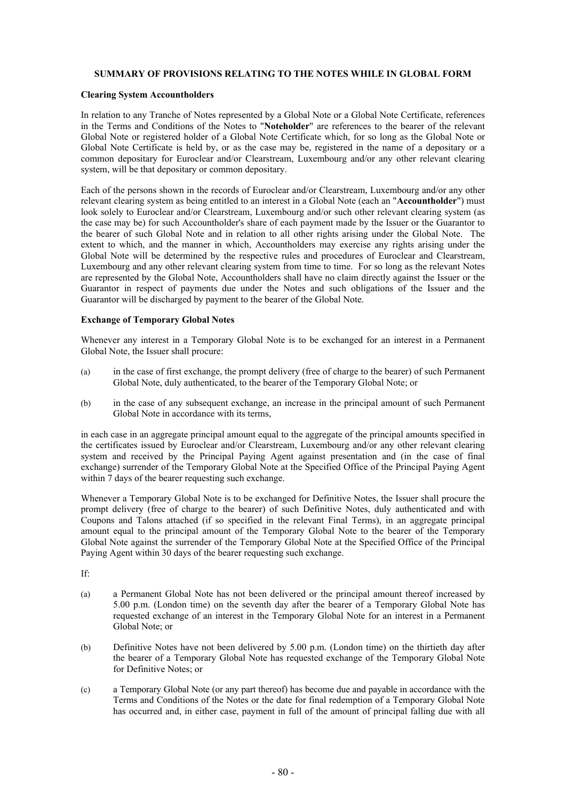# **SUMMARY OF PROVISIONS RELATING TO THE NOTES WHILE IN GLOBAL FORM**

### **Clearing System Accountholders**

In relation to any Tranche of Notes represented by a Global Note or a Global Note Certificate, references in the Terms and Conditions of the Notes to "**Noteholder**" are references to the bearer of the relevant Global Note or registered holder of a Global Note Certificate which, for so long as the Global Note or Global Note Certificate is held by, or as the case may be, registered in the name of a depositary or a common depositary for Euroclear and/or Clearstream, Luxembourg and/or any other relevant clearing system, will be that depositary or common depositary.

Each of the persons shown in the records of Euroclear and/or Clearstream, Luxembourg and/or any other relevant clearing system as being entitled to an interest in a Global Note (each an "**Accountholder**") must look solely to Euroclear and/or Clearstream, Luxembourg and/or such other relevant clearing system (as the case may be) for such Accountholder's share of each payment made by the Issuer or the Guarantor to the bearer of such Global Note and in relation to all other rights arising under the Global Note. The extent to which, and the manner in which, Accountholders may exercise any rights arising under the Global Note will be determined by the respective rules and procedures of Euroclear and Clearstream, Luxembourg and any other relevant clearing system from time to time. For so long as the relevant Notes are represented by the Global Note, Accountholders shall have no claim directly against the Issuer or the Guarantor in respect of payments due under the Notes and such obligations of the Issuer and the Guarantor will be discharged by payment to the bearer of the Global Note.

# **Exchange of Temporary Global Notes**

Whenever any interest in a Temporary Global Note is to be exchanged for an interest in a Permanent Global Note, the Issuer shall procure:

- (a) in the case of first exchange, the prompt delivery (free of charge to the bearer) of such Permanent Global Note, duly authenticated, to the bearer of the Temporary Global Note; or
- (b) in the case of any subsequent exchange, an increase in the principal amount of such Permanent Global Note in accordance with its terms,

in each case in an aggregate principal amount equal to the aggregate of the principal amounts specified in the certificates issued by Euroclear and/or Clearstream, Luxembourg and/or any other relevant clearing system and received by the Principal Paying Agent against presentation and (in the case of final exchange) surrender of the Temporary Global Note at the Specified Office of the Principal Paying Agent within 7 days of the bearer requesting such exchange.

Whenever a Temporary Global Note is to be exchanged for Definitive Notes, the Issuer shall procure the prompt delivery (free of charge to the bearer) of such Definitive Notes, duly authenticated and with Coupons and Talons attached (if so specified in the relevant Final Terms), in an aggregate principal amount equal to the principal amount of the Temporary Global Note to the bearer of the Temporary Global Note against the surrender of the Temporary Global Note at the Specified Office of the Principal Paying Agent within 30 days of the bearer requesting such exchange.

If:

- (a) a Permanent Global Note has not been delivered or the principal amount thereof increased by 5.00 p.m. (London time) on the seventh day after the bearer of a Temporary Global Note has requested exchange of an interest in the Temporary Global Note for an interest in a Permanent Global Note; or
- (b) Definitive Notes have not been delivered by 5.00 p.m. (London time) on the thirtieth day after the bearer of a Temporary Global Note has requested exchange of the Temporary Global Note for Definitive Notes; or
- (c) a Temporary Global Note (or any part thereof) has become due and payable in accordance with the Terms and Conditions of the Notes or the date for final redemption of a Temporary Global Note has occurred and, in either case, payment in full of the amount of principal falling due with all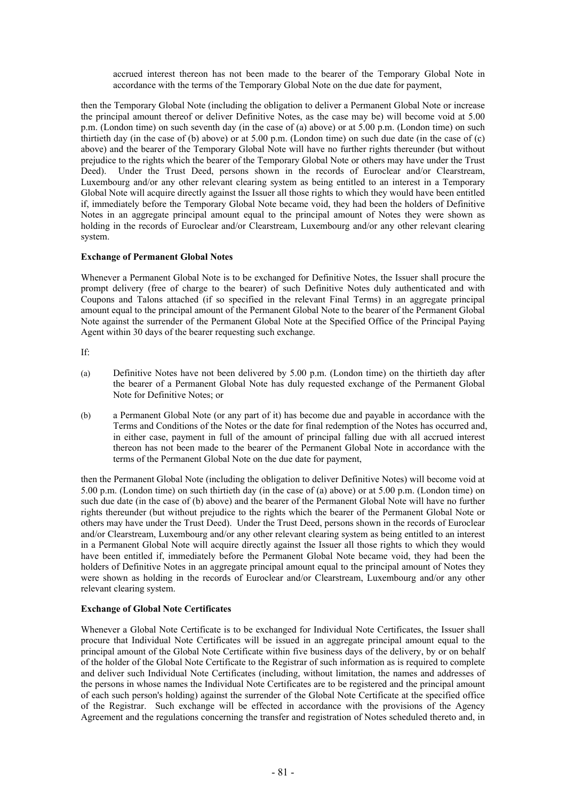accrued interest thereon has not been made to the bearer of the Temporary Global Note in accordance with the terms of the Temporary Global Note on the due date for payment,

then the Temporary Global Note (including the obligation to deliver a Permanent Global Note or increase the principal amount thereof or deliver Definitive Notes, as the case may be) will become void at 5.00 p.m. (London time) on such seventh day (in the case of (a) above) or at 5.00 p.m. (London time) on such thirtieth day (in the case of (b) above) or at 5.00 p.m. (London time) on such due date (in the case of (c) above) and the bearer of the Temporary Global Note will have no further rights thereunder (but without prejudice to the rights which the bearer of the Temporary Global Note or others may have under the Trust Deed). Under the Trust Deed, persons shown in the records of Euroclear and/or Clearstream, Luxembourg and/or any other relevant clearing system as being entitled to an interest in a Temporary Global Note will acquire directly against the Issuer all those rights to which they would have been entitled if, immediately before the Temporary Global Note became void, they had been the holders of Definitive Notes in an aggregate principal amount equal to the principal amount of Notes they were shown as holding in the records of Euroclear and/or Clearstream, Luxembourg and/or any other relevant clearing system.

# **Exchange of Permanent Global Notes**

Whenever a Permanent Global Note is to be exchanged for Definitive Notes, the Issuer shall procure the prompt delivery (free of charge to the bearer) of such Definitive Notes duly authenticated and with Coupons and Talons attached (if so specified in the relevant Final Terms) in an aggregate principal amount equal to the principal amount of the Permanent Global Note to the bearer of the Permanent Global Note against the surrender of the Permanent Global Note at the Specified Office of the Principal Paying Agent within 30 days of the bearer requesting such exchange.

If:

- (a) Definitive Notes have not been delivered by 5.00 p.m. (London time) on the thirtieth day after the bearer of a Permanent Global Note has duly requested exchange of the Permanent Global Note for Definitive Notes; or
- (b) a Permanent Global Note (or any part of it) has become due and payable in accordance with the Terms and Conditions of the Notes or the date for final redemption of the Notes has occurred and, in either case, payment in full of the amount of principal falling due with all accrued interest thereon has not been made to the bearer of the Permanent Global Note in accordance with the terms of the Permanent Global Note on the due date for payment,

then the Permanent Global Note (including the obligation to deliver Definitive Notes) will become void at 5.00 p.m. (London time) on such thirtieth day (in the case of (a) above) or at 5.00 p.m. (London time) on such due date (in the case of (b) above) and the bearer of the Permanent Global Note will have no further rights thereunder (but without prejudice to the rights which the bearer of the Permanent Global Note or others may have under the Trust Deed). Under the Trust Deed, persons shown in the records of Euroclear and/or Clearstream, Luxembourg and/or any other relevant clearing system as being entitled to an interest in a Permanent Global Note will acquire directly against the Issuer all those rights to which they would have been entitled if, immediately before the Permanent Global Note became void, they had been the holders of Definitive Notes in an aggregate principal amount equal to the principal amount of Notes they were shown as holding in the records of Euroclear and/or Clearstream, Luxembourg and/or any other relevant clearing system.

# **Exchange of Global Note Certificates**

Whenever a Global Note Certificate is to be exchanged for Individual Note Certificates, the Issuer shall procure that Individual Note Certificates will be issued in an aggregate principal amount equal to the principal amount of the Global Note Certificate within five business days of the delivery, by or on behalf of the holder of the Global Note Certificate to the Registrar of such information as is required to complete and deliver such Individual Note Certificates (including, without limitation, the names and addresses of the persons in whose names the Individual Note Certificates are to be registered and the principal amount of each such person's holding) against the surrender of the Global Note Certificate at the specified office of the Registrar. Such exchange will be effected in accordance with the provisions of the Agency Agreement and the regulations concerning the transfer and registration of Notes scheduled thereto and, in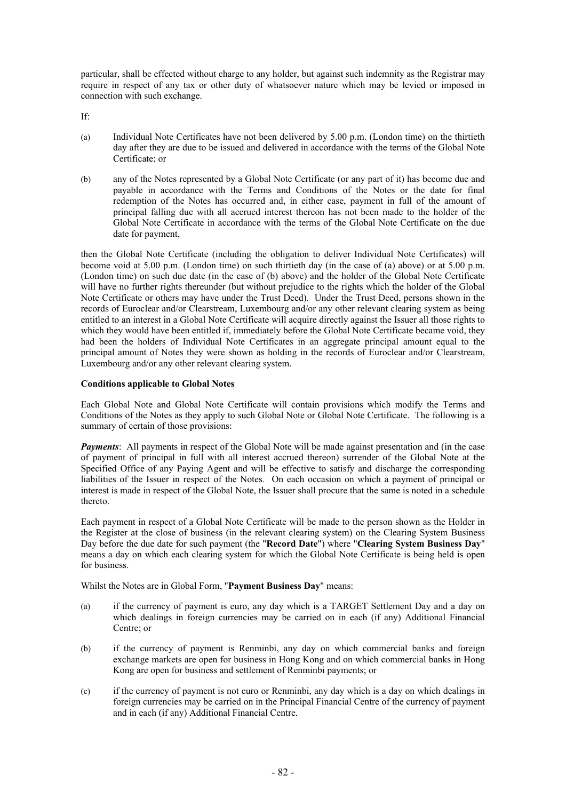particular, shall be effected without charge to any holder, but against such indemnity as the Registrar may require in respect of any tax or other duty of whatsoever nature which may be levied or imposed in connection with such exchange.

If:

- (a) Individual Note Certificates have not been delivered by 5.00 p.m. (London time) on the thirtieth day after they are due to be issued and delivered in accordance with the terms of the Global Note Certificate; or
- (b) any of the Notes represented by a Global Note Certificate (or any part of it) has become due and payable in accordance with the Terms and Conditions of the Notes or the date for final redemption of the Notes has occurred and, in either case, payment in full of the amount of principal falling due with all accrued interest thereon has not been made to the holder of the Global Note Certificate in accordance with the terms of the Global Note Certificate on the due date for payment,

then the Global Note Certificate (including the obligation to deliver Individual Note Certificates) will become void at 5.00 p.m. (London time) on such thirtieth day (in the case of (a) above) or at 5.00 p.m. (London time) on such due date (in the case of (b) above) and the holder of the Global Note Certificate will have no further rights thereunder (but without prejudice to the rights which the holder of the Global Note Certificate or others may have under the Trust Deed). Under the Trust Deed, persons shown in the records of Euroclear and/or Clearstream, Luxembourg and/or any other relevant clearing system as being entitled to an interest in a Global Note Certificate will acquire directly against the Issuer all those rights to which they would have been entitled if, immediately before the Global Note Certificate became void, they had been the holders of Individual Note Certificates in an aggregate principal amount equal to the principal amount of Notes they were shown as holding in the records of Euroclear and/or Clearstream, Luxembourg and/or any other relevant clearing system.

# **Conditions applicable to Global Notes**

Each Global Note and Global Note Certificate will contain provisions which modify the Terms and Conditions of the Notes as they apply to such Global Note or Global Note Certificate. The following is a summary of certain of those provisions:

*Payments*: All payments in respect of the Global Note will be made against presentation and (in the case of payment of principal in full with all interest accrued thereon) surrender of the Global Note at the Specified Office of any Paying Agent and will be effective to satisfy and discharge the corresponding liabilities of the Issuer in respect of the Notes. On each occasion on which a payment of principal or interest is made in respect of the Global Note, the Issuer shall procure that the same is noted in a schedule thereto.

Each payment in respect of a Global Note Certificate will be made to the person shown as the Holder in the Register at the close of business (in the relevant clearing system) on the Clearing System Business Day before the due date for such payment (the "**Record Date**") where "**Clearing System Business Day**" means a day on which each clearing system for which the Global Note Certificate is being held is open for business.

Whilst the Notes are in Global Form, "**Payment Business Day**" means:

- (a) if the currency of payment is euro, any day which is a TARGET Settlement Day and a day on which dealings in foreign currencies may be carried on in each (if any) Additional Financial Centre; or
- (b) if the currency of payment is Renminbi, any day on which commercial banks and foreign exchange markets are open for business in Hong Kong and on which commercial banks in Hong Kong are open for business and settlement of Renminbi payments; or
- (c) if the currency of payment is not euro or Renminbi, any day which is a day on which dealings in foreign currencies may be carried on in the Principal Financial Centre of the currency of payment and in each (if any) Additional Financial Centre.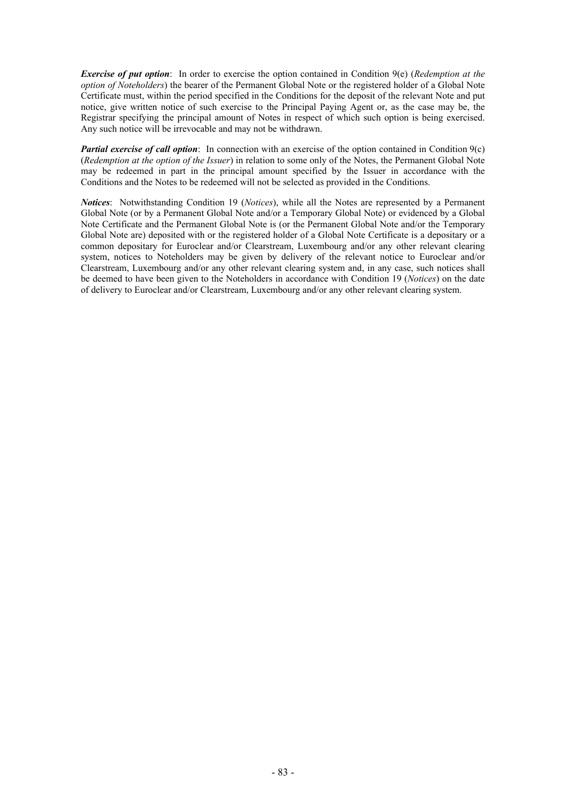*Exercise of put option*: In order to exercise the option contained in Condition 9(e) (*Redemption at the option of Noteholders*) the bearer of the Permanent Global Note or the registered holder of a Global Note Certificate must, within the period specified in the Conditions for the deposit of the relevant Note and put notice, give written notice of such exercise to the Principal Paying Agent or, as the case may be, the Registrar specifying the principal amount of Notes in respect of which such option is being exercised. Any such notice will be irrevocable and may not be withdrawn.

*Partial exercise of call option*: In connection with an exercise of the option contained in Condition 9(c) (*Redemption at the option of the Issuer*) in relation to some only of the Notes, the Permanent Global Note may be redeemed in part in the principal amount specified by the Issuer in accordance with the Conditions and the Notes to be redeemed will not be selected as provided in the Conditions.

*Notices*: Notwithstanding Condition 19 (*Notices*), while all the Notes are represented by a Permanent Global Note (or by a Permanent Global Note and/or a Temporary Global Note) or evidenced by a Global Note Certificate and the Permanent Global Note is (or the Permanent Global Note and/or the Temporary Global Note are) deposited with or the registered holder of a Global Note Certificate is a depositary or a common depositary for Euroclear and/or Clearstream, Luxembourg and/or any other relevant clearing system, notices to Noteholders may be given by delivery of the relevant notice to Euroclear and/or Clearstream, Luxembourg and/or any other relevant clearing system and, in any case, such notices shall be deemed to have been given to the Noteholders in accordance with Condition 19 (*Notices*) on the date of delivery to Euroclear and/or Clearstream, Luxembourg and/or any other relevant clearing system.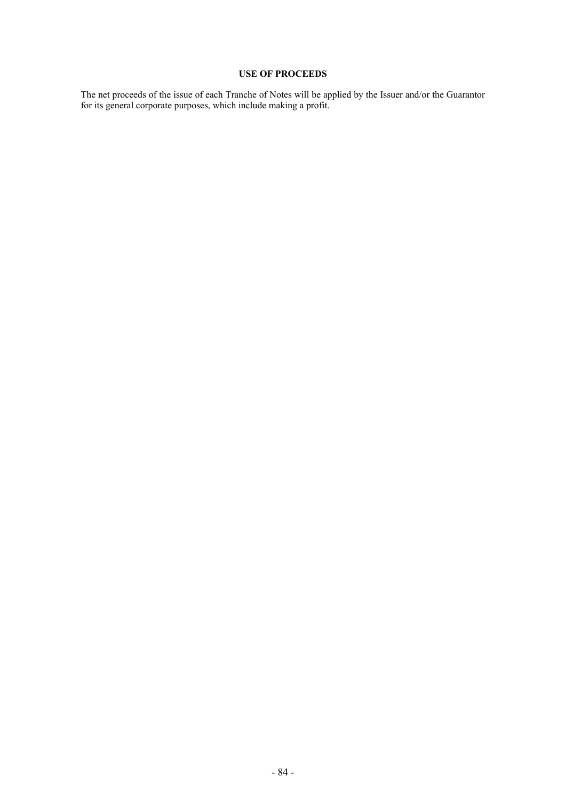# **USE OF PROCEEDS**

The net proceeds of the issue of each Tranche of Notes will be applied by the Issuer and/or the Guarantor for its general corporate purposes, which include making a profit.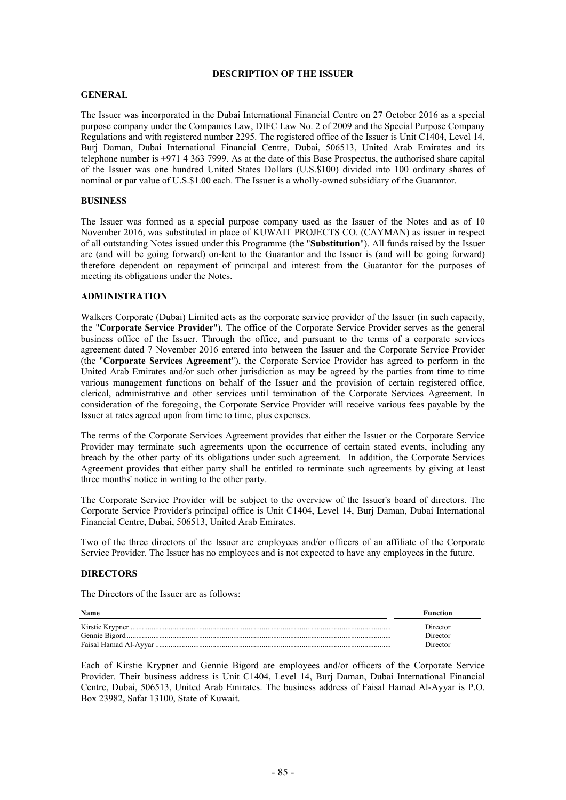# **DESCRIPTION OF THE ISSUER**

# **GENERAL**

The Issuer was incorporated in the Dubai International Financial Centre on 27 October 2016 as a special purpose company under the Companies Law, DIFC Law No. 2 of 2009 and the Special Purpose Company Regulations and with registered number 2295. The registered office of the Issuer is Unit C1404, Level 14, Burj Daman, Dubai International Financial Centre, Dubai, 506513, United Arab Emirates and its telephone number is +971 4 363 7999. As at the date of this Base Prospectus, the authorised share capital of the Issuer was one hundred United States Dollars (U.S.\$100) divided into 100 ordinary shares of nominal or par value of U.S.\$1.00 each. The Issuer is a wholly-owned subsidiary of the Guarantor.

### **BUSINESS**

The Issuer was formed as a special purpose company used as the Issuer of the Notes and as of 10 November 2016, was substituted in place of KUWAIT PROJECTS CO. (CAYMAN) as issuer in respect of all outstanding Notes issued under this Programme (the "**Substitution**"). All funds raised by the Issuer are (and will be going forward) on-lent to the Guarantor and the Issuer is (and will be going forward) therefore dependent on repayment of principal and interest from the Guarantor for the purposes of meeting its obligations under the Notes.

# **ADMINISTRATION**

Walkers Corporate (Dubai) Limited acts as the corporate service provider of the Issuer (in such capacity, the "**Corporate Service Provider**"). The office of the Corporate Service Provider serves as the general business office of the Issuer. Through the office, and pursuant to the terms of a corporate services agreement dated 7 November 2016 entered into between the Issuer and the Corporate Service Provider (the "**Corporate Services Agreement**"), the Corporate Service Provider has agreed to perform in the United Arab Emirates and/or such other jurisdiction as may be agreed by the parties from time to time various management functions on behalf of the Issuer and the provision of certain registered office, clerical, administrative and other services until termination of the Corporate Services Agreement. In consideration of the foregoing, the Corporate Service Provider will receive various fees payable by the Issuer at rates agreed upon from time to time, plus expenses.

The terms of the Corporate Services Agreement provides that either the Issuer or the Corporate Service Provider may terminate such agreements upon the occurrence of certain stated events, including any breach by the other party of its obligations under such agreement. In addition, the Corporate Services Agreement provides that either party shall be entitled to terminate such agreements by giving at least three months' notice in writing to the other party.

The Corporate Service Provider will be subject to the overview of the Issuer's board of directors. The Corporate Service Provider's principal office is Unit C1404, Level 14, Burj Daman, Dubai International Financial Centre, Dubai, 506513, United Arab Emirates.

Two of the three directors of the Issuer are employees and/or officers of an affiliate of the Corporate Service Provider. The Issuer has no employees and is not expected to have any employees in the future.

#### **DIRECTORS**

The Directors of the Issuer are as follows:

| Name | <b>Function</b>      |
|------|----------------------|
|      | Director<br>Director |
|      | Director             |

Each of Kirstie Krypner and Gennie Bigord are employees and/or officers of the Corporate Service Provider. Their business address is Unit C1404, Level 14, Burj Daman, Dubai International Financial Centre, Dubai, 506513, United Arab Emirates. The business address of Faisal Hamad Al-Ayyar is P.O. Box 23982, Safat 13100, State of Kuwait.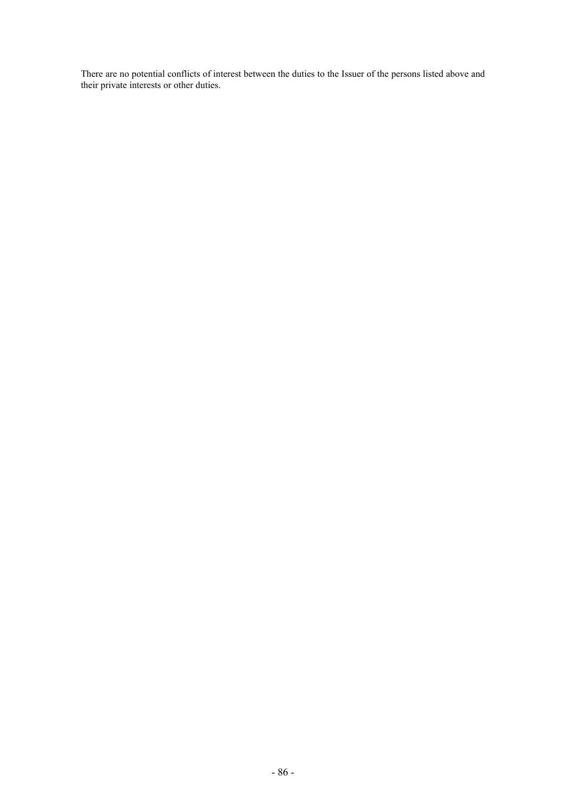There are no potential conflicts of interest between the duties to the Issuer of the persons listed above and their private interests or other duties.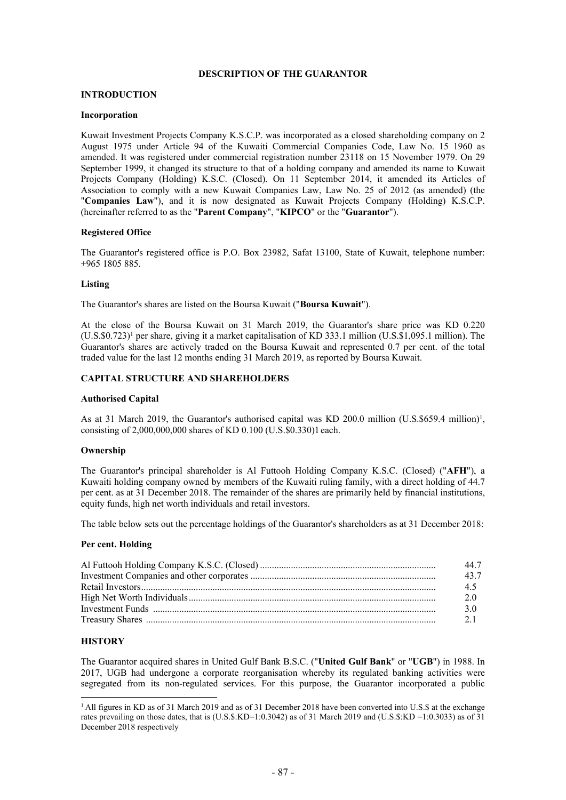# **DESCRIPTION OF THE GUARANTOR**

### **INTRODUCTION**

### **Incorporation**

Kuwait Investment Projects Company K.S.C.P. was incorporated as a closed shareholding company on 2 August 1975 under Article 94 of the Kuwaiti Commercial Companies Code, Law No. 15 1960 as amended. It was registered under commercial registration number 23118 on 15 November 1979. On 29 September 1999, it changed its structure to that of a holding company and amended its name to Kuwait Projects Company (Holding) K.S.C. (Closed). On 11 September 2014, it amended its Articles of Association to comply with a new Kuwait Companies Law, Law No. 25 of 2012 (as amended) (the "**Companies Law**"), and it is now designated as Kuwait Projects Company (Holding) K.S.C.P. (hereinafter referred to as the "**Parent Company**", "**KIPCO**" or the "**Guarantor**").

### **Registered Office**

The Guarantor's registered office is P.O. Box 23982, Safat 13100, State of Kuwait, telephone number: +965 1805 885.

### **Listing**

The Guarantor's shares are listed on the Boursa Kuwait ("**Boursa Kuwait**").

<span id="page-88-0"></span>At the close of the Boursa Kuwait on 31 March 2019, the Guarantor's share price was KD 0.220  $(U.S. \$0.723)^1$  per share, giving it a market capitalisation of KD 333.1 million  $(U.S. \$1,095.1$  million). The Guarantor's shares are actively traded on the Boursa Kuwait and represented 0.7 per cent. of the total traded value for the last 12 months ending 31 March 2019, as reported by Boursa Kuwait.

# **CAPITAL STRUCTURE AND SHAREHOLDERS**

#### **Authorised Capital**

As at 3[1](#page-88-0) March 2019, the Guarantor's authorised capital was KD 200.0 million (U.S.\$659.4 million)<sup>1</sup>, consisting of 2,000,000,000 shares of KD 0.100 (U.S.\$0.330[\)1](#page-88-0) each.

#### **Ownership**

The Guarantor's principal shareholder is Al Futtooh Holding Company K.S.C. (Closed) ("**AFH**"), a Kuwaiti holding company owned by members of the Kuwaiti ruling family, with a direct holding of 44.7 per cent. as at 31 December 2018. The remainder of the shares are primarily held by financial institutions, equity funds, high net worth individuals and retail investors.

The table below sets out the percentage holdings of the Guarantor's shareholders as at 31 December 2018:

### **Per cent. Holding**

| 44.7 |
|------|
| 43.7 |
| 45   |
| 2.0  |
| 30   |
| 21   |
|      |

# **HISTORY**

The Guarantor acquired shares in United Gulf Bank B.S.C. ("**United Gulf Bank**" or "**UGB**") in 1988. In 2017, UGB had undergone a corporate reorganisation whereby its regulated banking activities were segregated from its non-regulated services. For this purpose, the Guarantor incorporated a public

<sup>&</sup>lt;sup>1</sup> All figures in KD as of 31 March 2019 and as of 31 December 2018 have been converted into U.S. \$ at the exchange rates prevailing on those dates, that is (U.S.\$:KD=1:0.3042) as of 31 March 2019 and (U.S.\$:KD =1:0.3033) as of 31 December 2018 respectively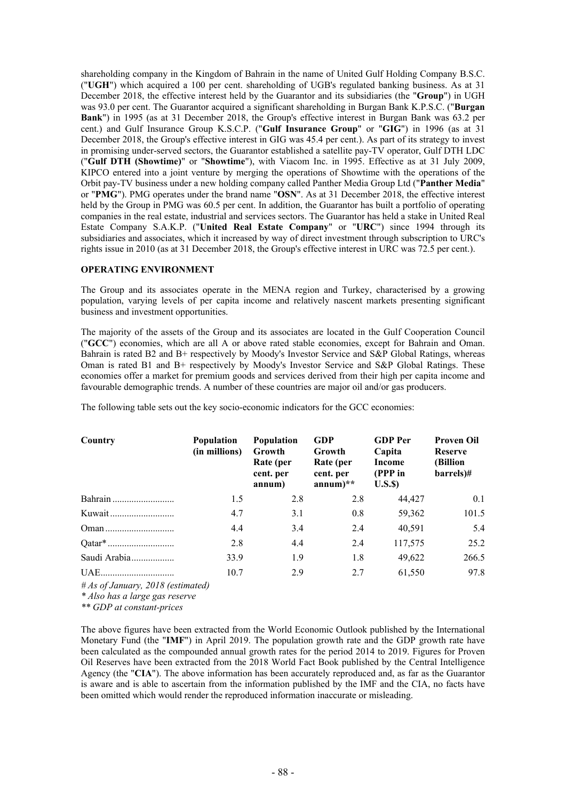shareholding company in the Kingdom of Bahrain in the name of United Gulf Holding Company B.S.C. ("**UGH**") which acquired a 100 per cent. shareholding of UGB's regulated banking business. As at 31 December 2018, the effective interest held by the Guarantor and its subsidiaries (the "**Group**") in UGH was 93.0 per cent. The Guarantor acquired a significant shareholding in Burgan Bank K.P.S.C. ("**Burgan Bank**") in 1995 (as at 31 December 2018, the Group's effective interest in Burgan Bank was 63.2 per cent.) and Gulf Insurance Group K.S.C.P. ("**Gulf Insurance Group**" or "**GIG**") in 1996 (as at 31 December 2018, the Group's effective interest in GIG was 45.4 per cent.). As part of its strategy to invest in promising under-served sectors, the Guarantor established a satellite pay-TV operator, Gulf DTH LDC ("**Gulf DTH (Showtime)**" or "**Showtime**"), with Viacom Inc. in 1995. Effective as at 31 July 2009, KIPCO entered into a joint venture by merging the operations of Showtime with the operations of the Orbit pay-TV business under a new holding company called Panther Media Group Ltd ("**Panther Media**" or "**PMG**"). PMG operates under the brand name "**OSN**". As at 31 December 2018, the effective interest held by the Group in PMG was 60.5 per cent. In addition, the Guarantor has built a portfolio of operating companies in the real estate, industrial and services sectors. The Guarantor has held a stake in United Real Estate Company S.A.K.P. ("**United Real Estate Company**" or "**URC**") since 1994 through its subsidiaries and associates, which it increased by way of direct investment through subscription to URC's rights issue in 2010 (as at 31 December 2018, the Group's effective interest in URC was 72.5 per cent.).

### **OPERATING ENVIRONMENT**

The Group and its associates operate in the MENA region and Turkey, characterised by a growing population, varying levels of per capita income and relatively nascent markets presenting significant business and investment opportunities.

The majority of the assets of the Group and its associates are located in the Gulf Cooperation Council ("**GCC**") economies, which are all A or above rated stable economies, except for Bahrain and Oman. Bahrain is rated B2 and B+ respectively by Moody's Investor Service and S&P Global Ratings, whereas Oman is rated B1 and B+ respectively by Moody's Investor Service and S&P Global Ratings. These economies offer a market for premium goods and services derived from their high per capita income and favourable demographic trends. A number of these countries are major oil and/or gas producers.

The following table sets out the key socio-economic indicators for the GCC economies:

| Country                                    | <b>Population</b><br>(in millions) | <b>Population</b><br>Growth<br>Rate (per<br>cent. per<br>annum) | <b>GDP</b><br>Growth<br>Rate (per<br>cent. per<br>$annum)**$ | <b>GDP</b> Per<br>Capita<br>Income<br>(PPP in<br>U.S.S | <b>Proven Oil</b><br><b>Reserve</b><br>(Billion<br>barrels)# |
|--------------------------------------------|------------------------------------|-----------------------------------------------------------------|--------------------------------------------------------------|--------------------------------------------------------|--------------------------------------------------------------|
|                                            | 1.5                                | 2.8                                                             | 2.8                                                          | 44,427                                                 | 0.1                                                          |
|                                            | 4.7                                | 3.1                                                             | 0.8                                                          | 59,362                                                 | 101.5                                                        |
|                                            | 4.4                                | 3.4                                                             | 2.4                                                          | 40,591                                                 | 5.4                                                          |
|                                            | 2.8                                | 4.4                                                             | 2.4                                                          | 117,575                                                | 25.2                                                         |
| Saudi Arabia                               | 33.9                               | 1.9                                                             | 1.8                                                          | 49,622                                                 | 266.5                                                        |
| UAE<br>$\#As$ of January, 2018 (estimated) | 10.7                               | 2.9                                                             | 2.7                                                          | 61,550                                                 | 97.8                                                         |

*# As of January, 2018 (estimated) \* Also has a large gas reserve*

*\*\* GDP at constant-prices*

The above figures have been extracted from the World Economic Outlook published by the International Monetary Fund (the "**IMF**") in April 2019. The population growth rate and the GDP growth rate have been calculated as the compounded annual growth rates for the period 2014 to 2019. Figures for Proven Oil Reserves have been extracted from the 2018 World Fact Book published by the Central Intelligence Agency (the "**CIA**"). The above information has been accurately reproduced and, as far as the Guarantor is aware and is able to ascertain from the information published by the IMF and the CIA, no facts have been omitted which would render the reproduced information inaccurate or misleading.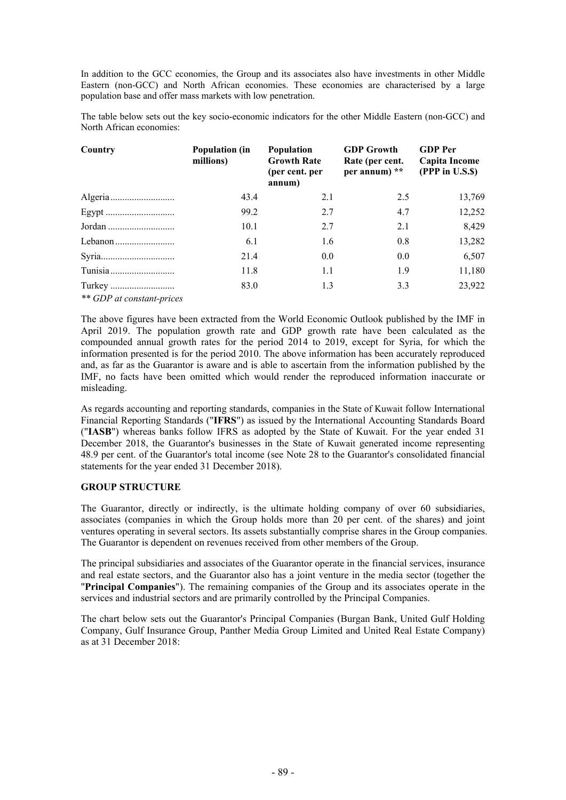In addition to the GCC economies, the Group and its associates also have investments in other Middle Eastern (non-GCC) and North African economies. These economies are characterised by a large population base and offer mass markets with low penetration.

The table below sets out the key socio-economic indicators for the other Middle Eastern (non-GCC) and North African economies:

| Country                   | <b>Population (in</b><br>millions) | Population<br><b>Growth Rate</b><br>(per cent. per<br>annum) | <b>GDP Growth</b><br>Rate (per cent.<br>per annum) ** | <b>GDP</b> Per<br>Capita Income<br>(PPP in U.S.\$) |
|---------------------------|------------------------------------|--------------------------------------------------------------|-------------------------------------------------------|----------------------------------------------------|
|                           | 43.4                               | 2.1                                                          | 2.5                                                   | 13,769                                             |
|                           | 99.2                               | 2.7                                                          | 4.7                                                   | 12,252                                             |
|                           | 10.1                               | 2.7                                                          | 2.1                                                   | 8,429                                              |
| Lebanon                   | 6.1                                | 1.6                                                          | 0.8                                                   | 13,282                                             |
|                           | 21.4                               | 0.0                                                          | 0.0                                                   | 6,507                                              |
|                           | 11.8                               | 1.1                                                          | 1.9                                                   | 11,180                                             |
| ** GDP at constant-prices | 83.0                               | 1.3                                                          | 3.3                                                   | 23,922                                             |

The above figures have been extracted from the World Economic Outlook published by the IMF in April 2019. The population growth rate and GDP growth rate have been calculated as the compounded annual growth rates for the period 2014 to 2019, except for Syria, for which the information presented is for the period 2010. The above information has been accurately reproduced and, as far as the Guarantor is aware and is able to ascertain from the information published by the IMF, no facts have been omitted which would render the reproduced information inaccurate or misleading.

As regards accounting and reporting standards, companies in the State of Kuwait follow International Financial Reporting Standards ("**IFRS**") as issued by the International Accounting Standards Board ("**IASB**") whereas banks follow IFRS as adopted by the State of Kuwait. For the year ended 31 December 2018, the Guarantor's businesses in the State of Kuwait generated income representing 48.9 per cent. of the Guarantor's total income (see Note 28 to the Guarantor's consolidated financial statements for the year ended 31 December 2018).

# **GROUP STRUCTURE**

The Guarantor, directly or indirectly, is the ultimate holding company of over 60 subsidiaries, associates (companies in which the Group holds more than 20 per cent. of the shares) and joint ventures operating in several sectors. Its assets substantially comprise shares in the Group companies. The Guarantor is dependent on revenues received from other members of the Group.

The principal subsidiaries and associates of the Guarantor operate in the financial services, insurance and real estate sectors, and the Guarantor also has a joint venture in the media sector (together the "**Principal Companies**"). The remaining companies of the Group and its associates operate in the services and industrial sectors and are primarily controlled by the Principal Companies.

The chart below sets out the Guarantor's Principal Companies (Burgan Bank, United Gulf Holding Company, Gulf Insurance Group, Panther Media Group Limited and United Real Estate Company) as at 31 December 2018: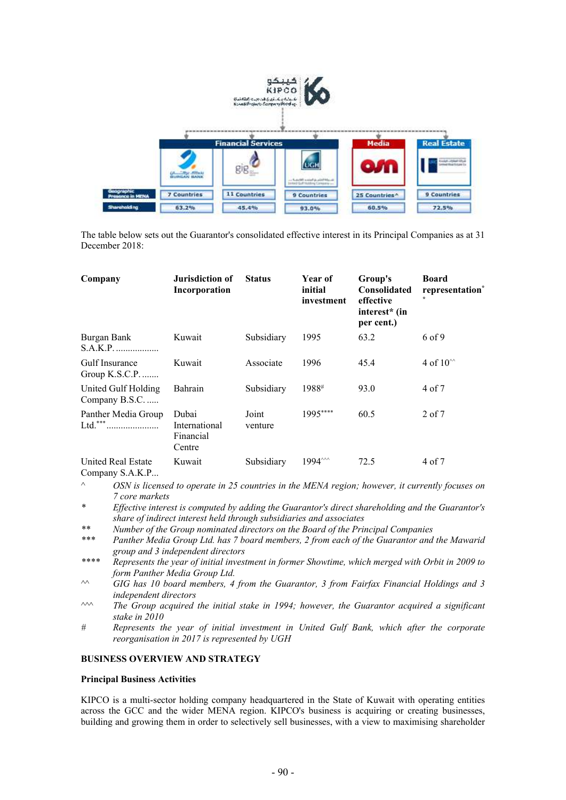

The table below sets out the Guarantor's consolidated effective interest in its Principal Companies as at 31 December 2018:

| Company                              | Jurisdiction of<br>Incorporation              | <b>Status</b>    | Year of<br>initial<br>investment | Group's<br><b>Consolidated</b><br>effective<br>interest <sup>*</sup> (in<br>per cent.) | <b>Board</b><br>representation*<br>÷ |
|--------------------------------------|-----------------------------------------------|------------------|----------------------------------|----------------------------------------------------------------------------------------|--------------------------------------|
| Burgan Bank<br>S.A.K.P.              | Kuwait                                        | Subsidiary       | 1995                             | 63.2                                                                                   | 6 of 9                               |
| Gulf Insurance<br>Group $K.S.C.P.$   | Kuwait                                        | Associate        | 1996                             | 45.4                                                                                   | 4 of $10^{\circ\circ}$               |
| United Gulf Holding<br>Company B.S.C | Bahrain                                       | Subsidiary       | 1988#                            | 93.0                                                                                   | 4 of 7                               |
| Panther Media Group<br>Ltd.***       | Dubai<br>International<br>Financial<br>Centre | Joint<br>venture | 1995****                         | 60.5                                                                                   | 2 of 7                               |
| United Real Estate                   | Kuwait                                        | Subsidiary       | 1994 ~~                          | 72.5                                                                                   | 4 of 7                               |

Company S.A.K.P...

- *^ OSN is licensed to operate in 25 countries in the MENA region; however, it currently focuses on 7 core markets*
- *\* Effective interest is computed by adding the Guarantor's direct shareholding and the Guarantor's share of indirect interest held through subsidiaries and associates*
- *\*\* Number of the Group nominated directors on the Board of the Principal Companies*
- *\*\*\* Panther Media Group Ltd. has 7 board members, 2 from each of the Guarantor and the Mawarid group and 3 independent directors*
- *\*\*\*\* Represents the year of initial investment in former Showtime, which merged with Orbit in 2009 to form Panther Media Group Ltd.*
- *^^ GIG has 10 board members, 4 from the Guarantor, 3 from Fairfax Financial Holdings and 3 independent directors*
- *^^^ The Group acquired the initial stake in 1994; however, the Guarantor acquired a significant stake in 2010*
- *# Represents the year of initial investment in United Gulf Bank, which after the corporate reorganisation in 2017 is represented by UGH*

# **BUSINESS OVERVIEW AND STRATEGY**

# **Principal Business Activities**

KIPCO is a multi-sector holding company headquartered in the State of Kuwait with operating entities across the GCC and the wider MENA region. KIPCO's business is acquiring or creating businesses, building and growing them in order to selectively sell businesses, with a view to maximising shareholder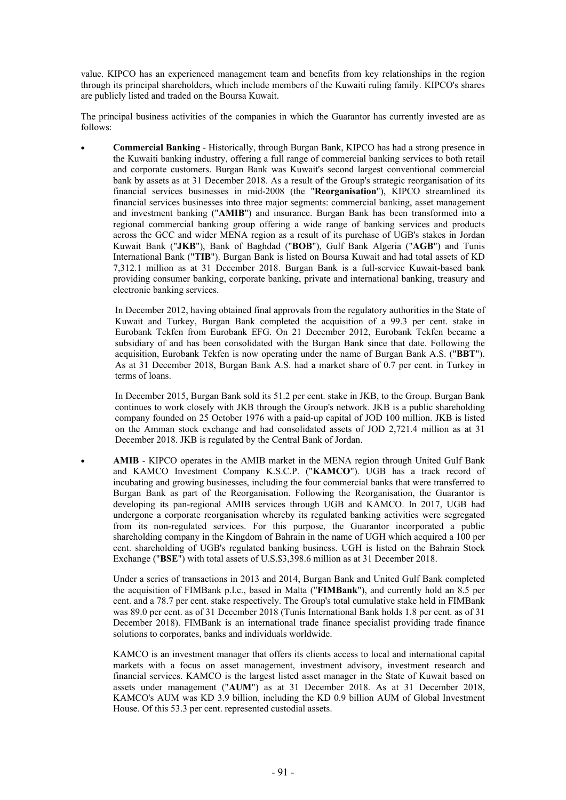value. KIPCO has an experienced management team and benefits from key relationships in the region through its principal shareholders, which include members of the Kuwaiti ruling family. KIPCO's shares are publicly listed and traded on the Boursa Kuwait.

The principal business activities of the companies in which the Guarantor has currently invested are as follows:

 **Commercial Banking** - Historically, through Burgan Bank, KIPCO has had a strong presence in the Kuwaiti banking industry, offering a full range of commercial banking services to both retail and corporate customers. Burgan Bank was Kuwait's second largest conventional commercial bank by assets as at 31 December 2018. As a result of the Group's strategic reorganisation of its financial services businesses in mid-2008 (the "**Reorganisation**"), KIPCO streamlined its financial services businesses into three major segments: commercial banking, asset management and investment banking ("**AMIB**") and insurance. Burgan Bank has been transformed into a regional commercial banking group offering a wide range of banking services and products across the GCC and wider MENA region as a result of its purchase of UGB's stakes in Jordan Kuwait Bank ("**JKB**"), Bank of Baghdad ("**BOB**"), Gulf Bank Algeria ("**AGB**") and Tunis International Bank ("**TIB**"). Burgan Bank is listed on Boursa Kuwait and had total assets of KD 7,312.1 million as at 31 December 2018. Burgan Bank is a full-service Kuwait-based bank providing consumer banking, corporate banking, private and international banking, treasury and electronic banking services.

In December 2012, having obtained final approvals from the regulatory authorities in the State of Kuwait and Turkey, Burgan Bank completed the acquisition of a 99.3 per cent. stake in Eurobank Tekfen from Eurobank EFG. On 21 December 2012, Eurobank Tekfen became a subsidiary of and has been consolidated with the Burgan Bank since that date. Following the acquisition, Eurobank Tekfen is now operating under the name of Burgan Bank A.S. ("**BBT**"). As at 31 December 2018, Burgan Bank A.S. had a market share of 0.7 per cent. in Turkey in terms of loans.

In December 2015, Burgan Bank sold its 51.2 per cent. stake in JKB, to the Group. Burgan Bank continues to work closely with JKB through the Group's network. JKB is a public shareholding company founded on 25 October 1976 with a paid-up capital of JOD 100 million. JKB is listed on the Amman stock exchange and had consolidated assets of JOD 2,721.4 million as at 31 December 2018. JKB is regulated by the Central Bank of Jordan.

 **AMIB** - KIPCO operates in the AMIB market in the MENA region through United Gulf Bank and KAMCO Investment Company K.S.C.P. ("**KAMCO**"). UGB has a track record of incubating and growing businesses, including the four commercial banks that were transferred to Burgan Bank as part of the Reorganisation. Following the Reorganisation, the Guarantor is developing its pan-regional AMIB services through UGB and KAMCO. In 2017, UGB had undergone a corporate reorganisation whereby its regulated banking activities were segregated from its non-regulated services. For this purpose, the Guarantor incorporated a public shareholding company in the Kingdom of Bahrain in the name of UGH which acquired a 100 per cent. shareholding of UGB's regulated banking business. UGH is listed on the Bahrain Stock Exchange ("**BSE**") with total assets of U.S.\$3,398.6 million as at 31 December 2018.

Under a series of transactions in 2013 and 2014, Burgan Bank and United Gulf Bank completed the acquisition of FIMBank p.l.c., based in Malta ("**FIMBank**"), and currently hold an 8.5 per cent. and a 78.7 per cent. stake respectively. The Group's total cumulative stake held in FIMBank was 89.0 per cent. as of 31 December 2018 (Tunis International Bank holds 1.8 per cent. as of 31 December 2018). FIMBank is an international trade finance specialist providing trade finance solutions to corporates, banks and individuals worldwide.

KAMCO is an investment manager that offers its clients access to local and international capital markets with a focus on asset management, investment advisory, investment research and financial services. KAMCO is the largest listed asset manager in the State of Kuwait based on assets under management ("**AUM**") as at 31 December 2018. As at 31 December 2018, KAMCO's AUM was KD 3.9 billion, including the KD 0.9 billion AUM of Global Investment House. Of this 53.3 per cent. represented custodial assets.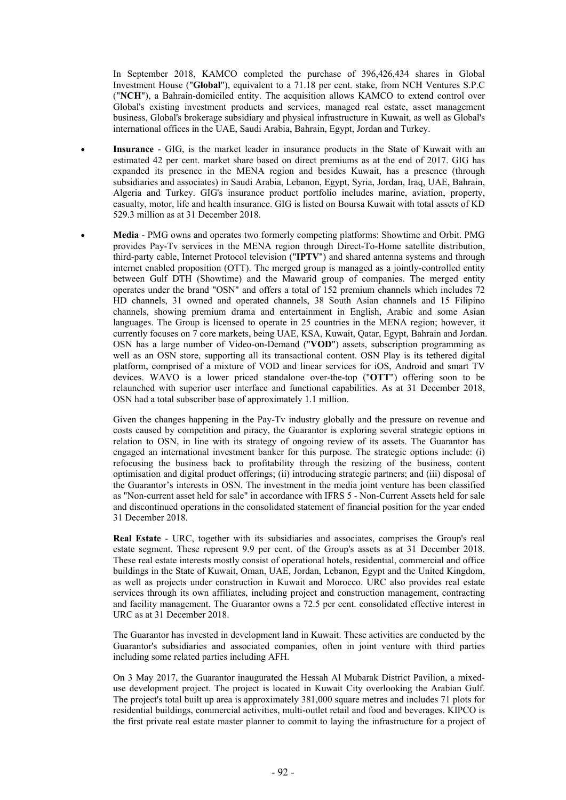In September 2018, KAMCO completed the purchase of 396,426,434 shares in Global Investment House ("**Global**"), equivalent to a 71.18 per cent. stake, from NCH Ventures S.P.C ("**NCH**"), a Bahrain-domiciled entity. The acquisition allows KAMCO to extend control over Global's existing investment products and services, managed real estate, asset management business, Global's brokerage subsidiary and physical infrastructure in Kuwait, as well as Global's international offices in the UAE, Saudi Arabia, Bahrain, Egypt, Jordan and Turkey.

- **Insurance**  GIG, is the market leader in insurance products in the State of Kuwait with an estimated 42 per cent. market share based on direct premiums as at the end of 2017. GIG has expanded its presence in the MENA region and besides Kuwait, has a presence (through subsidiaries and associates) in Saudi Arabia, Lebanon, Egypt, Syria, Jordan, Iraq, UAE, Bahrain, Algeria and Turkey. GIG's insurance product portfolio includes marine, aviation, property, casualty, motor, life and health insurance. GIG is listed on Boursa Kuwait with total assets of KD 529.3 million as at 31 December 2018.
- **Media** PMG owns and operates two formerly competing platforms: Showtime and Orbit. PMG provides Pay-Tv services in the MENA region through Direct-To-Home satellite distribution, third-party cable, Internet Protocol television ("**IPTV**") and shared antenna systems and through internet enabled proposition (OTT). The merged group is managed as a jointly-controlled entity between Gulf DTH (Showtime) and the Mawarid group of companies. The merged entity operates under the brand "OSN" and offers a total of 152 premium channels which includes 72 HD channels, 31 owned and operated channels, 38 South Asian channels and 15 Filipino channels, showing premium drama and entertainment in English, Arabic and some Asian languages. The Group is licensed to operate in 25 countries in the MENA region; however, it currently focuses on 7 core markets, being UAE, KSA, Kuwait, Qatar, Egypt, Bahrain and Jordan. OSN has a large number of Video-on-Demand ("**VOD**") assets, subscription programming as well as an OSN store, supporting all its transactional content. OSN Play is its tethered digital platform, comprised of a mixture of VOD and linear services for iOS, Android and smart TV devices. WAVO is a lower priced standalone over-the-top ("**OTT**") offering soon to be relaunched with superior user interface and functional capabilities. As at 31 December 2018, OSN had a total subscriber base of approximately 1.1 million.

Given the changes happening in the Pay-Tv industry globally and the pressure on revenue and costs caused by competition and piracy, the Guarantor is exploring several strategic options in relation to OSN, in line with its strategy of ongoing review of its assets. The Guarantor has engaged an international investment banker for this purpose. The strategic options include: (i) refocusing the business back to profitability through the resizing of the business, content optimisation and digital product offerings; (ii) introducing strategic partners; and (iii) disposal of the Guarantor's interests in OSN. The investment in the media joint venture has been classified as "Non-current asset held for sale" in accordance with IFRS 5 - Non-Current Assets held for sale and discontinued operations in the consolidated statement of financial position for the year ended 31 December 2018.

**Real Estate** - URC, together with its subsidiaries and associates, comprises the Group's real estate segment. These represent 9.9 per cent. of the Group's assets as at 31 December 2018. These real estate interests mostly consist of operational hotels, residential, commercial and office buildings in the State of Kuwait, Oman, UAE, Jordan, Lebanon, Egypt and the United Kingdom, as well as projects under construction in Kuwait and Morocco. URC also provides real estate services through its own affiliates, including project and construction management, contracting and facility management. The Guarantor owns a 72.5 per cent. consolidated effective interest in URC as at 31 December 2018.

The Guarantor has invested in development land in Kuwait. These activities are conducted by the Guarantor's subsidiaries and associated companies, often in joint venture with third parties including some related parties including AFH.

On 3 May 2017, the Guarantor inaugurated the Hessah Al Mubarak District Pavilion, a mixeduse development project. The project is located in Kuwait City overlooking the Arabian Gulf. The project's total built up area is approximately 381,000 square metres and includes 71 plots for residential buildings, commercial activities, multi-outlet retail and food and beverages. KIPCO is the first private real estate master planner to commit to laying the infrastructure for a project of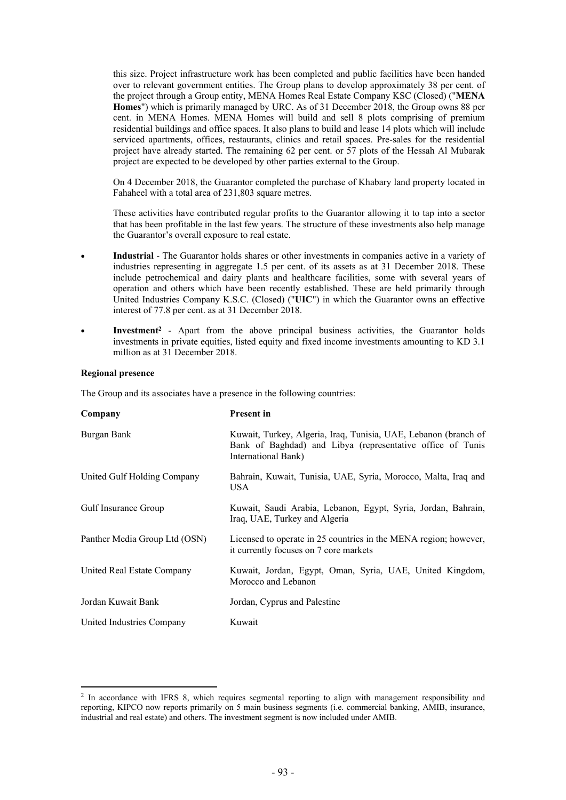this size. Project infrastructure work has been completed and public facilities have been handed over to relevant government entities. The Group plans to develop approximately 38 per cent. of the project through a Group entity, MENA Homes Real Estate Company KSC (Closed) ("**MENA Homes**") which is primarily managed by URC. As of 31 December 2018, the Group owns 88 per cent. in MENA Homes. MENA Homes will build and sell 8 plots comprising of premium residential buildings and office spaces. It also plans to build and lease 14 plots which will include serviced apartments, offices, restaurants, clinics and retail spaces. Pre-sales for the residential project have already started. The remaining 62 per cent. or 57 plots of the Hessah Al Mubarak project are expected to be developed by other parties external to the Group.

On 4 December 2018, the Guarantor completed the purchase of Khabary land property located in Fahaheel with a total area of 231,803 square metres.

These activities have contributed regular profits to the Guarantor allowing it to tap into a sector that has been profitable in the last few years. The structure of these investments also help manage the Guarantor's overall exposure to real estate.

- **Industrial**  The Guarantor holds shares or other investments in companies active in a variety of industries representing in aggregate 1.5 per cent. of its assets as at 31 December 2018. These include petrochemical and dairy plants and healthcare facilities, some with several years of operation and others which have been recently established. These are held primarily through United Industries Company K.S.C. (Closed) ("**UIC**") in which the Guarantor owns an effective interest of 77.8 per cent. as at 31 December 2018.
- **Investment<sup>2</sup>** Apart from the above principal business activities, the Guarantor holds investments in private equities, listed equity and fixed income investments amounting to KD 3.1 million as at 31 December 2018.

### **Regional presence**

The Group and its associates have a presence in the following countries:

| Company                       | <b>Present in</b>                                                                                                                                    |
|-------------------------------|------------------------------------------------------------------------------------------------------------------------------------------------------|
| Burgan Bank                   | Kuwait, Turkey, Algeria, Iraq, Tunisia, UAE, Lebanon (branch of<br>Bank of Baghdad) and Libya (representative office of Tunis<br>International Bank) |
| United Gulf Holding Company   | Bahrain, Kuwait, Tunisia, UAE, Syria, Morocco, Malta, Iraq and<br>USA                                                                                |
| <b>Gulf Insurance Group</b>   | Kuwait, Saudi Arabia, Lebanon, Egypt, Syria, Jordan, Bahrain,<br>Iraq, UAE, Turkey and Algeria                                                       |
| Panther Media Group Ltd (OSN) | Licensed to operate in 25 countries in the MENA region; however,<br>it currently focuses on 7 core markets                                           |
| United Real Estate Company    | Kuwait, Jordan, Egypt, Oman, Syria, UAE, United Kingdom,<br>Morocco and Lebanon                                                                      |
| Jordan Kuwait Bank            | Jordan, Cyprus and Palestine                                                                                                                         |
| United Industries Company     | Kuwait                                                                                                                                               |

<sup>&</sup>lt;sup>2</sup> In accordance with IFRS 8, which requires segmental reporting to align with management responsibility and reporting, KIPCO now reports primarily on 5 main business segments (i.e. commercial banking, AMIB, insurance, industrial and real estate) and others. The investment segment is now included under AMIB.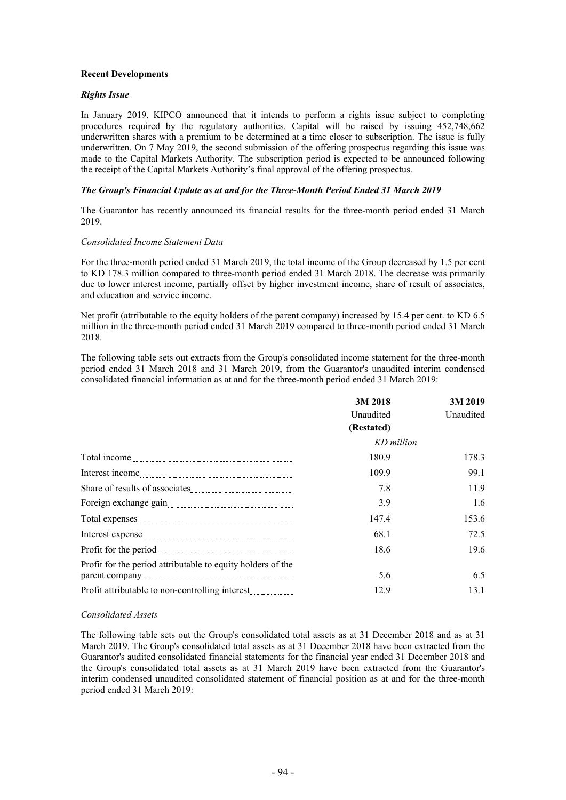# **Recent Developments**

### *Rights Issue*

In January 2019, KIPCO announced that it intends to perform a rights issue subject to completing procedures required by the regulatory authorities. Capital will be raised by issuing 452,748,662 underwritten shares with a premium to be determined at a time closer to subscription. The issue is fully underwritten. On 7 May 2019, the second submission of the offering prospectus regarding this issue was made to the Capital Markets Authority. The subscription period is expected to be announced following the receipt of the Capital Markets Authority's final approval of the offering prospectus.

### *The Group's Financial Update as at and for the Three-Month Period Ended 31 March 2019*

The Guarantor has recently announced its financial results for the three-month period ended 31 March 2019.

#### *Consolidated Income Statement Data*

For the three-month period ended 31 March 2019, the total income of the Group decreased by 1.5 per cent to KD 178.3 million compared to three-month period ended 31 March 2018. The decrease was primarily due to lower interest income, partially offset by higher investment income, share of result of associates, and education and service income.

Net profit (attributable to the equity holders of the parent company) increased by 15.4 per cent. to KD 6.5 million in the three-month period ended 31 March 2019 compared to three-month period ended 31 March 2018.

The following table sets out extracts from the Group's consolidated income statement for the three-month period ended 31 March 2018 and 31 March 2019, from the Guarantor's unaudited interim condensed consolidated financial information as at and for the three-month period ended 31 March 2019:

|                                                                                                                                                                                                                                      | 3M 2018    | 3M 2019   |
|--------------------------------------------------------------------------------------------------------------------------------------------------------------------------------------------------------------------------------------|------------|-----------|
|                                                                                                                                                                                                                                      | Unaudited  | Unaudited |
|                                                                                                                                                                                                                                      | (Restated) |           |
|                                                                                                                                                                                                                                      | KD million |           |
| Total income                                                                                                                                                                                                                         | 180.9      | 178.3     |
|                                                                                                                                                                                                                                      | 109.9      | 99.1      |
|                                                                                                                                                                                                                                      | 7.8        | 11.9      |
| Foreign exchange gain <b>contract of the contract of the contract of the contract of the contract of the contract of the contract of the contract of the contract of the contract of the contract of the contract of the contrac</b> | 3.9        | 1.6       |
|                                                                                                                                                                                                                                      | 147.4      | 153.6     |
| Interest expense                                                                                                                                                                                                                     | 68.1       | 72.5      |
|                                                                                                                                                                                                                                      | 18.6       | 19.6      |
| Profit for the period attributable to equity holders of the                                                                                                                                                                          |            |           |
|                                                                                                                                                                                                                                      | 5.6        | 6.5       |
|                                                                                                                                                                                                                                      | 12.9       | 13.1      |

# *Consolidated Assets*

The following table sets out the Group's consolidated total assets as at 31 December 2018 and as at 31 March 2019. The Group's consolidated total assets as at 31 December 2018 have been extracted from the Guarantor's audited consolidated financial statements for the financial year ended 31 December 2018 and the Group's consolidated total assets as at 31 March 2019 have been extracted from the Guarantor's interim condensed unaudited consolidated statement of financial position as at and for the three-month period ended 31 March 2019: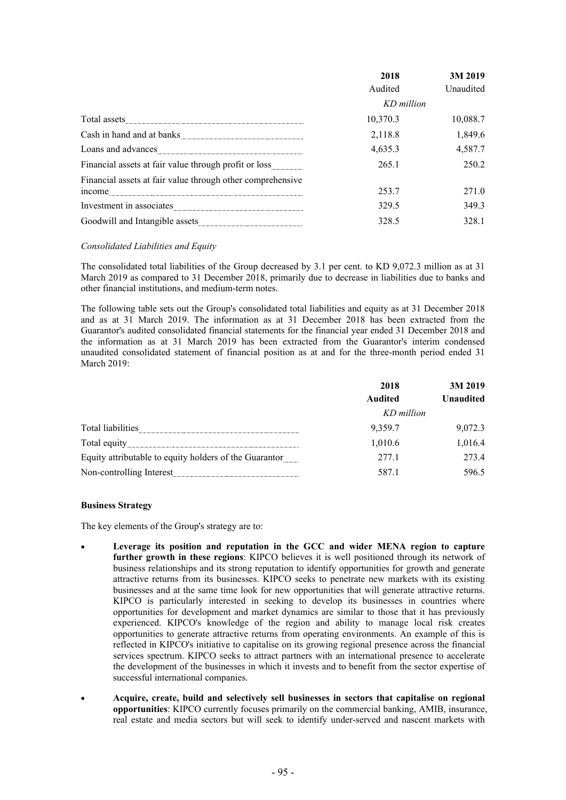|                                                            | 2018       | 3M 2019          |
|------------------------------------------------------------|------------|------------------|
|                                                            | Audited    | <b>Unaudited</b> |
|                                                            | KD million |                  |
| Total assets                                               | 10,370.3   | 10,088.7         |
| Cash in hand and at banks                                  | 2,118.8    | 1,849.6          |
| Loans and advances                                         | 4,635.3    | 4,587.7          |
| Financial assets at fair value through profit or loss      | 265.1      | 250.2            |
| Financial assets at fair value through other comprehensive |            |                  |
| mcome                                                      | 253.7      | 271.0            |
| Investment in associates                                   | 329.5      | 349.3            |
|                                                            | 328.5      | 328.1            |

# *Consolidated Liabilities and Equity*

The consolidated total liabilities of the Group decreased by 3.1 per cent. to KD 9,072.3 million as at 31 March 2019 as compared to 31 December 2018, primarily due to decrease in liabilities due to banks and other financial institutions, and medium-term notes.

The following table sets out the Group's consolidated total liabilities and equity as at 31 December 2018 and as at 31 March 2019. The information as at 31 December 2018 has been extracted from the Guarantor's audited consolidated financial statements for the financial year ended 31 December 2018 and the information as at 31 March 2019 has been extracted from the Guarantor's interim condensed unaudited consolidated statement of financial position as at and for the three-month period ended 31 March 2019:

|                                                            | 2018           | 3M 2019          |
|------------------------------------------------------------|----------------|------------------|
|                                                            | <b>Audited</b> | <b>Unaudited</b> |
|                                                            | KD million     |                  |
| Total liabilities                                          | 9,359.7        | 9,072.3          |
| Total equity                                               | 1,010.6        | 1,016.4          |
| Equity attributable to equity holders of the Guarantor<br> | 277.1          | 2734             |
| Non-controlling Interest                                   | 587.1          | 596.5            |

# **Business Strategy**

The key elements of the Group's strategy are to:

- **Leverage its position and reputation in the GCC and wider MENA region to capture further growth in these regions**: KIPCO believes it is well positioned through its network of business relationships and its strong reputation to identify opportunities for growth and generate attractive returns from its businesses. KIPCO seeks to penetrate new markets with its existing businesses and at the same time look for new opportunities that will generate attractive returns. KIPCO is particularly interested in seeking to develop its businesses in countries where opportunities for development and market dynamics are similar to those that it has previously experienced. KIPCO's knowledge of the region and ability to manage local risk creates opportunities to generate attractive returns from operating environments. An example of this is reflected in KIPCO's initiative to capitalise on its growing regional presence across the financial services spectrum. KIPCO seeks to attract partners with an international presence to accelerate the development of the businesses in which it invests and to benefit from the sector expertise of successful international companies.
- **Acquire, create, build and selectively sell businesses in sectors that capitalise on regional opportunities**: KIPCO currently focuses primarily on the commercial banking, AMIB, insurance, real estate and media sectors but will seek to identify under-served and nascent markets with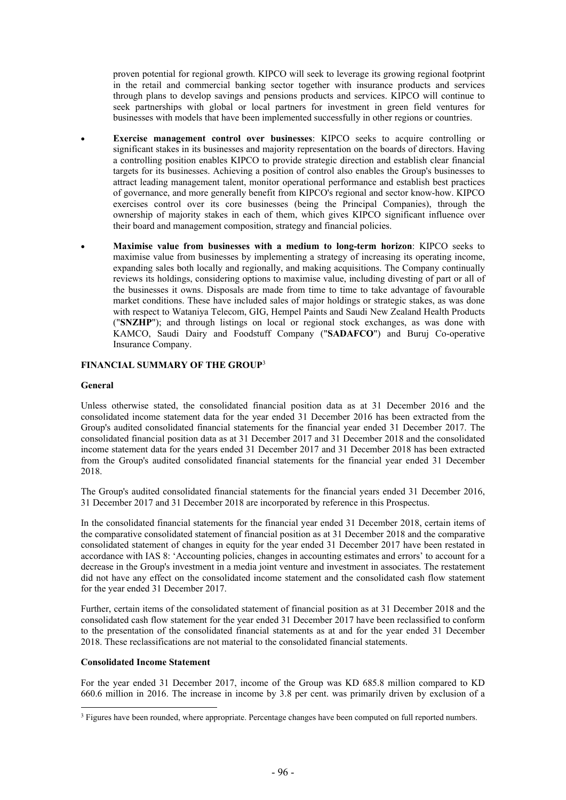proven potential for regional growth. KIPCO will seek to leverage its growing regional footprint in the retail and commercial banking sector together with insurance products and services through plans to develop savings and pensions products and services. KIPCO will continue to seek partnerships with global or local partners for investment in green field ventures for businesses with models that have been implemented successfully in other regions or countries.

- **Exercise management control over businesses**: KIPCO seeks to acquire controlling or significant stakes in its businesses and majority representation on the boards of directors. Having a controlling position enables KIPCO to provide strategic direction and establish clear financial targets for its businesses. Achieving a position of control also enables the Group's businesses to attract leading management talent, monitor operational performance and establish best practices of governance, and more generally benefit from KIPCO's regional and sector know-how. KIPCO exercises control over its core businesses (being the Principal Companies), through the ownership of majority stakes in each of them, which gives KIPCO significant influence over their board and management composition, strategy and financial policies.
	- **Maximise value from businesses with a medium to long-term horizon**: KIPCO seeks to maximise value from businesses by implementing a strategy of increasing its operating income, expanding sales both locally and regionally, and making acquisitions. The Company continually reviews its holdings, considering options to maximise value, including divesting of part or all of the businesses it owns. Disposals are made from time to time to take advantage of favourable market conditions. These have included sales of major holdings or strategic stakes, as was done with respect to Wataniya Telecom, GIG, Hempel Paints and Saudi New Zealand Health Products ("**SNZHP**"); and through listings on local or regional stock exchanges, as was done with KAMCO, Saudi Dairy and Foodstuff Company ("**SADAFCO**") and Buruj Co-operative Insurance Company.

# **FINANCIAL SUMMARY OF THE GROUP**<sup>3</sup>

# **General**

Unless otherwise stated, the consolidated financial position data as at 31 December 2016 and the consolidated income statement data for the year ended 31 December 2016 has been extracted from the Group's audited consolidated financial statements for the financial year ended 31 December 2017. The consolidated financial position data as at 31 December 2017 and 31 December 2018 and the consolidated income statement data for the years ended 31 December 2017 and 31 December 2018 has been extracted from the Group's audited consolidated financial statements for the financial year ended 31 December 2018.

The Group's audited consolidated financial statements for the financial years ended 31 December 2016, 31 December 2017 and 31 December 2018 are incorporated by reference in this Prospectus.

In the consolidated financial statements for the financial year ended 31 December 2018, certain items of the comparative consolidated statement of financial position as at 31 December 2018 and the comparative consolidated statement of changes in equity for the year ended 31 December 2017 have been restated in accordance with IAS 8: 'Accounting policies, changes in accounting estimates and errors' to account for a decrease in the Group's investment in a media joint venture and investment in associates. The restatement did not have any effect on the consolidated income statement and the consolidated cash flow statement for the year ended 31 December 2017.

Further, certain items of the consolidated statement of financial position as at 31 December 2018 and the consolidated cash flow statement for the year ended 31 December 2017 have been reclassified to conform to the presentation of the consolidated financial statements as at and for the year ended 31 December 2018. These reclassifications are not material to the consolidated financial statements.

# **Consolidated Income Statement**

For the year ended 31 December 2017, income of the Group was KD 685.8 million compared to KD 660.6 million in 2016. The increase in income by 3.8 per cent. was primarily driven by exclusion of a

<sup>&</sup>lt;sup>3</sup> Figures have been rounded, where appropriate. Percentage changes have been computed on full reported numbers.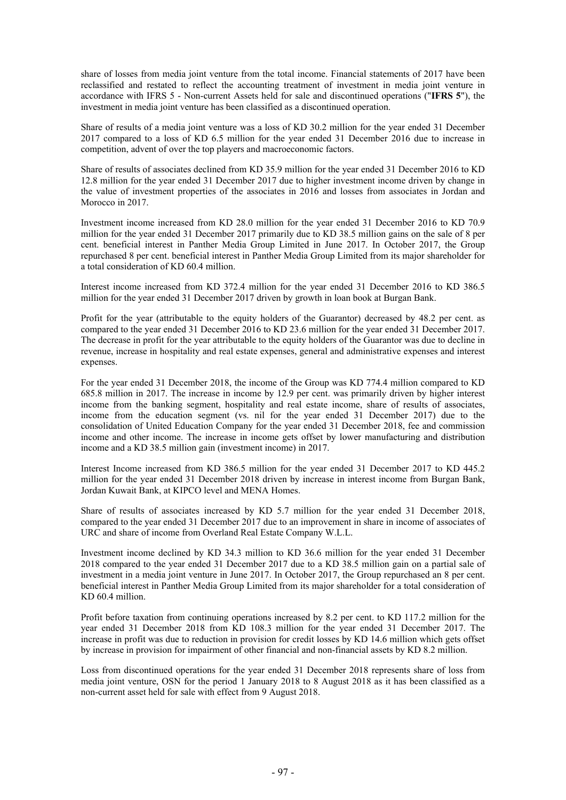share of losses from media joint venture from the total income. Financial statements of 2017 have been reclassified and restated to reflect the accounting treatment of investment in media joint venture in accordance with IFRS 5 - Non-current Assets held for sale and discontinued operations ("**IFRS 5**"), the investment in media joint venture has been classified as a discontinued operation.

Share of results of a media joint venture was a loss of KD 30.2 million for the year ended 31 December 2017 compared to a loss of KD 6.5 million for the year ended 31 December 2016 due to increase in competition, advent of over the top players and macroeconomic factors.

Share of results of associates declined from KD 35.9 million for the year ended 31 December 2016 to KD 12.8 million for the year ended 31 December 2017 due to higher investment income driven by change in the value of investment properties of the associates in 2016 and losses from associates in Jordan and Morocco in 2017.

Investment income increased from KD 28.0 million for the year ended 31 December 2016 to KD 70.9 million for the year ended 31 December 2017 primarily due to KD 38.5 million gains on the sale of 8 per cent. beneficial interest in Panther Media Group Limited in June 2017. In October 2017, the Group repurchased 8 per cent. beneficial interest in Panther Media Group Limited from its major shareholder for a total consideration of KD 60.4 million.

Interest income increased from KD 372.4 million for the year ended 31 December 2016 to KD 386.5 million for the year ended 31 December 2017 driven by growth in loan book at Burgan Bank.

Profit for the year (attributable to the equity holders of the Guarantor) decreased by 48.2 per cent. as compared to the year ended 31 December 2016 to KD 23.6 million for the year ended 31 December 2017. The decrease in profit for the year attributable to the equity holders of the Guarantor was due to decline in revenue, increase in hospitality and real estate expenses, general and administrative expenses and interest expenses.

For the year ended 31 December 2018, the income of the Group was KD 774.4 million compared to KD 685.8 million in 2017. The increase in income by 12.9 per cent. was primarily driven by higher interest income from the banking segment, hospitality and real estate income, share of results of associates, income from the education segment (vs. nil for the year ended 31 December 2017) due to the consolidation of United Education Company for the year ended 31 December 2018, fee and commission income and other income. The increase in income gets offset by lower manufacturing and distribution income and a KD 38.5 million gain (investment income) in 2017.

Interest Income increased from KD 386.5 million for the year ended 31 December 2017 to KD 445.2 million for the year ended 31 December 2018 driven by increase in interest income from Burgan Bank, Jordan Kuwait Bank, at KIPCO level and MENA Homes.

Share of results of associates increased by KD 5.7 million for the year ended 31 December 2018, compared to the year ended 31 December 2017 due to an improvement in share in income of associates of URC and share of income from Overland Real Estate Company W.L.L.

Investment income declined by KD 34.3 million to KD 36.6 million for the year ended 31 December 2018 compared to the year ended 31 December 2017 due to a KD 38.5 million gain on a partial sale of investment in a media joint venture in June 2017. In October 2017, the Group repurchased an 8 per cent. beneficial interest in Panther Media Group Limited from its major shareholder for a total consideration of KD 60.4 million.

Profit before taxation from continuing operations increased by 8.2 per cent. to KD 117.2 million for the year ended 31 December 2018 from KD 108.3 million for the year ended 31 December 2017. The increase in profit was due to reduction in provision for credit losses by KD 14.6 million which gets offset by increase in provision for impairment of other financial and non-financial assets by KD 8.2 million.

Loss from discontinued operations for the year ended 31 December 2018 represents share of loss from media joint venture, OSN for the period 1 January 2018 to 8 August 2018 as it has been classified as a non-current asset held for sale with effect from 9 August 2018.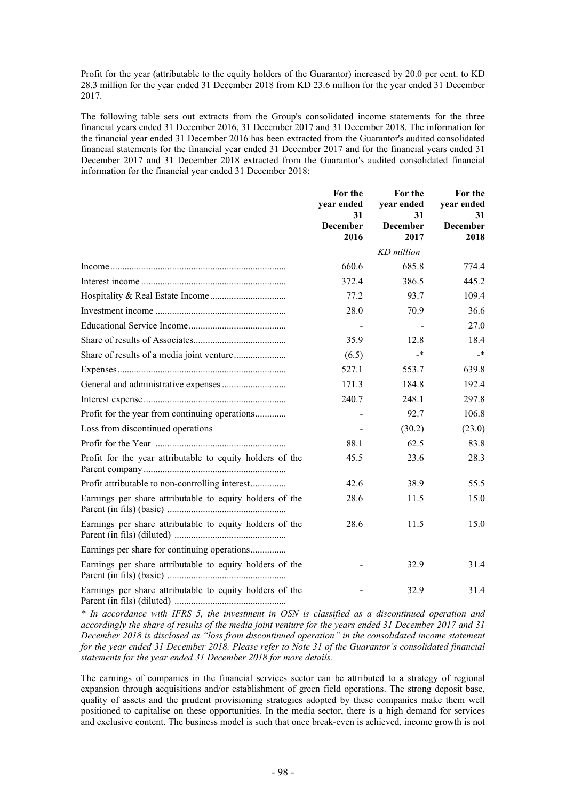Profit for the year (attributable to the equity holders of the Guarantor) increased by 20.0 per cent. to KD 28.3 million for the year ended 31 December 2018 from KD 23.6 million for the year ended 31 December 2017.

The following table sets out extracts from the Group's consolidated income statements for the three financial years ended 31 December 2016, 31 December 2017 and 31 December 2018. The information for the financial year ended 31 December 2016 has been extracted from the Guarantor's audited consolidated financial statements for the financial year ended 31 December 2017 and for the financial years ended 31 December 2017 and 31 December 2018 extracted from the Guarantor's audited consolidated financial information for the financial year ended 31 December 2018:

|                                                           | For the<br>year ended<br>31 | For the<br>year ended<br>31 | For the<br>year ended<br>31 |
|-----------------------------------------------------------|-----------------------------|-----------------------------|-----------------------------|
|                                                           | <b>December</b><br>2016     | <b>December</b><br>2017     | <b>December</b><br>2018     |
|                                                           |                             | KD million                  |                             |
|                                                           | 660.6                       | 685.8                       | 774.4                       |
|                                                           | 372.4                       | 386.5                       | 445.2                       |
|                                                           | 77.2                        | 93.7                        | 109.4                       |
|                                                           | 28.0                        | 70.9                        | 36.6                        |
|                                                           | $\overline{a}$              | $\overline{\phantom{a}}$    | 27.0                        |
|                                                           | 35.9                        | 12.8                        | 18.4                        |
| Share of results of a media joint venture                 | (6.5)                       | -*                          | $\rightarrow$               |
|                                                           | 527.1                       | 553.7                       | 639.8                       |
|                                                           | 171.3                       | 184.8                       | 192.4                       |
|                                                           | 240.7                       | 248.1                       | 297.8                       |
| Profit for the year from continuing operations            |                             | 92.7                        | 106.8                       |
| Loss from discontinued operations                         |                             | (30.2)                      | (23.0)                      |
|                                                           | 88.1                        | 62.5                        | 83.8                        |
| Profit for the year attributable to equity holders of the | 45.5                        | 23.6                        | 28.3                        |
| Profit attributable to non-controlling interest           | 42.6                        | 38.9                        | 55.5                        |
| Earnings per share attributable to equity holders of the  | 28.6                        | 11.5                        | 15.0                        |
| Earnings per share attributable to equity holders of the  | 28.6                        | 11.5                        | 15.0                        |
| Earnings per share for continuing operations              |                             |                             |                             |
| Earnings per share attributable to equity holders of the  |                             | 32.9                        | 31.4                        |
| Earnings per share attributable to equity holders of the  |                             | 32.9                        | 31.4                        |

*\* In accordance with IFRS 5, the investment in OSN is classified as a discontinued operation and accordingly the share of results of the media joint venture for the years ended 31 December 2017 and 31 December 2018 is disclosed as "loss from discontinued operation" in the consolidated income statement for the year ended 31 December 2018. Please refer to Note 31 of the Guarantor's consolidated financial statements for the year ended 31 December 2018 for more details.*

The earnings of companies in the financial services sector can be attributed to a strategy of regional expansion through acquisitions and/or establishment of green field operations. The strong deposit base, quality of assets and the prudent provisioning strategies adopted by these companies make them well positioned to capitalise on these opportunities. In the media sector, there is a high demand for services and exclusive content. The business model is such that once break-even is achieved, income growth is not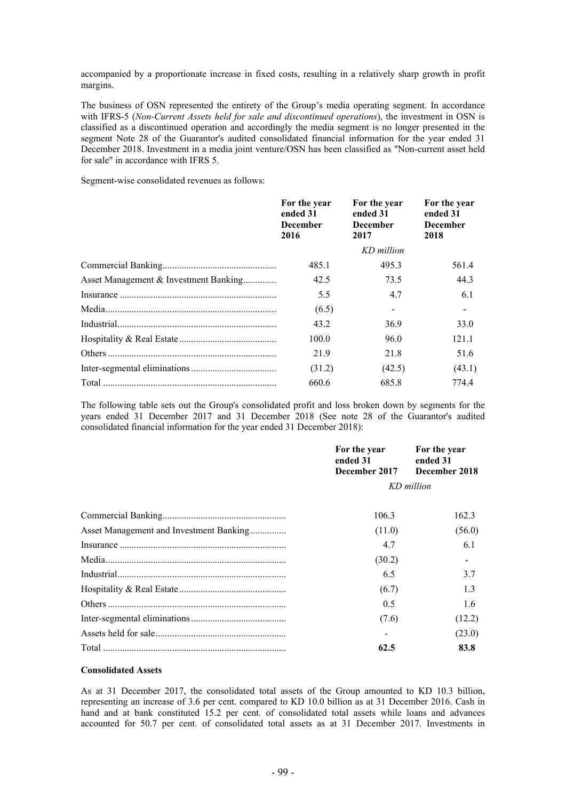accompanied by a proportionate increase in fixed costs, resulting in a relatively sharp growth in profit margins.

The business of OSN represented the entirety of the Group's media operating segment. In accordance with IFRS-5 (*Non-Current Assets held for sale and discontinued operations*), the investment in OSN is classified as a discontinued operation and accordingly the media segment is no longer presented in the segment Note 28 of the Guarantor's audited consolidated financial information for the year ended 31 December 2018. Investment in a media joint venture/OSN has been classified as "Non-current asset held for sale" in accordance with IFRS 5.

Segment-wise consolidated revenues as follows:

|                                       | For the year<br>ended 31<br><b>December</b><br>2016 | For the year<br>ended 31<br><b>December</b><br>2017 | For the year<br>ended 31<br><b>December</b><br>2018 |
|---------------------------------------|-----------------------------------------------------|-----------------------------------------------------|-----------------------------------------------------|
|                                       |                                                     | KD million                                          |                                                     |
|                                       | 485.1                                               | 495.3                                               | 561.4                                               |
| Asset Management & Investment Banking | 42.5                                                | 73.5                                                | 44.3                                                |
|                                       | 5.5                                                 | 4.7                                                 | 6.1                                                 |
|                                       | (6.5)                                               |                                                     | $\blacksquare$                                      |
|                                       | 43.2                                                | 36.9                                                | 33.0                                                |
|                                       | 100.0                                               | 96.0                                                | 121.1                                               |
|                                       | 21.9                                                | 21.8                                                | 51.6                                                |
|                                       | (31.2)                                              | (42.5)                                              | (43.1)                                              |
|                                       | 660.6                                               | 685.8                                               | 774.4                                               |

The following table sets out the Group's consolidated profit and loss broken down by segments for the years ended 31 December 2017 and 31 December 2018 (See note 28 of the Guarantor's audited consolidated financial information for the year ended 31 December 2018):

|                                         | For the year<br>ended 31<br>December 2017 | For the year<br>ended 31<br>December 2018 |  |
|-----------------------------------------|-------------------------------------------|-------------------------------------------|--|
|                                         | KD million                                |                                           |  |
|                                         | 106.3                                     | 162.3                                     |  |
| Asset Management and Investment Banking | (11.0)                                    | (56.0)                                    |  |
|                                         | 4.7                                       | 6.1                                       |  |
|                                         | (30.2)                                    |                                           |  |
|                                         | 6.5                                       | 3.7                                       |  |
|                                         | (6.7)                                     | 1.3                                       |  |
|                                         | 0.5                                       | 1.6                                       |  |
|                                         | (7.6)                                     | (12.2)                                    |  |
|                                         |                                           | (23.0)                                    |  |
|                                         | 62.5                                      | 83.8                                      |  |

# **Consolidated Assets**

As at 31 December 2017, the consolidated total assets of the Group amounted to KD 10.3 billion, representing an increase of 3.6 per cent. compared to KD 10.0 billion as at 31 December 2016. Cash in hand and at bank constituted 15.2 per cent. of consolidated total assets while loans and advances accounted for 50.7 per cent. of consolidated total assets as at 31 December 2017. Investments in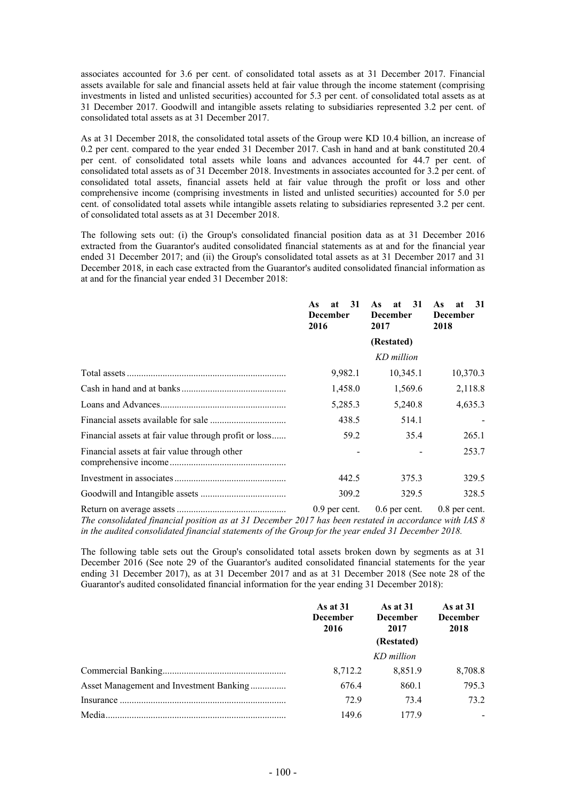associates accounted for 3.6 per cent. of consolidated total assets as at 31 December 2017. Financial assets available for sale and financial assets held at fair value through the income statement (comprising investments in listed and unlisted securities) accounted for 5.3 per cent. of consolidated total assets as at 31 December 2017. Goodwill and intangible assets relating to subsidiaries represented 3.2 per cent. of consolidated total assets as at 31 December 2017.

As at 31 December 2018, the consolidated total assets of the Group were KD 10.4 billion, an increase of 0.2 per cent. compared to the year ended 31 December 2017. Cash in hand and at bank constituted 20.4 per cent. of consolidated total assets while loans and advances accounted for 44.7 per cent. of consolidated total assets as of 31 December 2018. Investments in associates accounted for 3.2 per cent. of consolidated total assets, financial assets held at fair value through the profit or loss and other comprehensive income (comprising investments in listed and unlisted securities) accounted for 5.0 per cent. of consolidated total assets while intangible assets relating to subsidiaries represented 3.2 per cent. of consolidated total assets as at 31 December 2018.

The following sets out: (i) the Group's consolidated financial position data as at 31 December 2016 extracted from the Guarantor's audited consolidated financial statements as at and for the financial year ended 31 December 2017; and (ii) the Group's consolidated total assets as at 31 December 2017 and 31 December 2018, in each case extracted from the Guarantor's audited consolidated financial information as at and for the financial year ended 31 December 2018:

|                                                       | 31<br>As<br>at<br><b>December</b><br>2016 | 31<br>As<br>at<br><b>December</b><br>2017 | 31<br>As<br>at<br><b>December</b><br>2018 |
|-------------------------------------------------------|-------------------------------------------|-------------------------------------------|-------------------------------------------|
|                                                       |                                           | (Restated)                                |                                           |
|                                                       |                                           | KD million                                |                                           |
|                                                       | 9,982.1                                   | 10,345.1                                  | 10,370.3                                  |
|                                                       | 1,458.0                                   | 1,569.6                                   | 2,118.8                                   |
|                                                       | 5,285.3                                   | 5,240.8                                   | 4,635.3                                   |
|                                                       | 438.5                                     | 514.1                                     |                                           |
| Financial assets at fair value through profit or loss | 59.2                                      | 35.4                                      | 265.1                                     |
| Financial assets at fair value through other          |                                           |                                           | 253.7                                     |
|                                                       | 442.5                                     | 375.3                                     | 329.5                                     |
|                                                       | 309.2                                     | 329.5                                     | 328.5                                     |
| Return on average assets                              | $0.9$ per cent                            | $0.6$ per cent                            | $0.8$ per cent                            |

Return on average assets .............................................. 0.9 per cent. 0.6 per cent. 0.8 per cent. *The consolidated financial position as at 31 December 2017 has been restated in accordance with IAS 8 in the audited consolidated financial statements of the Group for the year ended 31 December 2018.*

The following table sets out the Group's consolidated total assets broken down by segments as at 31 December 2016 (See note 29 of the Guarantor's audited consolidated financial statements for the year ending 31 December 2017), as at 31 December 2017 and as at 31 December 2018 (See note 28 of the Guarantor's audited consolidated financial information for the year ending 31 December 2018):

|                                         | As at $31$<br><b>December</b><br>2016 | As at $31$<br><b>December</b><br>2017<br>(Restated) | As at $31$<br><b>December</b><br>2018 |
|-----------------------------------------|---------------------------------------|-----------------------------------------------------|---------------------------------------|
|                                         |                                       | KD million                                          |                                       |
|                                         | 8,712.2                               | 8,851.9                                             | 8,708.8                               |
| Asset Management and Investment Banking | 676.4                                 | 860.1                                               | 795.3                                 |
|                                         | 72.9                                  | 734                                                 | 73.2                                  |
| Media.                                  | 149.6                                 | 1779                                                |                                       |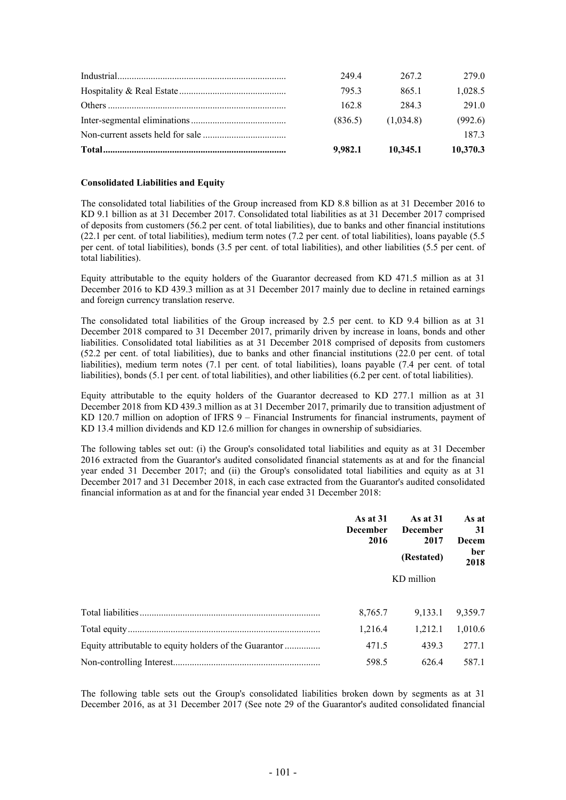| 9.982.1 | 10.345.1  | 10,370.3 |
|---------|-----------|----------|
|         |           | 1873     |
| (836.5) | (1.034.8) | (992.6)  |
| 162.8   | 2843      | 291.0    |
| 7953    | 865.1     | 1,028.5  |
| 249.4   | 2672      | 279.0    |

# **Consolidated Liabilities and Equity**

The consolidated total liabilities of the Group increased from KD 8.8 billion as at 31 December 2016 to KD 9.1 billion as at 31 December 2017. Consolidated total liabilities as at 31 December 2017 comprised of deposits from customers (56.2 per cent. of total liabilities), due to banks and other financial institutions (22.1 per cent. of total liabilities), medium term notes (7.2 per cent. of total liabilities), loans payable (5.5 per cent. of total liabilities), bonds (3.5 per cent. of total liabilities), and other liabilities (5.5 per cent. of total liabilities).

Equity attributable to the equity holders of the Guarantor decreased from KD 471.5 million as at 31 December 2016 to KD 439.3 million as at 31 December 2017 mainly due to decline in retained earnings and foreign currency translation reserve.

The consolidated total liabilities of the Group increased by 2.5 per cent. to KD 9.4 billion as at 31 December 2018 compared to 31 December 2017, primarily driven by increase in loans, bonds and other liabilities. Consolidated total liabilities as at 31 December 2018 comprised of deposits from customers (52.2 per cent. of total liabilities), due to banks and other financial institutions (22.0 per cent. of total liabilities), medium term notes (7.1 per cent. of total liabilities), loans payable (7.4 per cent. of total liabilities), bonds (5.1 per cent. of total liabilities), and other liabilities (6.2 per cent. of total liabilities).

Equity attributable to the equity holders of the Guarantor decreased to KD 277.1 million as at 31 December 2018 from KD 439.3 million as at 31 December 2017, primarily due to transition adjustment of KD 120.7 million on adoption of IFRS 9 – Financial Instruments for financial instruments, payment of KD 13.4 million dividends and KD 12.6 million for changes in ownership of subsidiaries.

The following tables set out: (i) the Group's consolidated total liabilities and equity as at 31 December 2016 extracted from the Guarantor's audited consolidated financial statements as at and for the financial year ended 31 December 2017; and (ii) the Group's consolidated total liabilities and equity as at 31 December 2017 and 31 December 2018, in each case extracted from the Guarantor's audited consolidated financial information as at and for the financial year ended 31 December 2018:

|                                                        | As at $31$<br><b>December</b><br>2016 | <b>As at 31</b><br><b>December</b><br>2017<br>(Restated) | As at<br>31<br>Decem<br>ber<br>2018 |  |
|--------------------------------------------------------|---------------------------------------|----------------------------------------------------------|-------------------------------------|--|
|                                                        |                                       | KD million                                               |                                     |  |
|                                                        | 8,765.7                               | 9.133.1                                                  | 9,359.7                             |  |
|                                                        | 1,216.4                               | 1,212.1                                                  | 1,010.6                             |  |
| Equity attributable to equity holders of the Guarantor | 471.5                                 | 439.3                                                    | 277.1                               |  |
|                                                        | 598.5                                 | 626.4                                                    | 587.1                               |  |

The following table sets out the Group's consolidated liabilities broken down by segments as at 31 December 2016, as at 31 December 2017 (See note 29 of the Guarantor's audited consolidated financial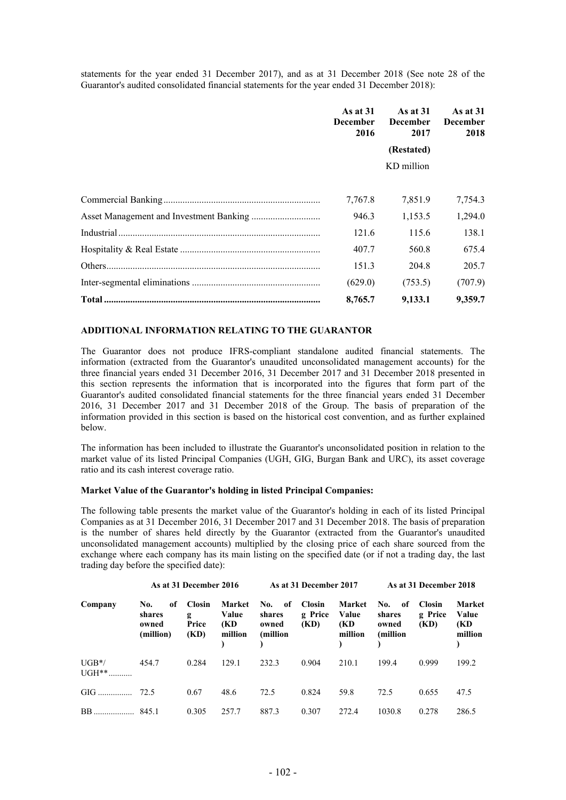statements for the year ended 31 December 2017), and as at 31 December 2018 (See note 28 of the Guarantor's audited consolidated financial statements for the year ended 31 December 2018):

|             | As at $31$<br><b>December</b><br>2016 | As at $31$<br><b>December</b><br>2017 | As at $31$<br><b>December</b><br>2018 |  |
|-------------|---------------------------------------|---------------------------------------|---------------------------------------|--|
|             |                                       | (Restated)                            |                                       |  |
|             |                                       | KD million                            |                                       |  |
|             |                                       |                                       |                                       |  |
|             | 7,767.8                               | 7,851.9                               | 7,754.3                               |  |
|             | 946.3                                 | 1,153.5                               | 1,294.0                               |  |
| Industrial. | 121.6                                 | 115.6                                 | 138.1                                 |  |
|             | 407.7                                 | 560.8                                 | 675.4                                 |  |
|             | 151.3                                 | 204.8                                 | 205.7                                 |  |
|             | (629.0)                               | (753.5)                               | (707.9)                               |  |
|             | 8,765.7                               | 9,133.1                               | 9,359.7                               |  |

# **ADDITIONAL INFORMATION RELATING TO THE GUARANTOR**

The Guarantor does not produce IFRS-compliant standalone audited financial statements. The information (extracted from the Guarantor's unaudited unconsolidated management accounts) for the three financial years ended 31 December 2016, 31 December 2017 and 31 December 2018 presented in this section represents the information that is incorporated into the figures that form part of the Guarantor's audited consolidated financial statements for the three financial years ended 31 December 2016, 31 December 2017 and 31 December 2018 of the Group. The basis of preparation of the information provided in this section is based on the historical cost convention, and as further explained below.

The information has been included to illustrate the Guarantor's unconsolidated position in relation to the market value of its listed Principal Companies (UGH, GIG, Burgan Bank and URC), its asset coverage ratio and its cash interest coverage ratio.

#### **Market Value of the Guarantor's holding in listed Principal Companies:**

The following table presents the market value of the Guarantor's holding in each of its listed Principal Companies as at 31 December 2016, 31 December 2017 and 31 December 2018. The basis of preparation is the number of shares held directly by the Guarantor (extracted from the Guarantor's unaudited unconsolidated management accounts) multiplied by the closing price of each share sourced from the exchange where each company has its main listing on the specified date (or if not a trading day, the last trading day before the specified date):

| As at 31 December 2016 |                                           |                                     |                                   | As at 31 December 2017                     |                                  |                                    |                                           | As at 31 December 2018           |                                    |  |
|------------------------|-------------------------------------------|-------------------------------------|-----------------------------------|--------------------------------------------|----------------------------------|------------------------------------|-------------------------------------------|----------------------------------|------------------------------------|--|
| Company                | No.<br>оf<br>shares<br>owned<br>(million) | <b>Closin</b><br>g<br>Price<br>(KD) | Market<br>Value<br>(KD<br>million | No.<br>-of<br>shares<br>owned<br>(million) | <b>Closin</b><br>g Price<br>(KD) | Market<br>Value<br>(KD)<br>million | No.<br>of<br>shares<br>owned<br>(million) | <b>Closin</b><br>g Price<br>(KD) | Market<br>Value<br>(KD)<br>million |  |
| $UGB*/$<br>$UGH^{**}$  | 454.7                                     | 0.284                               | 129.1                             | 232.3                                      | 0.904                            | 210.1                              | 199.4                                     | 0.999                            | 199.2                              |  |
| $GIG$ $72.5$           |                                           | 0.67                                | 48.6                              | 72.5                                       | 0.824                            | 59.8                               | 72.5                                      | 0.655                            | 47.5                               |  |
| BB.                    | 845.1                                     | 0.305                               | 257.7                             | 887.3                                      | 0.307                            | 272.4                              | 1030.8                                    | 0.278                            | 286.5                              |  |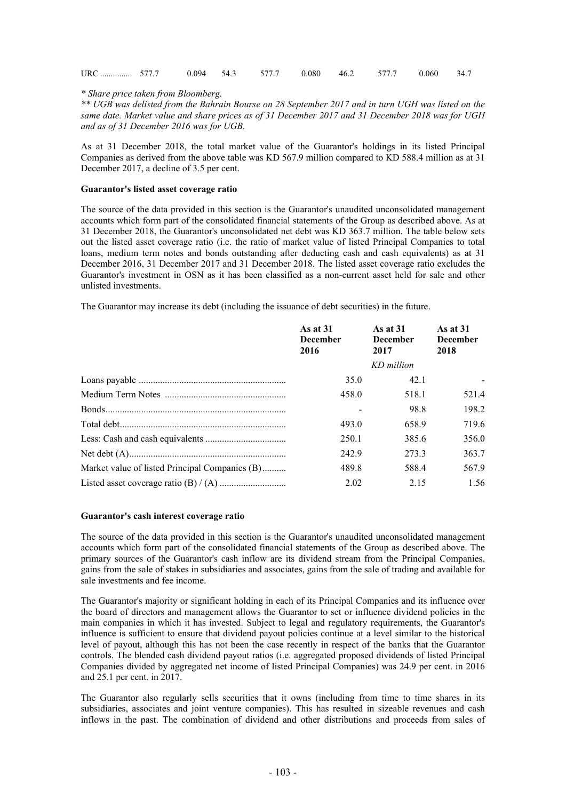| URC  577.7 0.094 54.3 577.7 0.080 46.2 577.7 0.060 34.7 |  |  |  |  |  |
|---------------------------------------------------------|--|--|--|--|--|
|                                                         |  |  |  |  |  |

*\* Share price taken from Bloomberg.*

*\*\* UGB was delisted from the Bahrain Bourse on 28 September 2017 and in turn UGH was listed on the same date. Market value and share prices as of 31 December 2017 and 31 December 2018 was for UGH and as of 31 December 2016 was for UGB.*

As at 31 December 2018, the total market value of the Guarantor's holdings in its listed Principal Companies as derived from the above table was KD 567.9 million compared to KD 588.4 million as at 31 December 2017, a decline of 3.5 per cent.

#### **Guarantor's listed asset coverage ratio**

The source of the data provided in this section is the Guarantor's unaudited unconsolidated management accounts which form part of the consolidated financial statements of the Group as described above. As at 31 December 2018, the Guarantor's unconsolidated net debt was KD 363.7 million. The table below sets out the listed asset coverage ratio (i.e. the ratio of market value of listed Principal Companies to total loans, medium term notes and bonds outstanding after deducting cash and cash equivalents) as at 31 December 2016, 31 December 2017 and 31 December 2018. The listed asset coverage ratio excludes the Guarantor's investment in OSN as it has been classified as a non-current asset held for sale and other unlisted investments.

The Guarantor may increase its debt (including the issuance of debt securities) in the future.

|                                                | As at $31$<br><b>December</b><br>2016 | As at $31$<br><b>December</b><br>2017 | As at $31$<br><b>December</b><br>2018 |  |
|------------------------------------------------|---------------------------------------|---------------------------------------|---------------------------------------|--|
|                                                |                                       | KD million                            |                                       |  |
|                                                | 35.0                                  | 42.1                                  |                                       |  |
|                                                | 458.0                                 | 518.1                                 | 521.4                                 |  |
|                                                |                                       | 98.8                                  | 198.2                                 |  |
|                                                | 493.0                                 | 658.9                                 | 719.6                                 |  |
|                                                | 250.1                                 | 385.6                                 | 356.0                                 |  |
|                                                | 242.9                                 | 273.3                                 | 363.7                                 |  |
| Market value of listed Principal Companies (B) | 489.8                                 | 588.4                                 | 567.9                                 |  |
|                                                | 2.02                                  | 2.15                                  | 1.56                                  |  |

#### **Guarantor's cash interest coverage ratio**

The source of the data provided in this section is the Guarantor's unaudited unconsolidated management accounts which form part of the consolidated financial statements of the Group as described above. The primary sources of the Guarantor's cash inflow are its dividend stream from the Principal Companies, gains from the sale of stakes in subsidiaries and associates, gains from the sale of trading and available for sale investments and fee income.

The Guarantor's majority or significant holding in each of its Principal Companies and its influence over the board of directors and management allows the Guarantor to set or influence dividend policies in the main companies in which it has invested. Subject to legal and regulatory requirements, the Guarantor's influence is sufficient to ensure that dividend payout policies continue at a level similar to the historical level of payout, although this has not been the case recently in respect of the banks that the Guarantor controls. The blended cash dividend payout ratios (i.e. aggregated proposed dividends of listed Principal Companies divided by aggregated net income of listed Principal Companies) was 24.9 per cent. in 2016 and 25.1 per cent. in 2017.

The Guarantor also regularly sells securities that it owns (including from time to time shares in its subsidiaries, associates and joint venture companies). This has resulted in sizeable revenues and cash inflows in the past. The combination of dividend and other distributions and proceeds from sales of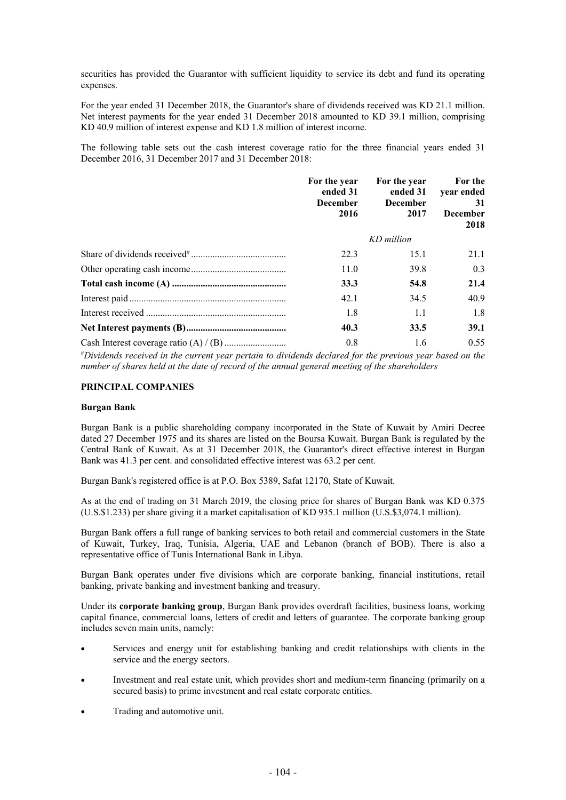securities has provided the Guarantor with sufficient liquidity to service its debt and fund its operating expenses.

For the year ended 31 December 2018, the Guarantor's share of dividends received was KD 21.1 million. Net interest payments for the year ended 31 December 2018 amounted to KD 39.1 million, comprising KD 40.9 million of interest expense and KD 1.8 million of interest income.

The following table sets out the cash interest coverage ratio for the three financial years ended 31 December 2016, 31 December 2017 and 31 December 2018:

| For the year<br>ended 31<br><b>December</b><br>2016 | For the year<br>ended 31<br><b>December</b><br>2017 | For the<br>year ended<br>31<br><b>December</b><br>2018 |
|-----------------------------------------------------|-----------------------------------------------------|--------------------------------------------------------|
|                                                     | KD million                                          |                                                        |
| 22.3                                                | 15.1                                                | 21.1                                                   |
| 11.0                                                | 39.8                                                | 0.3                                                    |
| 33.3                                                | 54.8                                                | 21.4                                                   |
| 42.1                                                | 34.5                                                | 40.9                                                   |
| 1.8                                                 | 1.1                                                 | 1.8                                                    |
| 40.3                                                | 33.5                                                | 39.1                                                   |
| 0.8                                                 | 1.6                                                 | 0.55                                                   |

#*Dividends received in the current year pertain to dividends declared for the previous year based on the number of shares held at the date of record of the annual general meeting of the shareholders*

### **PRINCIPAL COMPANIES**

#### **Burgan Bank**

Burgan Bank is a public shareholding company incorporated in the State of Kuwait by Amiri Decree dated 27 December 1975 and its shares are listed on the Boursa Kuwait. Burgan Bank is regulated by the Central Bank of Kuwait. As at 31 December 2018, the Guarantor's direct effective interest in Burgan Bank was 41.3 per cent. and consolidated effective interest was 63.2 per cent.

Burgan Bank's registered office is at P.O. Box 5389, Safat 12170, State of Kuwait.

As at the end of trading on 31 March 2019, the closing price for shares of Burgan Bank was KD 0.375 (U.S.\$1.233) per share giving it a market capitalisation of KD 935.1 million (U.S.\$3,074.1 million).

Burgan Bank offers a full range of banking services to both retail and commercial customers in the State of Kuwait, Turkey, Iraq, Tunisia, Algeria, UAE and Lebanon (branch of BOB). There is also a representative office of Tunis International Bank in Libya.

Burgan Bank operates under five divisions which are corporate banking, financial institutions, retail banking, private banking and investment banking and treasury.

Under its **corporate banking group**, Burgan Bank provides overdraft facilities, business loans, working capital finance, commercial loans, letters of credit and letters of guarantee. The corporate banking group includes seven main units, namely:

- Services and energy unit for establishing banking and credit relationships with clients in the service and the energy sectors.
- Investment and real estate unit, which provides short and medium-term financing (primarily on a secured basis) to prime investment and real estate corporate entities.
- Trading and automotive unit.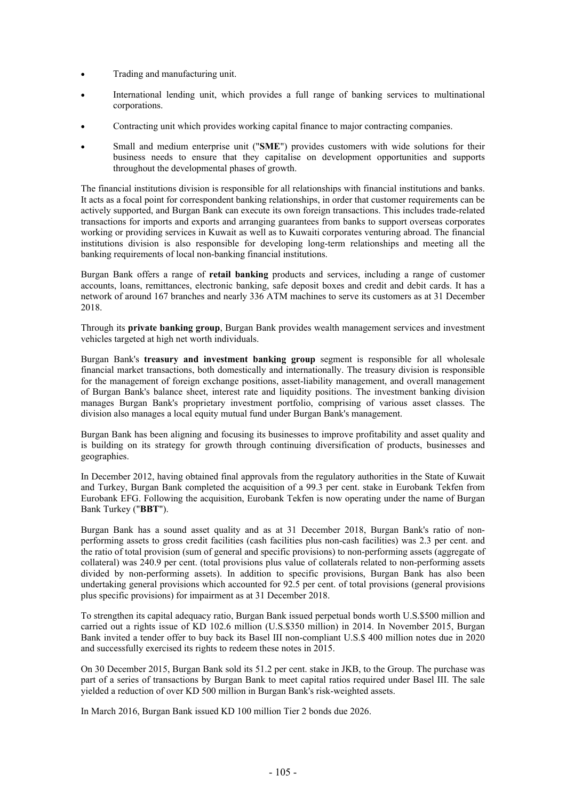- Trading and manufacturing unit.
- International lending unit, which provides a full range of banking services to multinational corporations.
- Contracting unit which provides working capital finance to major contracting companies.
- Small and medium enterprise unit ("**SME**") provides customers with wide solutions for their business needs to ensure that they capitalise on development opportunities and supports throughout the developmental phases of growth.

The financial institutions division is responsible for all relationships with financial institutions and banks. It acts as a focal point for correspondent banking relationships, in order that customer requirements can be actively supported, and Burgan Bank can execute its own foreign transactions. This includes trade-related transactions for imports and exports and arranging guarantees from banks to support overseas corporates working or providing services in Kuwait as well as to Kuwaiti corporates venturing abroad. The financial institutions division is also responsible for developing long-term relationships and meeting all the banking requirements of local non-banking financial institutions.

Burgan Bank offers a range of **retail banking** products and services, including a range of customer accounts, loans, remittances, electronic banking, safe deposit boxes and credit and debit cards. It has a network of around 167 branches and nearly 336 ATM machines to serve its customers as at 31 December 2018.

Through its **private banking group**, Burgan Bank provides wealth management services and investment vehicles targeted at high net worth individuals.

Burgan Bank's **treasury and investment banking group** segment is responsible for all wholesale financial market transactions, both domestically and internationally. The treasury division is responsible for the management of foreign exchange positions, asset-liability management, and overall management of Burgan Bank's balance sheet, interest rate and liquidity positions. The investment banking division manages Burgan Bank's proprietary investment portfolio, comprising of various asset classes. The division also manages a local equity mutual fund under Burgan Bank's management.

Burgan Bank has been aligning and focusing its businesses to improve profitability and asset quality and is building on its strategy for growth through continuing diversification of products, businesses and geographies.

In December 2012, having obtained final approvals from the regulatory authorities in the State of Kuwait and Turkey, Burgan Bank completed the acquisition of a 99.3 per cent. stake in Eurobank Tekfen from Eurobank EFG. Following the acquisition, Eurobank Tekfen is now operating under the name of Burgan Bank Turkey ("**BBT**").

Burgan Bank has a sound asset quality and as at 31 December 2018, Burgan Bank's ratio of nonperforming assets to gross credit facilities (cash facilities plus non-cash facilities) was 2.3 per cent. and the ratio of total provision (sum of general and specific provisions) to non-performing assets (aggregate of collateral) was 240.9 per cent. (total provisions plus value of collaterals related to non-performing assets divided by non-performing assets). In addition to specific provisions, Burgan Bank has also been undertaking general provisions which accounted for 92.5 per cent. of total provisions (general provisions plus specific provisions) for impairment as at 31 December 2018.

To strengthen its capital adequacy ratio, Burgan Bank issued perpetual bonds worth U.S.\$500 million and carried out a rights issue of KD 102.6 million (U.S.\$350 million) in 2014. In November 2015, Burgan Bank invited a tender offer to buy back its Basel III non-compliant U.S.\$ 400 million notes due in 2020 and successfully exercised its rights to redeem these notes in 2015.

On 30 December 2015, Burgan Bank sold its 51.2 per cent. stake in JKB, to the Group. The purchase was part of a series of transactions by Burgan Bank to meet capital ratios required under Basel III. The sale yielded a reduction of over KD 500 million in Burgan Bank's risk-weighted assets.

In March 2016, Burgan Bank issued KD 100 million Tier 2 bonds due 2026.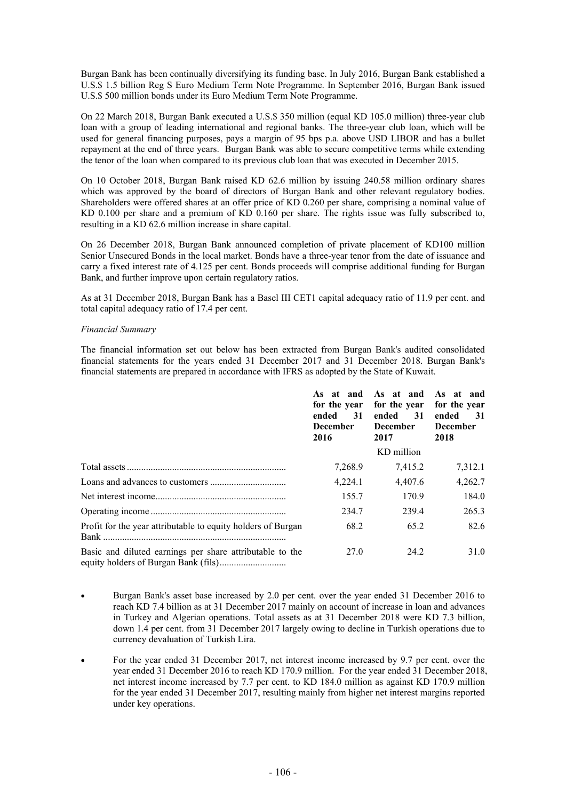Burgan Bank has been continually diversifying its funding base. In July 2016, Burgan Bank established a U.S.\$ 1.5 billion Reg S Euro Medium Term Note Programme. In September 2016, Burgan Bank issued U.S.\$ 500 million bonds under its Euro Medium Term Note Programme.

On 22 March 2018, Burgan Bank executed a U.S.\$ 350 million (equal KD 105.0 million) three-year club loan with a group of leading international and regional banks. The three-year club loan, which will be used for general financing purposes, pays a margin of 95 bps p.a. above USD LIBOR and has a bullet repayment at the end of three years. Burgan Bank was able to secure competitive terms while extending the tenor of the loan when compared to its previous club loan that was executed in December 2015.

On 10 October 2018, Burgan Bank raised KD 62.6 million by issuing 240.58 million ordinary shares which was approved by the board of directors of Burgan Bank and other relevant regulatory bodies. Shareholders were offered shares at an offer price of KD 0.260 per share, comprising a nominal value of KD 0.100 per share and a premium of KD 0.160 per share. The rights issue was fully subscribed to, resulting in a KD 62.6 million increase in share capital.

On 26 December 2018, Burgan Bank announced completion of private placement of KD100 million Senior Unsecured Bonds in the local market. Bonds have a three-year tenor from the date of issuance and carry a fixed interest rate of 4.125 per cent. Bonds proceeds will comprise additional funding for Burgan Bank, and further improve upon certain regulatory ratios.

As at 31 December 2018, Burgan Bank has a Basel III CET1 capital adequacy ratio of 11.9 per cent. and total capital adequacy ratio of 17.4 per cent.

# *Financial Summary*

The financial information set out below has been extracted from Burgan Bank's audited consolidated financial statements for the years ended 31 December 2017 and 31 December 2018. Burgan Bank's financial statements are prepared in accordance with IFRS as adopted by the State of Kuwait.

|                                                              | for the year<br>ended<br>31<br><b>December</b><br>2016 | As at and As at and<br>for the year<br>ended<br>31<br><b>December</b><br>2017 | As at and<br>for the year<br>ended<br>-31<br><b>December</b><br>2018 |
|--------------------------------------------------------------|--------------------------------------------------------|-------------------------------------------------------------------------------|----------------------------------------------------------------------|
|                                                              |                                                        | KD million                                                                    |                                                                      |
|                                                              | 7,268.9                                                | 7,415.2                                                                       | 7,312.1                                                              |
|                                                              | 4,224.1                                                | 4,407.6                                                                       | 4,262.7                                                              |
|                                                              | 155.7                                                  | 170.9                                                                         | 184.0                                                                |
|                                                              | 234.7                                                  | 239.4                                                                         | 265.3                                                                |
| Profit for the year attributable to equity holders of Burgan | 68.2                                                   | 65.2                                                                          | 82.6                                                                 |
| Basic and diluted earnings per share attributable to the     | 27.0                                                   | 24.2                                                                          | 31.0                                                                 |

- Burgan Bank's asset base increased by 2.0 per cent. over the year ended 31 December 2016 to reach KD 7.4 billion as at 31 December 2017 mainly on account of increase in loan and advances in Turkey and Algerian operations. Total assets as at 31 December 2018 were KD 7.3 billion, down 1.4 per cent. from 31 December 2017 largely owing to decline in Turkish operations due to currency devaluation of Turkish Lira.
- For the year ended 31 December 2017, net interest income increased by 9.7 per cent. over the year ended 31 December 2016 to reach KD 170.9 million. For the year ended 31 December 2018, net interest income increased by 7.7 per cent. to KD 184.0 million as against KD 170.9 million for the year ended 31 December 2017, resulting mainly from higher net interest margins reported under key operations.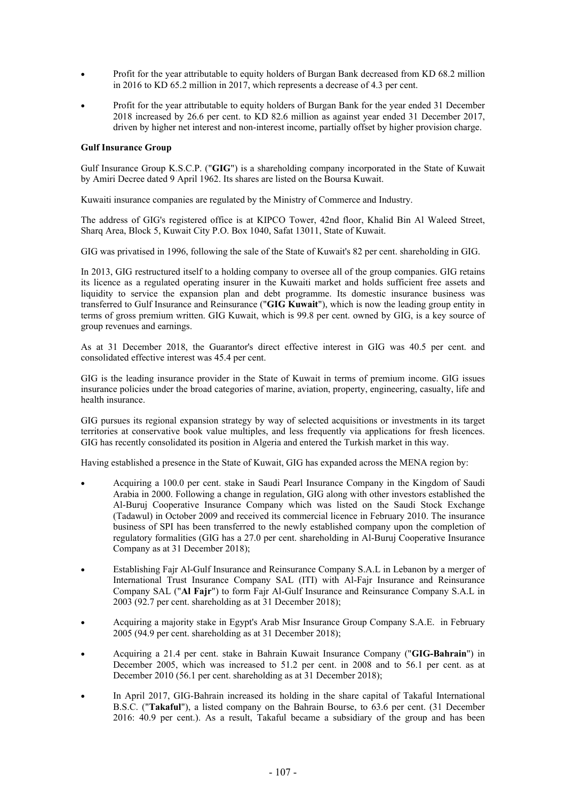- Profit for the year attributable to equity holders of Burgan Bank decreased from KD 68.2 million in 2016 to KD 65.2 million in 2017, which represents a decrease of 4.3 per cent.
- Profit for the year attributable to equity holders of Burgan Bank for the year ended 31 December 2018 increased by 26.6 per cent. to KD 82.6 million as against year ended 31 December 2017, driven by higher net interest and non-interest income, partially offset by higher provision charge.

#### **Gulf Insurance Group**

Gulf Insurance Group K.S.C.P. ("**GIG**") is a shareholding company incorporated in the State of Kuwait by Amiri Decree dated 9 April 1962. Its shares are listed on the Boursa Kuwait.

Kuwaiti insurance companies are regulated by the Ministry of Commerce and Industry.

The address of GIG's registered office is at KIPCO Tower, 42nd floor, Khalid Bin Al Waleed Street, Sharq Area, Block 5, Kuwait City P.O. Box 1040, Safat 13011, State of Kuwait.

GIG was privatised in 1996, following the sale of the State of Kuwait's 82 per cent. shareholding in GIG.

In 2013, GIG restructured itself to a holding company to oversee all of the group companies. GIG retains its licence as a regulated operating insurer in the Kuwaiti market and holds sufficient free assets and liquidity to service the expansion plan and debt programme. Its domestic insurance business was transferred to Gulf Insurance and Reinsurance ("**GIG Kuwait**"), which is now the leading group entity in terms of gross premium written. GIG Kuwait, which is 99.8 per cent. owned by GIG, is a key source of group revenues and earnings.

As at 31 December 2018, the Guarantor's direct effective interest in GIG was 40.5 per cent. and consolidated effective interest was 45.4 per cent.

GIG is the leading insurance provider in the State of Kuwait in terms of premium income. GIG issues insurance policies under the broad categories of marine, aviation, property, engineering, casualty, life and health insurance.

GIG pursues its regional expansion strategy by way of selected acquisitions or investments in its target territories at conservative book value multiples, and less frequently via applications for fresh licences. GIG has recently consolidated its position in Algeria and entered the Turkish market in this way.

Having established a presence in the State of Kuwait, GIG has expanded across the MENA region by:

- Acquiring a 100.0 per cent. stake in Saudi Pearl Insurance Company in the Kingdom of Saudi Arabia in 2000. Following a change in regulation, GIG along with other investors established the Al-Buruj Cooperative Insurance Company which was listed on the Saudi Stock Exchange (Tadawul) in October 2009 and received its commercial licence in February 2010. The insurance business of SPI has been transferred to the newly established company upon the completion of regulatory formalities (GIG has a 27.0 per cent. shareholding in Al-Buruj Cooperative Insurance Company as at 31 December 2018);
- Establishing Fajr Al-Gulf Insurance and Reinsurance Company S.A.L in Lebanon by a merger of International Trust Insurance Company SAL (ITI) with Al-Fajr Insurance and Reinsurance Company SAL ("**Al Fajr**") to form Fajr Al-Gulf Insurance and Reinsurance Company S.A.L in 2003 (92.7 per cent. shareholding as at 31 December 2018);
- Acquiring a majority stake in Egypt's Arab Misr Insurance Group Company S.A.E. in February 2005 (94.9 per cent. shareholding as at 31 December 2018);
- Acquiring a 21.4 per cent. stake in Bahrain Kuwait Insurance Company ("**GIG-Bahrain**") in December 2005, which was increased to 51.2 per cent. in 2008 and to 56.1 per cent. as at December 2010 (56.1 per cent. shareholding as at 31 December 2018);
- In April 2017, GIG-Bahrain increased its holding in the share capital of Takaful International B.S.C. ("**Takaful**"), a listed company on the Bahrain Bourse, to 63.6 per cent. (31 December 2016: 40.9 per cent.). As a result, Takaful became a subsidiary of the group and has been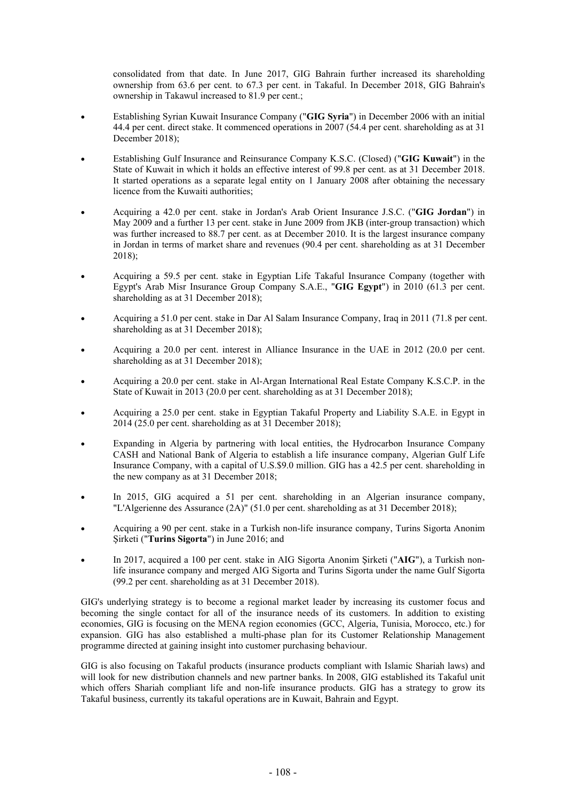consolidated from that date. In June 2017, GIG Bahrain further increased its shareholding ownership from 63.6 per cent. to 67.3 per cent. in Takaful. In December 2018, GIG Bahrain's ownership in Takawul increased to 81.9 per cent.;

- Establishing Syrian Kuwait Insurance Company ("**GIG Syria**") in December 2006 with an initial 44.4 per cent. direct stake. It commenced operations in 2007 (54.4 per cent. shareholding as at 31 December 2018);
- Establishing Gulf Insurance and Reinsurance Company K.S.C. (Closed) ("**GIG Kuwait**") in the State of Kuwait in which it holds an effective interest of 99.8 per cent. as at 31 December 2018. It started operations as a separate legal entity on 1 January 2008 after obtaining the necessary licence from the Kuwaiti authorities;
- Acquiring a 42.0 per cent. stake in Jordan's Arab Orient Insurance J.S.C. ("**GIG Jordan**") in May 2009 and a further 13 per cent. stake in June 2009 from JKB (inter-group transaction) which was further increased to 88.7 per cent. as at December 2010. It is the largest insurance company in Jordan in terms of market share and revenues (90.4 per cent. shareholding as at 31 December 2018);
- Acquiring a 59.5 per cent. stake in Egyptian Life Takaful Insurance Company (together with Egypt's Arab Misr Insurance Group Company S.A.E., "**GIG Egypt**") in 2010 (61.3 per cent. shareholding as at 31 December 2018);
- Acquiring a 51.0 per cent. stake in Dar Al Salam Insurance Company, Iraq in 2011 (71.8 per cent. shareholding as at 31 December 2018);
- Acquiring a 20.0 per cent. interest in Alliance Insurance in the UAE in 2012 (20.0 per cent. shareholding as at 31 December 2018);
- Acquiring a 20.0 per cent. stake in Al-Argan International Real Estate Company K.S.C.P. in the State of Kuwait in 2013 (20.0 per cent. shareholding as at 31 December 2018);
- Acquiring a 25.0 per cent. stake in Egyptian Takaful Property and Liability S.A.E. in Egypt in 2014 (25.0 per cent. shareholding as at 31 December 2018);
- Expanding in Algeria by partnering with local entities, the Hydrocarbon Insurance Company CASH and National Bank of Algeria to establish a life insurance company, Algerian Gulf Life Insurance Company, with a capital of U.S.\$9.0 million. GIG has a 42.5 per cent. shareholding in the new company as at 31 December 2018;
- In 2015, GIG acquired a 51 per cent. shareholding in an Algerian insurance company, "L'Algerienne des Assurance (2A)" (51.0 per cent. shareholding as at 31 December 2018);
- Acquiring a 90 per cent. stake in a Turkish non-life insurance company, Turins Sigorta Anonim Şirketi ("**Turins Sigorta**") in June 2016; and
- In 2017, acquired a 100 per cent. stake in AIG Sigorta Anonim Şirketi ("**AIG**"), a Turkish nonlife insurance company and merged AIG Sigorta and Turins Sigorta under the name Gulf Sigorta (99.2 per cent. shareholding as at 31 December 2018).

GIG's underlying strategy is to become a regional market leader by increasing its customer focus and becoming the single contact for all of the insurance needs of its customers. In addition to existing economies, GIG is focusing on the MENA region economies (GCC, Algeria, Tunisia, Morocco, etc.) for expansion. GIG has also established a multi-phase plan for its Customer Relationship Management programme directed at gaining insight into customer purchasing behaviour.

GIG is also focusing on Takaful products (insurance products compliant with Islamic Shariah laws) and will look for new distribution channels and new partner banks. In 2008, GIG established its Takaful unit which offers Shariah compliant life and non-life insurance products. GIG has a strategy to grow its Takaful business, currently its takaful operations are in Kuwait, Bahrain and Egypt.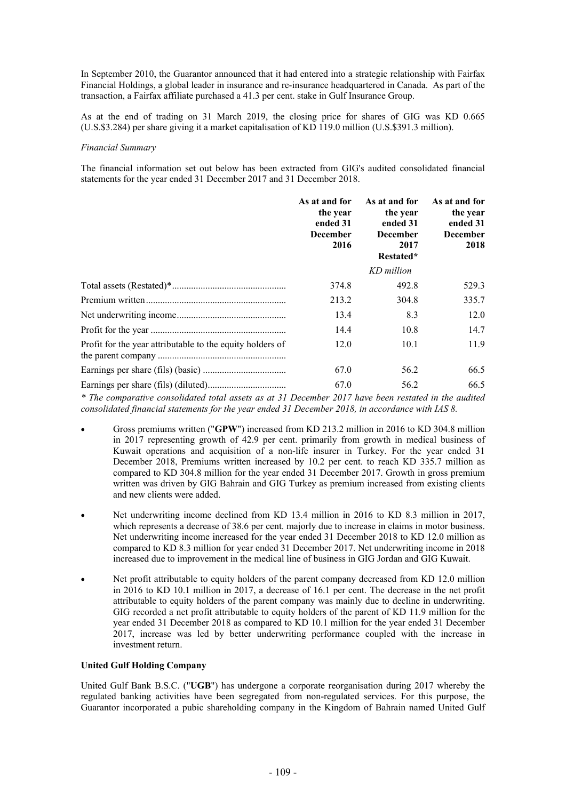In September 2010, the Guarantor announced that it had entered into a strategic relationship with Fairfax Financial Holdings, a global leader in insurance and re-insurance headquartered in Canada. As part of the transaction, a Fairfax affiliate purchased a 41.3 per cent. stake in Gulf Insurance Group.

As at the end of trading on 31 March 2019, the closing price for shares of GIG was KD 0.665 (U.S.\$3.284) per share giving it a market capitalisation of KD 119.0 million (U.S.\$391.3 million).

#### *Financial Summary*

The financial information set out below has been extracted from GIG's audited consolidated financial statements for the year ended 31 December 2017 and 31 December 2018.

|                                                           | As at and for<br>the year<br>ended 31<br><b>December</b><br>2016 | As at and for<br>the year<br>ended 31<br><b>December</b><br>2017<br>Restated*<br>KD million | As at and for<br>the year<br>ended 31<br><b>December</b><br>2018 |
|-----------------------------------------------------------|------------------------------------------------------------------|---------------------------------------------------------------------------------------------|------------------------------------------------------------------|
|                                                           | 374.8                                                            | 492.8                                                                                       | 529.3                                                            |
|                                                           | 213.2                                                            | 304.8                                                                                       | 335.7                                                            |
|                                                           | 13.4                                                             | 8.3                                                                                         | 12.0                                                             |
|                                                           | 14.4                                                             | 10.8                                                                                        | 14.7                                                             |
| Profit for the year attributable to the equity holders of | 12.0                                                             | 10.1                                                                                        | 11.9                                                             |
|                                                           | 67.0                                                             | 56.2                                                                                        | 66.5                                                             |
|                                                           | 67.0                                                             | 56.2                                                                                        | 66.5                                                             |

*\* The comparative consolidated total assets as at 31 December 2017 have been restated in the audited consolidated financial statements for the year ended 31 December 2018, in accordance with IAS 8.*

- Gross premiums written ("**GPW**") increased from KD 213.2 million in 2016 to KD 304.8 million in 2017 representing growth of 42.9 per cent. primarily from growth in medical business of Kuwait operations and acquisition of a non-life insurer in Turkey. For the year ended 31 December 2018, Premiums written increased by 10.2 per cent. to reach KD 335.7 million as compared to KD 304.8 million for the year ended 31 December 2017. Growth in gross premium written was driven by GIG Bahrain and GIG Turkey as premium increased from existing clients and new clients were added.
- Net underwriting income declined from KD 13.4 million in 2016 to KD 8.3 million in 2017, which represents a decrease of 38.6 per cent. majorly due to increase in claims in motor business. Net underwriting income increased for the year ended 31 December 2018 to KD 12.0 million as compared to KD 8.3 million for year ended 31 December 2017. Net underwriting income in 2018 increased due to improvement in the medical line of business in GIG Jordan and GIG Kuwait.
- Net profit attributable to equity holders of the parent company decreased from KD 12.0 million in 2016 to KD 10.1 million in 2017, a decrease of 16.1 per cent. The decrease in the net profit attributable to equity holders of the parent company was mainly due to decline in underwriting. GIG recorded a net profit attributable to equity holders of the parent of KD 11.9 million for the year ended 31 December 2018 as compared to KD 10.1 million for the year ended 31 December 2017, increase was led by better underwriting performance coupled with the increase in investment return.

# **United Gulf Holding Company**

United Gulf Bank B.S.C. ("**UGB**") has undergone a corporate reorganisation during 2017 whereby the regulated banking activities have been segregated from non-regulated services. For this purpose, the Guarantor incorporated a pubic shareholding company in the Kingdom of Bahrain named United Gulf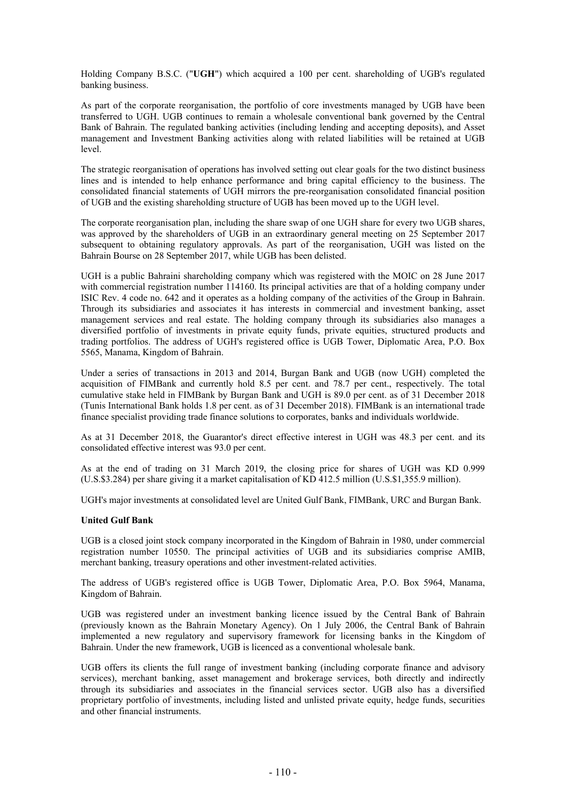Holding Company B.S.C. ("**UGH**") which acquired a 100 per cent. shareholding of UGB's regulated banking business.

As part of the corporate reorganisation, the portfolio of core investments managed by UGB have been transferred to UGH. UGB continues to remain a wholesale conventional bank governed by the Central Bank of Bahrain. The regulated banking activities (including lending and accepting deposits), and Asset management and Investment Banking activities along with related liabilities will be retained at UGB level.

The strategic reorganisation of operations has involved setting out clear goals for the two distinct business lines and is intended to help enhance performance and bring capital efficiency to the business. The consolidated financial statements of UGH mirrors the pre-reorganisation consolidated financial position of UGB and the existing shareholding structure of UGB has been moved up to the UGH level.

The corporate reorganisation plan, including the share swap of one UGH share for every two UGB shares, was approved by the shareholders of UGB in an extraordinary general meeting on 25 September 2017 subsequent to obtaining regulatory approvals. As part of the reorganisation, UGH was listed on the Bahrain Bourse on 28 September 2017, while UGB has been delisted.

UGH is a public Bahraini shareholding company which was registered with the MOIC on 28 June 2017 with commercial registration number 114160. Its principal activities are that of a holding company under ISIC Rev. 4 code no. 642 and it operates as a holding company of the activities of the Group in Bahrain. Through its subsidiaries and associates it has interests in commercial and investment banking, asset management services and real estate. The holding company through its subsidiaries also manages a diversified portfolio of investments in private equity funds, private equities, structured products and trading portfolios. The address of UGH's registered office is UGB Tower, Diplomatic Area, P.O. Box 5565, Manama, Kingdom of Bahrain.

Under a series of transactions in 2013 and 2014, Burgan Bank and UGB (now UGH) completed the acquisition of FIMBank and currently hold 8.5 per cent. and 78.7 per cent., respectively. The total cumulative stake held in FIMBank by Burgan Bank and UGH is 89.0 per cent. as of 31 December 2018 (Tunis International Bank holds 1.8 per cent. as of 31 December 2018). FIMBank is an international trade finance specialist providing trade finance solutions to corporates, banks and individuals worldwide.

As at 31 December 2018, the Guarantor's direct effective interest in UGH was 48.3 per cent. and its consolidated effective interest was 93.0 per cent.

As at the end of trading on 31 March 2019, the closing price for shares of UGH was KD 0.999 (U.S.\$3.284) per share giving it a market capitalisation of KD 412.5 million (U.S.\$1,355.9 million).

UGH's major investments at consolidated level are United Gulf Bank, FIMBank, URC and Burgan Bank.

# **United Gulf Bank**

UGB is a closed joint stock company incorporated in the Kingdom of Bahrain in 1980, under commercial registration number 10550. The principal activities of UGB and its subsidiaries comprise AMIB, merchant banking, treasury operations and other investment-related activities.

The address of UGB's registered office is UGB Tower, Diplomatic Area, P.O. Box 5964, Manama, Kingdom of Bahrain.

UGB was registered under an investment banking licence issued by the Central Bank of Bahrain (previously known as the Bahrain Monetary Agency). On 1 July 2006, the Central Bank of Bahrain implemented a new regulatory and supervisory framework for licensing banks in the Kingdom of Bahrain. Under the new framework, UGB is licenced as a conventional wholesale bank.

UGB offers its clients the full range of investment banking (including corporate finance and advisory services), merchant banking, asset management and brokerage services, both directly and indirectly through its subsidiaries and associates in the financial services sector. UGB also has a diversified proprietary portfolio of investments, including listed and unlisted private equity, hedge funds, securities and other financial instruments.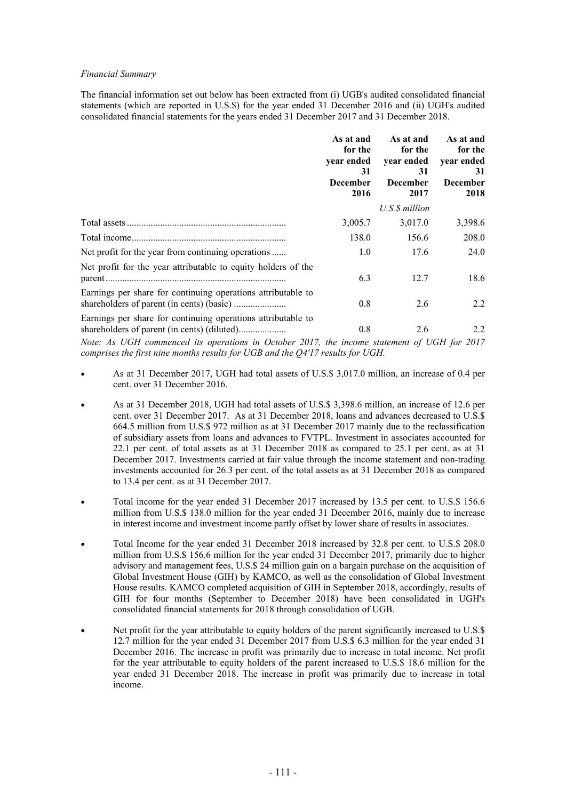#### *Financial Summary*

The financial information set out below has been extracted from (i) UGB's audited consolidated financial statements (which are reported in U.S.\$) for the year ended 31 December 2016 and (ii) UGH's audited consolidated financial statements for the years ended 31 December 2017 and 31 December 2018.

|                                                                                                                                                                                                                                                                                                                                                                                                    | As at and<br>for the<br>year ended<br>31<br><b>December</b><br>2016 | As at and<br>for the<br>year ended<br>31<br><b>December</b><br>2017 | As at and<br>for the<br>year ended<br>31<br><b>December</b><br>2018          |
|----------------------------------------------------------------------------------------------------------------------------------------------------------------------------------------------------------------------------------------------------------------------------------------------------------------------------------------------------------------------------------------------------|---------------------------------------------------------------------|---------------------------------------------------------------------|------------------------------------------------------------------------------|
|                                                                                                                                                                                                                                                                                                                                                                                                    |                                                                     | U.S. \$ million                                                     |                                                                              |
|                                                                                                                                                                                                                                                                                                                                                                                                    | 3,005.7                                                             | 3,017.0                                                             | 3,398.6                                                                      |
|                                                                                                                                                                                                                                                                                                                                                                                                    | 138.0                                                               | 156.6                                                               | 208.0                                                                        |
| Net profit for the year from continuing operations                                                                                                                                                                                                                                                                                                                                                 | 1.0                                                                 | 17.6                                                                | 24.0                                                                         |
| Net profit for the year attributable to equity holders of the                                                                                                                                                                                                                                                                                                                                      | 6.3                                                                 | 12.7                                                                | 18.6                                                                         |
| Earnings per share for continuing operations attributable to                                                                                                                                                                                                                                                                                                                                       | 0.8                                                                 | 2.6                                                                 | 2.2                                                                          |
| Earnings per share for continuing operations attributable to<br>$\mathbf{v}$ $\mathbf{v}$ $\mathbf{v}$ $\mathbf{v}$ $\mathbf{v}$ $\mathbf{v}$ $\mathbf{v}$ $\mathbf{v}$ $\mathbf{v}$ $\mathbf{v}$ $\mathbf{v}$ $\mathbf{v}$ $\mathbf{v}$ $\mathbf{v}$ $\mathbf{v}$ $\mathbf{v}$ $\mathbf{v}$ $\mathbf{v}$ $\mathbf{v}$ $\mathbf{v}$ $\mathbf{v}$ $\mathbf{v}$ $\mathbf{v}$ $\mathbf{v}$ $\mathbf{$ | 0.8                                                                 | 2.6                                                                 | 2.2<br>$\theta$ recent $\theta$<br>$\bullet \bullet \bullet \bullet \bullet$ |

*Note: As UGH commenced its operations in October 2017, the income statement of UGH for 2017 comprises the first nine months results for UGB and the Q4'17 results for UGH.*

- As at 31 December 2017, UGH had total assets of U.S.\$ 3,017.0 million, an increase of 0.4 per cent. over 31 December 2016.
- As at 31 December 2018, UGH had total assets of U.S.\$ 3,398.6 million, an increase of 12.6 per cent. over 31 December 2017. As at 31 December 2018, loans and advances decreased to U.S.\$ 664.5 million from U.S.\$ 972 million as at 31 December 2017 mainly due to the reclassification of subsidiary assets from loans and advances to FVTPL. Investment in associates accounted for 22.1 per cent. of total assets as at 31 December 2018 as compared to 25.1 per cent. as at 31 December 2017. Investments carried at fair value through the income statement and non-trading investments accounted for 26.3 per cent. of the total assets as at 31 December 2018 as compared to 13.4 per cent. as at 31 December 2017.
- Total income for the year ended 31 December 2017 increased by 13.5 per cent. to U.S.\$ 156.6 million from U.S.\$ 138.0 million for the year ended 31 December 2016, mainly due to increase in interest income and investment income partly offset by lower share of results in associates.
- Total Income for the year ended 31 December 2018 increased by 32.8 per cent. to U.S.\$ 208.0 million from U.S.\$ 156.6 million for the year ended 31 December 2017, primarily due to higher advisory and management fees, U.S.\$ 24 million gain on a bargain purchase on the acquisition of Global Investment House (GIH) by KAMCO, as well as the consolidation of Global Investment House results. KAMCO completed acquisition of GIH in September 2018, accordingly, results of GIH for four months (September to December 2018) have been consolidated in UGH's consolidated financial statements for 2018 through consolidation of UGB.
- Net profit for the year attributable to equity holders of the parent significantly increased to U.S.\$ 12.7 million for the year ended 31 December 2017 from U.S.\$ 6.3 million for the year ended 31 December 2016. The increase in profit was primarily due to increase in total income. Net profit for the year attributable to equity holders of the parent increased to U.S.\$ 18.6 million for the year ended 31 December 2018. The increase in profit was primarily due to increase in total income.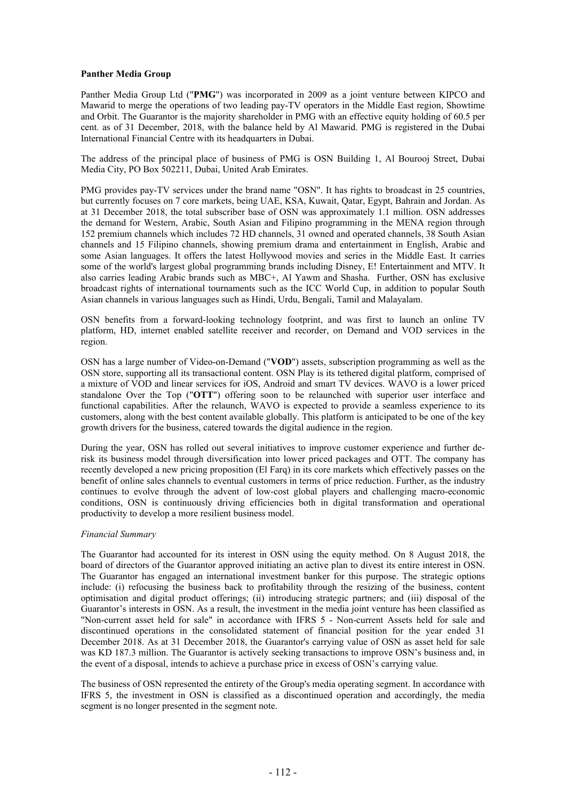#### **Panther Media Group**

Panther Media Group Ltd ("**PMG**") was incorporated in 2009 as a joint venture between KIPCO and Mawarid to merge the operations of two leading pay-TV operators in the Middle East region, Showtime and Orbit. The Guarantor is the majority shareholder in PMG with an effective equity holding of 60.5 per cent. as of 31 December, 2018, with the balance held by Al Mawarid. PMG is registered in the Dubai International Financial Centre with its headquarters in Dubai.

The address of the principal place of business of PMG is OSN Building 1, Al Bourooj Street, Dubai Media City, PO Box 502211, Dubai, United Arab Emirates.

PMG provides pay-TV services under the brand name "OSN". It has rights to broadcast in 25 countries, but currently focuses on 7 core markets, being UAE, KSA, Kuwait, Qatar, Egypt, Bahrain and Jordan. As at 31 December 2018, the total subscriber base of OSN was approximately 1.1 million. OSN addresses the demand for Western, Arabic, South Asian and Filipino programming in the MENA region through 152 premium channels which includes 72 HD channels, 31 owned and operated channels, 38 South Asian channels and 15 Filipino channels, showing premium drama and entertainment in English, Arabic and some Asian languages. It offers the latest Hollywood movies and series in the Middle East. It carries some of the world's largest global programming brands including Disney, E! Entertainment and MTV. It also carries leading Arabic brands such as MBC+, Al Yawm and Shasha. Further, OSN has exclusive broadcast rights of international tournaments such as the ICC World Cup, in addition to popular South Asian channels in various languages such as Hindi, Urdu, Bengali, Tamil and Malayalam.

OSN benefits from a forward-looking technology footprint, and was first to launch an online TV platform, HD, internet enabled satellite receiver and recorder, on Demand and VOD services in the region.

OSN has a large number of Video-on-Demand ("**VOD**") assets, subscription programming as well as the OSN store, supporting all its transactional content. OSN Play is its tethered digital platform, comprised of a mixture of VOD and linear services for iOS, Android and smart TV devices. WAVO is a lower priced standalone Over the Top ("**OTT**") offering soon to be relaunched with superior user interface and functional capabilities. After the relaunch, WAVO is expected to provide a seamless experience to its customers, along with the best content available globally. This platform is anticipated to be one of the key growth drivers for the business, catered towards the digital audience in the region.

During the year, OSN has rolled out several initiatives to improve customer experience and further derisk its business model through diversification into lower priced packages and OTT. The company has recently developed a new pricing proposition (El Farq) in its core markets which effectively passes on the benefit of online sales channels to eventual customers in terms of price reduction. Further, as the industry continues to evolve through the advent of low-cost global players and challenging macro-economic conditions, OSN is continuously driving efficiencies both in digital transformation and operational productivity to develop a more resilient business model.

# *Financial Summary*

The Guarantor had accounted for its interest in OSN using the equity method. On 8 August 2018, the board of directors of the Guarantor approved initiating an active plan to divest its entire interest in OSN. The Guarantor has engaged an international investment banker for this purpose. The strategic options include: (i) refocusing the business back to profitability through the resizing of the business, content optimisation and digital product offerings; (ii) introducing strategic partners; and (iii) disposal of the Guarantor's interests in OSN. As a result, the investment in the media joint venture has been classified as "Non-current asset held for sale" in accordance with IFRS 5 - Non-current Assets held for sale and discontinued operations in the consolidated statement of financial position for the year ended 31 December 2018. As at 31 December 2018, the Guarantor's carrying value of OSN as asset held for sale was KD 187.3 million. The Guarantor is actively seeking transactions to improve OSN's business and, in the event of a disposal, intends to achieve a purchase price in excess of OSN's carrying value.

The business of OSN represented the entirety of the Group's media operating segment. In accordance with IFRS 5, the investment in OSN is classified as a discontinued operation and accordingly, the media segment is no longer presented in the segment note.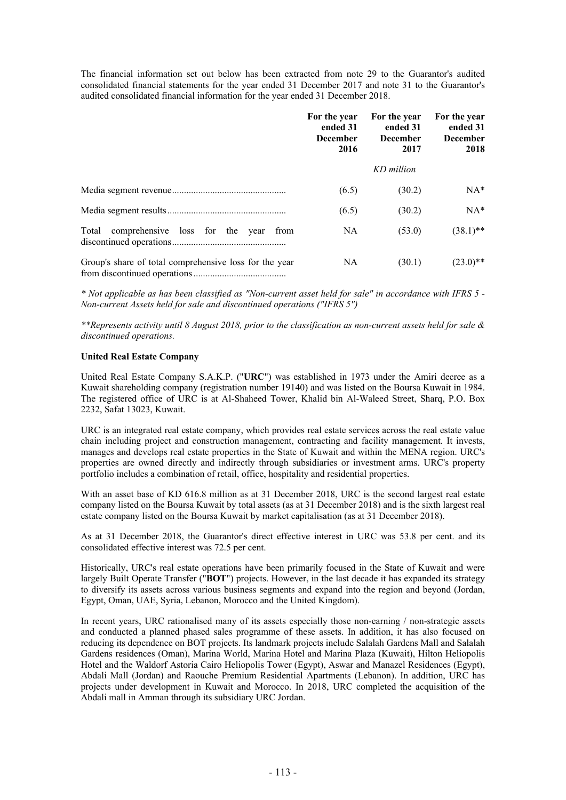The financial information set out below has been extracted from note 29 to the Guarantor's audited consolidated financial statements for the year ended 31 December 2017 and note 31 to the Guarantor's audited consolidated financial information for the year ended 31 December 2018.

|                                                        | For the year<br>ended 31<br><b>December</b><br>2016 | For the year<br>ended 31<br><b>December</b><br>2017 | For the year<br>ended 31<br><b>December</b><br>2018 |
|--------------------------------------------------------|-----------------------------------------------------|-----------------------------------------------------|-----------------------------------------------------|
|                                                        |                                                     | KD million                                          |                                                     |
|                                                        | (6.5)                                               | (30.2)                                              | $NA^*$                                              |
|                                                        | (6.5)                                               | (30.2)                                              | $NA*$                                               |
| comprehensive loss for the year<br>Total<br>from       | NA                                                  | (53.0)                                              | $(38.1)$ **                                         |
| Group's share of total comprehensive loss for the year | NA.                                                 | (30.1)                                              | $(23.0)$ **                                         |

*\* Not applicable as has been classified as "Non-current asset held for sale" in accordance with IFRS 5 - Non-current Assets held for sale and discontinued operations ("IFRS 5")* 

*\*\*Represents activity until 8 August 2018, prior to the classification as non-current assets held for sale & discontinued operations.*

# **United Real Estate Company**

United Real Estate Company S.A.K.P. ("**URC**") was established in 1973 under the Amiri decree as a Kuwait shareholding company (registration number 19140) and was listed on the Boursa Kuwait in 1984. The registered office of URC is at Al-Shaheed Tower, Khalid bin Al-Waleed Street, Sharq, P.O. Box 2232, Safat 13023, Kuwait.

URC is an integrated real estate company, which provides real estate services across the real estate value chain including project and construction management, contracting and facility management. It invests, manages and develops real estate properties in the State of Kuwait and within the MENA region. URC's properties are owned directly and indirectly through subsidiaries or investment arms. URC's property portfolio includes a combination of retail, office, hospitality and residential properties.

With an asset base of KD 616.8 million as at 31 December 2018, URC is the second largest real estate company listed on the Boursa Kuwait by total assets (as at 31 December 2018) and is the sixth largest real estate company listed on the Boursa Kuwait by market capitalisation (as at 31 December 2018).

As at 31 December 2018, the Guarantor's direct effective interest in URC was 53.8 per cent. and its consolidated effective interest was 72.5 per cent.

Historically, URC's real estate operations have been primarily focused in the State of Kuwait and were largely Built Operate Transfer ("**BOT**") projects. However, in the last decade it has expanded its strategy to diversify its assets across various business segments and expand into the region and beyond (Jordan, Egypt, Oman, UAE, Syria, Lebanon, Morocco and the United Kingdom).

In recent years, URC rationalised many of its assets especially those non-earning / non-strategic assets and conducted a planned phased sales programme of these assets. In addition, it has also focused on reducing its dependence on BOT projects. Its landmark projects include Salalah Gardens Mall and Salalah Gardens residences (Oman), Marina World, Marina Hotel and Marina Plaza (Kuwait), Hilton Heliopolis Hotel and the Waldorf Astoria Cairo Heliopolis Tower (Egypt), Aswar and Manazel Residences (Egypt), Abdali Mall (Jordan) and Raouche Premium Residential Apartments (Lebanon). In addition, URC has projects under development in Kuwait and Morocco. In 2018, URC completed the acquisition of the Abdali mall in Amman through its subsidiary URC Jordan.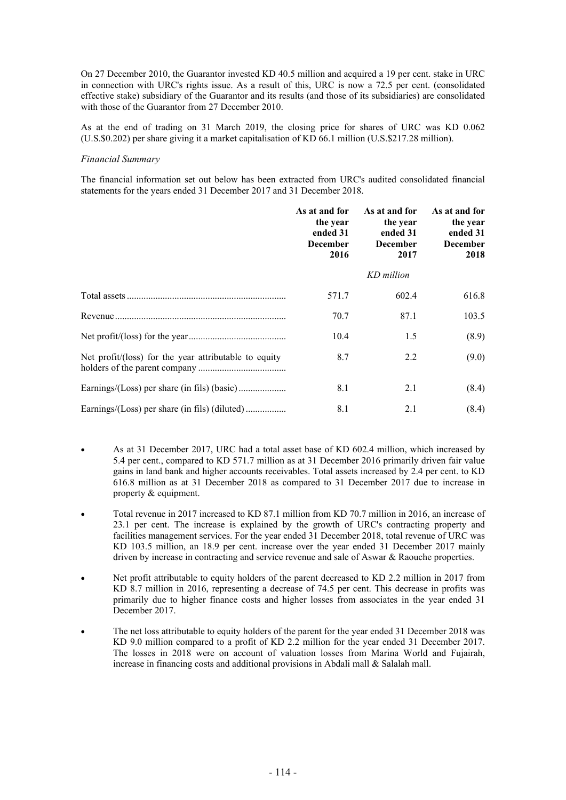On 27 December 2010, the Guarantor invested KD 40.5 million and acquired a 19 per cent. stake in URC in connection with URC's rights issue. As a result of this, URC is now a 72.5 per cent. (consolidated effective stake) subsidiary of the Guarantor and its results (and those of its subsidiaries) are consolidated with those of the Guarantor from 27 December 2010.

As at the end of trading on 31 March 2019, the closing price for shares of URC was KD 0.062 (U.S.\$0.202) per share giving it a market capitalisation of KD 66.1 million (U.S.\$217.28 million).

#### *Financial Summary*

The financial information set out below has been extracted from URC's audited consolidated financial statements for the years ended 31 December 2017 and 31 December 2018.

|                                                       | As at and for<br>the year<br>ended 31<br><b>December</b><br>2016 | As at and for<br>the year<br>ended 31<br><b>December</b><br>2017 | As at and for<br>the year<br>ended 31<br><b>December</b><br>2018 |
|-------------------------------------------------------|------------------------------------------------------------------|------------------------------------------------------------------|------------------------------------------------------------------|
|                                                       |                                                                  | KD million                                                       |                                                                  |
|                                                       | 571.7                                                            | 602.4                                                            | 616.8                                                            |
|                                                       | 70.7                                                             | 87.1                                                             | 103.5                                                            |
|                                                       | 10.4                                                             | 1.5                                                              | (8.9)                                                            |
| Net profit/(loss) for the year attributable to equity | 8.7                                                              | 2.2                                                              | (9.0)                                                            |
|                                                       | 8.1                                                              | 2.1                                                              | (8.4)                                                            |
|                                                       | 8.1                                                              | 2.1                                                              | (8.4)                                                            |

- As at 31 December 2017, URC had a total asset base of KD 602.4 million, which increased by 5.4 per cent., compared to KD 571.7 million as at 31 December 2016 primarily driven fair value gains in land bank and higher accounts receivables. Total assets increased by 2.4 per cent. to KD 616.8 million as at 31 December 2018 as compared to 31 December 2017 due to increase in property & equipment.
- Total revenue in 2017 increased to KD 87.1 million from KD 70.7 million in 2016, an increase of 23.1 per cent. The increase is explained by the growth of URC's contracting property and facilities management services. For the year ended 31 December 2018, total revenue of URC was KD 103.5 million, an 18.9 per cent. increase over the year ended 31 December 2017 mainly driven by increase in contracting and service revenue and sale of Aswar & Raouche properties.
- Net profit attributable to equity holders of the parent decreased to KD 2.2 million in 2017 from KD 8.7 million in 2016, representing a decrease of 74.5 per cent. This decrease in profits was primarily due to higher finance costs and higher losses from associates in the year ended 31 December 2017.
- The net loss attributable to equity holders of the parent for the year ended 31 December 2018 was KD 9.0 million compared to a profit of KD 2.2 million for the year ended 31 December 2017. The losses in 2018 were on account of valuation losses from Marina World and Fujairah, increase in financing costs and additional provisions in Abdali mall & Salalah mall.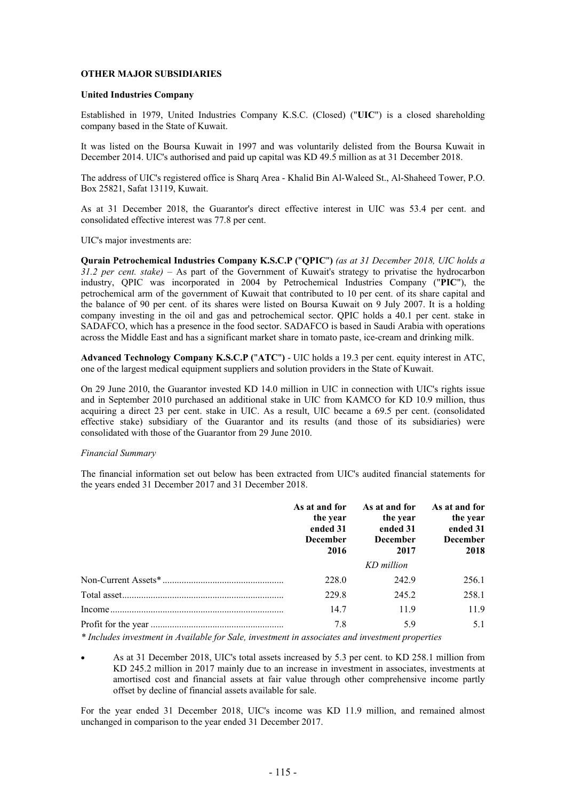# **OTHER MAJOR SUBSIDIARIES**

#### **United Industries Company**

Established in 1979, United Industries Company K.S.C. (Closed) ("**UIC**") is a closed shareholding company based in the State of Kuwait.

It was listed on the Boursa Kuwait in 1997 and was voluntarily delisted from the Boursa Kuwait in December 2014. UIC's authorised and paid up capital was KD 49.5 million as at 31 December 2018.

The address of UIC's registered office is Sharq Area - Khalid Bin Al-Waleed St., Al-Shaheed Tower, P.O. Box 25821, Safat 13119, Kuwait.

As at 31 December 2018, the Guarantor's direct effective interest in UIC was 53.4 per cent. and consolidated effective interest was 77.8 per cent.

UIC's major investments are:

**Qurain Petrochemical Industries Company K.S.C.P (**"**QPIC**"**)** *(as at 31 December 2018, UIC holds a 31.2 per cent. stake) –* As part of the Government of Kuwait's strategy to privatise the hydrocarbon industry, QPIC was incorporated in 2004 by Petrochemical Industries Company ("**PIC**"), the petrochemical arm of the government of Kuwait that contributed to 10 per cent. of its share capital and the balance of 90 per cent. of its shares were listed on Boursa Kuwait on 9 July 2007. It is a holding company investing in the oil and gas and petrochemical sector. QPIC holds a 40.1 per cent. stake in SADAFCO, which has a presence in the food sector. SADAFCO is based in Saudi Arabia with operations across the Middle East and has a significant market share in tomato paste, ice-cream and drinking milk.

**Advanced Technology Company K.S.C.P (**"**ATC**"**)** - UIC holds a 19.3 per cent. equity interest in ATC, one of the largest medical equipment suppliers and solution providers in the State of Kuwait.

On 29 June 2010, the Guarantor invested KD 14.0 million in UIC in connection with UIC's rights issue and in September 2010 purchased an additional stake in UIC from KAMCO for KD 10.9 million, thus acquiring a direct 23 per cent. stake in UIC. As a result, UIC became a 69.5 per cent. (consolidated effective stake) subsidiary of the Guarantor and its results (and those of its subsidiaries) were consolidated with those of the Guarantor from 29 June 2010.

# *Financial Summary*

The financial information set out below has been extracted from UIC's audited financial statements for the years ended 31 December 2017 and 31 December 2018.

| As at and for<br>the year<br>ended 31<br><b>December</b><br>2016 | As at and for<br>the year<br>ended 31<br><b>December</b><br>2017 | As at and for<br>the year<br>ended 31<br><b>December</b><br>2018 |
|------------------------------------------------------------------|------------------------------------------------------------------|------------------------------------------------------------------|
|                                                                  | KD million                                                       |                                                                  |
| 228.0                                                            | 242.9                                                            | 256.1                                                            |
| 229.8                                                            | 245.2                                                            | 258.1                                                            |
| 14.7                                                             | 11.9                                                             | 11.9                                                             |
| 7.8                                                              | 5.9                                                              | 5.1                                                              |

*\* Includes investment in Available for Sale, investment in associates and investment properties*

 As at 31 December 2018, UIC's total assets increased by 5.3 per cent. to KD 258.1 million from KD 245.2 million in 2017 mainly due to an increase in investment in associates, investments at amortised cost and financial assets at fair value through other comprehensive income partly offset by decline of financial assets available for sale.

For the year ended 31 December 2018, UIC's income was KD 11.9 million, and remained almost unchanged in comparison to the year ended 31 December 2017.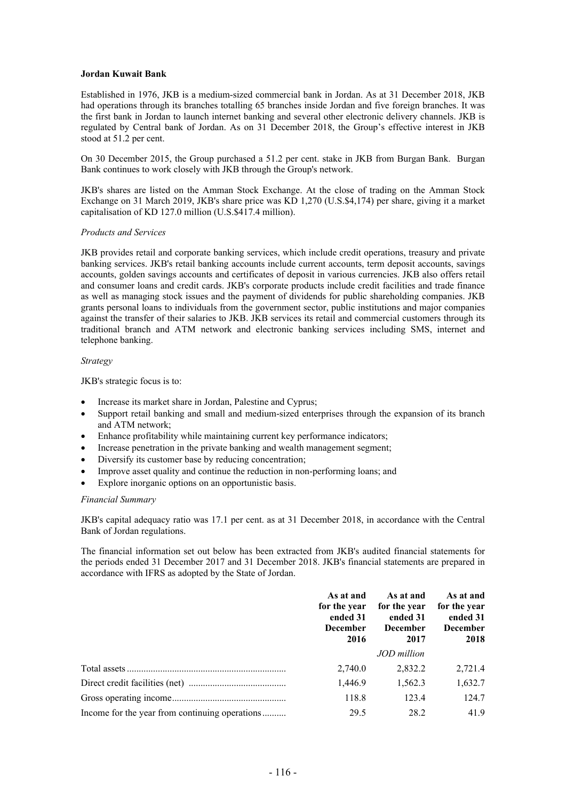#### **Jordan Kuwait Bank**

Established in 1976, JKB is a medium-sized commercial bank in Jordan. As at 31 December 2018, JKB had operations through its branches totalling 65 branches inside Jordan and five foreign branches. It was the first bank in Jordan to launch internet banking and several other electronic delivery channels. JKB is regulated by Central bank of Jordan. As on 31 December 2018, the Group's effective interest in JKB stood at 51.2 per cent.

On 30 December 2015, the Group purchased a 51.2 per cent. stake in JKB from Burgan Bank. Burgan Bank continues to work closely with JKB through the Group's network.

JKB's shares are listed on the Amman Stock Exchange. At the close of trading on the Amman Stock Exchange on 31 March 2019, JKB's share price was KD 1,270 (U.S.\$4,174) per share, giving it a market capitalisation of KD 127.0 million (U.S.\$417.4 million).

#### *Products and Services*

JKB provides retail and corporate banking services, which include credit operations, treasury and private banking services. JKB's retail banking accounts include current accounts, term deposit accounts, savings accounts, golden savings accounts and certificates of deposit in various currencies. JKB also offers retail and consumer loans and credit cards. JKB's corporate products include credit facilities and trade finance as well as managing stock issues and the payment of dividends for public shareholding companies. JKB grants personal loans to individuals from the government sector, public institutions and major companies against the transfer of their salaries to JKB. JKB services its retail and commercial customers through its traditional branch and ATM network and electronic banking services including SMS, internet and telephone banking.

#### *Strategy*

JKB's strategic focus is to:

- Increase its market share in Jordan, Palestine and Cyprus;
- Support retail banking and small and medium-sized enterprises through the expansion of its branch and ATM network;
- Enhance profitability while maintaining current key performance indicators;
- Increase penetration in the private banking and wealth management segment;
- Diversify its customer base by reducing concentration;
- Improve asset quality and continue the reduction in non-performing loans; and
- Explore inorganic options on an opportunistic basis.

#### *Financial Summary*

JKB's capital adequacy ratio was 17.1 per cent. as at 31 December 2018, in accordance with the Central Bank of Jordan regulations.

The financial information set out below has been extracted from JKB's audited financial statements for the periods ended 31 December 2017 and 31 December 2018. JKB's financial statements are prepared in accordance with IFRS as adopted by the State of Jordan.

|                                                | As at and<br>for the year<br>ended 31<br><b>December</b><br>2016 | As at and<br>for the year<br>ended 31<br><b>December</b><br>2017 | As at and<br>for the year<br>ended 31<br><b>December</b><br>2018 |
|------------------------------------------------|------------------------------------------------------------------|------------------------------------------------------------------|------------------------------------------------------------------|
|                                                |                                                                  | JOD million                                                      |                                                                  |
|                                                | 2,740.0                                                          | 2,832.2                                                          | 2,721.4                                                          |
|                                                | 1,446.9                                                          | 1,562.3                                                          | 1,632.7                                                          |
|                                                | 118.8                                                            | 123.4                                                            | 124.7                                                            |
| Income for the year from continuing operations | 29.5                                                             | 28.2                                                             | 41.9                                                             |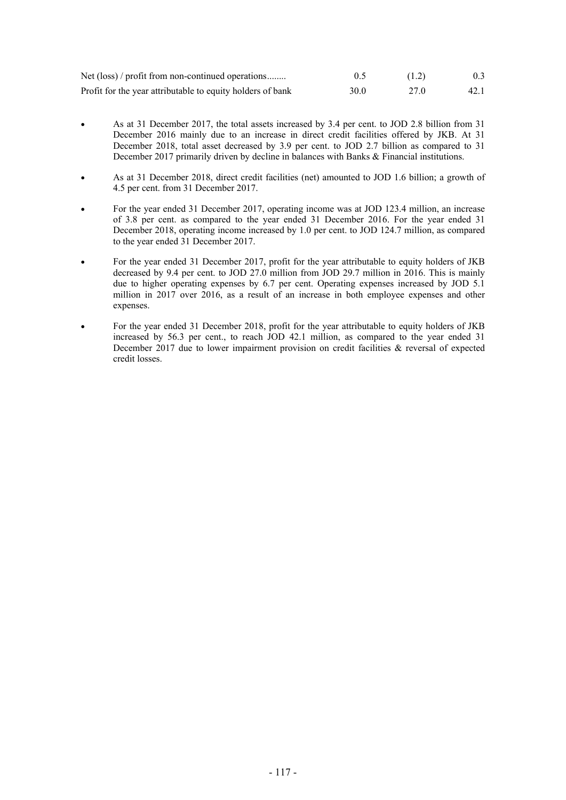| Net (loss) / profit from non-continued operations          |      | (1.2) | 0.3  |
|------------------------------------------------------------|------|-------|------|
| Profit for the year attributable to equity holders of bank | 30.0 | 27.0  | 42.1 |

- As at 31 December 2017, the total assets increased by 3.4 per cent. to JOD 2.8 billion from 31 December 2016 mainly due to an increase in direct credit facilities offered by JKB. At 31 December 2018, total asset decreased by 3.9 per cent. to JOD 2.7 billion as compared to 31 December 2017 primarily driven by decline in balances with Banks & Financial institutions.
- As at 31 December 2018, direct credit facilities (net) amounted to JOD 1.6 billion; a growth of 4.5 per cent. from 31 December 2017.
- For the year ended 31 December 2017, operating income was at JOD 123.4 million, an increase of 3.8 per cent. as compared to the year ended 31 December 2016. For the year ended 31 December 2018, operating income increased by 1.0 per cent. to JOD 124.7 million, as compared to the year ended 31 December 2017.
- For the year ended 31 December 2017, profit for the year attributable to equity holders of JKB decreased by 9.4 per cent. to JOD 27.0 million from JOD 29.7 million in 2016. This is mainly due to higher operating expenses by 6.7 per cent. Operating expenses increased by JOD 5.1 million in 2017 over 2016, as a result of an increase in both employee expenses and other expenses.
- For the year ended 31 December 2018, profit for the year attributable to equity holders of JKB increased by 56.3 per cent., to reach JOD 42.1 million, as compared to the year ended 31 December 2017 due to lower impairment provision on credit facilities & reversal of expected credit losses.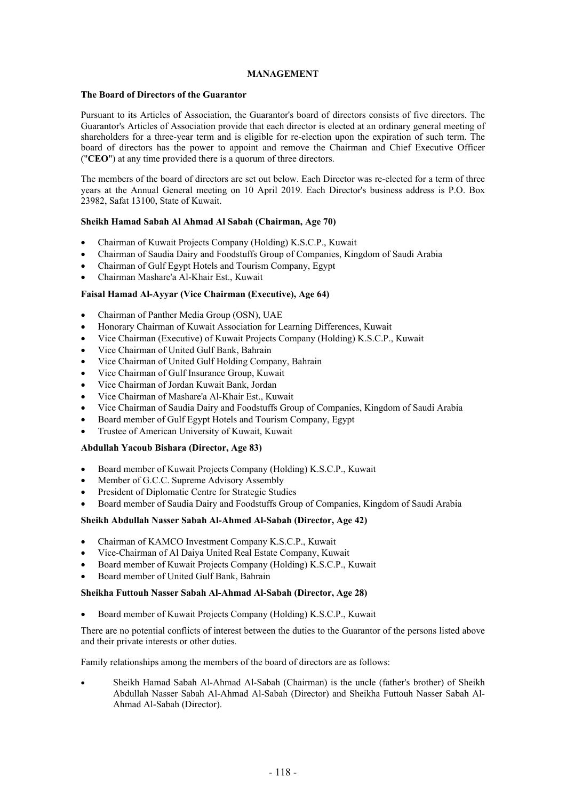# **MANAGEMENT**

# **The Board of Directors of the Guarantor**

Pursuant to its Articles of Association, the Guarantor's board of directors consists of five directors. The Guarantor's Articles of Association provide that each director is elected at an ordinary general meeting of shareholders for a three-year term and is eligible for re-election upon the expiration of such term. The board of directors has the power to appoint and remove the Chairman and Chief Executive Officer ("**CEO**") at any time provided there is a quorum of three directors.

The members of the board of directors are set out below. Each Director was re-elected for a term of three years at the Annual General meeting on 10 April 2019. Each Director's business address is P.O. Box 23982, Safat 13100, State of Kuwait.

# **Sheikh Hamad Sabah Al Ahmad Al Sabah (Chairman, Age 70)**

- Chairman of Kuwait Projects Company (Holding) K.S.C.P., Kuwait
- Chairman of Saudia Dairy and Foodstuffs Group of Companies, Kingdom of Saudi Arabia
- Chairman of Gulf Egypt Hotels and Tourism Company, Egypt
- Chairman Mashare'a Al-Khair Est., Kuwait

# **Faisal Hamad Al-Ayyar (Vice Chairman (Executive), Age 64)**

- Chairman of Panther Media Group (OSN), UAE
- Honorary Chairman of Kuwait Association for Learning Differences, Kuwait
- Vice Chairman (Executive) of Kuwait Projects Company (Holding) K.S.C.P., Kuwait
- Vice Chairman of United Gulf Bank, Bahrain
- Vice Chairman of United Gulf Holding Company, Bahrain
- Vice Chairman of Gulf Insurance Group, Kuwait
- Vice Chairman of Jordan Kuwait Bank, Jordan
- Vice Chairman of Mashare'a Al-Khair Est., Kuwait
- Vice Chairman of Saudia Dairy and Foodstuffs Group of Companies, Kingdom of Saudi Arabia
- Board member of Gulf Egypt Hotels and Tourism Company, Egypt
- Trustee of American University of Kuwait, Kuwait

# **Abdullah Yacoub Bishara (Director, Age 83)**

- Board member of Kuwait Projects Company (Holding) K.S.C.P., Kuwait
- Member of G.C.C. Supreme Advisory Assembly
- President of Diplomatic Centre for Strategic Studies
- Board member of Saudia Dairy and Foodstuffs Group of Companies, Kingdom of Saudi Arabia

# **Sheikh Abdullah Nasser Sabah Al-Ahmed Al-Sabah (Director, Age 42)**

- Chairman of KAMCO Investment Company K.S.C.P., Kuwait
- Vice-Chairman of Al Daiya United Real Estate Company, Kuwait
- Board member of Kuwait Projects Company (Holding) K.S.C.P., Kuwait
- Board member of United Gulf Bank, Bahrain

# **Sheikha Futtouh Nasser Sabah Al-Ahmad Al-Sabah (Director, Age 28)**

Board member of Kuwait Projects Company (Holding) K.S.C.P., Kuwait

There are no potential conflicts of interest between the duties to the Guarantor of the persons listed above and their private interests or other duties.

Family relationships among the members of the board of directors are as follows:

 Sheikh Hamad Sabah Al-Ahmad Al-Sabah (Chairman) is the uncle (father's brother) of Sheikh Abdullah Nasser Sabah Al-Ahmad Al-Sabah (Director) and Sheikha Futtouh Nasser Sabah Al-Ahmad Al-Sabah (Director).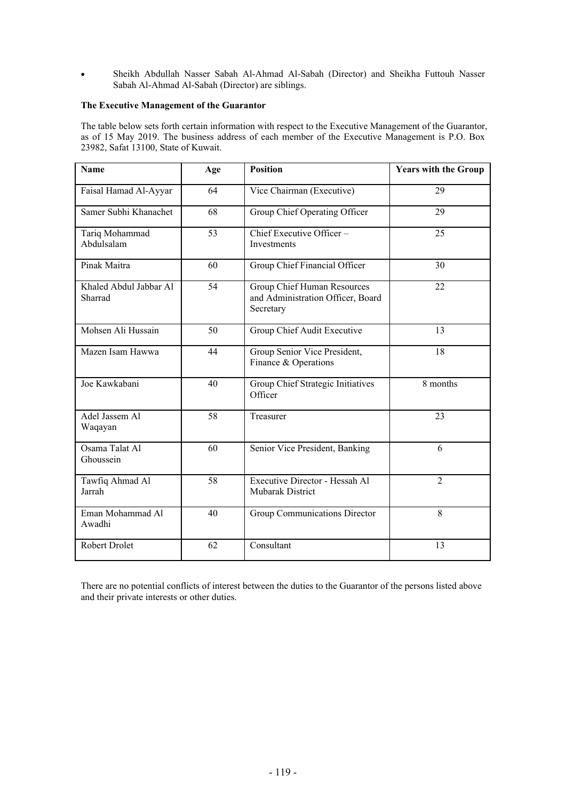Sheikh Abdullah Nasser Sabah Al-Ahmad Al-Sabah (Director) and Sheikha Futtouh Nasser Sabah Al-Ahmad Al-Sabah (Director) are siblings.

# **The Executive Management of the Guarantor**

The table below sets forth certain information with respect to the Executive Management of the Guarantor, as of 15 May 2019. The business address of each member of the Executive Management is P.O. Box 23982, Safat 13100, State of Kuwait.

| Name                              | Age | <b>Position</b>                                                               | <b>Years with the Group</b> |
|-----------------------------------|-----|-------------------------------------------------------------------------------|-----------------------------|
| Faisal Hamad Al-Ayyar             | 64  | Vice Chairman (Executive)                                                     | 29                          |
| Samer Subhi Khanachet             | 68  | Group Chief Operating Officer                                                 | 29                          |
| Tariq Mohammad<br>Abdulsalam      | 53  | Chief Executive Officer-<br>Investments                                       | 25                          |
| Pinak Maitra                      | 60  | Group Chief Financial Officer                                                 | 30                          |
| Khaled Abdul Jabbar Al<br>Sharrad | 54  | Group Chief Human Resources<br>and Administration Officer, Board<br>Secretary | 22                          |
| Mohsen Ali Hussain                | 50  | Group Chief Audit Executive                                                   | 13                          |
| Mazen Isam Hawwa                  | 44  | Group Senior Vice President,<br>Finance & Operations                          | 18                          |
| Joe Kawkabani                     | 40  | Group Chief Strategic Initiatives<br>Officer                                  | 8 months                    |
| Adel Jassem Al<br>Waqayan         | 58  | Treasurer                                                                     | 23                          |
| Osama Talat Al<br>Ghoussein       | 60  | Senior Vice President, Banking                                                | 6                           |
| Tawfiq Ahmad Al<br>Jarrah         | 58  | Executive Director - Hessah Al<br><b>Mubarak District</b>                     | $\overline{2}$              |
| Eman Mohammad Al<br>Awadhi        | 40  | Group Communications Director                                                 | 8                           |
| <b>Robert Drolet</b>              | 62  | Consultant                                                                    | 13                          |

There are no potential conflicts of interest between the duties to the Guarantor of the persons listed above and their private interests or other duties.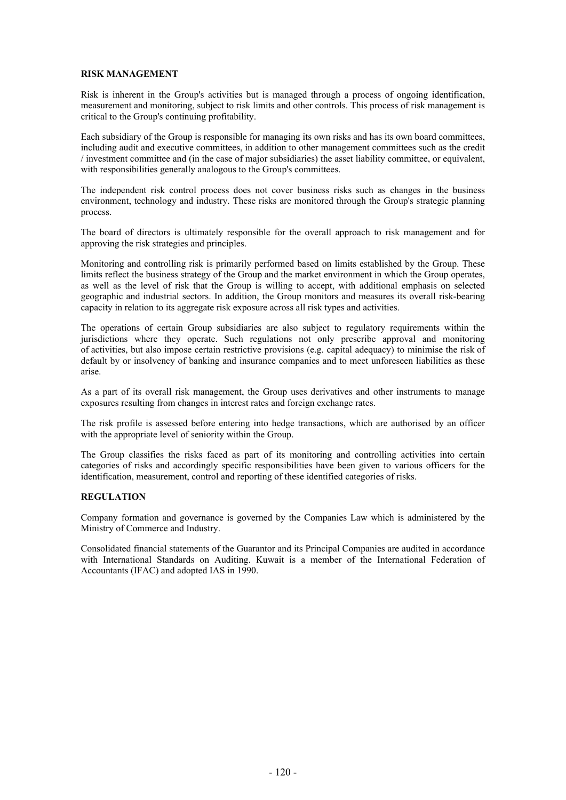#### **RISK MANAGEMENT**

Risk is inherent in the Group's activities but is managed through a process of ongoing identification, measurement and monitoring, subject to risk limits and other controls. This process of risk management is critical to the Group's continuing profitability.

Each subsidiary of the Group is responsible for managing its own risks and has its own board committees, including audit and executive committees, in addition to other management committees such as the credit / investment committee and (in the case of major subsidiaries) the asset liability committee, or equivalent, with responsibilities generally analogous to the Group's committees.

The independent risk control process does not cover business risks such as changes in the business environment, technology and industry. These risks are monitored through the Group's strategic planning process.

The board of directors is ultimately responsible for the overall approach to risk management and for approving the risk strategies and principles.

Monitoring and controlling risk is primarily performed based on limits established by the Group. These limits reflect the business strategy of the Group and the market environment in which the Group operates, as well as the level of risk that the Group is willing to accept, with additional emphasis on selected geographic and industrial sectors. In addition, the Group monitors and measures its overall risk-bearing capacity in relation to its aggregate risk exposure across all risk types and activities.

The operations of certain Group subsidiaries are also subject to regulatory requirements within the jurisdictions where they operate. Such regulations not only prescribe approval and monitoring of activities, but also impose certain restrictive provisions (e.g. capital adequacy) to minimise the risk of default by or insolvency of banking and insurance companies and to meet unforeseen liabilities as these arise.

As a part of its overall risk management, the Group uses derivatives and other instruments to manage exposures resulting from changes in interest rates and foreign exchange rates.

The risk profile is assessed before entering into hedge transactions, which are authorised by an officer with the appropriate level of seniority within the Group.

The Group classifies the risks faced as part of its monitoring and controlling activities into certain categories of risks and accordingly specific responsibilities have been given to various officers for the identification, measurement, control and reporting of these identified categories of risks.

#### **REGULATION**

Company formation and governance is governed by the Companies Law which is administered by the Ministry of Commerce and Industry.

Consolidated financial statements of the Guarantor and its Principal Companies are audited in accordance with International Standards on Auditing. Kuwait is a member of the International Federation of Accountants (IFAC) and adopted IAS in 1990.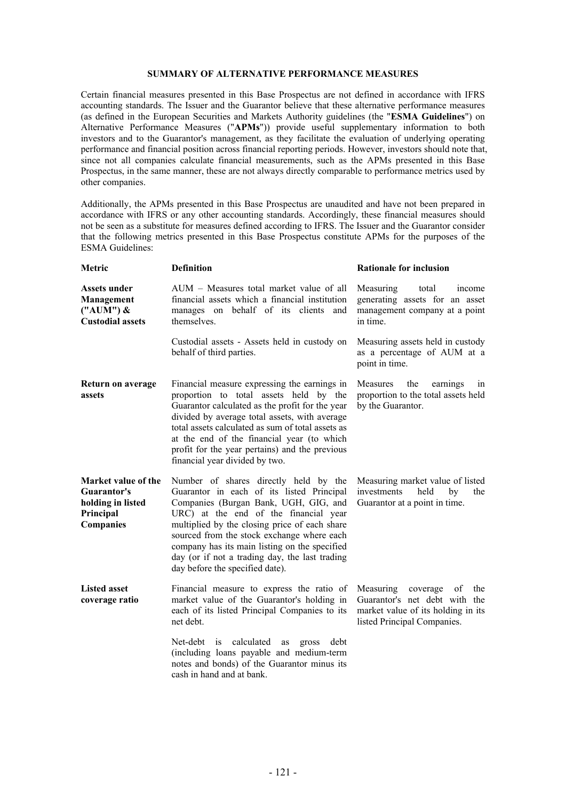# **SUMMARY OF ALTERNATIVE PERFORMANCE MEASURES**

Certain financial measures presented in this Base Prospectus are not defined in accordance with IFRS accounting standards. The Issuer and the Guarantor believe that these alternative performance measures (as defined in the European Securities and Markets Authority guidelines (the "**ESMA Guidelines**") on Alternative Performance Measures ("**APMs**")) provide useful supplementary information to both investors and to the Guarantor's management, as they facilitate the evaluation of underlying operating performance and financial position across financial reporting periods. However, investors should note that, since not all companies calculate financial measurements, such as the APMs presented in this Base Prospectus, in the same manner, these are not always directly comparable to performance metrics used by other companies.

Additionally, the APMs presented in this Base Prospectus are unaudited and have not been prepared in accordance with IFRS or any other accounting standards. Accordingly, these financial measures should not be seen as a substitute for measures defined according to IFRS. The Issuer and the Guarantor consider that the following metrics presented in this Base Prospectus constitute APMs for the purposes of the ESMA Guidelines:

| Metric                                                                            | <b>Definition</b>                                                                                                                                                                                                                                                                                                                                                                                         | <b>Rationale for inclusion</b>                                                                                                           |
|-----------------------------------------------------------------------------------|-----------------------------------------------------------------------------------------------------------------------------------------------------------------------------------------------------------------------------------------------------------------------------------------------------------------------------------------------------------------------------------------------------------|------------------------------------------------------------------------------------------------------------------------------------------|
| Assets under<br>Management<br>$("AUM")$ &<br><b>Custodial assets</b>              | AUM – Measures total market value of all<br>financial assets which a financial institution<br>manages on behalf of its clients<br>and<br>themselves.                                                                                                                                                                                                                                                      | Measuring<br>total<br>income<br>generating assets for an asset<br>management company at a point<br>in time.                              |
|                                                                                   | Custodial assets - Assets held in custody on<br>behalf of third parties.                                                                                                                                                                                                                                                                                                                                  | Measuring assets held in custody<br>as a percentage of AUM at a<br>point in time.                                                        |
| Return on average<br>assets                                                       | Financial measure expressing the earnings in<br>proportion to total assets held by the<br>Guarantor calculated as the profit for the year<br>divided by average total assets, with average<br>total assets calculated as sum of total assets as<br>at the end of the financial year (to which<br>profit for the year pertains) and the previous<br>financial year divided by two.                         | the<br>Measures<br>earnings<br>1n<br>proportion to the total assets held<br>by the Guarantor.                                            |
| Market value of the<br>Guarantor's<br>holding in listed<br>Principal<br>Companies | Number of shares directly held by the<br>Guarantor in each of its listed Principal<br>Companies (Burgan Bank, UGH, GIG, and<br>URC) at the end of the financial year<br>multiplied by the closing price of each share<br>sourced from the stock exchange where each<br>company has its main listing on the specified<br>day (or if not a trading day, the last trading<br>day before the specified date). | Measuring market value of listed<br>investments<br>held<br>by<br>the<br>Guarantor at a point in time.                                    |
| <b>Listed asset</b><br>coverage ratio                                             | Financial measure to express the ratio of<br>market value of the Guarantor's holding in<br>each of its listed Principal Companies to its<br>net debt.                                                                                                                                                                                                                                                     | Measuring<br>coverage<br>of<br>the<br>Guarantor's net debt with the<br>market value of its holding in its<br>listed Principal Companies. |
|                                                                                   | Net-debt<br>calculated<br>is<br>debt<br>as<br>gross<br>(including loans payable and medium-term<br>notes and bonds) of the Guarantor minus its<br>cash in hand and at bank.                                                                                                                                                                                                                               |                                                                                                                                          |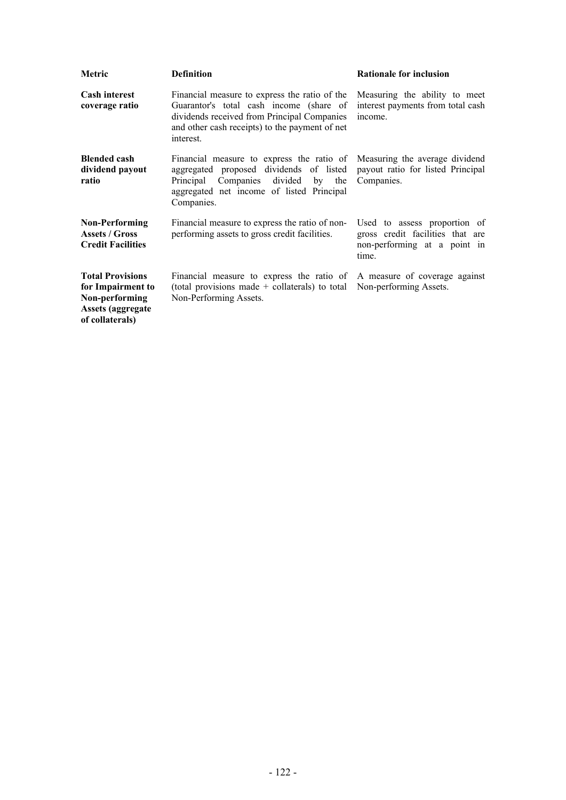| Metric                                                                                                         | <b>Definition</b>                                                                                                                                                                                      | <b>Rationale for inclusion</b>                                                                            |
|----------------------------------------------------------------------------------------------------------------|--------------------------------------------------------------------------------------------------------------------------------------------------------------------------------------------------------|-----------------------------------------------------------------------------------------------------------|
| <b>Cash interest</b><br>coverage ratio                                                                         | Financial measure to express the ratio of the<br>Guarantor's total cash income (share of<br>dividends received from Principal Companies<br>and other cash receipts) to the payment of net<br>interest. | Measuring the ability to meet<br>interest payments from total cash<br>income.                             |
| <b>Blended cash</b><br>dividend payout<br>ratio                                                                | Financial measure to express the ratio of<br>aggregated proposed dividends of listed<br>Principal Companies divided<br>by the<br>aggregated net income of listed Principal<br>Companies.               | Measuring the average dividend<br>payout ratio for listed Principal<br>Companies.                         |
| <b>Non-Performing</b><br><b>Assets / Gross</b><br><b>Credit Facilities</b>                                     | Financial measure to express the ratio of non-<br>performing assets to gross credit facilities.                                                                                                        | Used to assess proportion of<br>gross credit facilities that are<br>non-performing at a point in<br>time. |
| <b>Total Provisions</b><br>for Impairment to<br>Non-performing<br><b>Assets (aggregate)</b><br>of collaterals) | Financial measure to express the ratio of A measure of coverage against<br>(total provisions made $+$ collaterals) to total<br>Non-Performing Assets.                                                  | Non-performing Assets.                                                                                    |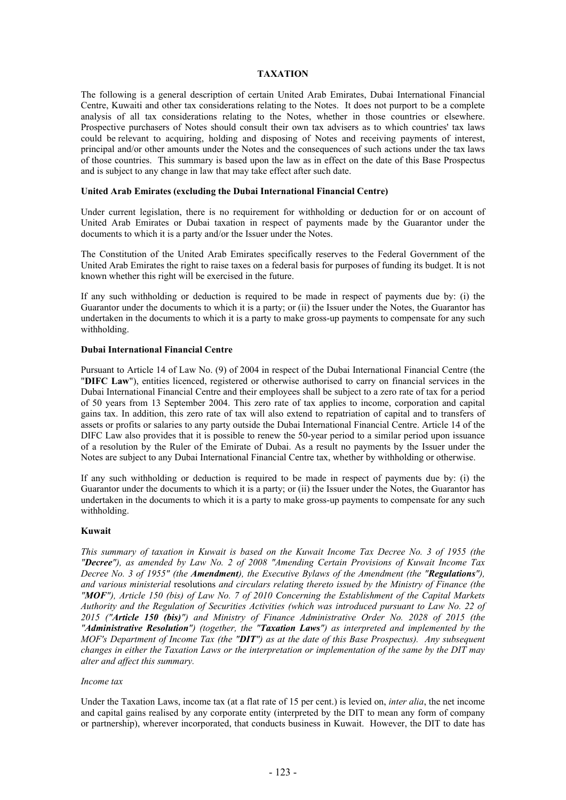# **TAXATION**

The following is a general description of certain United Arab Emirates, Dubai International Financial Centre, Kuwaiti and other tax considerations relating to the Notes. It does not purport to be a complete analysis of all tax considerations relating to the Notes, whether in those countries or elsewhere. Prospective purchasers of Notes should consult their own tax advisers as to which countries' tax laws could be relevant to acquiring, holding and disposing of Notes and receiving payments of interest, principal and/or other amounts under the Notes and the consequences of such actions under the tax laws of those countries. This summary is based upon the law as in effect on the date of this Base Prospectus and is subject to any change in law that may take effect after such date.

#### **United Arab Emirates (excluding the Dubai International Financial Centre)**

Under current legislation, there is no requirement for withholding or deduction for or on account of United Arab Emirates or Dubai taxation in respect of payments made by the Guarantor under the documents to which it is a party and/or the Issuer under the Notes.

The Constitution of the United Arab Emirates specifically reserves to the Federal Government of the United Arab Emirates the right to raise taxes on a federal basis for purposes of funding its budget. It is not known whether this right will be exercised in the future.

If any such withholding or deduction is required to be made in respect of payments due by: (i) the Guarantor under the documents to which it is a party; or (ii) the Issuer under the Notes, the Guarantor has undertaken in the documents to which it is a party to make gross-up payments to compensate for any such withholding.

#### **Dubai International Financial Centre**

Pursuant to Article 14 of Law No. (9) of 2004 in respect of the Dubai International Financial Centre (the "**DIFC Law**"), entities licenced, registered or otherwise authorised to carry on financial services in the Dubai International Financial Centre and their employees shall be subject to a zero rate of tax for a period of 50 years from 13 September 2004. This zero rate of tax applies to income, corporation and capital gains tax. In addition, this zero rate of tax will also extend to repatriation of capital and to transfers of assets or profits or salaries to any party outside the Dubai International Financial Centre. Article 14 of the DIFC Law also provides that it is possible to renew the 50-year period to a similar period upon issuance of a resolution by the Ruler of the Emirate of Dubai. As a result no payments by the Issuer under the Notes are subject to any Dubai International Financial Centre tax, whether by withholding or otherwise.

If any such withholding or deduction is required to be made in respect of payments due by: (i) the Guarantor under the documents to which it is a party; or (ii) the Issuer under the Notes, the Guarantor has undertaken in the documents to which it is a party to make gross-up payments to compensate for any such withholding.

#### **Kuwait**

*This summary of taxation in Kuwait is based on the Kuwait Income Tax Decree No. 3 of 1955 (the "Decree"), as amended by Law No. 2 of 2008 "Amending Certain Provisions of Kuwait Income Tax Decree No. 3 of 1955" (the Amendment), the Executive Bylaws of the Amendment (the "Regulations"), and various ministerial* resolutions *and circulars relating thereto issued by the Ministry of Finance (the "MOF"), Article 150 (bis) of Law No. 7 of 2010 Concerning the Establishment of the Capital Markets Authority and the Regulation of Securities Activities (which was introduced pursuant to Law No. 22 of 2015 ("Article 150 (bis)") and Ministry of Finance Administrative Order No. 2028 of 2015 (the "Administrative Resolution") (together, the "Taxation Laws") as interpreted and implemented by the MOF's Department of Income Tax (the "DIT") as at the date of this Base Prospectus). Any subsequent changes in either the Taxation Laws or the interpretation or implementation of the same by the DIT may alter and affect this summary.*

#### *Income tax*

Under the Taxation Laws, income tax (at a flat rate of 15 per cent.) is levied on, *inter alia*, the net income and capital gains realised by any corporate entity (interpreted by the DIT to mean any form of company or partnership), wherever incorporated, that conducts business in Kuwait. However, the DIT to date has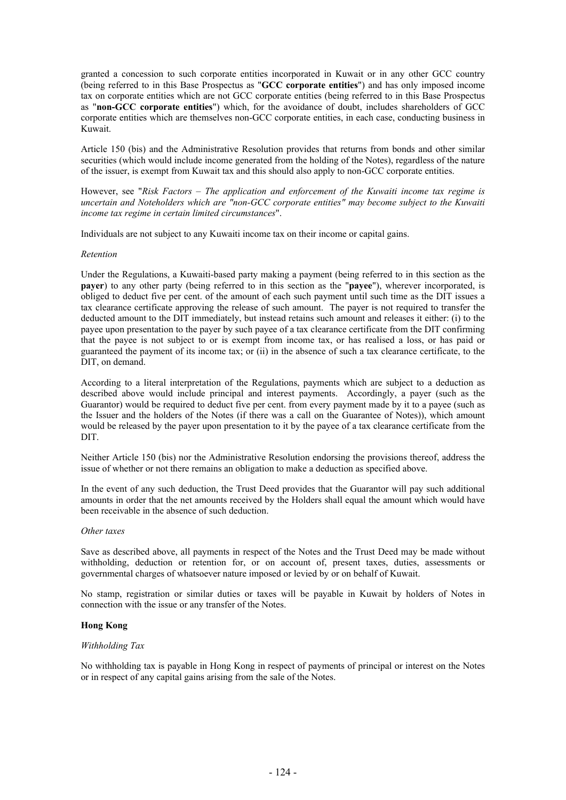granted a concession to such corporate entities incorporated in Kuwait or in any other GCC country (being referred to in this Base Prospectus as "**GCC corporate entities**") and has only imposed income tax on corporate entities which are not GCC corporate entities (being referred to in this Base Prospectus as "**non-GCC corporate entities**") which, for the avoidance of doubt, includes shareholders of GCC corporate entities which are themselves non-GCC corporate entities, in each case, conducting business in Kuwait.

Article 150 (bis) and the Administrative Resolution provides that returns from bonds and other similar securities (which would include income generated from the holding of the Notes), regardless of the nature of the issuer, is exempt from Kuwait tax and this should also apply to non-GCC corporate entities.

However, see "*Risk Factors – The application and enforcement of the Kuwaiti income tax regime is uncertain and Noteholders which are "non-GCC corporate entities" may become subject to the Kuwaiti income tax regime in certain limited circumstances*".

Individuals are not subject to any Kuwaiti income tax on their income or capital gains.

#### *Retention*

Under the Regulations, a Kuwaiti-based party making a payment (being referred to in this section as the **payer**) to any other party (being referred to in this section as the "**payee**"), wherever incorporated, is obliged to deduct five per cent. of the amount of each such payment until such time as the DIT issues a tax clearance certificate approving the release of such amount. The payer is not required to transfer the deducted amount to the DIT immediately, but instead retains such amount and releases it either: (i) to the payee upon presentation to the payer by such payee of a tax clearance certificate from the DIT confirming that the payee is not subject to or is exempt from income tax, or has realised a loss, or has paid or guaranteed the payment of its income tax; or (ii) in the absence of such a tax clearance certificate, to the DIT, on demand.

According to a literal interpretation of the Regulations, payments which are subject to a deduction as described above would include principal and interest payments. Accordingly, a payer (such as the Guarantor) would be required to deduct five per cent. from every payment made by it to a payee (such as the Issuer and the holders of the Notes (if there was a call on the Guarantee of Notes)), which amount would be released by the payer upon presentation to it by the payee of a tax clearance certificate from the DIT.

Neither Article 150 (bis) nor the Administrative Resolution endorsing the provisions thereof, address the issue of whether or not there remains an obligation to make a deduction as specified above.

In the event of any such deduction, the Trust Deed provides that the Guarantor will pay such additional amounts in order that the net amounts received by the Holders shall equal the amount which would have been receivable in the absence of such deduction.

#### *Other taxes*

Save as described above, all payments in respect of the Notes and the Trust Deed may be made without withholding, deduction or retention for, or on account of, present taxes, duties, assessments or governmental charges of whatsoever nature imposed or levied by or on behalf of Kuwait.

No stamp, registration or similar duties or taxes will be payable in Kuwait by holders of Notes in connection with the issue or any transfer of the Notes.

# **Hong Kong**

#### *Withholding Tax*

No withholding tax is payable in Hong Kong in respect of payments of principal or interest on the Notes or in respect of any capital gains arising from the sale of the Notes.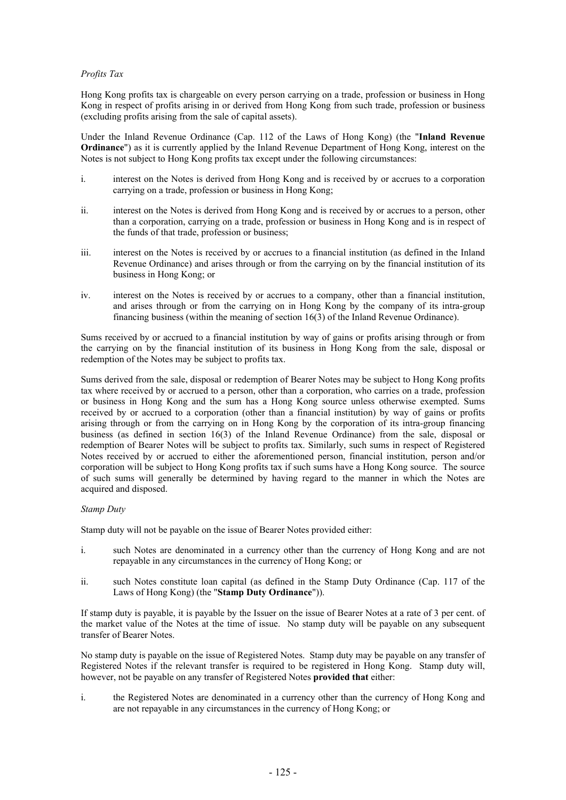# *Profits Tax*

Hong Kong profits tax is chargeable on every person carrying on a trade, profession or business in Hong Kong in respect of profits arising in or derived from Hong Kong from such trade, profession or business (excluding profits arising from the sale of capital assets).

Under the Inland Revenue Ordinance (Cap. 112 of the Laws of Hong Kong) (the "**Inland Revenue Ordinance**") as it is currently applied by the Inland Revenue Department of Hong Kong, interest on the Notes is not subject to Hong Kong profits tax except under the following circumstances:

- i. interest on the Notes is derived from Hong Kong and is received by or accrues to a corporation carrying on a trade, profession or business in Hong Kong;
- ii. interest on the Notes is derived from Hong Kong and is received by or accrues to a person, other than a corporation, carrying on a trade, profession or business in Hong Kong and is in respect of the funds of that trade, profession or business;
- iii. interest on the Notes is received by or accrues to a financial institution (as defined in the Inland Revenue Ordinance) and arises through or from the carrying on by the financial institution of its business in Hong Kong; or
- iv. interest on the Notes is received by or accrues to a company, other than a financial institution, and arises through or from the carrying on in Hong Kong by the company of its intra-group financing business (within the meaning of section 16(3) of the Inland Revenue Ordinance).

Sums received by or accrued to a financial institution by way of gains or profits arising through or from the carrying on by the financial institution of its business in Hong Kong from the sale, disposal or redemption of the Notes may be subject to profits tax.

Sums derived from the sale, disposal or redemption of Bearer Notes may be subject to Hong Kong profits tax where received by or accrued to a person, other than a corporation, who carries on a trade, profession or business in Hong Kong and the sum has a Hong Kong source unless otherwise exempted. Sums received by or accrued to a corporation (other than a financial institution) by way of gains or profits arising through or from the carrying on in Hong Kong by the corporation of its intra-group financing business (as defined in section 16(3) of the Inland Revenue Ordinance) from the sale, disposal or redemption of Bearer Notes will be subject to profits tax. Similarly, such sums in respect of Registered Notes received by or accrued to either the aforementioned person, financial institution, person and/or corporation will be subject to Hong Kong profits tax if such sums have a Hong Kong source. The source of such sums will generally be determined by having regard to the manner in which the Notes are acquired and disposed.

# *Stamp Duty*

Stamp duty will not be payable on the issue of Bearer Notes provided either:

- i. such Notes are denominated in a currency other than the currency of Hong Kong and are not repayable in any circumstances in the currency of Hong Kong; or
- ii. such Notes constitute loan capital (as defined in the Stamp Duty Ordinance (Cap. 117 of the Laws of Hong Kong) (the "**Stamp Duty Ordinance**")).

If stamp duty is payable, it is payable by the Issuer on the issue of Bearer Notes at a rate of 3 per cent. of the market value of the Notes at the time of issue. No stamp duty will be payable on any subsequent transfer of Bearer Notes.

No stamp duty is payable on the issue of Registered Notes. Stamp duty may be payable on any transfer of Registered Notes if the relevant transfer is required to be registered in Hong Kong. Stamp duty will, however, not be payable on any transfer of Registered Notes **provided that** either:

i. the Registered Notes are denominated in a currency other than the currency of Hong Kong and are not repayable in any circumstances in the currency of Hong Kong; or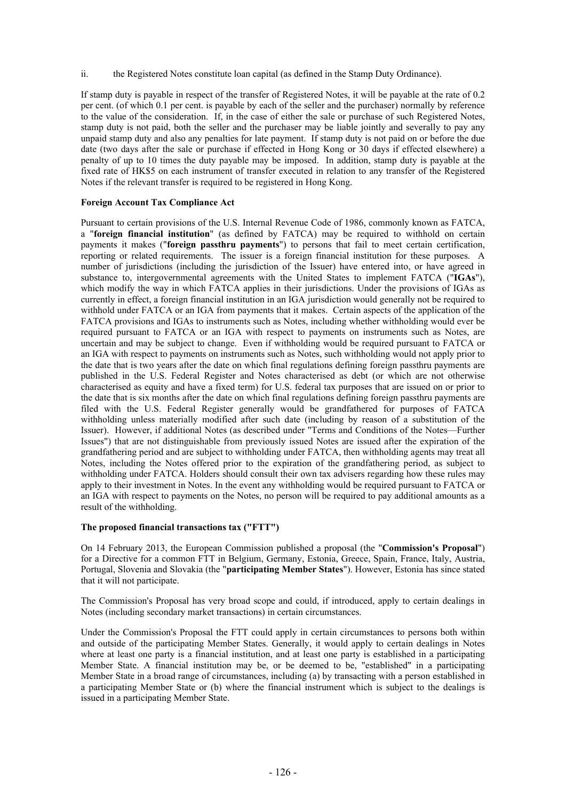ii. the Registered Notes constitute loan capital (as defined in the Stamp Duty Ordinance).

If stamp duty is payable in respect of the transfer of Registered Notes, it will be payable at the rate of 0.2 per cent. (of which 0.1 per cent. is payable by each of the seller and the purchaser) normally by reference to the value of the consideration. If, in the case of either the sale or purchase of such Registered Notes, stamp duty is not paid, both the seller and the purchaser may be liable jointly and severally to pay any unpaid stamp duty and also any penalties for late payment. If stamp duty is not paid on or before the due date (two days after the sale or purchase if effected in Hong Kong or 30 days if effected elsewhere) a penalty of up to 10 times the duty payable may be imposed. In addition, stamp duty is payable at the fixed rate of HK\$5 on each instrument of transfer executed in relation to any transfer of the Registered Notes if the relevant transfer is required to be registered in Hong Kong.

# **Foreign Account Tax Compliance Act**

Pursuant to certain provisions of the U.S. Internal Revenue Code of 1986, commonly known as FATCA, a "**foreign financial institution**" (as defined by FATCA) may be required to withhold on certain payments it makes ("**foreign passthru payments**") to persons that fail to meet certain certification, reporting or related requirements. The issuer is a foreign financial institution for these purposes. A number of jurisdictions (including the jurisdiction of the Issuer) have entered into, or have agreed in substance to, intergovernmental agreements with the United States to implement FATCA ("**IGAs**"), which modify the way in which FATCA applies in their jurisdictions. Under the provisions of IGAs as currently in effect, a foreign financial institution in an IGA jurisdiction would generally not be required to withhold under FATCA or an IGA from payments that it makes. Certain aspects of the application of the FATCA provisions and IGAs to instruments such as Notes, including whether withholding would ever be required pursuant to FATCA or an IGA with respect to payments on instruments such as Notes, are uncertain and may be subject to change. Even if withholding would be required pursuant to FATCA or an IGA with respect to payments on instruments such as Notes, such withholding would not apply prior to the date that is two years after the date on which final regulations defining foreign passthru payments are published in the U.S. Federal Register and Notes characterised as debt (or which are not otherwise characterised as equity and have a fixed term) for U.S. federal tax purposes that are issued on or prior to the date that is six months after the date on which final regulations defining foreign passthru payments are filed with the U.S. Federal Register generally would be grandfathered for purposes of FATCA withholding unless materially modified after such date (including by reason of a substitution of the Issuer). However, if additional Notes (as described under "Terms and Conditions of the Notes—Further Issues") that are not distinguishable from previously issued Notes are issued after the expiration of the grandfathering period and are subject to withholding under FATCA, then withholding agents may treat all Notes, including the Notes offered prior to the expiration of the grandfathering period, as subject to withholding under FATCA. Holders should consult their own tax advisers regarding how these rules may apply to their investment in Notes. In the event any withholding would be required pursuant to FATCA or an IGA with respect to payments on the Notes, no person will be required to pay additional amounts as a result of the withholding.

#### **The proposed financial transactions tax ("FTT")**

On 14 February 2013, the European Commission published a proposal (the "**Commission's Proposal**") for a Directive for a common FTT in Belgium, Germany, Estonia, Greece, Spain, France, Italy, Austria, Portugal, Slovenia and Slovakia (the "**participating Member States**"). However, Estonia has since stated that it will not participate.

The Commission's Proposal has very broad scope and could, if introduced, apply to certain dealings in Notes (including secondary market transactions) in certain circumstances.

Under the Commission's Proposal the FTT could apply in certain circumstances to persons both within and outside of the participating Member States. Generally, it would apply to certain dealings in Notes where at least one party is a financial institution, and at least one party is established in a participating Member State. A financial institution may be, or be deemed to be, "established" in a participating Member State in a broad range of circumstances, including (a) by transacting with a person established in a participating Member State or (b) where the financial instrument which is subject to the dealings is issued in a participating Member State.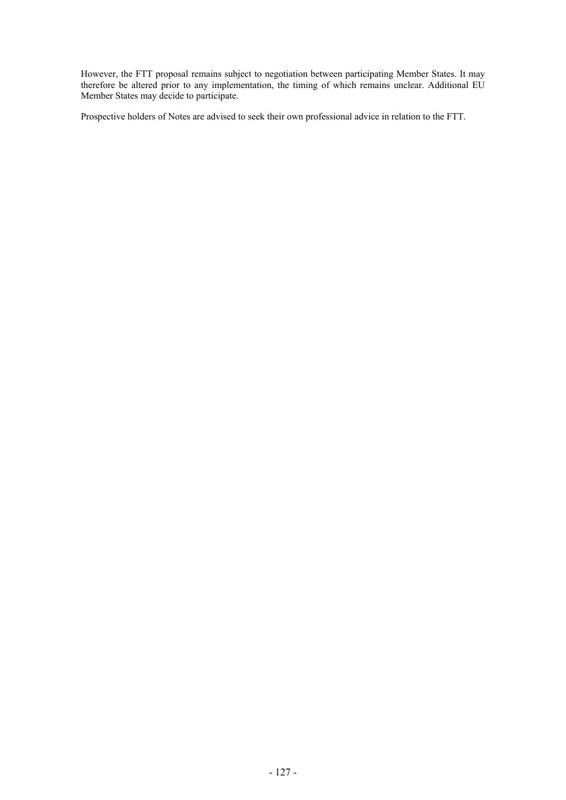However, the FTT proposal remains subject to negotiation between participating Member States. It may therefore be altered prior to any implementation, the timing of which remains unclear. Additional EU Member States may decide to participate.

Prospective holders of Notes are advised to seek their own professional advice in relation to the FTT.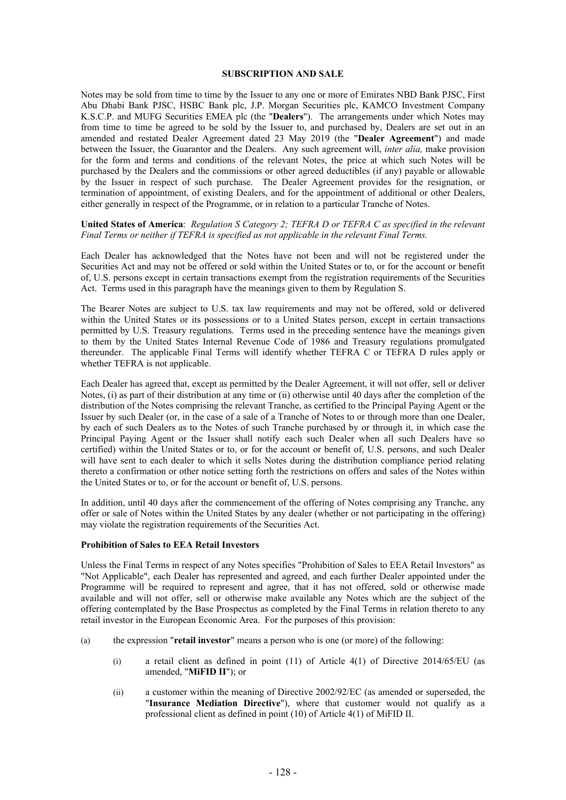#### **SUBSCRIPTION AND SALE**

Notes may be sold from time to time by the Issuer to any one or more of Emirates NBD Bank PJSC, First Abu Dhabi Bank PJSC, HSBC Bank plc, J.P. Morgan Securities plc, KAMCO Investment Company K.S.C.P. and MUFG Securities EMEA plc (the "**Dealers**"). The arrangements under which Notes may from time to time be agreed to be sold by the Issuer to, and purchased by, Dealers are set out in an amended and restated Dealer Agreement dated 23 May 2019 (the "**Dealer Agreement**") and made between the Issuer, the Guarantor and the Dealers. Any such agreement will, *inter alia,* make provision for the form and terms and conditions of the relevant Notes, the price at which such Notes will be purchased by the Dealers and the commissions or other agreed deductibles (if any) payable or allowable by the Issuer in respect of such purchase. The Dealer Agreement provides for the resignation, or termination of appointment, of existing Dealers, and for the appointment of additional or other Dealers, either generally in respect of the Programme, or in relation to a particular Tranche of Notes.

#### **United States of America**: *Regulation S Category 2; TEFRA D or TEFRA C as specified in the relevant Final Terms or neither if TEFRA is specified as not applicable in the relevant Final Terms.*

Each Dealer has acknowledged that the Notes have not been and will not be registered under the Securities Act and may not be offered or sold within the United States or to, or for the account or benefit of, U.S. persons except in certain transactions exempt from the registration requirements of the Securities Act. Terms used in this paragraph have the meanings given to them by Regulation S.

The Bearer Notes are subject to U.S. tax law requirements and may not be offered, sold or delivered within the United States or its possessions or to a United States person, except in certain transactions permitted by U.S. Treasury regulations. Terms used in the preceding sentence have the meanings given to them by the United States Internal Revenue Code of 1986 and Treasury regulations promulgated thereunder. The applicable Final Terms will identify whether TEFRA C or TEFRA D rules apply or whether TEFRA is not applicable.

Each Dealer has agreed that, except as permitted by the Dealer Agreement, it will not offer, sell or deliver Notes, (i) as part of their distribution at any time or (ii) otherwise until 40 days after the completion of the distribution of the Notes comprising the relevant Tranche, as certified to the Principal Paying Agent or the Issuer by such Dealer (or, in the case of a sale of a Tranche of Notes to or through more than one Dealer, by each of such Dealers as to the Notes of such Tranche purchased by or through it, in which case the Principal Paying Agent or the Issuer shall notify each such Dealer when all such Dealers have so certified) within the United States or to, or for the account or benefit of, U.S. persons, and such Dealer will have sent to each dealer to which it sells Notes during the distribution compliance period relating thereto a confirmation or other notice setting forth the restrictions on offers and sales of the Notes within the United States or to, or for the account or benefit of, U.S. persons.

In addition, until 40 days after the commencement of the offering of Notes comprising any Tranche, any offer or sale of Notes within the United States by any dealer (whether or not participating in the offering) may violate the registration requirements of the Securities Act.

#### **Prohibition of Sales to EEA Retail Investors**

Unless the Final Terms in respect of any Notes specifies "Prohibition of Sales to EEA Retail Investors" as "Not Applicable", each Dealer has represented and agreed, and each further Dealer appointed under the Programme will be required to represent and agree, that it has not offered, sold or otherwise made available and will not offer, sell or otherwise make available any Notes which are the subject of the offering contemplated by the Base Prospectus as completed by the Final Terms in relation thereto to any retail investor in the European Economic Area. For the purposes of this provision:

- (a) the expression "**retail investor**" means a person who is one (or more) of the following:
	- (i) a retail client as defined in point  $(11)$  of Article  $4(1)$  of Directive 2014/65/EU (as amended, "**MiFID II**"); or
	- (ii) a customer within the meaning of Directive 2002/92/EC (as amended or superseded, the "**Insurance Mediation Directive**"), where that customer would not qualify as a professional client as defined in point (10) of Article 4(1) of MiFID II.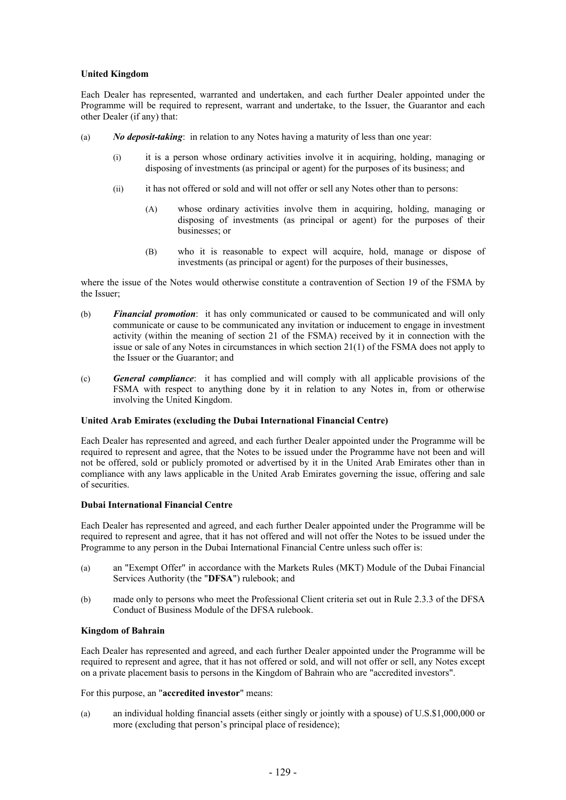# **United Kingdom**

Each Dealer has represented, warranted and undertaken, and each further Dealer appointed under the Programme will be required to represent, warrant and undertake, to the Issuer, the Guarantor and each other Dealer (if any) that:

- (a) *No deposit-taking*: in relation to any Notes having a maturity of less than one year:
	- (i) it is a person whose ordinary activities involve it in acquiring, holding, managing or disposing of investments (as principal or agent) for the purposes of its business; and
	- (ii) it has not offered or sold and will not offer or sell any Notes other than to persons:
		- (A) whose ordinary activities involve them in acquiring, holding, managing or disposing of investments (as principal or agent) for the purposes of their businesses; or
		- (B) who it is reasonable to expect will acquire, hold, manage or dispose of investments (as principal or agent) for the purposes of their businesses,

where the issue of the Notes would otherwise constitute a contravention of Section 19 of the FSMA by the Issuer;

- (b) *Financial promotion*: it has only communicated or caused to be communicated and will only communicate or cause to be communicated any invitation or inducement to engage in investment activity (within the meaning of section 21 of the FSMA) received by it in connection with the issue or sale of any Notes in circumstances in which section 21(1) of the FSMA does not apply to the Issuer or the Guarantor; and
- (c) *General compliance*: it has complied and will comply with all applicable provisions of the FSMA with respect to anything done by it in relation to any Notes in, from or otherwise involving the United Kingdom.

# **United Arab Emirates (excluding the Dubai International Financial Centre)**

Each Dealer has represented and agreed, and each further Dealer appointed under the Programme will be required to represent and agree, that the Notes to be issued under the Programme have not been and will not be offered, sold or publicly promoted or advertised by it in the United Arab Emirates other than in compliance with any laws applicable in the United Arab Emirates governing the issue, offering and sale of securities.

# **Dubai International Financial Centre**

Each Dealer has represented and agreed, and each further Dealer appointed under the Programme will be required to represent and agree, that it has not offered and will not offer the Notes to be issued under the Programme to any person in the Dubai International Financial Centre unless such offer is:

- (a) an "Exempt Offer" in accordance with the Markets Rules (MKT) Module of the Dubai Financial Services Authority (the "**DFSA**") rulebook; and
- (b) made only to persons who meet the Professional Client criteria set out in Rule 2.3.3 of the DFSA Conduct of Business Module of the DFSA rulebook.

# **Kingdom of Bahrain**

Each Dealer has represented and agreed, and each further Dealer appointed under the Programme will be required to represent and agree, that it has not offered or sold, and will not offer or sell, any Notes except on a private placement basis to persons in the Kingdom of Bahrain who are "accredited investors".

For this purpose, an "**accredited investor**" means:

(a) an individual holding financial assets (either singly or jointly with a spouse) of U.S.\$1,000,000 or more (excluding that person's principal place of residence);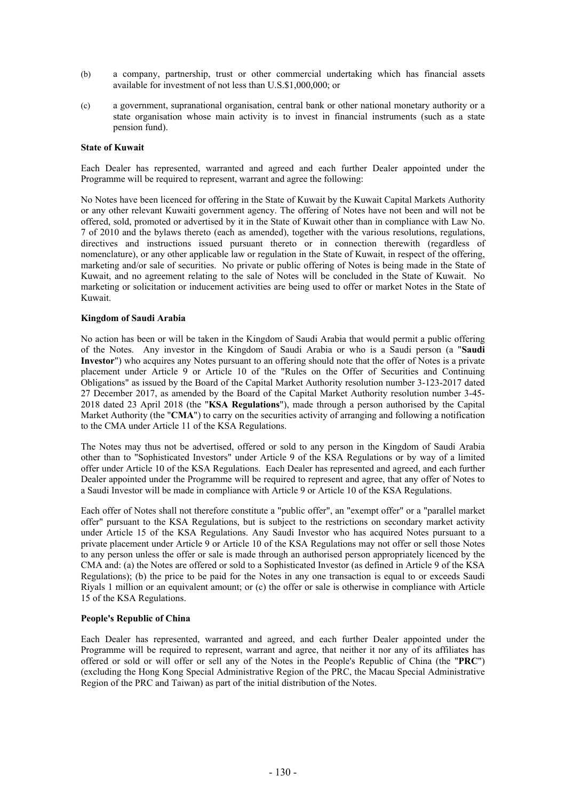- (b) a company, partnership, trust or other commercial undertaking which has financial assets available for investment of not less than U.S.\$1,000,000; or
- (c) a government, supranational organisation, central bank or other national monetary authority or a state organisation whose main activity is to invest in financial instruments (such as a state pension fund).

#### **State of Kuwait**

Each Dealer has represented, warranted and agreed and each further Dealer appointed under the Programme will be required to represent, warrant and agree the following:

No Notes have been licenced for offering in the State of Kuwait by the Kuwait Capital Markets Authority or any other relevant Kuwaiti government agency. The offering of Notes have not been and will not be offered, sold, promoted or advertised by it in the State of Kuwait other than in compliance with Law No. 7 of 2010 and the bylaws thereto (each as amended), together with the various resolutions, regulations, directives and instructions issued pursuant thereto or in connection therewith (regardless of nomenclature), or any other applicable law or regulation in the State of Kuwait, in respect of the offering, marketing and/or sale of securities. No private or public offering of Notes is being made in the State of Kuwait, and no agreement relating to the sale of Notes will be concluded in the State of Kuwait. No marketing or solicitation or inducement activities are being used to offer or market Notes in the State of Kuwait.

# **Kingdom of Saudi Arabia**

No action has been or will be taken in the Kingdom of Saudi Arabia that would permit a public offering of the Notes. Any investor in the Kingdom of Saudi Arabia or who is a Saudi person (a "**Saudi Investor**") who acquires any Notes pursuant to an offering should note that the offer of Notes is a private placement under Article 9 or Article 10 of the "Rules on the Offer of Securities and Continuing Obligations" as issued by the Board of the Capital Market Authority resolution number 3-123-2017 dated 27 December 2017, as amended by the Board of the Capital Market Authority resolution number 3-45- 2018 dated 23 April 2018 (the "**KSA Regulations**"), made through a person authorised by the Capital Market Authority (the "**CMA**") to carry on the securities activity of arranging and following a notification to the CMA under Article 11 of the KSA Regulations.

The Notes may thus not be advertised, offered or sold to any person in the Kingdom of Saudi Arabia other than to "Sophisticated Investors" under Article 9 of the KSA Regulations or by way of a limited offer under Article 10 of the KSA Regulations. Each Dealer has represented and agreed, and each further Dealer appointed under the Programme will be required to represent and agree, that any offer of Notes to a Saudi Investor will be made in compliance with Article 9 or Article 10 of the KSA Regulations.

Each offer of Notes shall not therefore constitute a "public offer", an "exempt offer" or a "parallel market offer" pursuant to the KSA Regulations, but is subject to the restrictions on secondary market activity under Article 15 of the KSA Regulations. Any Saudi Investor who has acquired Notes pursuant to a private placement under Article 9 or Article 10 of the KSA Regulations may not offer or sell those Notes to any person unless the offer or sale is made through an authorised person appropriately licenced by the CMA and: (a) the Notes are offered or sold to a Sophisticated Investor (as defined in Article 9 of the KSA Regulations); (b) the price to be paid for the Notes in any one transaction is equal to or exceeds Saudi Riyals 1 million or an equivalent amount; or (c) the offer or sale is otherwise in compliance with Article 15 of the KSA Regulations.

# **People's Republic of China**

Each Dealer has represented, warranted and agreed, and each further Dealer appointed under the Programme will be required to represent, warrant and agree, that neither it nor any of its affiliates has offered or sold or will offer or sell any of the Notes in the People's Republic of China (the "**PRC**") (excluding the Hong Kong Special Administrative Region of the PRC, the Macau Special Administrative Region of the PRC and Taiwan) as part of the initial distribution of the Notes.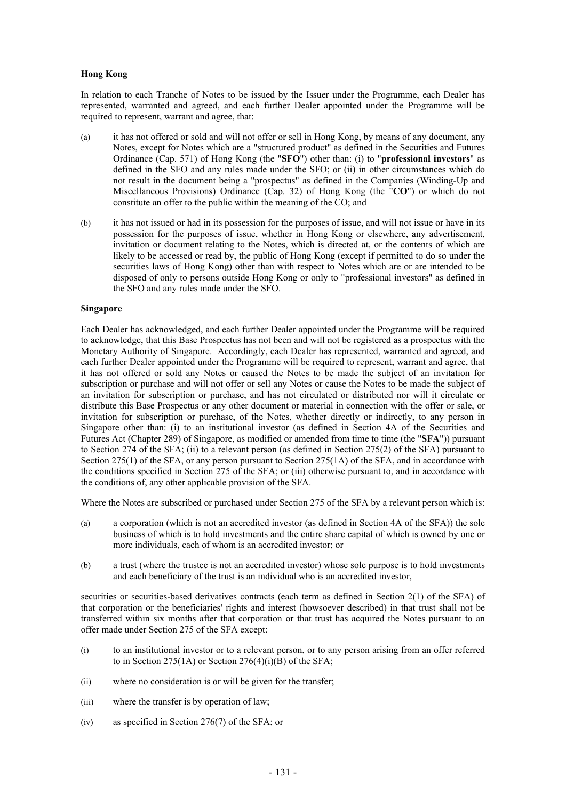#### **Hong Kong**

In relation to each Tranche of Notes to be issued by the Issuer under the Programme, each Dealer has represented, warranted and agreed, and each further Dealer appointed under the Programme will be required to represent, warrant and agree, that:

- (a) it has not offered or sold and will not offer or sell in Hong Kong, by means of any document, any Notes, except for Notes which are a "structured product" as defined in the Securities and Futures Ordinance (Cap. 571) of Hong Kong (the "**SFO**") other than: (i) to "**professional investors**" as defined in the SFO and any rules made under the SFO; or (ii) in other circumstances which do not result in the document being a "prospectus" as defined in the Companies (Winding-Up and Miscellaneous Provisions) Ordinance (Cap. 32) of Hong Kong (the "**CO**") or which do not constitute an offer to the public within the meaning of the CO; and
- (b) it has not issued or had in its possession for the purposes of issue, and will not issue or have in its possession for the purposes of issue, whether in Hong Kong or elsewhere, any advertisement, invitation or document relating to the Notes, which is directed at, or the contents of which are likely to be accessed or read by, the public of Hong Kong (except if permitted to do so under the securities laws of Hong Kong) other than with respect to Notes which are or are intended to be disposed of only to persons outside Hong Kong or only to "professional investors" as defined in the SFO and any rules made under the SFO.

#### **Singapore**

Each Dealer has acknowledged, and each further Dealer appointed under the Programme will be required to acknowledge, that this Base Prospectus has not been and will not be registered as a prospectus with the Monetary Authority of Singapore. Accordingly, each Dealer has represented, warranted and agreed, and each further Dealer appointed under the Programme will be required to represent, warrant and agree, that it has not offered or sold any Notes or caused the Notes to be made the subject of an invitation for subscription or purchase and will not offer or sell any Notes or cause the Notes to be made the subject of an invitation for subscription or purchase, and has not circulated or distributed nor will it circulate or distribute this Base Prospectus or any other document or material in connection with the offer or sale, or invitation for subscription or purchase, of the Notes, whether directly or indirectly, to any person in Singapore other than: (i) to an institutional investor (as defined in Section 4A of the Securities and Futures Act (Chapter 289) of Singapore, as modified or amended from time to time (the "**SFA**")) pursuant to Section 274 of the SFA; (ii) to a relevant person (as defined in Section 275(2) of the SFA) pursuant to Section 275(1) of the SFA, or any person pursuant to Section 275(1A) of the SFA, and in accordance with the conditions specified in Section 275 of the SFA; or (iii) otherwise pursuant to, and in accordance with the conditions of, any other applicable provision of the SFA.

Where the Notes are subscribed or purchased under Section 275 of the SFA by a relevant person which is:

- (a) a corporation (which is not an accredited investor (as defined in Section 4A of the SFA)) the sole business of which is to hold investments and the entire share capital of which is owned by one or more individuals, each of whom is an accredited investor; or
- (b) a trust (where the trustee is not an accredited investor) whose sole purpose is to hold investments and each beneficiary of the trust is an individual who is an accredited investor,

securities or securities-based derivatives contracts (each term as defined in Section 2(1) of the SFA) of that corporation or the beneficiaries' rights and interest (howsoever described) in that trust shall not be transferred within six months after that corporation or that trust has acquired the Notes pursuant to an offer made under Section 275 of the SFA except:

- (i) to an institutional investor or to a relevant person, or to any person arising from an offer referred to in Section 275(1A) or Section  $276(4)(i)(B)$  of the SFA;
- (ii) where no consideration is or will be given for the transfer;
- (iii) where the transfer is by operation of law;
- (iv) as specified in Section 276(7) of the SFA; or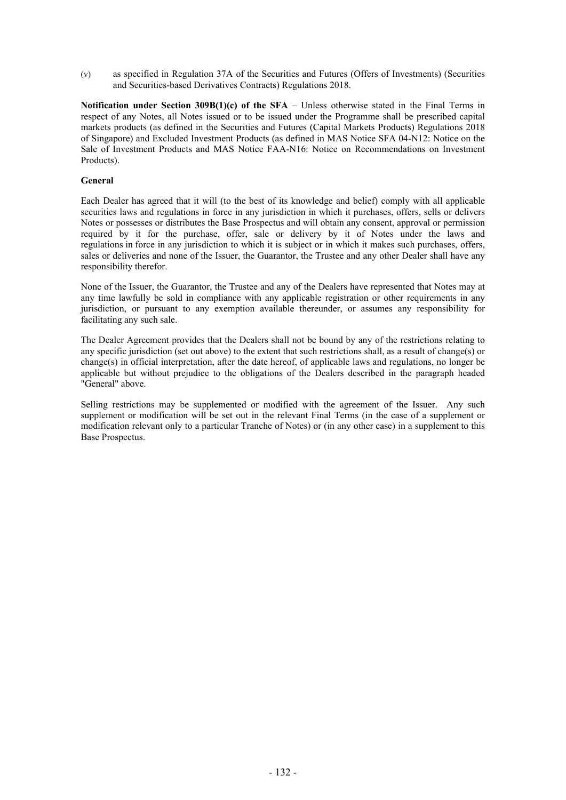(v) as specified in Regulation 37A of the Securities and Futures (Offers of Investments) (Securities and Securities-based Derivatives Contracts) Regulations 2018.

**Notification under Section 309B(1)(c) of the SFA** – Unless otherwise stated in the Final Terms in respect of any Notes, all Notes issued or to be issued under the Programme shall be prescribed capital markets products (as defined in the Securities and Futures (Capital Markets Products) Regulations 2018 of Singapore) and Excluded Investment Products (as defined in MAS Notice SFA 04-N12: Notice on the Sale of Investment Products and MAS Notice FAA-N16: Notice on Recommendations on Investment Products).

# **General**

Each Dealer has agreed that it will (to the best of its knowledge and belief) comply with all applicable securities laws and regulations in force in any jurisdiction in which it purchases, offers, sells or delivers Notes or possesses or distributes the Base Prospectus and will obtain any consent, approval or permission required by it for the purchase, offer, sale or delivery by it of Notes under the laws and regulations in force in any jurisdiction to which it is subject or in which it makes such purchases, offers, sales or deliveries and none of the Issuer, the Guarantor, the Trustee and any other Dealer shall have any responsibility therefor.

None of the Issuer, the Guarantor, the Trustee and any of the Dealers have represented that Notes may at any time lawfully be sold in compliance with any applicable registration or other requirements in any jurisdiction, or pursuant to any exemption available thereunder, or assumes any responsibility for facilitating any such sale.

The Dealer Agreement provides that the Dealers shall not be bound by any of the restrictions relating to any specific jurisdiction (set out above) to the extent that such restrictions shall, as a result of change(s) or change(s) in official interpretation, after the date hereof, of applicable laws and regulations, no longer be applicable but without prejudice to the obligations of the Dealers described in the paragraph headed "General" above.

Selling restrictions may be supplemented or modified with the agreement of the Issuer. Any such supplement or modification will be set out in the relevant Final Terms (in the case of a supplement or modification relevant only to a particular Tranche of Notes) or (in any other case) in a supplement to this Base Prospectus.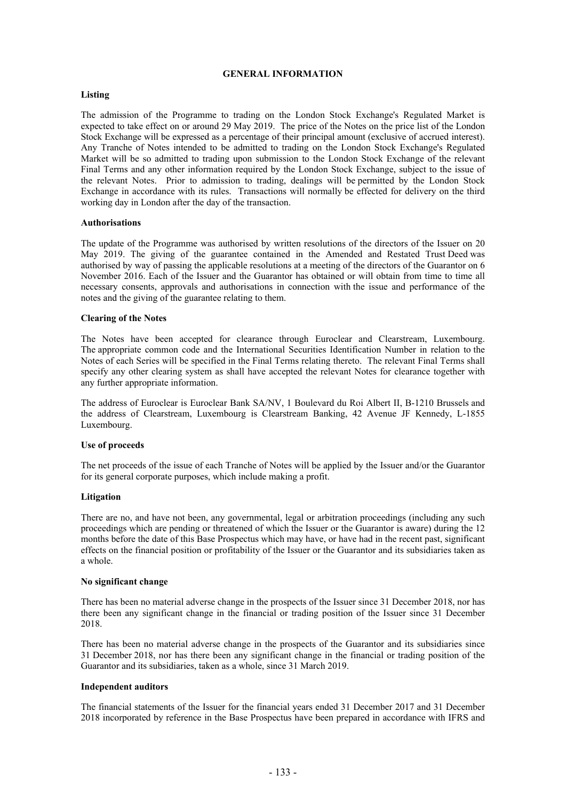#### **GENERAL INFORMATION**

# **Listing**

The admission of the Programme to trading on the London Stock Exchange's Regulated Market is expected to take effect on or around 29 May 2019. The price of the Notes on the price list of the London Stock Exchange will be expressed as a percentage of their principal amount (exclusive of accrued interest). Any Tranche of Notes intended to be admitted to trading on the London Stock Exchange's Regulated Market will be so admitted to trading upon submission to the London Stock Exchange of the relevant Final Terms and any other information required by the London Stock Exchange, subject to the issue of the relevant Notes. Prior to admission to trading, dealings will be permitted by the London Stock Exchange in accordance with its rules. Transactions will normally be effected for delivery on the third working day in London after the day of the transaction.

#### **Authorisations**

The update of the Programme was authorised by written resolutions of the directors of the Issuer on 20 May 2019. The giving of the guarantee contained in the Amended and Restated Trust Deed was authorised by way of passing the applicable resolutions at a meeting of the directors of the Guarantor on 6 November 2016. Each of the Issuer and the Guarantor has obtained or will obtain from time to time all necessary consents, approvals and authorisations in connection with the issue and performance of the notes and the giving of the guarantee relating to them.

#### **Clearing of the Notes**

The Notes have been accepted for clearance through Euroclear and Clearstream, Luxembourg. The appropriate common code and the International Securities Identification Number in relation to the Notes of each Series will be specified in the Final Terms relating thereto. The relevant Final Terms shall specify any other clearing system as shall have accepted the relevant Notes for clearance together with any further appropriate information.

The address of Euroclear is Euroclear Bank SA/NV, 1 Boulevard du Roi Albert II, B-1210 Brussels and the address of Clearstream, Luxembourg is Clearstream Banking, 42 Avenue JF Kennedy, L-1855 Luxembourg.

#### **Use of proceeds**

The net proceeds of the issue of each Tranche of Notes will be applied by the Issuer and/or the Guarantor for its general corporate purposes, which include making a profit.

#### **Litigation**

There are no, and have not been, any governmental, legal or arbitration proceedings (including any such proceedings which are pending or threatened of which the Issuer or the Guarantor is aware) during the 12 months before the date of this Base Prospectus which may have, or have had in the recent past, significant effects on the financial position or profitability of the Issuer or the Guarantor and its subsidiaries taken as a whole.

#### **No significant change**

There has been no material adverse change in the prospects of the Issuer since 31 December 2018, nor has there been any significant change in the financial or trading position of the Issuer since 31 December 2018.

There has been no material adverse change in the prospects of the Guarantor and its subsidiaries since 31 December 2018, nor has there been any significant change in the financial or trading position of the Guarantor and its subsidiaries, taken as a whole, since 31 March 2019.

#### **Independent auditors**

The financial statements of the Issuer for the financial years ended 31 December 2017 and 31 December 2018 incorporated by reference in the Base Prospectus have been prepared in accordance with IFRS and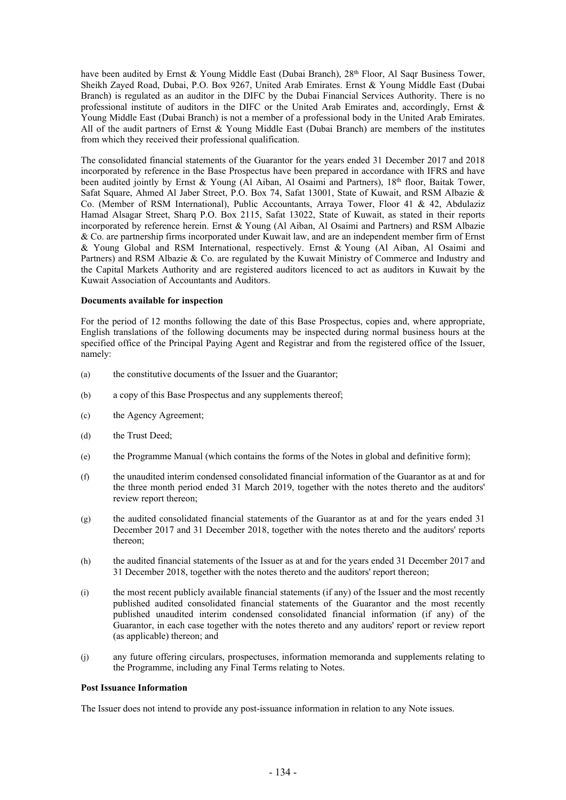have been audited by Ernst & Young Middle East (Dubai Branch), 28<sup>th</sup> Floor, Al Saqr Business Tower, Sheikh Zayed Road, Dubai, P.O. Box 9267, United Arab Emirates. Ernst & Young Middle East (Dubai Branch) is regulated as an auditor in the DIFC by the Dubai Financial Services Authority. There is no professional institute of auditors in the DIFC or the United Arab Emirates and, accordingly, Ernst & Young Middle East (Dubai Branch) is not a member of a professional body in the United Arab Emirates. All of the audit partners of Ernst & Young Middle East (Dubai Branch) are members of the institutes from which they received their professional qualification.

The consolidated financial statements of the Guarantor for the years ended 31 December 2017 and 2018 incorporated by reference in the Base Prospectus have been prepared in accordance with IFRS and have been audited jointly by Ernst & Young (Al Aiban, Al Osaimi and Partners), 18th floor, Baitak Tower, Safat Square, Ahmed Al Jaber Street, P.O. Box 74, Safat 13001, State of Kuwait, and RSM Albazie & Co. (Member of RSM International), Public Accountants, Arraya Tower, Floor 41 & 42, Abdulaziz Hamad Alsagar Street, Sharq P.O. Box 2115, Safat 13022, State of Kuwait, as stated in their reports incorporated by reference herein. Ernst & Young (Al Aiban, Al Osaimi and Partners) and RSM Albazie & Co. are partnership firms incorporated under Kuwait law, and are an independent member firm of Ernst & Young Global and RSM International, respectively. Ernst & Young (Al Aiban, Al Osaimi and Partners) and RSM Albazie & Co. are regulated by the Kuwait Ministry of Commerce and Industry and the Capital Markets Authority and are registered auditors licenced to act as auditors in Kuwait by the Kuwait Association of Accountants and Auditors.

#### **Documents available for inspection**

For the period of 12 months following the date of this Base Prospectus, copies and, where appropriate, English translations of the following documents may be inspected during normal business hours at the specified office of the Principal Paying Agent and Registrar and from the registered office of the Issuer, namely:

- (a) the constitutive documents of the Issuer and the Guarantor;
- (b) a copy of this Base Prospectus and any supplements thereof;
- (c) the Agency Agreement;
- (d) the Trust Deed;
- (e) the Programme Manual (which contains the forms of the Notes in global and definitive form);
- (f) the unaudited interim condensed consolidated financial information of the Guarantor as at and for the three month period ended 31 March 2019, together with the notes thereto and the auditors' review report thereon;
- (g) the audited consolidated financial statements of the Guarantor as at and for the years ended 31 December 2017 and 31 December 2018, together with the notes thereto and the auditors' reports thereon;
- (h) the audited financial statements of the Issuer as at and for the years ended 31 December 2017 and 31 December 2018, together with the notes thereto and the auditors' report thereon;
- (i) the most recent publicly available financial statements (if any) of the Issuer and the most recently published audited consolidated financial statements of the Guarantor and the most recently published unaudited interim condensed consolidated financial information (if any) of the Guarantor, in each case together with the notes thereto and any auditors' report or review report (as applicable) thereon; and
- (j) any future offering circulars, prospectuses, information memoranda and supplements relating to the Programme, including any Final Terms relating to Notes.

#### **Post Issuance Information**

The Issuer does not intend to provide any post-issuance information in relation to any Note issues.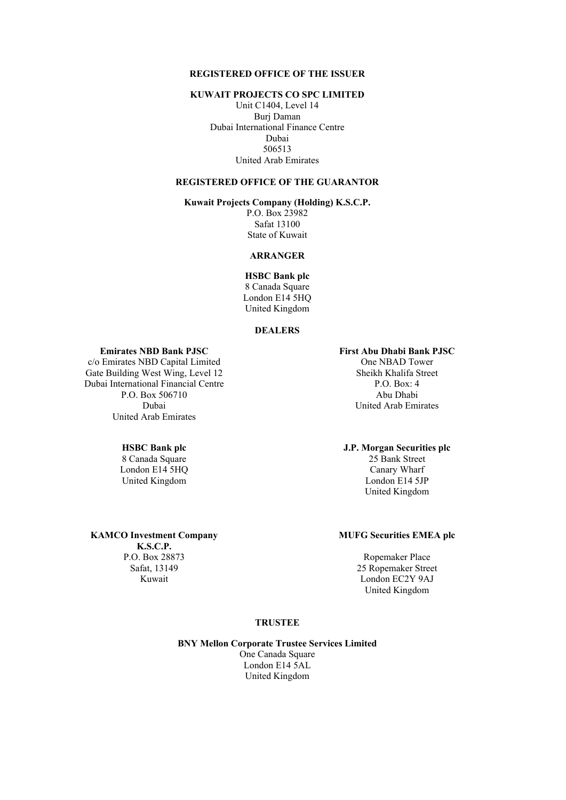#### **REGISTERED OFFICE OF THE ISSUER**

#### **KUWAIT PROJECTS CO SPC LIMITED**

Unit C1404, Level 14 Burj Daman Dubai International Finance Centre Dubai 506513 United Arab Emirates

# **REGISTERED OFFICE OF THE GUARANTOR**

# **Kuwait Projects Company (Holding) K.S.C.P.**

P.O. Box 23982 Safat 13100 State of Kuwait

# **ARRANGER**

**HSBC Bank plc** 8 Canada Square London E14 5HQ United Kingdom

#### **DEALERS**

# **Emirates NBD Bank PJSC First Abu Dhabi Bank PJSC**

c/o Emirates NBD Capital Limited One NBAD Tower Gate Building West Wing, Level 12 Sheikh Khalifa Street Dubai International Financial Centre P.O. Box: 4 P.O. Box 506710 Abu Dhabi United Arab Emirates

London E14 5HO Canary Wharf

Dubai United Arab Emirates

#### **HSBC Bank plc J.P. Morgan Securities plc**

8 Canada Square 25 Bank Street United Kingdom London E14 5JP United Kingdom

#### **MUFG Securities EMEA plc**

P.O. Box 28873 Ropemaker Place Safat, 13149 25 Ropemaker Street Kuwait London EC2Y 9AJ United Kingdom

### **TRUSTEE**

#### **BNY Mellon Corporate Trustee Services Limited**

One Canada Square London E14 5AL United Kingdom

# **KAMCO Investment Company**

**K.S.C.P.**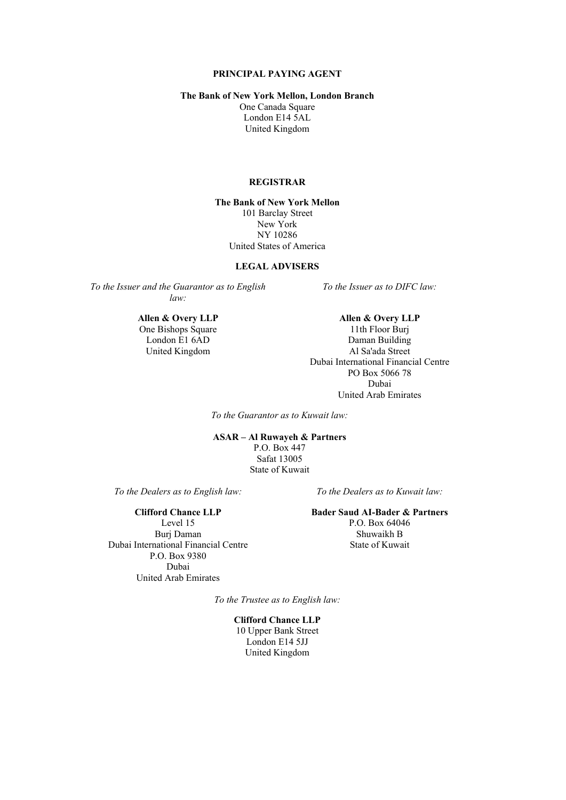#### **PRINCIPAL PAYING AGENT**

#### **The Bank of New York Mellon, London Branch**

One Canada Square London E14 5AL United Kingdom

#### **REGISTRAR**

**The Bank of New York Mellon** 101 Barclay Street New York NY 10286 United States of America

#### **LEGAL ADVISERS**

*To the Issuer and the Guarantor as to English law:*

United Kingdom

*To the Issuer as to DIFC law:*

**Allen & Overy LLP**<br> **Allen & Overy LLP**<br> **Allen & Overy LLP**<br> **Allen & Overy LLP**<br> **Allen & Overy LLP** One Bishops Square 11th Floor Burj<br>
London E1 6AD Daman Building London E1 6AD Daman Building<br>United Kingdom Al Sa'ada Street Dubai International Financial Centre PO Box 5066 78 Dubai United Arab Emirates

*To the Guarantor as to Kuwait law:*

### **ASAR – Al Ruwayeh & Partners** P.O. Box 447 Safat 13005 State of Kuwait

*To the Dealers as to English law: To the Dealers as to Kuwait law:*

Level 15 P.O. Box 64046 Burj Daman Shuwaikh B Dubai International Financial Centre State of Kuwait P.O. Box 9380 Dubai United Arab Emirates

#### **Clifford Chance LLP Bader Saud AI-Bader & Partners**

*To the Trustee as to English law:*

**Clifford Chance LLP** 10 Upper Bank Street London E14 5JJ United Kingdom